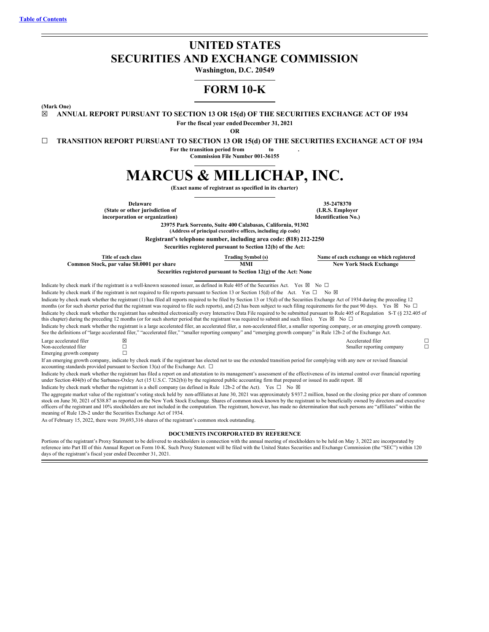# **UNITED STATES SECURITIES AND EXCHANGE COMMISSION**

**Washington, D.C. 20549**

# **FORM 10-K**

**(Mark One)**

☒ **ANNUAL REPORT PURSUANT TO SECTION 13 OR 15(d) OF THE SECURITIES EXCHANGE ACT OF 1934 For the fiscal year ended December 31, 2021**

**OR**

☐ **TRANSITION REPORT PURSUANT TO SECTION 13 OR 15(d) OF THE SECURITIES EXCHANGE ACT OF 1934**

**For** the transition period from

**Commission File Number 001-36155**

# **MARCUS & MILLICHAP, INC.**

**(Exact name of registrant as specified in its charter)**

**Delaware 35-2478370**

**(State or other jurisdiction of incorporation or organization)**

**(I.R.S. Employer Identification No.)**

**23975 Park Sorrento, Suite 400 Calabasas, California, 91302 (Address of principal executive offices, including zip code)**

**Registrant's telephone number, including area code: (818) 212-2250**

**Securities registered pursuant to Section 12(b) of the Act:**

**Common Stock, par value \$0.0001** per share

**Securities registered pursuant to Section 12(g) of the Act: None**

**Title** of each class<br> **Trading** Symbol (s) MMI New York Stock Exchange<br>
New York Stock Exchange

Indicate by check mark if the registrant is a well-known seasoned issuer, as defined in Rule 405 of the Securities Act. Yes  $\boxtimes$  No  $\Box$ 

Indicate by check mark if the registrant is not required to file reports pursuant to Section 13 or Section 15(d) of the Act. Yes  $\Box$  No  $\boxtimes$ 

Indicate by check mark whether the registrant (1) has filed all reports required to be filed by Section 13 or 15(d) of the Securities Exchange Act of 1934 during the preceding 12 months (or for such shorter period that the registrant was required to file such reports), and (2) has been subject to such filing requirements for the past 90 days. Yes  $\boxtimes \bullet \text{ No } \square$ 

Indicate by check mark whether the registrant has submitted electronically every Interactive Data File required to be submitted pursuant to Rule 405 of Regulation S-T (§ 232.405 of this chapter) during the preceding 12 months (or for such shorter period that the registrant was required to submit and such files). Yes  $\boxtimes$  No  $\Box$ 

Indicate by check mark whether the registrant is a large accelerated filer, an accelerated filer, a non-accelerated filer, a smaller reporting company, or an emerging growth company. See the definitions of "large accelerated filer," "accelerated filer," "smaller reporting company" and "emerging growth company" in Rule 12b-2 of the Exchange Act.

Large accelerated filer ☒ Accelerated filer ☐ Non-accelerated filer ☐ Smaller reporting company ☐

Emerging growth company  $\Box$ 

If an emerging growth company, indicate by check mark if the registrant has elected not to use the extended transition period for complying with any new or revised financial accounting standards provided pursuant to Section 13(a) of the Exchange Act.  $\Box$ 

Indicate by check mark whether the registrant has filed a report on and attestation to its management's assessment of the effectiveness of its internal control over financial reporting under Section 404(b) of the Sarbanes-Oxley Act (15 U.S.C. 7262(b)) by the registered public accounting firm that prepared or issued its audit report.  $\boxtimes$ Indicate by check mark whether the registrant is a shell company (as defined in Rule 12b-2 of the Act). Yes  $\Box$  No  $\boxtimes$ 

The aggregate market value of the registrant's voting stock held by non-affiliates at June 30, 2021 was approximately \$ 937.2 million, based on the closing price per share of common stock on June 30, 2021 of \$38.87 as reported on the New York Stock Exchange. Shares of common stock known by the registrant to be beneficially owned by directors and executive officers of the registrant and 10% stockholders are not included in the computation. The registrant, however, has made no determination that such persons are "affiliates" within the meaning of Rule 12b-2 under the Securities Exchange Act of 1934.

As of February 15, 2022, there were 39,693,316 shares of the registrant's common stock outstanding.

# **DOCUMENTS INCORPORATED BY REFERENCE**

Portions of the registrant's Proxy Statement to be delivered to stockholders in connection with the annual meeting of stockholders to be held on May 3, 2022 are incorporated by reference into Part III of this Annual Report on Form 10-K. Such Proxy Statement will be filed with the United States Securities and Exchange Commission (the "SEC") within 120 days of the registrant's fiscal year ended December 31, 2021.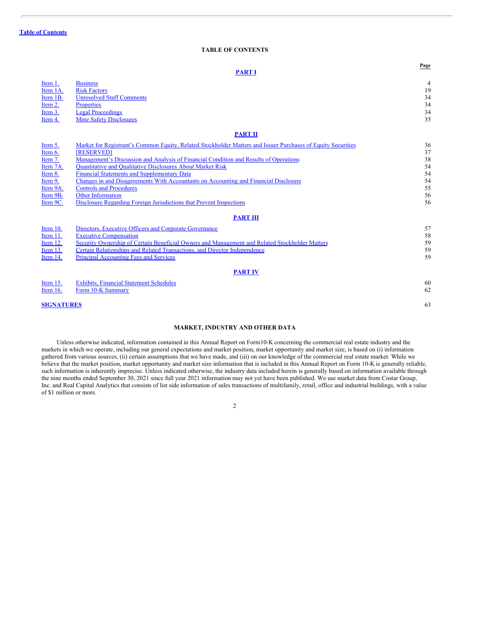# **TABLE OF CONTENTS**

<span id="page-1-0"></span>

|                   | <b>PART I</b>                                                                                                | Page |
|-------------------|--------------------------------------------------------------------------------------------------------------|------|
|                   |                                                                                                              |      |
| Item 1.           | <b>Business</b>                                                                                              | 4    |
| Item 1A.          | <b>Risk Factors</b>                                                                                          | 19   |
| Item 1B.          | <b>Unresolved Staff Comments</b>                                                                             | 34   |
| Item 2.           | Properties                                                                                                   | 34   |
| Item 3.           | <b>Legal Proceedings</b>                                                                                     | 34   |
| Item 4.           | <b>Mine Safety Disclosures</b>                                                                               | 35   |
|                   | <b>PART II</b>                                                                                               |      |
| Item 5.           | Market for Registrant's Common Equity, Related Stockholder Matters and Issuer Purchases of Equity Securities | 36   |
| Item 6.           | <b>IRESERVED1</b>                                                                                            | 37   |
| Item 7.           | Management's Discussion and Analysis of Financial Condition and Results of Operations                        | 38   |
| Item 7A.          | <b>Ouantitative and Qualitative Disclosures About Market Risk</b>                                            | 54   |
| Item 8.           | <b>Financial Statements and Supplementary Data</b>                                                           | 54   |
| Item 9.           | Changes in and Disagreements With Accountants on Accounting and Financial Disclosure                         | 54   |
| Item 9A.          | <b>Controls and Procedures</b>                                                                               | 55   |
| Item 9B.          | <b>Other Information</b>                                                                                     | 56   |
| Item 9C.          | Disclosure Regarding Foreign Jurisdictions that Prevent Inspections                                          | 56   |
|                   | <b>PART III</b>                                                                                              |      |
| Item 10.          | Directors, Executive Officers and Corporate Governance                                                       | 57   |
| Item 11.          | <b>Executive Compensation</b>                                                                                | 58   |
| Item 12.          | Security Ownership of Certain Beneficial Owners and Management and Related Stockholder Matters               | 59   |
| Item 13.          | Certain Relationships and Related Transactions, and Director Independence                                    | 59   |
| Item 14.          | <b>Principal Accounting Fees and Services</b>                                                                | 59   |
|                   |                                                                                                              |      |
|                   | <b>PART IV</b>                                                                                               |      |
| Item 15.          | <b>Exhibits, Financial Statement Schedules</b>                                                               | 60   |
| Item $16$ .       | Form 10-K Summary                                                                                            | 62   |
|                   |                                                                                                              |      |
| <b>SIGNATURES</b> |                                                                                                              | 63   |
|                   |                                                                                                              |      |

# **MARKET, INDUSTRY AND OTHER DATA**

Unless otherwise indicated, information contained in this Annual Report on Form10-K concerning the commercial real estate industry and the markets in which we operate, including our general expectations and market position, market opportunity and market size, is based on (i) information gathered from various sources, (ii) certain assumptions that we have made, and (iii) on our knowledge of the commercial real estate market. While we believe that the market position, market opportunity and market size information that is included in this Annual Report on Form 10-K is generally reliable, such information is inherently imprecise. Unless indicated otherwise, the industry data included herein is generally based on information available through the nine months ended September 30, 2021 since full year 2021 information may not yet have been published. We use market data from Costar Group, Inc. and Real Capital Analytics that consists of list side information of sales transactions of multifamily, retail, office and industrial buildings, with a value of \$1 million or more.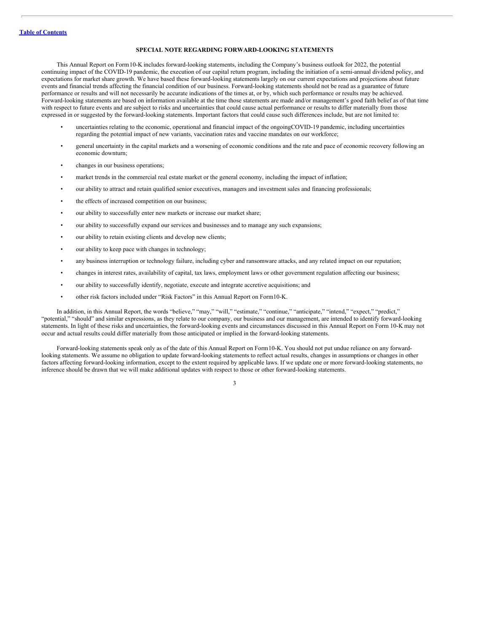# **SPECIAL NOTE REGARDING FORWARD-LOOKING STATEMENTS**

This Annual Report on Form10-K includes forward-looking statements, including the Company's business outlook for 2022, the potential continuing impact of the COVID-19 pandemic, the execution of our capital return program, including the initiation of a semi-annual dividend policy, and expectations for market share growth. We have based these forward-looking statements largely on our current expectations and projections about future events and financial trends affecting the financial condition of our business. Forward-looking statements should not be read as a guarantee of future performance or results and will not necessarily be accurate indications of the times at, or by, which such performance or results may be achieved. Forward-looking statements are based on information available at the time those statements are made and/or management's good faith belief as of that time with respect to future events and are subject to risks and uncertainties that could cause actual performance or results to differ materially from those expressed in or suggested by the forward-looking statements. Important factors that could cause such differences include, but are not limited to:

- uncertainties relating to the economic, operational and financial impact of the ongoingCOVID-19 pandemic, including uncertainties regarding the potential impact of new variants, vaccination rates and vaccine mandates on our workforce;
- general uncertainty in the capital markets and a worsening of economic conditions and the rate and pace of economic recovery following an economic downturn;
- changes in our business operations;
- market trends in the commercial real estate market or the general economy, including the impact of inflation;
- our ability to attract and retain qualified senior executives, managers and investment sales and financing professionals;
- the effects of increased competition on our business;
- our ability to successfully enter new markets or increase our market share;
- our ability to successfully expand our services and businesses and to manage any such expansions;
- our ability to retain existing clients and develop new clients;
- our ability to keep pace with changes in technology;
- any business interruption or technology failure, including cyber and ransomware attacks, and any related impact on our reputation;
- changes in interest rates, availability of capital, tax laws, employment laws or other government regulation affecting our business;
- our ability to successfully identify, negotiate, execute and integrate accretive acquisitions; and
- other risk factors included under "Risk Factors" in this Annual Report on Form10-K.

In addition, in this Annual Report, the words "believe," "may," "will," "estimate," "continue," "anticipate," "intend," "expect," "predict," "potential," "should" and similar expressions, as they relate to our company, our business and our management, are intended to identify forward-looking statements. In light of these risks and uncertainties, the forward-looking events and circumstances discussed in this Annual Report on Form 10-K may not occur and actual results could differ materially from those anticipated or implied in the forward-looking statements.

Forward-looking statements speak only as of the date of this Annual Report on Form10-K. You should not put undue reliance on any forwardlooking statements. We assume no obligation to update forward-looking statements to reflect actual results, changes in assumptions or changes in other factors affecting forward-looking information, except to the extent required by applicable laws. If we update one or more forward-looking statements, no inference should be drawn that we will make additional updates with respect to those or other forward-looking statements.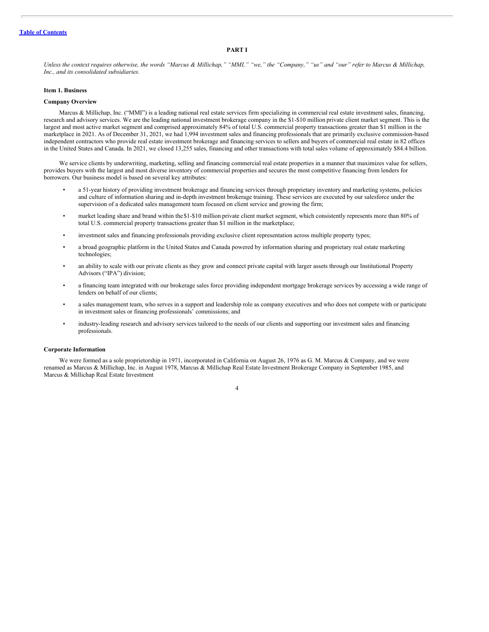### **PART I**

<span id="page-3-0"></span>Unless the context requires otherwise, the words "Marcus & Millichap," "MMI," "we," the "Company," "us" and "our" refer to Marcus & Millichap, *Inc., and its consolidated subsidiaries.*

# <span id="page-3-1"></span>**Item 1. Business**

# **Company Overview**

Marcus & Millichap, Inc. ("MMI") is a leading national real estate services firm specializing in commercial real estate investment sales, financing, research and advisory services. We are the leading national investment brokerage company in the \$1-\$10 million private client market segment. This is the largest and most active market segment and comprised approximately 84% of total U.S. commercial property transactions greater than \$1 million in the marketplace in 2021. As of December 31, 2021, we had 1,994 investment sales and financing professionals that are primarily exclusive commission-based independent contractors who provide real estate investment brokerage and financing services to sellers and buyers of commercial real estate in 82 offices in the United States and Canada. In 2021, we closed 13,255 sales, financing and other transactions with total sales volume of approximately \$84.4 billion.

We service clients by underwriting, marketing, selling and financing commercial real estate properties in a manner that maximizes value for sellers, provides buyers with the largest and most diverse inventory of commercial properties and secures the most competitive financing from lenders for borrowers. Our business model is based on several key attributes:

- a 51-year history of providing investment brokerage and financing services through proprietary inventory and marketing systems, policies and culture of information sharing and in-depth investment brokerage training. These services are executed by our salesforce under the supervision of a dedicated sales management team focused on client service and growing the firm;
- market leading share and brand within the\$1-\$10 million private client market segment, which consistently represents more than 80% of total U.S. commercial property transactions greater than \$1 million in the marketplace;
- investment sales and financing professionals providing exclusive client representation across multiple property types;
- a broad geographic platform in the United States and Canada powered by information sharing and proprietary real estate marketing technologies;
- an ability to scale with our private clients as they grow and connect private capital with larger assets through our Institutional Property Advisors ("IPA") division;
- a financing team integrated with our brokerage sales force providing independent mortgage brokerage services by accessing a wide range of lenders on behalf of our clients;
- a sales management team, who serves in a support and leadership role as company executives and who does not compete with or participate in investment sales or financing professionals' commissions; and
- industry-leading research and advisory services tailored to the needs of our clients and supporting our investment sales and financing professionals.

# **Corporate Information**

We were formed as a sole proprietorship in 1971, incorporated in California on August 26, 1976 as G. M. Marcus & Company, and we were renamed as Marcus & Millichap, Inc. in August 1978, Marcus & Millichap Real Estate Investment Brokerage Company in September 1985, and Marcus & Millichap Real Estate Investment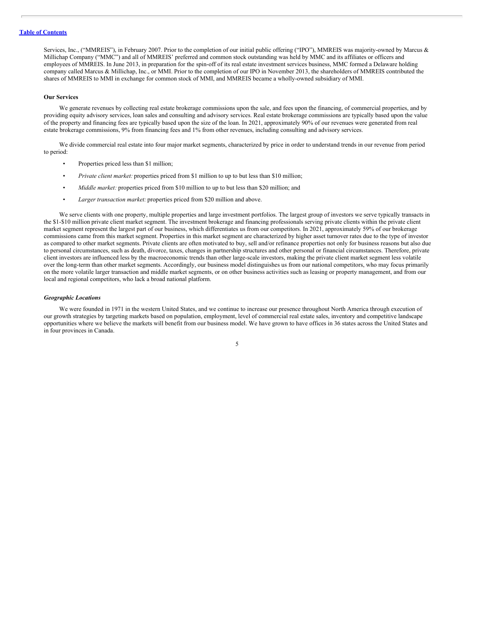Services, Inc., ("MMREIS"), in February 2007. Prior to the completion of our initial public offering ("IPO"), MMREIS was majority-owned by Marcus & Millichap Company ("MMC") and all of MMREIS' preferred and common stock outstanding was held by MMC and its affiliates or officers and employees of MMREIS. In June 2013, in preparation for the spin-off of its real estate investment services business, MMC formed a Delaware holding company called Marcus & Millichap, Inc., or MMI. Prior to the completion of our IPO in November 2013, the shareholders of MMREIS contributed the shares of MMREIS to MMI in exchange for common stock of MMI, and MMREIS became a wholly-owned subsidiary of MMI.

# **Our Services**

We generate revenues by collecting real estate brokerage commissions upon the sale, and fees upon the financing, of commercial properties, and by providing equity advisory services, loan sales and consulting and advisory services. Real estate brokerage commissions are typically based upon the value of the property and financing fees are typically based upon the size of the loan. In 2021, approximately 90% of our revenues were generated from real estate brokerage commissions, 9% from financing fees and 1% from other revenues, including consulting and advisory services.

We divide commercial real estate into four major market segments, characterized by price in order to understand trends in our revenue from period to period:

- Properties priced less than \$1 million;
- *Private client market:* properties priced from \$1 million to up to but less than \$10 million;
- *Middle market:* properties priced from \$10 million to up to but less than \$20 million; and
- *Larger transaction market:* properties priced from \$20 million and above.

We serve clients with one property, multiple properties and large investment portfolios. The largest group of investors we serve typically transacts in the \$1-\$10 million private client market segment. The investment brokerage and financing professionals serving private clients within the private client market segment represent the largest part of our business, which differentiates us from our competitors. In 2021, approximately 59% of our brokerage commissions came from this market segment. Properties in this market segment are characterized by higher asset turnover rates due to the type of investor as compared to other market segments. Private clients are often motivated to buy, sell and/or refinance properties not only for business reasons but also due to personal circumstances, such as death, divorce, taxes, changes in partnership structures and other personal or financial circumstances. Therefore, private client investors are influenced less by the macroeconomic trends than other large-scale investors, making the private client market segment less volatile over the long-term than other market segments. Accordingly, our business model distinguishes us from our national competitors, who may focus primarily on the more volatile larger transaction and middle market segments, or on other business activities such as leasing or property management, and from our local and regional competitors, who lack a broad national platform.

# *Geographic Locations*

We were founded in 1971 in the western United States, and we continue to increase our presence throughout North America through execution of our growth strategies by targeting markets based on population, employment, level of commercial real estate sales, inventory and competitive landscape opportunities where we believe the markets will benefit from our business model. We have grown to have offices in 36 states across the United States and in four provinces in Canada.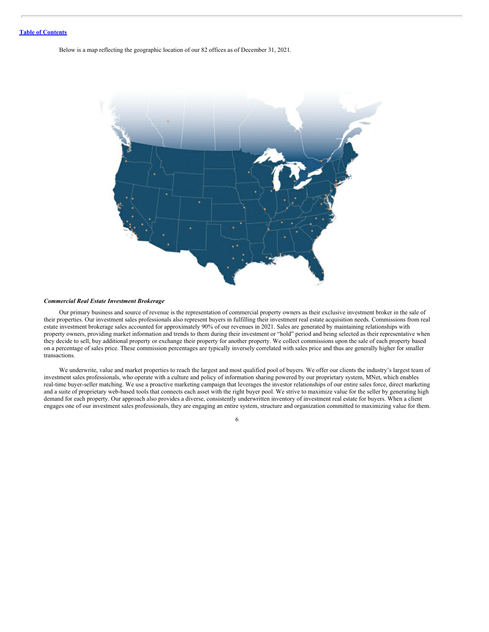Below is a map reflecting the geographic location of our 82 offices as of December 31, 2021.



# *Commercial Real Estate Investment Brokerage*

Our primary business and source of revenue is the representation of commercial property owners as their exclusive investment broker in the sale of their properties. Our investment sales professionals also represent buyers in fulfilling their investment real estate acquisition needs. Commissions from real estate investment brokerage sales accounted for approximately 90% of our revenues in 2021. Sales are generated by maintaining relationships with property owners, providing market information and trends to them during their investment or "hold" period and being selected as their representative when they decide to sell, buy additional property or exchange their property for another property. We collect commissions upon the sale of each property based on a percentage of sales price. These commission percentages are typically inversely correlated with sales price and thus are generally higher for smaller transactions.

We underwrite, value and market properties to reach the largest and most qualified pool of buyers. We offer our clients the industry's largest team of investment sales professionals, who operate with a culture and policy of information sharing powered by our proprietary system, MNet, which enables real-time buyer-seller matching. We use a proactive marketing campaign that leverages the investor relationships of our entire sales force, direct marketing and a suite of proprietary web-based tools that connects each asset with the right buyer pool. We strive to maximize value for the seller by generating high demand for each property. Our approach also provides a diverse, consistently underwritten inventory of investment real estate for buyers. When a client engages one of our investment sales professionals, they are engaging an entire system, structure and organization committed to maximizing value for them.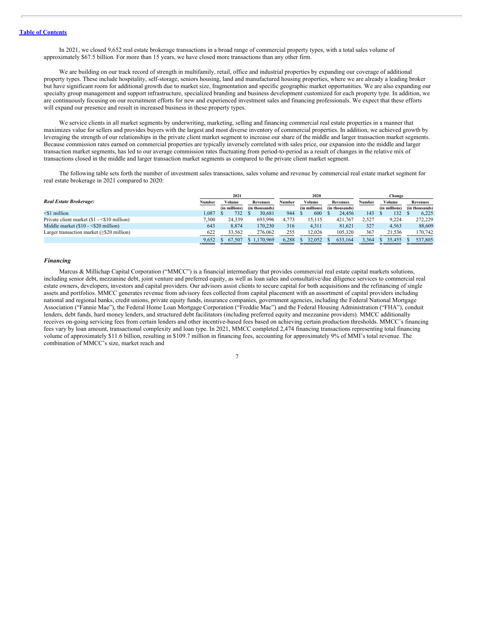In 2021, we closed 9,652 real estate brokerage transactions in a broad range of commercial property types, with a total sales volume of approximately \$67.5 billion. For more than 15 years, we have closed more transactions than any other firm.

We are building on our track record of strength in multifamily, retail, office and industrial properties by expanding our coverage of additional property types. These include hospitality, self-storage, seniors housing, land and manufactured housing properties, where we are already a leading broker but have significant room for additional growth due to market size, fragmentation and specific geographic market opportunities. We are also expanding our specialty group management and support infrastructure, specialized branding and business development customized for each property type. In addition, we are continuously focusing on our recruitment efforts for new and experienced investment sales and financing professionals. We expect that these efforts will expand our presence and result in increased business in these property types.

We service clients in all market segments by underwriting, marketing, selling and financing commercial real estate properties in a manner that maximizes value for sellers and provides buyers with the largest and most diverse inventory of commercial properties. In addition, we achieved growth by leveraging the strength of our relationships in the private client market segment to increase our share of the middle and larger transaction market segments. Because commission rates earned on commercial properties are typically inversely correlated with sales price, our expansion into the middle and larger transaction market segments, has led to our average commission rates fluctuating from period-to-period as a result of changes in the relative mix of transactions closed in the middle and larger transaction market segments as compared to the private client market segment.

The following table sets forth the number of investment sales transactions, sales volume and revenue by commercial real estate market segment for real estate brokerage in 2021 compared to 2020:

|                                               | 2021  |               |                 | 2020   |               |                 | Change |               |  |                 |
|-----------------------------------------------|-------|---------------|-----------------|--------|---------------|-----------------|--------|---------------|--|-----------------|
| <b>Real Estate Brokerage:</b>                 |       | Volume        | <b>Revenues</b> | Number | Volume        | <b>Revenues</b> | Number | Volume        |  | <b>Revenues</b> |
|                                               |       | (in millions) | (in thousands)  |        | (in millions) | (in thousands)  |        | (in millions) |  | (in thousands)  |
| $\leq$ 1 million                              | 1,087 | 732           | 30.681          | 944    | 600           | 24.456          | 143    | 132           |  | 6,225           |
| Private client market (\$1 - < \$10 million)  |       | 24.339        | 693.996         | 4.773  | 15.115        | 421,767         | 2.527  | 9,224         |  | 272,229         |
| Middle market $(\$10 - \$20$ million)         |       | 8.874         | 170,230         | 316    | 4.311         | 81.621          | 327    | 4,563         |  | 88,609          |
| Larger transaction market $(\geq 20$ million) |       | 33.562        | 276,062         | 255    | 12.026        | 105.320         | 367    | 21,536        |  | 170,742         |
|                                               | 9.652 | 67.507        | 1.170.969       | 6.288  | 32,052        | 633.164         | 3.364  | 35.455        |  | 537,805         |

#### *Financing*

Marcus & Millichap Capital Corporation ("MMCC") is a financial intermediary that provides commercial real estate capital markets solutions, including senior debt, mezzanine debt, joint venture and preferred equity, as well as loan sales and consultative/due diligence services to commercial real estate owners, developers, investors and capital providers. Our advisors assist clients to secure capital for both acquisitions and the refinancing of single assets and portfolios. MMCC generates revenue from advisory fees collected from capital placement with an assortment of capital providers including national and regional banks, credit unions, private equity funds, insurance companies, government agencies, including the Federal National Mortgage Association ("Fannie Mae"), the Federal Home Loan Mortgage Corporation ("Freddie Mac") and the Federal Housing Administration ("FHA"), conduit lenders, debt funds, hard money lenders, and structured debt facilitators (including preferred equity and mezzanine providers). MMCC additionally receives on-going servicing fees from certain lenders and other incentive-based fees based on achieving certain production thresholds. MMCC's financing fees vary by loan amount, transactional complexity and loan type. In 2021, MMCC completed 2,474 financing transactions representing total financing volume of approximately \$11.6 billion, resulting in \$109.7 million in financing fees, accounting for approximately 9% of MMI's total revenue. The combination of MMCC's size, market reach and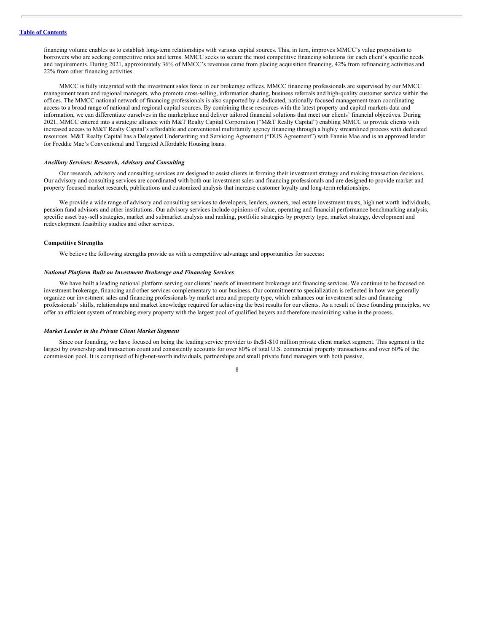financing volume enables us to establish long-term relationships with various capital sources. This, in turn, improves MMCC's value proposition to borrowers who are seeking competitive rates and terms. MMCC seeks to secure the most competitive financing solutions for each client's specific needs and requirements. During 2021, approximately 36% of MMCC's revenues came from placing acquisition financing, 42% from refinancing activities and 22% from other financing activities.

MMCC is fully integrated with the investment sales force in our brokerage offices. MMCC financing professionals are supervised by our MMCC management team and regional managers, who promote cross-selling, information sharing, business referrals and high-quality customer service within the offices. The MMCC national network of financing professionals is also supported by a dedicated, nationally focused management team coordinating access to a broad range of national and regional capital sources. By combining these resources with the latest property and capital markets data and information, we can differentiate ourselves in the marketplace and deliver tailored financial solutions that meet our clients' financial objectives. During 2021, MMCC entered into a strategic alliance with M&T Realty Capital Corporation ("M&T Realty Capital") enabling MMCC to provide clients with increased access to M&T Realty Capital's affordable and conventional multifamily agency financing through a highly streamlined process with dedicated resources. M&T Realty Capital has a Delegated Underwriting and Servicing Agreement ("DUS Agreement") with Fannie Mae and is an approved lender for Freddie Mac's Conventional and Targeted Affordable Housing loans.

# *Ancillary Services: Research, Advisory and Consulting*

Our research, advisory and consulting services are designed to assist clients in forming their investment strategy and making transaction decisions. Our advisory and consulting services are coordinated with both our investment sales and financing professionals and are designed to provide market and property focused market research, publications and customized analysis that increase customer loyalty and long-term relationships.

We provide a wide range of advisory and consulting services to developers, lenders, owners, real estate investment trusts, high net worth individuals, pension fund advisors and other institutions. Our advisory services include opinions of value, operating and financial performance benchmarking analysis, specific asset buy-sell strategies, market and submarket analysis and ranking, portfolio strategies by property type, market strategy, development and redevelopment feasibility studies and other services.

# **Competitive Strengths**

We believe the following strengths provide us with a competitive advantage and opportunities for success:

#### *National Platform Built on Investment Brokerage and Financing Services*

We have built a leading national platform serving our clients' needs of investment brokerage and financing services. We continue to be focused on investment brokerage, financing and other services complementary to our business. Our commitment to specialization is reflected in how we generally organize our investment sales and financing professionals by market area and property type, which enhances our investment sales and financing professionals' skills, relationships and market knowledge required for achieving the best results for our clients. As a result of these founding principles, we offer an efficient system of matching every property with the largest pool of qualified buyers and therefore maximizing value in the process.

#### *Market Leader in the Private Client Market Segment*

Since our founding, we have focused on being the leading service provider to the\$1-\$10 million private client market segment. This segment is the largest by ownership and transaction count and consistently accounts for over 80% of total U.S. commercial property transactions and over 60% of the commission pool. It is comprised of high-net-worth individuals, partnerships and small private fund managers with both passive,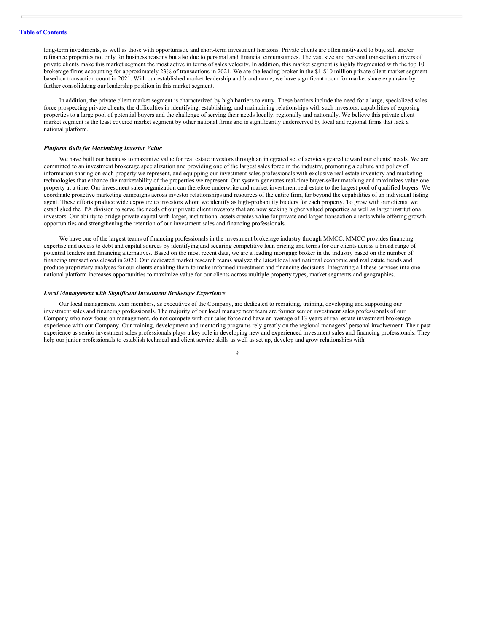long-term investments, as well as those with opportunistic and short-term investment horizons. Private clients are often motivated to buy, sell and/or refinance properties not only for business reasons but also due to personal and financial circumstances. The vast size and personal transaction drivers of private clients make this market segment the most active in terms of sales velocity. In addition, this market segment is highly fragmented with the top 10 brokerage firms accounting for approximately 23% of transactions in 2021. We are the leading broker in the \$1-\$10 million private client market segment based on transaction count in 2021. With our established market leadership and brand name, we have significant room for market share expansion by further consolidating our leadership position in this market segment.

In addition, the private client market segment is characterized by high barriers to entry. These barriers include the need for a large, specialized sales force prospecting private clients, the difficulties in identifying, establishing, and maintaining relationships with such investors, capabilities of exposing properties to a large pool of potential buyers and the challenge of serving their needs locally, regionally and nationally. We believe this private client market segment is the least covered market segment by other national firms and is significantly underserved by local and regional firms that lack a national platform.

# *Platform Built for Maximizing Investor Value*

We have built our business to maximize value for real estate investors through an integrated set of services geared toward our clients' needs. We are committed to an investment brokerage specialization and providing one of the largest sales force in the industry, promoting a culture and policy of information sharing on each property we represent, and equipping our investment sales professionals with exclusive real estate inventory and marketing technologies that enhance the marketability of the properties we represent. Our system generates real-time buyer-seller matching and maximizes value one property at a time. Our investment sales organization can therefore underwrite and market investment real estate to the largest pool of qualified buyers. We coordinate proactive marketing campaigns across investor relationships and resources of the entire firm, far beyond the capabilities of an individual listing agent. These efforts produce wide exposure to investors whom we identify as high-probability bidders for each property. To grow with our clients, we established the IPA division to serve the needs of our private client investors that are now seeking higher valued properties as well as larger institutional investors. Our ability to bridge private capital with larger, institutional assets creates value for private and larger transaction clients while offering growth opportunities and strengthening the retention of our investment sales and financing professionals.

We have one of the largest teams of financing professionals in the investment brokerage industry through MMCC. MMCC provides financing expertise and access to debt and capital sources by identifying and securing competitive loan pricing and terms for our clients across a broad range of potential lenders and financing alternatives. Based on the most recent data, we are a leading mortgage broker in the industry based on the number of financing transactions closed in 2020. Our dedicated market research teams analyze the latest local and national economic and real estate trends and produce proprietary analyses for our clients enabling them to make informed investment and financing decisions. Integrating all these services into one national platform increases opportunities to maximize value for our clients across multiple property types, market segments and geographies.

# *Local Management with Significant Investment Brokerage Experience*

Our local management team members, as executives of the Company, are dedicated to recruiting, training, developing and supporting our investment sales and financing professionals. The majority of our local management team are former senior investment sales professionals of our Company who now focus on management, do not compete with our sales force and have an average of 13 years of real estate investment brokerage experience with our Company. Our training, development and mentoring programs rely greatly on the regional managers' personal involvement. Their past experience as senior investment sales professionals plays a key role in developing new and experienced investment sales and financing professionals. They help our junior professionals to establish technical and client service skills as well as set up, develop and grow relationships with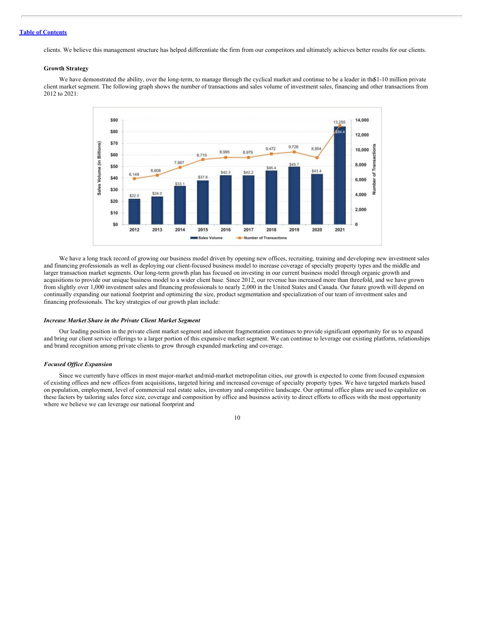clients. We believe this management structure has helped differentiate the firm from our competitors and ultimately achieves better results for our clients.

#### **Growth Strategy**

We have demonstrated the ability, over the long-term, to manage through the cyclical market and continue to be a leader in th\$1-10 million private client market segment. The following graph shows the number of transactions and sales volume of investment sales, financing and other transactions from 2012 to 2021:



We have a long track record of growing our business model driven by opening new offices, recruiting, training and developing new investment sales and financing professionals as well as deploying our client-focused business model to increase coverage of specialty property types and the middle and larger transaction market segments. Our long-term growth plan has focused on investing in our current business model through organic growth and acquisitions to provide our unique business model to a wider client base. Since 2012, our revenue has increased more than threefold, and we have grown from slightly over 1,000 investment sales and financing professionals to nearly 2,000 in the United States and Canada. Our future growth will depend on continually expanding our national footprint and optimizing the size, product segmentation and specialization of our team of investment sales and financing professionals. The key strategies of our growth plan include:

#### *Increase Market Share in the Private Client Market Segment*

Our leading position in the private client market segment and inherent fragmentation continues to provide significant opportunity for us to expand and bring our client service offerings to a larger portion of this expansive market segment. We can continue to leverage our existing platform, relationships and brand recognition among private clients to grow through expanded marketing and coverage.

# *Focused Of ice Expansion*

Since we currently have offices in most major-market andmid-market metropolitan cities, our growth is expected to come from focused expansion of existing offices and new offices from acquisitions, targeted hiring and increased coverage of specialty property types. We have targeted markets based on population, employment, level of commercial real estate sales, inventory and competitive landscape. Our optimal office plans are used to capitalize on these factors by tailoring sales force size, coverage and composition by office and business activity to direct efforts to offices with the most opportunity where we believe we can leverage our national footprint and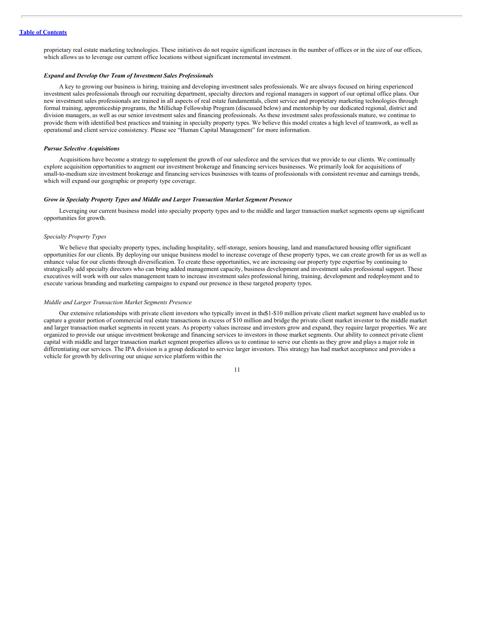proprietary real estate marketing technologies. These initiatives do not require significant increases in the number of offices or in the size of our offices, which allows us to leverage our current office locations without significant incremental investment.

# *Expand and Develop Our Team of Investment Sales Professionals*

A key to growing our business is hiring, training and developing investment sales professionals. We are always focused on hiring experienced investment sales professionals through our recruiting department, specialty directors and regional managers in support of our optimal office plans. Our new investment sales professionals are trained in all aspects of real estate fundamentals, client service and proprietary marketing technologies through formal training, apprenticeship programs, the Millichap Fellowship Program (discussed below) and mentorship by our dedicated regional, district and division managers, as well as our senior investment sales and financing professionals. As these investment sales professionals mature, we continue to provide them with identified best practices and training in specialty property types. We believe this model creates a high level of teamwork, as well as operational and client service consistency. Please see "Human Capital Management" for more information.

#### *Pursue Selective Acquisitions*

Acquisitions have become a strategy to supplement the growth of our salesforce and the services that we provide to our clients. We continually explore acquisition opportunities to augment our investment brokerage and financing services businesses. We primarily look for acquisitions of small-to-medium size investment brokerage and financing services businesses with teams of professionals with consistent revenue and earnings trends, which will expand our geographic or property type coverage.

#### *Grow in Specialty Property Types and Middle and Larger Transaction Market Segment Presence*

Leveraging our current business model into specialty property types and to the middle and larger transaction market segments opens up significant opportunities for growth.

#### *Specialty Property Types*

We believe that specialty property types, including hospitality, self-storage, seniors housing, land and manufactured housing offer significant opportunities for our clients. By deploying our unique business model to increase coverage of these property types, we can create growth for us as well as enhance value for our clients through diversification. To create these opportunities, we are increasing our property type expertise by continuing to strategically add specialty directors who can bring added management capacity, business development and investment sales professional support. These executives will work with our sales management team to increase investment sales professional hiring, training, development and redeployment and to execute various branding and marketing campaigns to expand our presence in these targeted property types.

# *Middle and Larger Transaction Market Segments Presence*

Our extensive relationships with private client investors who typically invest in the\$1-\$10 million private client market segment have enabled us to capture a greater portion of commercial real estate transactions in excess of \$10 million and bridge the private client market investor to the middle market and larger transaction market segments in recent years. As property values increase and investors grow and expand, they require larger properties. We are organized to provide our unique investment brokerage and financing services to investors in those market segments. Our ability to connect private client capital with middle and larger transaction market segment properties allows us to continue to serve our clients as they grow and plays a major role in differentiating our services. The IPA division is a group dedicated to service larger investors. This strategy has had market acceptance and provides a vehicle for growth by delivering our unique service platform within the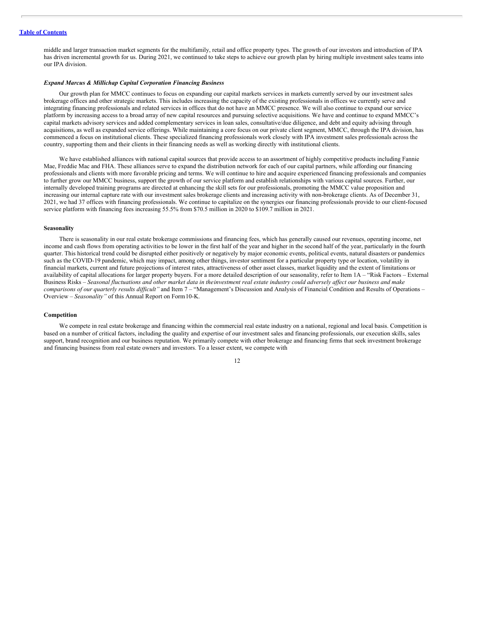#### **Table of [Contents](#page-1-0)**

middle and larger transaction market segments for the multifamily, retail and office property types. The growth of our investors and introduction of IPA has driven incremental growth for us. During 2021, we continued to take steps to achieve our growth plan by hiring multiple investment sales teams into our IPA division.

# *Expand Marcus & Millichap Capital Corporation Financing Business*

Our growth plan for MMCC continues to focus on expanding our capital markets services in markets currently served by our investment sales brokerage offices and other strategic markets. This includes increasing the capacity of the existing professionals in offices we currently serve and integrating financing professionals and related services in offices that do not have an MMCC presence. We will also continue to expand our service platform by increasing access to a broad array of new capital resources and pursuing selective acquisitions. We have and continue to expand MMCC's capital markets advisory services and added complementary services in loan sales, consultative/due diligence, and debt and equity advising through acquisitions, as well as expanded service offerings. While maintaining a core focus on our private client segment, MMCC, through the IPA division, has commenced a focus on institutional clients. These specialized financing professionals work closely with IPA investment sales professionals across the country, supporting them and their clients in their financing needs as well as working directly with institutional clients.

We have established alliances with national capital sources that provide access to an assortment of highly competitive products including Fannie Mae, Freddie Mac and FHA. These alliances serve to expand the distribution network for each of our capital partners, while affording our financing professionals and clients with more favorable pricing and terms. We will continue to hire and acquire experienced financing professionals and companies to further grow our MMCC business, support the growth of our service platform and establish relationships with various capital sources. Further, our internally developed training programs are directed at enhancing the skill sets for our professionals, promoting the MMCC value proposition and increasing our internal capture rate with our investment sales brokerage clients and increasing activity with non-brokerage clients. As of December 31, 2021, we had 37 offices with financing professionals. We continue to capitalize on the synergies our financing professionals provide to our client-focused service platform with financing fees increasing 55.5% from \$70.5 million in 2020 to \$109.7 million in 2021.

# **Seasonality**

There is seasonality in our real estate brokerage commissions and financing fees, which has generally caused our revenues, operating income, net income and cash flows from operating activities to be lower in the first half of the year and higher in the second half of the year, particularly in the fourth quarter. This historical trend could be disrupted either positively or negatively by major economic events, political events, natural disasters or pandemics such as the COVID-19 pandemic, which may impact, among other things, investor sentiment for a particular property type or location, volatility in financial markets, current and future projections of interest rates, attractiveness of other asset classes, market liquidity and the extent of limitations or availability of capital allocations for larger property buyers. For a more detailed description of our seasonality, refer to Item 1A – "Risk Factors – External Business Risks - Seasonal fluctuations and other market data in the investment real estate industry could adversely affect our business and make *comparisons of our quarterly results difficult"* and Item 7 – "Management's Discussion and Analysis of Financial Condition and Results of Operations – Overview – *Seasonality"* of this Annual Report on Form10-K.

#### **Competition**

We compete in real estate brokerage and financing within the commercial real estate industry on a national, regional and local basis. Competition is based on a number of critical factors, including the quality and expertise of our investment sales and financing professionals, our execution skills, sales support, brand recognition and our business reputation. We primarily compete with other brokerage and financing firms that seek investment brokerage and financing business from real estate owners and investors. To a lesser extent, we compete with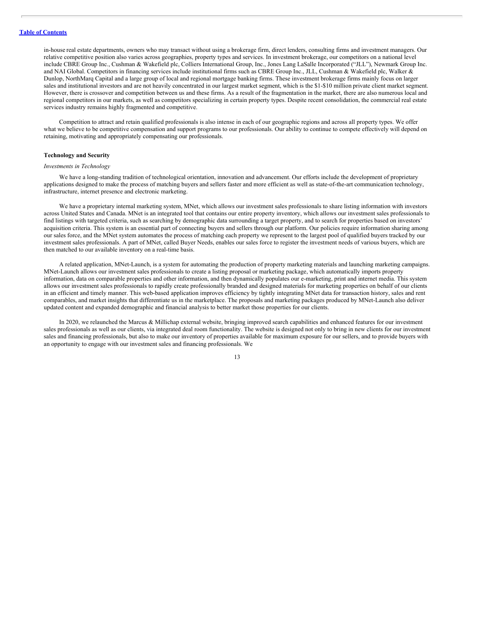in-house real estate departments, owners who may transact without using a brokerage firm, direct lenders, consulting firms and investment managers. Our relative competitive position also varies across geographies, property types and services. In investment brokerage, our competitors on a national level include CBRE Group Inc., Cushman & Wakefield plc, Colliers International Group, Inc., Jones Lang LaSalle Incorporated ("JLL"), Newmark Group Inc. and NAI Global. Competitors in financing services include institutional firms such as CBRE Group Inc., JLL, Cushman & Wakefield plc, Walker & Dunlop, NorthMarq Capital and a large group of local and regional mortgage banking firms. These investment brokerage firms mainly focus on larger sales and institutional investors and are not heavily concentrated in our largest market segment, which is the \$1-\$10 million private client market segment. However, there is crossover and competition between us and these firms. As a result of the fragmentation in the market, there are also numerous local and regional competitors in our markets, as well as competitors specializing in certain property types. Despite recent consolidation, the commercial real estate services industry remains highly fragmented and competitive.

Competition to attract and retain qualified professionals is also intense in each of our geographic regions and across all property types. We offer what we believe to be competitive compensation and support programs to our professionals. Our ability to continue to compete effectively will depend on retaining, motivating and appropriately compensating our professionals.

#### **Technology and Security**

# *Investments in Technology*

We have a long-standing tradition of technological orientation, innovation and advancement. Our efforts include the development of proprietary applications designed to make the process of matching buyers and sellers faster and more efficient as well as state-of-the-art communication technology, infrastructure, internet presence and electronic marketing.

We have a proprietary internal marketing system, MNet, which allows our investment sales professionals to share listing information with investors across United States and Canada. MNet is an integrated tool that contains our entire property inventory, which allows our investment sales professionals to find listings with targeted criteria, such as searching by demographic data surrounding a target property, and to search for properties based on investors' acquisition criteria. This system is an essential part of connecting buyers and sellers through our platform. Our policies require information sharing among our sales force, and the MNet system automates the process of matching each property we represent to the largest pool of qualified buyers tracked by our investment sales professionals. A part of MNet, called Buyer Needs, enables our sales force to register the investment needs of various buyers, which are then matched to our available inventory on a real-time basis.

A related application, MNet-Launch, is a system for automating the production of property marketing materials and launching marketing campaigns. MNet-Launch allows our investment sales professionals to create a listing proposal or marketing package, which automatically imports property information, data on comparable properties and other information, and then dynamically populates our e-marketing, print and internet media. This system allows our investment sales professionals to rapidly create professionally branded and designed materials for marketing properties on behalf of our clients in an efficient and timely manner. This web-based application improves efficiency by tightly integrating MNet data for transaction history, sales and rent comparables, and market insights that differentiate us in the marketplace. The proposals and marketing packages produced by MNet-Launch also deliver updated content and expanded demographic and financial analysis to better market those properties for our clients.

In 2020, we relaunched the Marcus & Millichap external website, bringing improved search capabilities and enhanced features for our investment sales professionals as well as our clients, via integrated deal room functionality. The website is designed not only to bring in new clients for our investment sales and financing professionals, but also to make our inventory of properties available for maximum exposure for our sellers, and to provide buyers with an opportunity to engage with our investment sales and financing professionals. We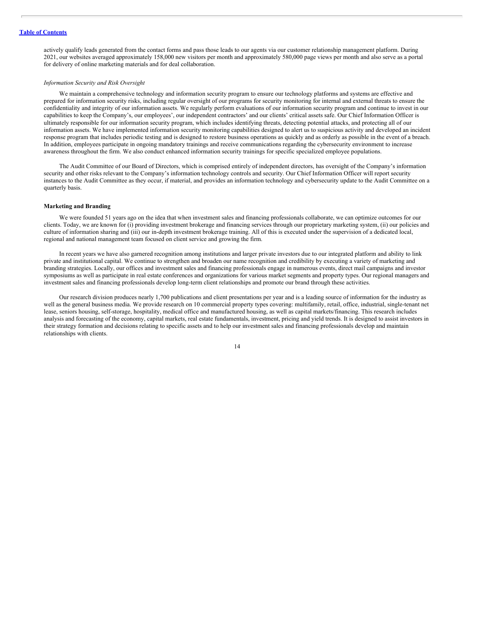actively qualify leads generated from the contact forms and pass those leads to our agents via our customer relationship management platform. During 2021, our websites averaged approximately 158,000 new visitors per month and approximately 580,000 page views per month and also serve as a portal for delivery of online marketing materials and for deal collaboration.

# *Information Security and Risk Oversight*

We maintain a comprehensive technology and information security program to ensure our technology platforms and systems are effective and prepared for information security risks, including regular oversight of our programs for security monitoring for internal and external threats to ensure the confidentiality and integrity of our information assets. We regularly perform evaluations of our information security program and continue to invest in our capabilities to keep the Company's, our employees', our independent contractors' and our clients' critical assets safe. Our Chief Information Officer is ultimately responsible for our information security program, which includes identifying threats, detecting potential attacks, and protecting all of our information assets. We have implemented information security monitoring capabilities designed to alert us to suspicious activity and developed an incident response program that includes periodic testing and is designed to restore business operations as quickly and as orderly as possible in the event of a breach. In addition, employees participate in ongoing mandatory trainings and receive communications regarding the cybersecurity environment to increase awareness throughout the firm. We also conduct enhanced information security trainings for specific specialized employee populations.

The Audit Committee of our Board of Directors, which is comprised entirely of independent directors, has oversight of the Company's information security and other risks relevant to the Company's information technology controls and security. Our Chief Information Officer will report security instances to the Audit Committee as they occur, if material, and provides an information technology and cybersecurity update to the Audit Committee on a quarterly basis.

# **Marketing and Branding**

We were founded 51 years ago on the idea that when investment sales and financing professionals collaborate, we can optimize outcomes for our clients. Today, we are known for (i) providing investment brokerage and financing services through our proprietary marketing system, (ii) our policies and culture of information sharing and (iii) our in-depth investment brokerage training. All of this is executed under the supervision of a dedicated local, regional and national management team focused on client service and growing the firm.

In recent years we have also garnered recognition among institutions and larger private investors due to our integrated platform and ability to link private and institutional capital. We continue to strengthen and broaden our name recognition and credibility by executing a variety of marketing and branding strategies. Locally, our offices and investment sales and financing professionals engage in numerous events, direct mail campaigns and investor symposiums as well as participate in real estate conferences and organizations for various market segments and property types. Our regional managers and investment sales and financing professionals develop long-term client relationships and promote our brand through these activities.

Our research division produces nearly 1,700 publications and client presentations per year and is a leading source of information for the industry as well as the general business media. We provide research on 10 commercial property types covering: multifamily, retail, office, industrial, single-tenant net lease, seniors housing, self-storage, hospitality, medical office and manufactured housing, as well as capital markets/financing. This research includes analysis and forecasting of the economy, capital markets, real estate fundamentals, investment, pricing and yield trends. It is designed to assist investors in their strategy formation and decisions relating to specific assets and to help our investment sales and financing professionals develop and maintain relationships with clients.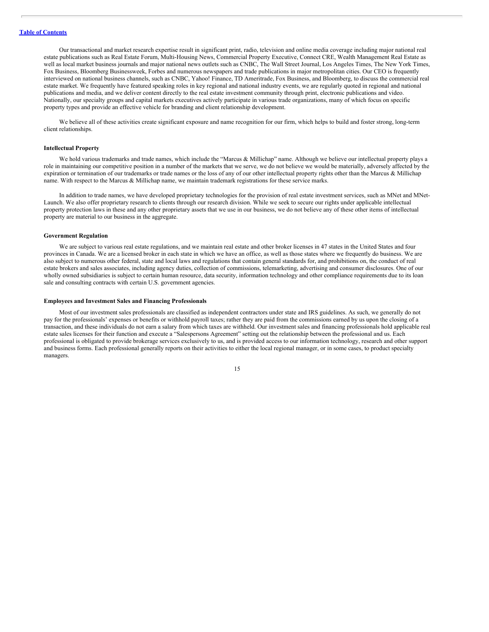Our transactional and market research expertise result in significant print, radio, television and online media coverage including major national real estate publications such as Real Estate Forum, Multi-Housing News, Commercial Property Executive, Connect CRE, Wealth Management Real Estate as well as local market business journals and major national news outlets such as CNBC, The Wall Street Journal, Los Angeles Times, The New York Times, Fox Business, Bloomberg Businessweek, Forbes and numerous newspapers and trade publications in major metropolitan cities. Our CEO is frequently interviewed on national business channels, such as CNBC, Yahoo! Finance, TD Ameritrade, Fox Business, and Bloomberg, to discuss the commercial real estate market. We frequently have featured speaking roles in key regional and national industry events, we are regularly quoted in regional and national publications and media, and we deliver content directly to the real estate investment community through print, electronic publications and video. Nationally, our specialty groups and capital markets executives actively participate in various trade organizations, many of which focus on specific property types and provide an effective vehicle for branding and client relationship development.

We believe all of these activities create significant exposure and name recognition for our firm, which helps to build and foster strong, long-term client relationships.

### **Intellectual Property**

We hold various trademarks and trade names, which include the "Marcus & Millichap" name. Although we believe our intellectual property plays a role in maintaining our competitive position in a number of the markets that we serve, we do not believe we would be materially, adversely affected by the expiration or termination of our trademarks or trade names or the loss of any of our other intellectual property rights other than the Marcus & Millichap name. With respect to the Marcus & Millichap name, we maintain trademark registrations for these service marks.

In addition to trade names, we have developed proprietary technologies for the provision of real estate investment services, such as MNet and MNet-Launch. We also offer proprietary research to clients through our research division. While we seek to secure our rights under applicable intellectual property protection laws in these and any other proprietary assets that we use in our business, we do not believe any of these other items of intellectual property are material to our business in the aggregate.

# **Government Regulation**

We are subject to various real estate regulations, and we maintain real estate and other broker licenses in 47 states in the United States and four provinces in Canada. We are a licensed broker in each state in which we have an office, as well as those states where we frequently do business. We are also subject to numerous other federal, state and local laws and regulations that contain general standards for, and prohibitions on, the conduct of real estate brokers and sales associates, including agency duties, collection of commissions, telemarketing, advertising and consumer disclosures. One of our wholly owned subsidiaries is subject to certain human resource, data security, information technology and other compliance requirements due to its loan sale and consulting contracts with certain U.S. government agencies.

# **Employees and Investment Sales and Financing Professionals**

Most of our investment sales professionals are classified as independent contractors under state and IRS guidelines. As such, we generally do not pay for the professionals' expenses or benefits or withhold payroll taxes; rather they are paid from the commissions earned by us upon the closing of a transaction, and these individuals do not earn a salary from which taxes are withheld. Our investment sales and financing professionals hold applicable real estate sales licenses for their function and execute a "Salespersons Agreement" setting out the relationship between the professional and us. Each professional is obligated to provide brokerage services exclusively to us, and is provided access to our information technology, research and other support and business forms. Each professional generally reports on their activities to either the local regional manager, or in some cases, to product specialty managers.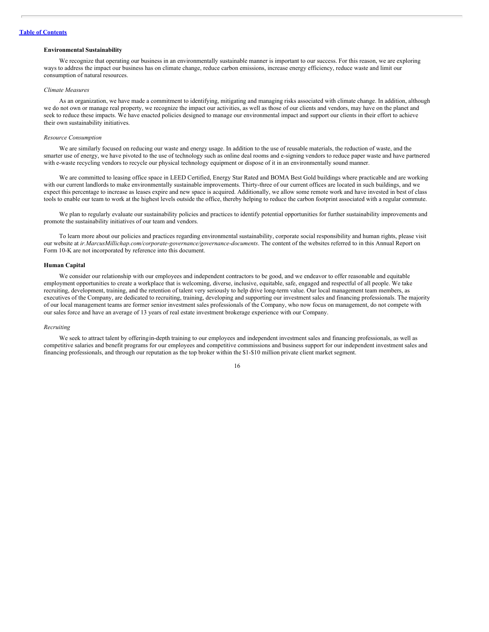#### **Environmental Sustainability**

We recognize that operating our business in an environmentally sustainable manner is important to our success. For this reason, we are exploring ways to address the impact our business has on climate change, reduce carbon emissions, increase energy efficiency, reduce waste and limit our consumption of natural resources.

#### *Climate Measures*

As an organization, we have made a commitment to identifying, mitigating and managing risks associated with climate change. In addition, although we do not own or manage real property, we recognize the impact our activities, as well as those of our clients and vendors, may have on the planet and seek to reduce these impacts. We have enacted policies designed to manage our environmental impact and support our clients in their effort to achieve their own sustainability initiatives.

#### *Resource Consumption*

We are similarly focused on reducing our waste and energy usage. In addition to the use of reusable materials, the reduction of waste, and the smarter use of energy, we have pivoted to the use of technology such as online deal rooms and e-signing vendors to reduce paper waste and have partnered with e-waste recycling vendors to recycle our physical technology equipment or dispose of it in an environmentally sound manner.

We are committed to leasing office space in LEED Certified, Energy Star Rated and BOMA Best Gold buildings where practicable and are working with our current landlords to make environmentally sustainable improvements. Thirty-three of our current offices are located in such buildings, and we expect this percentage to increase as leases expire and new space is acquired. Additionally, we allow some remote work and have invested in best of class tools to enable our team to work at the highest levels outside the office, thereby helping to reduce the carbon footprint associated with a regular commute.

We plan to regularly evaluate our sustainability policies and practices to identify potential opportunities for further sustainability improvements and promote the sustainability initiatives of our team and vendors.

To learn more about our policies and practices regarding environmental sustainability, corporate social responsibility and human rights, please visit our website at *ir.MarcusMillichap.com/corporate-governance/governance-documents*. The content of the websites referred to in this Annual Report on Form 10-K are not incorporated by reference into this document.

#### **Human Capital**

We consider our relationship with our employees and independent contractors to be good, and we endeavor to offer reasonable and equitable employment opportunities to create a workplace that is welcoming, diverse, inclusive, equitable, safe, engaged and respectful of all people. We take recruiting, development, training, and the retention of talent very seriously to help drive long-term value. Our local management team members, as executives of the Company, are dedicated to recruiting, training, developing and supporting our investment sales and financing professionals. The majority of our local management teams are former senior investment sales professionals of the Company, who now focus on management, do not compete with our sales force and have an average of 13 years of real estate investment brokerage experience with our Company.

#### *Recruiting*

We seek to attract talent by offeringin-depth training to our employees and independent investment sales and financing professionals, as well as competitive salaries and benefit programs for our employees and competitive commissions and business support for our independent investment sales and financing professionals, and through our reputation as the top broker within the \$1-\$10 million private client market segment.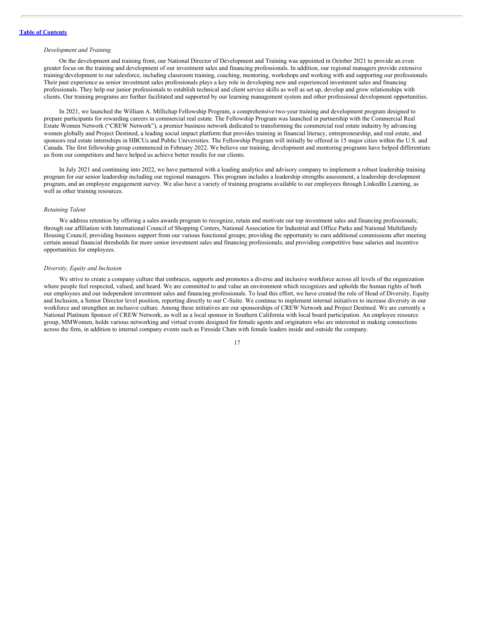#### *Development and Training*

On the development and training front, our National Director of Development and Training was appointed in October 2021 to provide an even greater focus on the training and development of our investment sales and financing professionals. In addition, our regional managers provide extensive training/development to our salesforce, including classroom training, coaching, mentoring, workshops and working with and supporting our professionals. Their past experience as senior investment sales professionals plays a key role in developing new and experienced investment sales and financing professionals. They help our junior professionals to establish technical and client service skills as well as set up, develop and grow relationships with clients. Our training programs are further facilitated and supported by our learning management system and other professional development opportunities.

In 2021, we launched the William A. Millichap Fellowship Program, a comprehensive two-year training and development program designed to prepare participants for rewarding careers in commercial real estate. The Fellowship Program was launched in partnership with the Commercial Real Estate Women Network ("CREW Network"), a premier business network dedicated to transforming the commercial real estate industry by advancing women globally and Project Destined, a leading social impact platform that provides training in financial literacy, entrepreneurship, and real estate, and sponsors real estate internships in HBCUs and Public Universities. The Fellowship Program will initially be offered in 15 major cities within the U.S. and Canada. The first fellowship group commenced in February 2022. We believe our training, development and mentoring programs have helped differentiate us from our competitors and have helped us achieve better results for our clients.

In July 2021 and continuing into 2022, we have partnered with a leading analytics and advisory company to implement a robust leadership training program for our senior leadership including our regional managers. This program includes a leadership strengths assessment, a leadership development program, and an employee engagement survey. We also have a variety of training programs available to our employees through LinkedIn Learning, as well as other training resources.

# *Retaining Talent*

We address retention by offering a sales awards program to recognize, retain and motivate our top investment sales and financing professionals; through our affiliation with International Council of Shopping Centers, National Association for Industrial and Office Parks and National Multifamily Housing Council; providing business support from our various functional groups; providing the opportunity to earn additional commissions after meeting certain annual financial thresholds for more senior investment sales and financing professionals; and providing competitive base salaries and incentive opportunities for employees.

#### *Diversity, Equity and Inclusion*

We strive to create a company culture that embraces, supports and promotes a diverse and inclusive workforce across all levels of the organization where people feel respected, valued, and heard. We are committed to and value an environment which recognizes and upholds the human rights of both our employees and our independent investment sales and financing professionals. To lead this effort, we have created the role of Head of Diversity, Equity and Inclusion, a Senior Director level position, reporting directly to our C-Suite. We continue to implement internal initiatives to increase diversity in our workforce and strengthen an inclusive culture. Among these initiatives are our sponsorships of CREW Network and Project Destined. We are currently a National Platinum Sponsor of CREW Network, as well as a local sponsor in Southern California with local board participation. An employee resource group, MMWomen, holds various networking and virtual events designed for female agents and originators who are interested in making connections across the firm, in addition to internal company events such as Fireside Chats with female leaders inside and outside the company.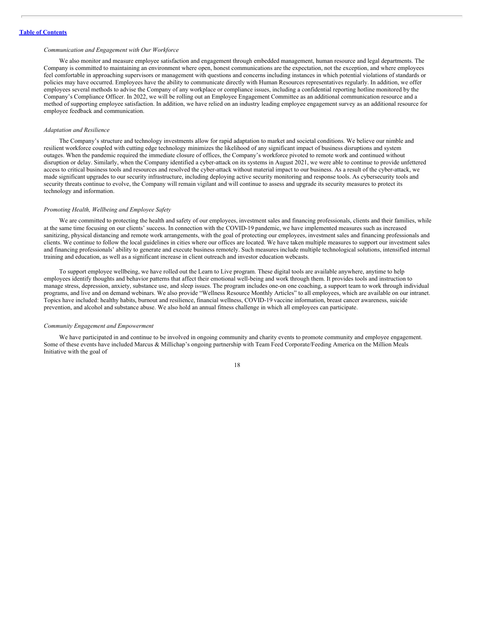#### *Communication and Engagement with Our Workforce*

We also monitor and measure employee satisfaction and engagement through embedded management, human resource and legal departments. The Company is committed to maintaining an environment where open, honest communications are the expectation, not the exception, and where employees feel comfortable in approaching supervisors or management with questions and concerns including instances in which potential violations of standards or policies may have occurred. Employees have the ability to communicate directly with Human Resources representatives regularly. In addition, we offer employees several methods to advise the Company of any workplace or compliance issues, including a confidential reporting hotline monitored by the Company's Compliance Officer. In 2022, we will be rolling out an Employee Engagement Committee as an additional communication resource and a method of supporting employee satisfaction. In addition, we have relied on an industry leading employee engagement survey as an additional resource for employee feedback and communication.

#### *Adaptation and Resilience*

The Company's structure and technology investments allow for rapid adaptation to market and societal conditions. We believe our nimble and resilient workforce coupled with cutting edge technology minimizes the likelihood of any significant impact of business disruptions and system outages. When the pandemic required the immediate closure of offices, the Company's workforce pivoted to remote work and continued without disruption or delay. Similarly, when the Company identified a cyber-attack on its systems in August 2021, we were able to continue to provide unfettered access to critical business tools and resources and resolved the cyber-attack without material impact to our business. As a result of the cyber-attack, we made significant upgrades to our security infrastructure, including deploying active security monitoring and response tools. As cybersecurity tools and security threats continue to evolve, the Company will remain vigilant and will continue to assess and upgrade its security measures to protect its technology and information.

# *Promoting Health, Wellbeing and Employee Safety*

We are committed to protecting the health and safety of our employees, investment sales and financing professionals, clients and their families, while at the same time focusing on our clients' success. In connection with the COVID-19 pandemic, we have implemented measures such as increased sanitizing, physical distancing and remote work arrangements, with the goal of protecting our employees, investment sales and financing professionals and clients. We continue to follow the local guidelines in cities where our offices are located. We have taken multiple measures to support our investment sales and financing professionals' ability to generate and execute business remotely. Such measures include multiple technological solutions, intensified internal training and education, as well as a significant increase in client outreach and investor education webcasts.

To support employee wellbeing, we have rolled out the Learn to Live program. These digital tools are available anywhere, anytime to help employees identify thoughts and behavior patterns that affect their emotional well-being and work through them. It provides tools and instruction to manage stress, depression, anxiety, substance use, and sleep issues. The program includes one-on one coaching, a support team to work through individual programs, and live and on demand webinars. We also provide "Wellness Resource Monthly Articles" to all employees, which are available on our intranet. Topics have included: healthy habits, burnout and resilience, financial wellness, COVID-19 vaccine information, breast cancer awareness, suicide prevention, and alcohol and substance abuse. We also hold an annual fitness challenge in which all employees can participate.

#### *Community Engagement and Empowerment*

We have participated in and continue to be involved in ongoing community and charity events to promote community and employee engagement. Some of these events have included Marcus & Millichap's ongoing partnership with Team Feed Corporate/Feeding America on the Million Meals Initiative with the goal of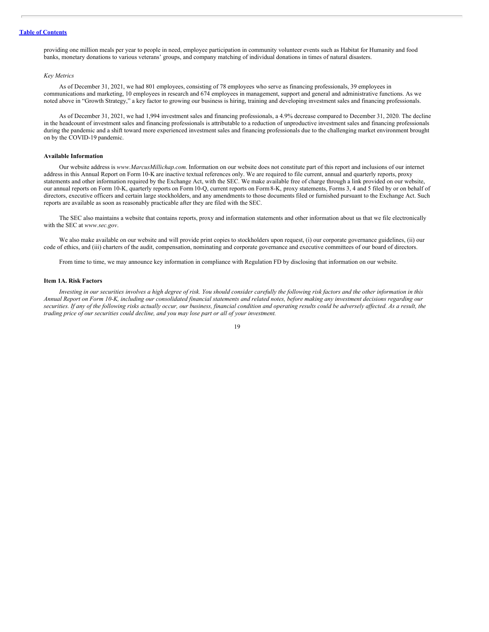providing one million meals per year to people in need, employee participation in community volunteer events such as Habitat for Humanity and food banks, monetary donations to various veterans' groups, and company matching of individual donations in times of natural disasters.

# *Key Metrics*

As of December 31, 2021, we had 801 employees, consisting of 78 employees who serve as financing professionals, 39 employees in communications and marketing, 10 employees in research and 674 employees in management, support and general and administrative functions. As we noted above in "Growth Strategy," a key factor to growing our business is hiring, training and developing investment sales and financing professionals.

As of December 31, 2021, we had 1,994 investment sales and financing professionals, a 4.9% decrease compared to December 31, 2020. The decline in the headcount of investment sales and financing professionals is attributable to a reduction of unproductive investment sales and financing professionals during the pandemic and a shift toward more experienced investment sales and financing professionals due to the challenging market environment brought on by the COVID-19 pandemic.

# **Available Information**

Our website address is *www.MarcusMillichap.com*. Information on our website does not constitute part of this report and inclusions of our internet address in this Annual Report on Form 10-K are inactive textual references only. We are required to file current, annual and quarterly reports, proxy statements and other information required by the Exchange Act, with the SEC. We make available free of charge through a link provided on our website, our annual reports on Form 10-K, quarterly reports on Form10-Q, current reports on Form 8-K, proxy statements, Forms 3, 4 and 5 filed by or on behalf of directors, executive officers and certain large stockholders, and any amendments to those documents filed or furnished pursuant to the Exchange Act. Such reports are available as soon as reasonably practicable after they are filed with the SEC.

The SEC also maintains a website that contains reports, proxy and information statements and other information about us that we file electronically with the SEC at *www.sec.gov*.

We also make available on our website and will provide print copies to stockholders upon request, (i) our corporate governance guidelines, (ii) our code of ethics, and (iii) charters of the audit, compensation, nominating and corporate governance and executive committees of our board of directors.

From time to time, we may announce key information in compliance with Regulation FD by disclosing that information on our website.

# <span id="page-18-0"></span>**Item 1A. Risk Factors**

Investing in our securities involves a high degree of risk. You should consider carefully the following risk factors and the other information in this Annual Report on Form 10-K, including our consolidated financial statements and related notes, before making any investment decisions regarding our securities. If any of the following risks actually occur, our business, financial condition and operating results could be adversely affected. As a result, the *trading price of our securities could decline, and you may lose part or all of your investment.*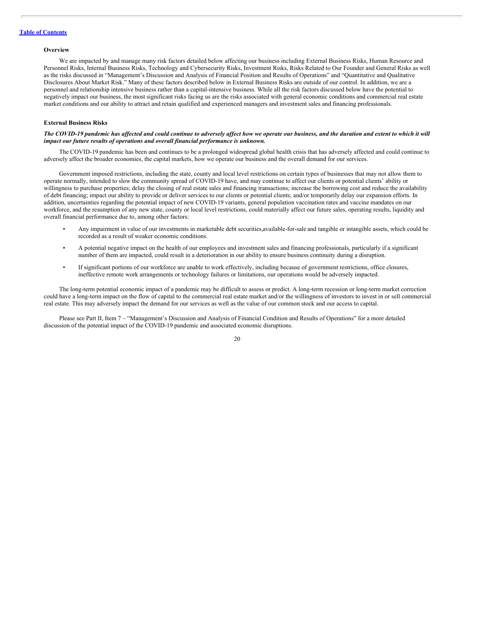#### **Overview**

We are impacted by and manage many risk factors detailed below affecting our business including External Business Risks, Human Resource and Personnel Risks, Internal Business Risks, Technology and Cybersecurity Risks, Investment Risks, Risks Related to Our Founder and General Risks as well as the risks discussed in "Management's Discussion and Analysis of Financial Position and Results of Operations" and "Quantitative and Qualitative Disclosures About Market Risk." Many of these factors described below in External Business Risks are outside of our control. In addition, we are a personnel and relationship intensive business rather than a capital-intensive business. While all the risk factors discussed below have the potential to negatively impact our business, the most significant risks facing us are the risks associated with general economic conditions and commercial real estate market conditions and our ability to attract and retain qualified and experienced managers and investment sales and financing professionals.

# **External Business Risks**

#### The COVID-19 pandemic has affected and could continue to adversely affect how we operate our business, and the duration and extent to which it will *impact our future results of operations and overall financial performance is unknown.*

The COVID-19 pandemic has been and continues to be a prolonged widespread global health crisis that has adversely affected and could continue to adversely affect the broader economies, the capital markets, how we operate our business and the overall demand for our services.

Government imposed restrictions, including the state, county and local level restrictions on certain types of businesses that may not allow them to operate normally, intended to slow the community spread of COVID-19 have, and may continue to affect our clients or potential clients' ability or willingness to purchase properties; delay the closing of real estate sales and financing transactions; increase the borrowing cost and reduce the availability of debt financing; impact our ability to provide or deliver services to our clients or potential clients; and/or temporarily delay our expansion efforts. In addition, uncertainties regarding the potential impact of new COVID-19 variants, general population vaccination rates and vaccine mandates on our workforce, and the resumption of any new state, county or local level restrictions, could materially affect our future sales, operating results, liquidity and overall financial performance due to, among other factors:

- Any impairment in value of our investments in marketable debt securities,available-for-sale and tangible or intangible assets, which could be recorded as a result of weaker economic conditions.
- A potential negative impact on the health of our employees and investment sales and financing professionals, particularly if a significant number of them are impacted, could result in a deterioration in our ability to ensure business continuity during a disruption.
- If significant portions of our workforce are unable to work effectively, including because of government restrictions, office closures, ineffective remote work arrangements or technology failures or limitations, our operations would be adversely impacted.

The long-term potential economic impact of a pandemic may be difficult to assess or predict. A long-term recession or long-term market correction could have a long-term impact on the flow of capital to the commercial real estate market and/or the willingness of investors to invest in or sell commercial real estate. This may adversely impact the demand for our services as well as the value of our common stock and our access to capital.

Please see Part II, Item 7 – "Management's Discussion and Analysis of Financial Condition and Results of Operations" for a more detailed discussion of the potential impact of the COVID-19 pandemic and associated economic disruptions.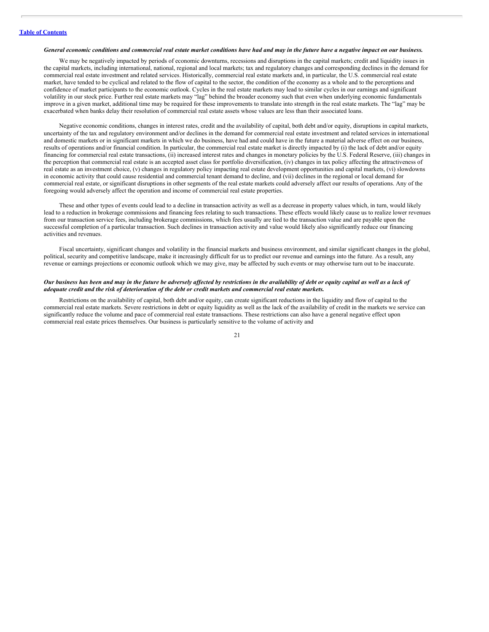#### General economic conditions and commercial real estate market conditions have had and may in the future have a negative impact on our business.

We may be negatively impacted by periods of economic downturns, recessions and disruptions in the capital markets; credit and liquidity issues in the capital markets, including international, national, regional and local markets; tax and regulatory changes and corresponding declines in the demand for commercial real estate investment and related services. Historically, commercial real estate markets and, in particular, the U.S. commercial real estate market, have tended to be cyclical and related to the flow of capital to the sector, the condition of the economy as a whole and to the perceptions and confidence of market participants to the economic outlook. Cycles in the real estate markets may lead to similar cycles in our earnings and significant volatility in our stock price. Further real estate markets may "lag" behind the broader economy such that even when underlying economic fundamentals improve in a given market, additional time may be required for these improvements to translate into strength in the real estate markets. The "lag" may be exacerbated when banks delay their resolution of commercial real estate assets whose values are less than their associated loans.

Negative economic conditions, changes in interest rates, credit and the availability of capital, both debt and/or equity, disruptions in capital markets, uncertainty of the tax and regulatory environment and/or declines in the demand for commercial real estate investment and related services in international and domestic markets or in significant markets in which we do business, have had and could have in the future a material adverse effect on our business, results of operations and/or financial condition. In particular, the commercial real estate market is directly impacted by (i) the lack of debt and/or equity financing for commercial real estate transactions, (ii) increased interest rates and changes in monetary policies by the U.S. Federal Reserve, (iii) changes in the perception that commercial real estate is an accepted asset class for portfolio diversification, (iv) changes in tax policy affecting the attractiveness of real estate as an investment choice, (v) changes in regulatory policy impacting real estate development opportunities and capital markets, (vi) slowdowns in economic activity that could cause residential and commercial tenant demand to decline, and (vii) declines in the regional or local demand for commercial real estate, or significant disruptions in other segments of the real estate markets could adversely affect our results of operations. Any of the foregoing would adversely affect the operation and income of commercial real estate properties.

These and other types of events could lead to a decline in transaction activity as well as a decrease in property values which, in turn, would likely lead to a reduction in brokerage commissions and financing fees relating to such transactions. These effects would likely cause us to realize lower revenues from our transaction service fees, including brokerage commissions, which fees usually are tied to the transaction value and are payable upon the successful completion of a particular transaction. Such declines in transaction activity and value would likely also significantly reduce our financing activities and revenues.

Fiscal uncertainty, significant changes and volatility in the financial markets and business environment, and similar significant changes in the global, political, security and competitive landscape, make it increasingly difficult for us to predict our revenue and earnings into the future. As a result, any revenue or earnings projections or economic outlook which we may give, may be affected by such events or may otherwise turn out to be inaccurate.

# Our business has been and may in the future be adversely affected by restrictions in the availability of debt or equity capital as well as a lack of adequate credit and the risk of deterioration of the debt or credit markets and commercial real estate markets.

Restrictions on the availability of capital, both debt and/or equity, can create significant reductions in the liquidity and flow of capital to the commercial real estate markets. Severe restrictions in debt or equity liquidity as well as the lack of the availability of credit in the markets we service can significantly reduce the volume and pace of commercial real estate transactions. These restrictions can also have a general negative effect upon commercial real estate prices themselves. Our business is particularly sensitive to the volume of activity and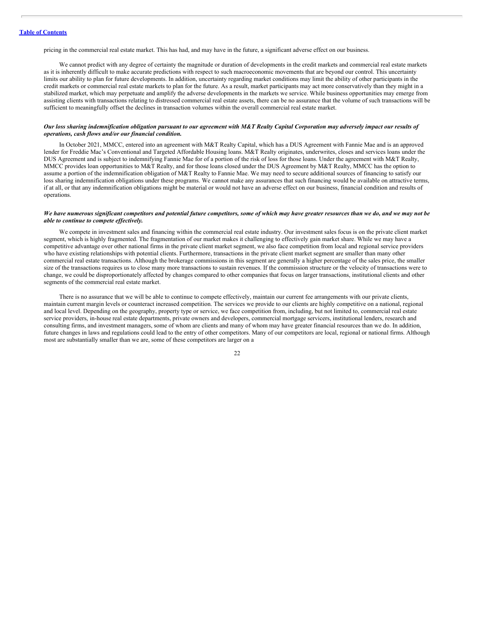pricing in the commercial real estate market. This has had, and may have in the future, a significant adverse effect on our business.

We cannot predict with any degree of certainty the magnitude or duration of developments in the credit markets and commercial real estate markets as it is inherently difficult to make accurate predictions with respect to such macroeconomic movements that are beyond our control. This uncertainty limits our ability to plan for future developments. In addition, uncertainty regarding market conditions may limit the ability of other participants in the credit markets or commercial real estate markets to plan for the future. As a result, market participants may act more conservatively than they might in a stabilized market, which may perpetuate and amplify the adverse developments in the markets we service. While business opportunities may emerge from assisting clients with transactions relating to distressed commercial real estate assets, there can be no assurance that the volume of such transactions will be sufficient to meaningfully offset the declines in transaction volumes within the overall commercial real estate market.

# Our loss sharing indemnification obligation pursuant to our agreement with M&T Realty Capital Corporation may adversely impact our results of *operations, cash flows and/or our financial condition.*

In October 2021, MMCC, entered into an agreement with M&T Realty Capital, which has a DUS Agreement with Fannie Mae and is an approved lender for Freddie Mac's Conventional and Targeted Affordable Housing loans. M&T Realty originates, underwrites, closes and services loans under the DUS Agreement and is subject to indemnifying Fannie Mae for of a portion of the risk of loss for those loans. Under the agreement with M&T Realty, MMCC provides loan opportunities to M&T Realty, and for those loans closed under the DUS Agreement by M&T Realty, MMCC has the option to assume a portion of the indemnification obligation of M&T Realty to Fannie Mae. We may need to secure additional sources of financing to satisfy our loss sharing indemnification obligations under these programs. We cannot make any assurances that such financing would be available on attractive terms, if at all, or that any indemnification obligations might be material or would not have an adverse effect on our business, financial condition and results of operations.

#### We have numerous significant competitors and potential future competitors, some of which may have greater resources than we do, and we may not be *able to continue to compete ef ectively.*

We compete in investment sales and financing within the commercial real estate industry. Our investment sales focus is on the private client market segment, which is highly fragmented. The fragmentation of our market makes it challenging to effectively gain market share. While we may have a competitive advantage over other national firms in the private client market segment, we also face competition from local and regional service providers who have existing relationships with potential clients. Furthermore, transactions in the private client market segment are smaller than many other commercial real estate transactions. Although the brokerage commissions in this segment are generally a higher percentage of the sales price, the smaller size of the transactions requires us to close many more transactions to sustain revenues. If the commission structure or the velocity of transactions were to change, we could be disproportionately affected by changes compared to other companies that focus on larger transactions, institutional clients and other segments of the commercial real estate market.

There is no assurance that we will be able to continue to compete effectively, maintain our current fee arrangements with our private clients, maintain current margin levels or counteract increased competition. The services we provide to our clients are highly competitive on a national, regional and local level. Depending on the geography, property type or service, we face competition from, including, but not limited to, commercial real estate service providers, in-house real estate departments, private owners and developers, commercial mortgage servicers, institutional lenders, research and consulting firms, and investment managers, some of whom are clients and many of whom may have greater financial resources than we do. In addition, future changes in laws and regulations could lead to the entry of other competitors. Many of our competitors are local, regional or national firms. Although most are substantially smaller than we are, some of these competitors are larger on a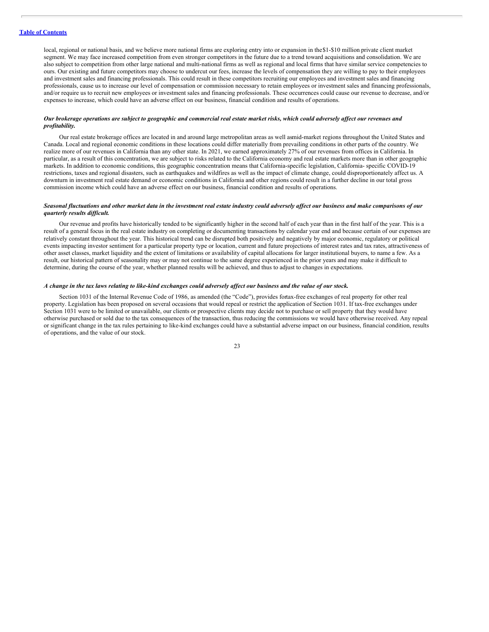local, regional or national basis, and we believe more national firms are exploring entry into or expansion in the\$1-\$10 million private client market segment. We may face increased competition from even stronger competitors in the future due to a trend toward acquisitions and consolidation. We are also subject to competition from other large national and multi-national firms as well as regional and local firms that have similar service competencies to ours. Our existing and future competitors may choose to undercut our fees, increase the levels of compensation they are willing to pay to their employees and investment sales and financing professionals. This could result in these competitors recruiting our employees and investment sales and financing professionals, cause us to increase our level of compensation or commission necessary to retain employees or investment sales and financing professionals, and/or require us to recruit new employees or investment sales and financing professionals. These occurrences could cause our revenue to decrease, and/or expenses to increase, which could have an adverse effect on our business, financial condition and results of operations.

# Our brokerage operations are subject to geographic and commercial real estate market risks, which could adversely affect our revenues and *profitability.*

Our real estate brokerage offices are located in and around large metropolitan areas as well asmid-market regions throughout the United States and Canada. Local and regional economic conditions in these locations could differ materially from prevailing conditions in other parts of the country. We realize more of our revenues in California than any other state. In 2021, we earned approximately 27% of our revenues from offices in California. In particular, as a result of this concentration, we are subject to risks related to the California economy and real estate markets more than in other geographic markets. In addition to economic conditions, this geographic concentration means that California-specific legislation, California- specific COVID-19 restrictions, taxes and regional disasters, such as earthquakes and wildfires as well as the impact of climate change, could disproportionately affect us. A downturn in investment real estate demand or economic conditions in California and other regions could result in a further decline in our total gross commission income which could have an adverse effect on our business, financial condition and results of operations.

# Seasonal fluctuations and other market data in the investment real estate industry could adversely affect our business and make comparisons of our *quarterly results dif icult.*

Our revenue and profits have historically tended to be significantly higher in the second half of each year than in the first half of the year. This is a result of a general focus in the real estate industry on completing or documenting transactions by calendar year end and because certain of our expenses are relatively constant throughout the year. This historical trend can be disrupted both positively and negatively by major economic, regulatory or political events impacting investor sentiment for a particular property type or location, current and future projections of interest rates and tax rates, attractiveness of other asset classes, market liquidity and the extent of limitations or availability of capital allocations for larger institutional buyers, to name a few. As a result, our historical pattern of seasonality may or may not continue to the same degree experienced in the prior years and may make it difficult to determine, during the course of the year, whether planned results will be achieved, and thus to adjust to changes in expectations.

# A change in the tax laws relating to like-kind exchanges could adversely affect our business and the value of our stock.

Section 1031 of the Internal Revenue Code of 1986, as amended (the "Code"), provides fortax-free exchanges of real property for other real property. Legislation has been proposed on several occasions that would repeal or restrict the application of Section 1031. If tax-free exchanges under Section 1031 were to be limited or unavailable, our clients or prospective clients may decide not to purchase or sell property that they would have otherwise purchased or sold due to the tax consequences of the transaction, thus reducing the commissions we would have otherwise received. Any repeal or significant change in the tax rules pertaining to like-kind exchanges could have a substantial adverse impact on our business, financial condition, results of operations, and the value of our stock.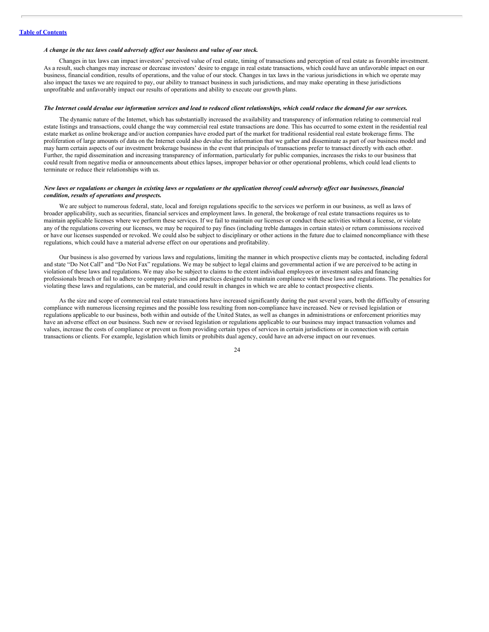#### *A change in the tax laws could adversely af ect our business and value of our stock.*

Changes in tax laws can impact investors' perceived value of real estate, timing of transactions and perception of real estate as favorable investment. As a result, such changes may increase or decrease investors' desire to engage in real estate transactions, which could have an unfavorable impact on our business, financial condition, results of operations, and the value of our stock. Changes in tax laws in the various jurisdictions in which we operate may also impact the taxes we are required to pay, our ability to transact business in such jurisdictions, and may make operating in these jurisdictions unprofitable and unfavorably impact our results of operations and ability to execute our growth plans.

# The Internet could devalue our information services and lead to reduced client relationships, which could reduce the demand for our services.

The dynamic nature of the Internet, which has substantially increased the availability and transparency of information relating to commercial real estate listings and transactions, could change the way commercial real estate transactions are done. This has occurred to some extent in the residential real estate market as online brokerage and/or auction companies have eroded part of the market for traditional residential real estate brokerage firms. The proliferation of large amounts of data on the Internet could also devalue the information that we gather and disseminate as part of our business model and may harm certain aspects of our investment brokerage business in the event that principals of transactions prefer to transact directly with each other. Further, the rapid dissemination and increasing transparency of information, particularly for public companies, increases the risks to our business that could result from negative media or announcements about ethics lapses, improper behavior or other operational problems, which could lead clients to terminate or reduce their relationships with us.

# New laws or regulations or changes in existing laws or regulations or the application thereof could adversely affect our businesses, financial *condition, results of operations and prospects.*

We are subject to numerous federal, state, local and foreign regulations specific to the services we perform in our business, as well as laws of broader applicability, such as securities, financial services and employment laws. In general, the brokerage of real estate transactions requires us to maintain applicable licenses where we perform these services. If we fail to maintain our licenses or conduct these activities without a license, or violate any of the regulations covering our licenses, we may be required to pay fines (including treble damages in certain states) or return commissions received or have our licenses suspended or revoked. We could also be subject to disciplinary or other actions in the future due to claimed noncompliance with these regulations, which could have a material adverse effect on our operations and profitability.

Our business is also governed by various laws and regulations, limiting the manner in which prospective clients may be contacted, including federal and state "Do Not Call" and "Do Not Fax" regulations. We may be subject to legal claims and governmental action if we are perceived to be acting in violation of these laws and regulations. We may also be subject to claims to the extent individual employees or investment sales and financing professionals breach or fail to adhere to company policies and practices designed to maintain compliance with these laws and regulations. The penalties for violating these laws and regulations, can be material, and could result in changes in which we are able to contact prospective clients.

As the size and scope of commercial real estate transactions have increased significantly during the past several years, both the difficulty of ensuring compliance with numerous licensing regimes and the possible loss resulting from non-compliance have increased. New or revised legislation or regulations applicable to our business, both within and outside of the United States, as well as changes in administrations or enforcement priorities may have an adverse effect on our business. Such new or revised legislation or regulations applicable to our business may impact transaction volumes and values, increase the costs of compliance or prevent us from providing certain types of services in certain jurisdictions or in connection with certain transactions or clients. For example, legislation which limits or prohibits dual agency, could have an adverse impact on our revenues.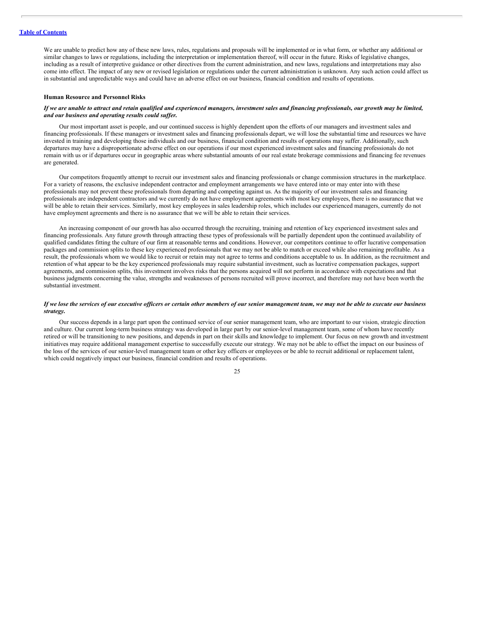# **Table of [Contents](#page-1-0)**

We are unable to predict how any of these new laws, rules, regulations and proposals will be implemented or in what form, or whether any additional or similar changes to laws or regulations, including the interpretation or implementation thereof, will occur in the future. Risks of legislative changes, including as a result of interpretive guidance or other directives from the current administration, and new laws, regulations and interpretations may also come into effect. The impact of any new or revised legislation or regulations under the current administration is unknown. Any such action could affect us in substantial and unpredictable ways and could have an adverse effect on our business, financial condition and results of operations.

# **Human Resource and Personnel Risks**

# If we are unable to attract and retain qualified and experienced managers, investment sales and financing professionals, our growth may be limited, *and our business and operating results could* suffer.

Our most important asset is people, and our continued success is highly dependent upon the efforts of our managers and investment sales and financing professionals. If these managers or investment sales and financing professionals depart, we will lose the substantial time and resources we have invested in training and developing those individuals and our business, financial condition and results of operations may suffer. Additionally, such departures may have a disproportionate adverse effect on our operations if our most experienced investment sales and financing professionals do not remain with us or if departures occur in geographic areas where substantial amounts of our real estate brokerage commissions and financing fee revenues are generated.

Our competitors frequently attempt to recruit our investment sales and financing professionals or change commission structures in the marketplace. For a variety of reasons, the exclusive independent contractor and employment arrangements we have entered into or may enter into with these professionals may not prevent these professionals from departing and competing against us. As the majority of our investment sales and financing professionals are independent contractors and we currently do not have employment agreements with most key employees, there is no assurance that we will be able to retain their services. Similarly, most key employees in sales leadership roles, which includes our experienced managers, currently do not have employment agreements and there is no assurance that we will be able to retain their services.

An increasing component of our growth has also occurred through the recruiting, training and retention of key experienced investment sales and financing professionals. Any future growth through attracting these types of professionals will be partially dependent upon the continued availability of qualified candidates fitting the culture of our firm at reasonable terms and conditions. However, our competitors continue to offer lucrative compensation packages and commission splits to these key experienced professionals that we may not be able to match or exceed while also remaining profitable. As a result, the professionals whom we would like to recruit or retain may not agree to terms and conditions acceptable to us. In addition, as the recruitment and retention of what appear to be the key experienced professionals may require substantial investment, such as lucrative compensation packages, support agreements, and commission splits, this investment involves risks that the persons acquired will not perform in accordance with expectations and that business judgments concerning the value, strengths and weaknesses of persons recruited will prove incorrect, and therefore may not have been worth the substantial investment.

#### If we lose the services of our executive officers or certain other members of our senior management team, we may not be able to execute our business *strategy.*

Our success depends in a large part upon the continued service of our senior management team, who are important to our vision, strategic direction and culture. Our current long-term business strategy was developed in large part by our senior-level management team, some of whom have recently retired or will be transitioning to new positions, and depends in part on their skills and knowledge to implement. Our focus on new growth and investment initiatives may require additional management expertise to successfully execute our strategy. We may not be able to offset the impact on our business of the loss of the services of our senior-level management team or other key officers or employees or be able to recruit additional or replacement talent, which could negatively impact our business, financial condition and results of operations.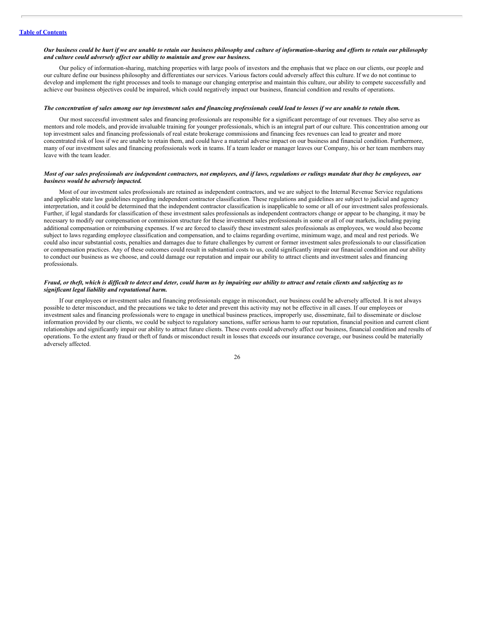# Our business could be hurt if we are unable to retain our business philosophy and culture of information-sharing and efforts to retain our philosophy *and culture could adversely af ect our ability to maintain and grow our business.*

Our policy of information-sharing, matching properties with large pools of investors and the emphasis that we place on our clients, our people and our culture define our business philosophy and differentiates our services. Various factors could adversely affect this culture. If we do not continue to develop and implement the right processes and tools to manage our changing enterprise and maintain this culture, our ability to compete successfully and achieve our business objectives could be impaired, which could negatively impact our business, financial condition and results of operations.

# The concentration of sales among our top investment sales and financing professionals could lead to losses if we are unable to retain them.

Our most successful investment sales and financing professionals are responsible for a significant percentage of our revenues. They also serve as mentors and role models, and provide invaluable training for younger professionals, which is an integral part of our culture. This concentration among our top investment sales and financing professionals of real estate brokerage commissions and financing fees revenues can lead to greater and more concentrated risk of loss if we are unable to retain them, and could have a material adverse impact on our business and financial condition. Furthermore, many of our investment sales and financing professionals work in teams. If a team leader or manager leaves our Company, his or her team members may leave with the team leader.

# Most of our sales professionals are independent contractors, not employees, and if laws, regulations or rulings mandate that they be employees, our *business would be adversely impacted.*

Most of our investment sales professionals are retained as independent contractors, and we are subject to the Internal Revenue Service regulations and applicable state law guidelines regarding independent contractor classification. These regulations and guidelines are subject to judicial and agency interpretation, and it could be determined that the independent contractor classification is inapplicable to some or all of our investment sales professionals. Further, if legal standards for classification of these investment sales professionals as independent contractors change or appear to be changing, it may be necessary to modify our compensation or commission structure for these investment sales professionals in some or all of our markets, including paying additional compensation or reimbursing expenses. If we are forced to classify these investment sales professionals as employees, we would also become subject to laws regarding employee classification and compensation, and to claims regarding overtime, minimum wage, and meal and rest periods. We could also incur substantial costs, penalties and damages due to future challenges by current or former investment sales professionals to our classification or compensation practices. Any of these outcomes could result in substantial costs to us, could significantly impair our financial condition and our ability to conduct our business as we choose, and could damage our reputation and impair our ability to attract clients and investment sales and financing professionals.

# Fraud, or theft, which is difficult to detect and deter, could harm us by impairing our ability to attract and retain clients and subjecting us to *significant legal liability and reputational harm.*

If our employees or investment sales and financing professionals engage in misconduct, our business could be adversely affected. It is not always possible to deter misconduct, and the precautions we take to deter and prevent this activity may not be effective in all cases. If our employees or investment sales and financing professionals were to engage in unethical business practices, improperly use, disseminate, fail to disseminate or disclose information provided by our clients, we could be subject to regulatory sanctions, suffer serious harm to our reputation, financial position and current client relationships and significantly impair our ability to attract future clients. These events could adversely affect our business, financial condition and results of operations. To the extent any fraud or theft of funds or misconduct result in losses that exceeds our insurance coverage, our business could be materially adversely affected.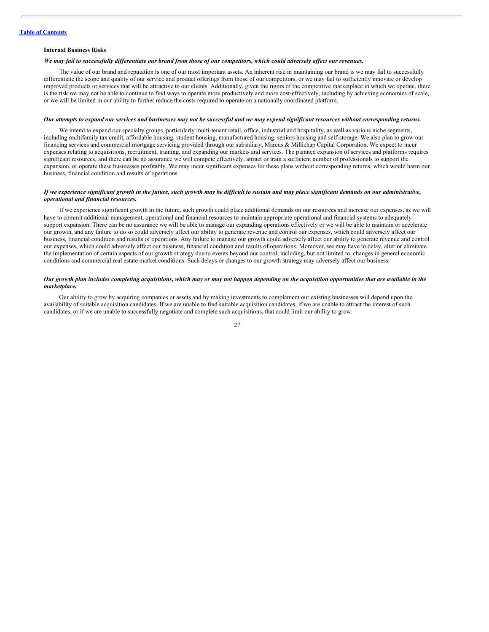#### **Internal Business Risks**

# We may fail to successfully differentiate our brand from those of our competitors, which could adversely affect our revenues.

The value of our brand and reputation is one of our most important assets. An inherent risk in maintaining our brand is we may fail to successfully differentiate the scope and quality of our service and product offerings from those of our competitors, or we may fail to sufficiently innovate or develop improved products or services that will be attractive to our clients. Additionally, given the rigors of the competitive marketplace in which we operate, there is the risk we may not be able to continue to find ways to operate more productively and more cost-effectively, including by achieving economies of scale, or we will be limited in our ability to further reduce the costs required to operate on a nationally coordinated platform.

#### Our attempts to expand our services and businesses may not be successful and we may expend significant resources without corresponding returns.

We intend to expand our specialty groups, particularly multi-tenant retail, office, industrial and hospitality, as well as various niche segments, including multifamily tax credit, affordable housing, student housing, manufactured housing, seniors housing and self-storage. We also plan to grow our financing services and commercial mortgage servicing provided through our subsidiary, Marcus & Millichap Capital Corporation. We expect to incur expenses relating to acquisitions, recruitment, training, and expanding our markets and services. The planned expansion of services and platforms requires significant resources, and there can be no assurance we will compete effectively, attract or train a sufficient number of professionals to support the expansion, or operate these businesses profitably. We may incur significant expenses for these plans without corresponding returns, which would harm our business, financial condition and results of operations.

# If we experience significant growth in the future, such growth may be difficult to sustain and may place significant demands on our administrative, *operational and financial resources.*

If we experience significant growth in the future, such growth could place additional demands on our resources and increase our expenses, as we will have to commit additional management, operational and financial resources to maintain appropriate operational and financial systems to adequately support expansion. There can be no assurance we will be able to manage our expanding operations effectively or we will be able to maintain or accelerate our growth, and any failure to do so could adversely affect our ability to generate revenue and control our expenses, which could adversely affect our business, financial condition and results of operations. Any failure to manage our growth could adversely affect our ability to generate revenue and control our expenses, which could adversely affect our business, financial condition and results of operations. Moreover, we may have to delay, alter or eliminate the implementation of certain aspects of our growth strategy due to events beyond our control, including, but not limited to, changes in general economic conditions and commercial real estate market conditions. Such delays or changes to our growth strategy may adversely affect our business.

# Our growth plan includes completing acquisitions, which may or may not happen depending on the acquisition opportunities that are available in the *marketplace.*

Our ability to grow by acquiring companies or assets and by making investments to complement our existing businesses will depend upon the availability of suitable acquisition candidates. If we are unable to find suitable acquisition candidates, if we are unable to attract the interest of such candidates, or if we are unable to successfully negotiate and complete such acquisitions, that could limit our ability to grow.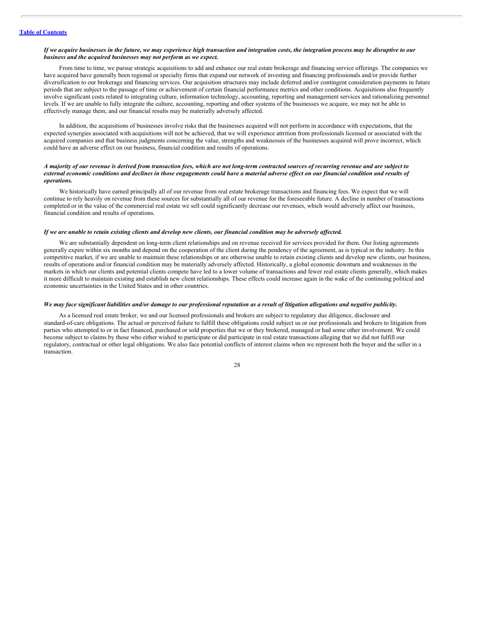# If we acquire businesses in the future, we may experience high transaction and integration costs, the integration process may be disruptive to our *business and the acquired businesses may not perform as we expect.*

From time to time, we pursue strategic acquisitions to add and enhance our real estate brokerage and financing service offerings. The companies we have acquired have generally been regional or specialty firms that expand our network of investing and financing professionals and/or provide further diversification to our brokerage and financing services. Our acquisition structures may include deferred and/or contingent consideration payments in future periods that are subject to the passage of time or achievement of certain financial performance metrics and other conditions. Acquisitions also frequently involve significant costs related to integrating culture, information technology, accounting, reporting and management services and rationalizing personnel levels. If we are unable to fully integrate the culture, accounting, reporting and other systems of the businesses we acquire, we may not be able to effectively manage them, and our financial results may be materially adversely affected.

In addition, the acquisitions of businesses involve risks that the businesses acquired will not perform in accordance with expectations, that the expected synergies associated with acquisitions will not be achieved, that we will experience attrition from professionals licensed or associated with the acquired companies and that business judgments concerning the value, strengths and weaknesses of the businesses acquired will prove incorrect, which could have an adverse effect on our business, financial condition and results of operations.

# A majority of our revenue is derived from transaction fees, which are not long-term contracted sources of recurring revenue and are subject to external economic conditions and declines in those engagements could have a material adverse effect on our financial condition and results of *operations.*

We historically have earned principally all of our revenue from real estate brokerage transactions and financing fees. We expect that we will continue to rely heavily on revenue from these sources for substantially all of our revenue for the foreseeable future. A decline in number of transactions completed or in the value of the commercial real estate we sell could significantly decrease our revenues, which would adversely affect our business, financial condition and results of operations.

# If we are unable to retain existing clients and develop new clients, our financial condition may be adversely affected.

We are substantially dependent on long-term client relationships and on revenue received for services provided for them. Our listing agreements generally expire within six months and depend on the cooperation of the client during the pendency of the agreement, as is typical in the industry. In this competitive market, if we are unable to maintain these relationships or are otherwise unable to retain existing clients and develop new clients, our business, results of operations and/or financial condition may be materially adversely affected. Historically, a global economic downturn and weaknesses in the markets in which our clients and potential clients compete have led to a lower volume of transactions and fewer real estate clients generally, which makes it more difficult to maintain existing and establish new client relationships. These effects could increase again in the wake of the continuing political and economic uncertainties in the United States and in other countries.

#### We may face significant liabilities and/or damage to our professional reputation as a result of litigation allegations and negative publicity.

As a licensed real estate broker, we and our licensed professionals and brokers are subject to regulatory due diligence, disclosure and standard-of-care obligations. The actual or perceived failure to fulfill these obligations could subject us or our professionals and brokers to litigation from parties who attempted to or in fact financed, purchased or sold properties that we or they brokered, managed or had some other involvement. We could become subject to claims by those who either wished to participate or did participate in real estate transactions alleging that we did not fulfill our regulatory, contractual or other legal obligations. We also face potential conflicts of interest claims when we represent both the buyer and the seller in a transaction.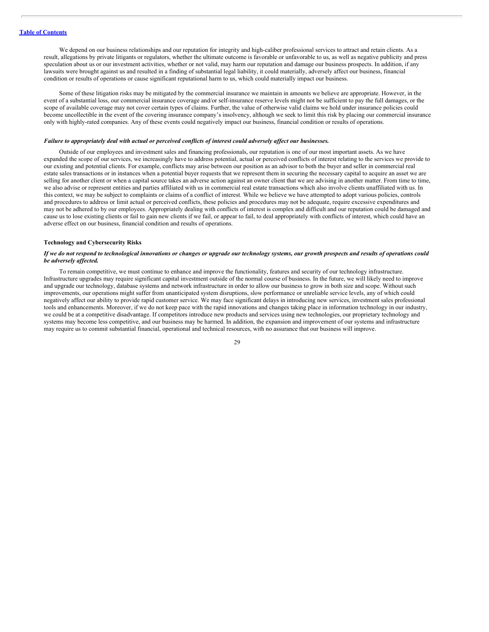We depend on our business relationships and our reputation for integrity and high-caliber professional services to attract and retain clients. As a result, allegations by private litigants or regulators, whether the ultimate outcome is favorable or unfavorable to us, as well as negative publicity and press speculation about us or our investment activities, whether or not valid, may harm our reputation and damage our business prospects. In addition, if any lawsuits were brought against us and resulted in a finding of substantial legal liability, it could materially, adversely affect our business, financial condition or results of operations or cause significant reputational harm to us, which could materially impact our business.

Some of these litigation risks may be mitigated by the commercial insurance we maintain in amounts we believe are appropriate. However, in the event of a substantial loss, our commercial insurance coverage and/or self-insurance reserve levels might not be sufficient to pay the full damages, or the scope of available coverage may not cover certain types of claims. Further, the value of otherwise valid claims we hold under insurance policies could become uncollectible in the event of the covering insurance company's insolvency, although we seek to limit this risk by placing our commercial insurance only with highly-rated companies. Any of these events could negatively impact our business, financial condition or results of operations.

# Failure to appropriately deal with actual or perceived conflicts of interest could adversely affect our businesses.

Outside of our employees and investment sales and financing professionals, our reputation is one of our most important assets. As we have expanded the scope of our services, we increasingly have to address potential, actual or perceived conflicts of interest relating to the services we provide to our existing and potential clients. For example, conflicts may arise between our position as an advisor to both the buyer and seller in commercial real estate sales transactions or in instances when a potential buyer requests that we represent them in securing the necessary capital to acquire an asset we are selling for another client or when a capital source takes an adverse action against an owner client that we are advising in another matter. From time to time, we also advise or represent entities and parties affiliated with us in commercial real estate transactions which also involve clients unaffiliated with us. In this context, we may be subject to complaints or claims of a conflict of interest. While we believe we have attempted to adopt various policies, controls and procedures to address or limit actual or perceived conflicts, these policies and procedures may not be adequate, require excessive expenditures and may not be adhered to by our employees. Appropriately dealing with conflicts of interest is complex and difficult and our reputation could be damaged and cause us to lose existing clients or fail to gain new clients if we fail, or appear to fail, to deal appropriately with conflicts of interest, which could have an adverse effect on our business, financial condition and results of operations.

# **Technology and Cybersecurity Risks**

# If we do not respond to technological innovations or changes or upgrade our technology systems, our growth prospects and results of operations could *be adversely af ected.*

To remain competitive, we must continue to enhance and improve the functionality, features and security of our technology infrastructure. Infrastructure upgrades may require significant capital investment outside of the normal course of business. In the future, we will likely need to improve and upgrade our technology, database systems and network infrastructure in order to allow our business to grow in both size and scope. Without such improvements, our operations might suffer from unanticipated system disruptions, slow performance or unreliable service levels, any of which could negatively affect our ability to provide rapid customer service. We may face significant delays in introducing new services, investment sales professional tools and enhancements. Moreover, if we do not keep pace with the rapid innovations and changes taking place in information technology in our industry, we could be at a competitive disadvantage. If competitors introduce new products and services using new technologies, our proprietary technology and systems may become less competitive, and our business may be harmed. In addition, the expansion and improvement of our systems and infrastructure may require us to commit substantial financial, operational and technical resources, with no assurance that our business will improve.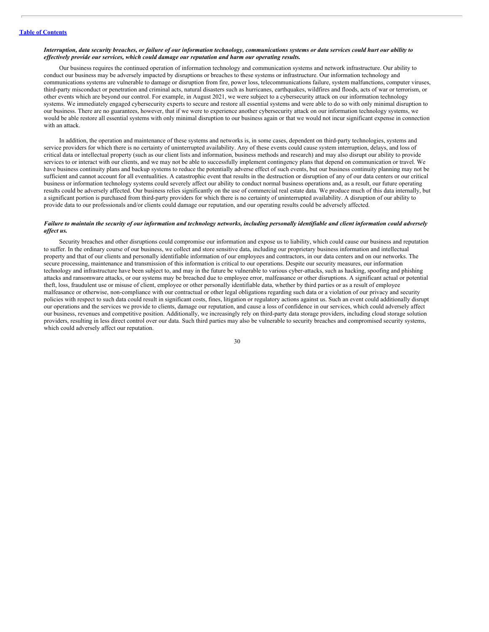# Interruption, data security breaches, or failure of our information technology, communications systems or data services could hurt our ability to *ef ectively provide our services, which could damage our reputation and harm our operating results.*

Our business requires the continued operation of information technology and communication systems and network infrastructure. Our ability to conduct our business may be adversely impacted by disruptions or breaches to these systems or infrastructure. Our information technology and communications systems are vulnerable to damage or disruption from fire, power loss, telecommunications failure, system malfunctions, computer viruses, third-party misconduct or penetration and criminal acts, natural disasters such as hurricanes, earthquakes, wildfires and floods, acts of war or terrorism, or other events which are beyond our control. For example, in August 2021, we were subject to a cybersecurity attack on our information technology systems. We immediately engaged cybersecurity experts to secure and restore all essential systems and were able to do so with only minimal disruption to our business. There are no guarantees, however, that if we were to experience another cybersecurity attack on our information technology systems, we would be able restore all essential systems with only minimal disruption to our business again or that we would not incur significant expense in connection with an attack

In addition, the operation and maintenance of these systems and networks is, in some cases, dependent on third-party technologies, systems and service providers for which there is no certainty of uninterrupted availability. Any of these events could cause system interruption, delays, and loss of critical data or intellectual property (such as our client lists and information, business methods and research) and may also disrupt our ability to provide services to or interact with our clients, and we may not be able to successfully implement contingency plans that depend on communication or travel. We have business continuity plans and backup systems to reduce the potentially adverse effect of such events, but our business continuity planning may not be sufficient and cannot account for all eventualities. A catastrophic event that results in the destruction or disruption of any of our data centers or our critical business or information technology systems could severely affect our ability to conduct normal business operations and, as a result, our future operating results could be adversely affected. Our business relies significantly on the use of commercial real estate data. We produce much of this data internally, but a significant portion is purchased from third-party providers for which there is no certainty of uninterrupted availability. A disruption of our ability to provide data to our professionals and/or clients could damage our reputation, and our operating results could be adversely affected.

# Failure to maintain the security of our information and technology networks, including personally identifiable and client information could adversely *af ect us.*

Security breaches and other disruptions could compromise our information and expose us to liability, which could cause our business and reputation to suffer. In the ordinary course of our business, we collect and store sensitive data, including our proprietary business information and intellectual property and that of our clients and personally identifiable information of our employees and contractors, in our data centers and on our networks. The secure processing, maintenance and transmission of this information is critical to our operations. Despite our security measures, our information technology and infrastructure have been subject to, and may in the future be vulnerable to various cyber-attacks, such as hacking, spoofing and phishing attacks and ransomware attacks, or our systems may be breached due to employee error, malfeasance or other disruptions. A significant actual or potential theft, loss, fraudulent use or misuse of client, employee or other personally identifiable data, whether by third parties or as a result of employee malfeasance or otherwise, non-compliance with our contractual or other legal obligations regarding such data or a violation of our privacy and security policies with respect to such data could result in significant costs, fines, litigation or regulatory actions against us. Such an event could additionally disrupt our operations and the services we provide to clients, damage our reputation, and cause a loss of confidence in our services, which could adversely affect our business, revenues and competitive position. Additionally, we increasingly rely on third-party data storage providers, including cloud storage solution providers, resulting in less direct control over our data. Such third parties may also be vulnerable to security breaches and compromised security systems, which could adversely affect our reputation.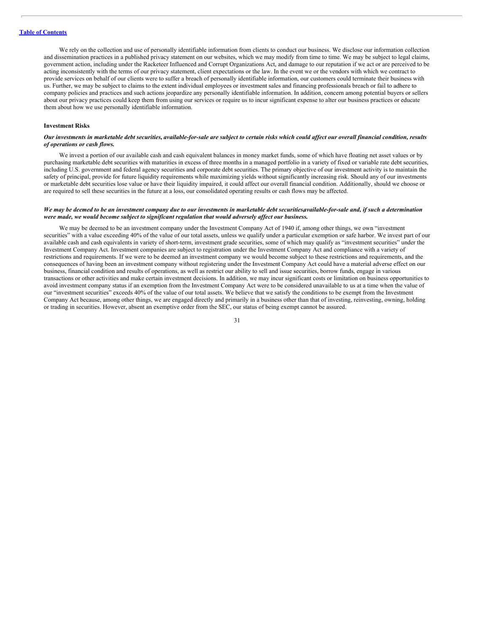We rely on the collection and use of personally identifiable information from clients to conduct our business. We disclose our information collection and dissemination practices in a published privacy statement on our websites, which we may modify from time to time. We may be subject to legal claims, government action, including under the Racketeer Influenced and Corrupt Organizations Act, and damage to our reputation if we act or are perceived to be acting inconsistently with the terms of our privacy statement, client expectations or the law. In the event we or the vendors with which we contract to provide services on behalf of our clients were to suffer a breach of personally identifiable information, our customers could terminate their business with us. Further, we may be subject to claims to the extent individual employees or investment sales and financing professionals breach or fail to adhere to company policies and practices and such actions jeopardize any personally identifiable information. In addition, concern among potential buyers or sellers about our privacy practices could keep them from using our services or require us to incur significant expense to alter our business practices or educate them about how we use personally identifiable information.

# **Investment Risks**

# Our investments in marketable debt securities, available-for-sale are subject to certain risks which could affect our overall financial condition, results *of operations or cash flows.*

We invest a portion of our available cash and cash equivalent balances in money market funds, some of which have floating net asset values or by purchasing marketable debt securities with maturities in excess of three months in a managed portfolio in a variety of fixed or variable rate debt securities, including U.S. government and federal agency securities and corporate debt securities. The primary objective of our investment activity is to maintain the safety of principal, provide for future liquidity requirements while maximizing yields without significantly increasing risk. Should any of our investments or marketable debt securities lose value or have their liquidity impaired, it could affect our overall financial condition. Additionally, should we choose or are required to sell these securities in the future at a loss, our consolidated operating results or cash flows may be affected.

#### We may be deemed to be an investment company due to our investments in marketable debt securities available-for-sale and, if such a determination *were made, we would become subject to significant regulation that would adversely af ect our business.*

We may be deemed to be an investment company under the Investment Company Act of 1940 if, among other things, we own "investment" securities" with a value exceeding 40% of the value of our total assets, unless we qualify under a particular exemption or safe harbor. We invest part of our available cash and cash equivalents in variety of short-term, investment grade securities, some of which may qualify as "investment securities" under the Investment Company Act. Investment companies are subject to registration under the Investment Company Act and compliance with a variety of restrictions and requirements. If we were to be deemed an investment company we would become subject to these restrictions and requirements, and the consequences of having been an investment company without registering under the Investment Company Act could have a material adverse effect on our business, financial condition and results of operations, as well as restrict our ability to sell and issue securities, borrow funds, engage in various transactions or other activities and make certain investment decisions. In addition, we may incur significant costs or limitation on business opportunities to avoid investment company status if an exemption from the Investment Company Act were to be considered unavailable to us at a time when the value of our "investment securities" exceeds 40% of the value of our total assets. We believe that we satisfy the conditions to be exempt from the Investment Company Act because, among other things, we are engaged directly and primarily in a business other than that of investing, reinvesting, owning, holding or trading in securities. However, absent an exemptive order from the SEC, our status of being exempt cannot be assured.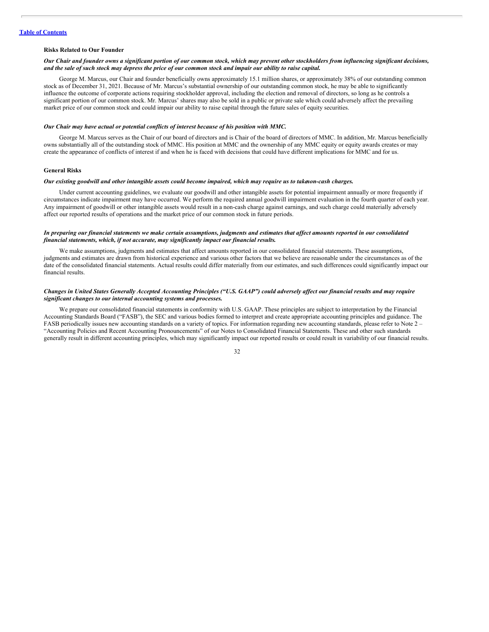#### **Risks Related to Our Founder**

# Our Chair and founder owns a significant portion of our common stock, which may prevent other stockholders from influencing significant decisions, and the sale of such stock may depress the price of our common stock and impair our ability to raise capital.

George M. Marcus, our Chair and founder beneficially owns approximately 15.1 million shares, or approximately 38% of our outstanding common stock as of December 31, 2021. Because of Mr. Marcus's substantial ownership of our outstanding common stock, he may be able to significantly influence the outcome of corporate actions requiring stockholder approval, including the election and removal of directors, so long as he controls a significant portion of our common stock. Mr. Marcus' shares may also be sold in a public or private sale which could adversely affect the prevailing market price of our common stock and could impair our ability to raise capital through the future sales of equity securities.

# *Our Chair may have actual or potential conflicts of interest because of his position with MMC.*

George M. Marcus serves as the Chair of our board of directors and is Chair of the board of directors of MMC. In addition, Mr. Marcus beneficially owns substantially all of the outstanding stock of MMC. His position at MMC and the ownership of any MMC equity or equity awards creates or may create the appearance of conflicts of interest if and when he is faced with decisions that could have different implications for MMC and for us.

# **General Risks**

#### Our existing goodwill and other intangible assets could become impaired, which may require us to takenon-cash charges.

Under current accounting guidelines, we evaluate our goodwill and other intangible assets for potential impairment annually or more frequently if circumstances indicate impairment may have occurred. We perform the required annual goodwill impairment evaluation in the fourth quarter of each year. Any impairment of goodwill or other intangible assets would result in a non-cash charge against earnings, and such charge could materially adversely affect our reported results of operations and the market price of our common stock in future periods.

# In preparing our financial statements we make certain assumptions, judgments and estimates that affect amounts reported in our consolidated *financial statements, which, if not accurate, may significantly impact our financial results.*

We make assumptions, judgments and estimates that affect amounts reported in our consolidated financial statements. These assumptions, judgments and estimates are drawn from historical experience and various other factors that we believe are reasonable under the circumstances as of the date of the consolidated financial statements. Actual results could differ materially from our estimates, and such differences could significantly impact our financial results.

# Changes in United States Generally Accepted Accounting Principles ("U.S. GAAP") could adversely affect our financial results and may require *significant changes to our internal accounting systems and processes.*

We prepare our consolidated financial statements in conformity with U.S. GAAP. These principles are subject to interpretation by the Financial Accounting Standards Board ("FASB"), the SEC and various bodies formed to interpret and create appropriate accounting principles and guidance. The FASB periodically issues new accounting standards on a variety of topics. For information regarding new accounting standards, please refer to Note 2 -"Accounting Policies and Recent Accounting Pronouncements" of our Notes to Consolidated Financial Statements. These and other such standards generally result in different accounting principles, which may significantly impact our reported results or could result in variability of our financial results.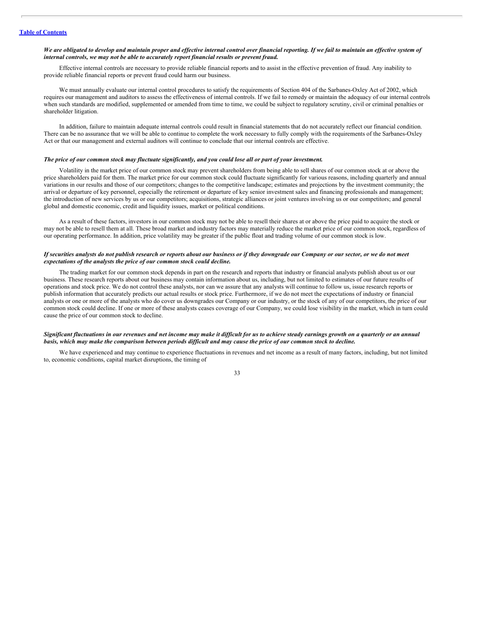# We are obligated to develop and maintain proper and effective internal control over financial reporting. If we fail to maintain an effective system of *internal controls, we may not be able to accurately report financial results or prevent fraud.*

Effective internal controls are necessary to provide reliable financial reports and to assist in the effective prevention of fraud. Any inability to provide reliable financial reports or prevent fraud could harm our business.

We must annually evaluate our internal control procedures to satisfy the requirements of Section 404 of the Sarbanes-Oxley Act of 2002, which requires our management and auditors to assess the effectiveness of internal controls. If we fail to remedy or maintain the adequacy of our internal controls when such standards are modified, supplemented or amended from time to time, we could be subject to regulatory scrutiny, civil or criminal penalties or shareholder litigation.

In addition, failure to maintain adequate internal controls could result in financial statements that do not accurately reflect our financial condition. There can be no assurance that we will be able to continue to complete the work necessary to fully comply with the requirements of the Sarbanes-Oxley Act or that our management and external auditors will continue to conclude that our internal controls are effective.

#### The price of our common stock may fluctuate significantly, and you could lose all or part of your investment.

Volatility in the market price of our common stock may prevent shareholders from being able to sell shares of our common stock at or above the price shareholders paid for them. The market price for our common stock could fluctuate significantly for various reasons, including quarterly and annual variations in our results and those of our competitors; changes to the competitive landscape; estimates and projections by the investment community; the arrival or departure of key personnel, especially the retirement or departure of key senior investment sales and financing professionals and management; the introduction of new services by us or our competitors; acquisitions, strategic alliances or joint ventures involving us or our competitors; and general global and domestic economic, credit and liquidity issues, market or political conditions.

As a result of these factors, investors in our common stock may not be able to resell their shares at or above the price paid to acquire the stock or may not be able to resell them at all. These broad market and industry factors may materially reduce the market price of our common stock, regardless of our operating performance. In addition, price volatility may be greater if the public float and trading volume of our common stock is low.

# If securities analysts do not publish research or reports about our business or if they downgrade our Company or our sector, or we do not meet *expectations of the analysts the price of our common stock could decline.*

The trading market for our common stock depends in part on the research and reports that industry or financial analysts publish about us or our business. These research reports about our business may contain information about us, including, but not limited to estimates of our future results of operations and stock price. We do not control these analysts, nor can we assure that any analysts will continue to follow us, issue research reports or publish information that accurately predicts our actual results or stock price. Furthermore, if we do not meet the expectations of industry or financial analysts or one or more of the analysts who do cover us downgrades our Company or our industry, or the stock of any of our competitors, the price of our common stock could decline. If one or more of these analysts ceases coverage of our Company, we could lose visibility in the market, which in turn could cause the price of our common stock to decline.

#### Significant fluctuations in our revenues and net income may make it difficult for us to achieve steady earnings growth on a quarterly or an annual basis, which may make the comparison between periods difficult and may cause the price of our common stock to decline.

We have experienced and may continue to experience fluctuations in revenues and net income as a result of many factors, including, but not limited to, economic conditions, capital market disruptions, the timing of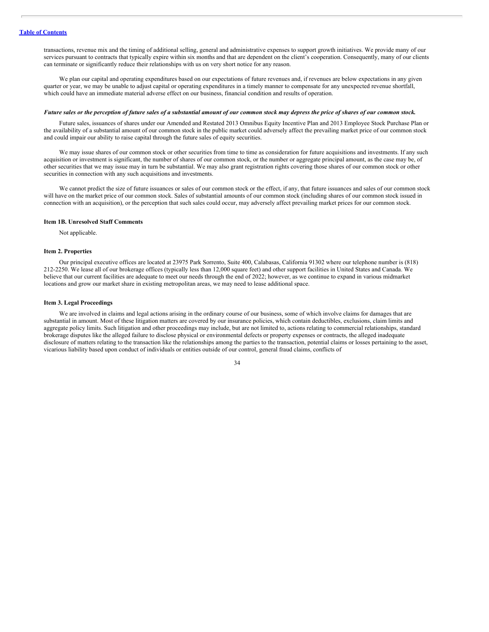transactions, revenue mix and the timing of additional selling, general and administrative expenses to support growth initiatives. We provide many of our services pursuant to contracts that typically expire within six months and that are dependent on the client's cooperation. Consequently, many of our clients can terminate or significantly reduce their relationships with us on very short notice for any reason.

We plan our capital and operating expenditures based on our expectations of future revenues and, if revenues are below expectations in any given quarter or year, we may be unable to adjust capital or operating expenditures in a timely manner to compensate for any unexpected revenue shortfall, which could have an immediate material adverse effect on our business, financial condition and results of operation.

# Future sales or the perception of future sales of a substantial amount of our common stock may depress the price of shares of our common stock.

Future sales, issuances of shares under our Amended and Restated 2013 Omnibus Equity Incentive Plan and 2013 Employee Stock Purchase Plan or the availability of a substantial amount of our common stock in the public market could adversely affect the prevailing market price of our common stock and could impair our ability to raise capital through the future sales of equity securities.

We may issue shares of our common stock or other securities from time to time as consideration for future acquisitions and investments. If any such acquisition or investment is significant, the number of shares of our common stock, or the number or aggregate principal amount, as the case may be, of other securities that we may issue may in turn be substantial. We may also grant registration rights covering those shares of our common stock or other securities in connection with any such acquisitions and investments.

We cannot predict the size of future issuances or sales of our common stock or the effect, if any, that future issuances and sales of our common stock will have on the market price of our common stock. Sales of substantial amounts of our common stock (including shares of our common stock issued in connection with an acquisition), or the perception that such sales could occur, may adversely affect prevailing market prices for our common stock.

# <span id="page-33-0"></span>**Item 1B. Unresolved Staff Comments**

Not applicable.

#### <span id="page-33-1"></span>**Item 2. Properties**

Our principal executive offices are located at 23975 Park Sorrento, Suite 400, Calabasas, California 91302 where our telephone number is (818) 212-2250. We lease all of our brokerage offices (typically less than 12,000 square feet) and other support facilities in United States and Canada. We believe that our current facilities are adequate to meet our needs through the end of 2022; however, as we continue to expand in various midmarket locations and grow our market share in existing metropolitan areas, we may need to lease additional space.

# <span id="page-33-2"></span>**Item 3. Legal Proceedings**

We are involved in claims and legal actions arising in the ordinary course of our business, some of which involve claims for damages that are substantial in amount. Most of these litigation matters are covered by our insurance policies, which contain deductibles, exclusions, claim limits and aggregate policy limits. Such litigation and other proceedings may include, but are not limited to, actions relating to commercial relationships, standard brokerage disputes like the alleged failure to disclose physical or environmental defects or property expenses or contracts, the alleged inadequate disclosure of matters relating to the transaction like the relationships among the parties to the transaction, potential claims or losses pertaining to the asset, vicarious liability based upon conduct of individuals or entities outside of our control, general fraud claims, conflicts of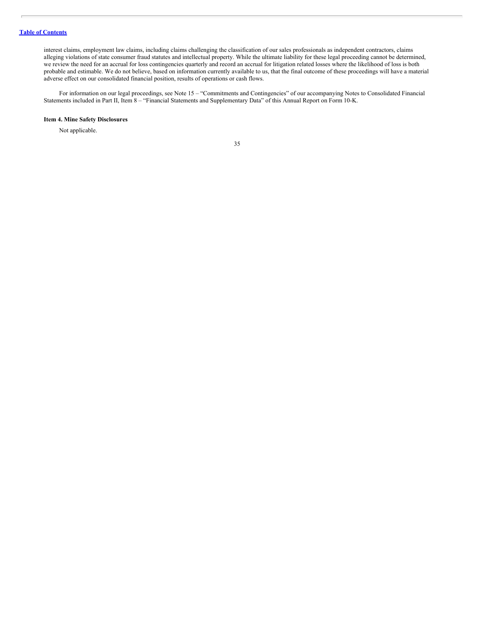interest claims, employment law claims, including claims challenging the classification of our sales professionals as independent contractors, claims alleging violations of state consumer fraud statutes and intellectual property. While the ultimate liability for these legal proceeding cannot be determined, we review the need for an accrual for loss contingencies quarterly and record an accrual for litigation related losses where the likelihood of loss is both probable and estimable. We do not believe, based on information currently available to us, that the final outcome of these proceedings will have a material adverse effect on our consolidated financial position, results of operations or cash flows.

For information on our legal proceedings, see Note 15 – "Commitments and Contingencies" of our accompanying Notes to Consolidated Financial Statements included in Part II, Item 8 – "Financial Statements and Supplementary Data" of this Annual Report on Form 10-K.

# <span id="page-34-0"></span>**Item 4. Mine Safety Disclosures**

Not applicable.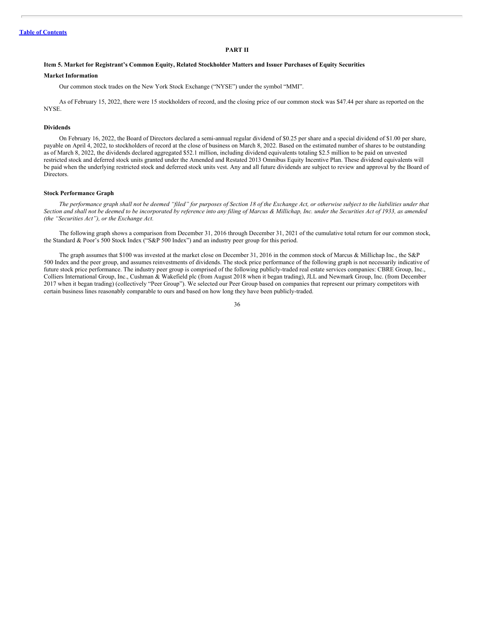#### **PART II**

# <span id="page-35-1"></span><span id="page-35-0"></span>Item 5. Market for Registrant's Common Equity, Related Stockholder Matters and Issuer Purchases of Equity Securities

# **Market Information**

Our common stock trades on the New York Stock Exchange ("NYSE") under the symbol "MMI".

As of February 15, 2022, there were 15 stockholders of record, and the closing price of our common stock was \$47.44 per share as reported on the NYSE.

# **Dividends**

On February 16, 2022, the Board of Directors declared a semi-annual regular dividend of \$0.25 per share and a special dividend of \$1.00 per share, payable on April 4, 2022, to stockholders of record at the close of business on March 8, 2022. Based on the estimated number of shares to be outstanding as of March 8, 2022, the dividends declared aggregated \$52.1 million, including dividend equivalents totaling \$2.5 million to be paid on unvested restricted stock and deferred stock units granted under the Amended and Restated 2013 Omnibus Equity Incentive Plan. These dividend equivalents will be paid when the underlying restricted stock and deferred stock units vest. Any and all future dividends are subject to review and approval by the Board of Directors.

#### **Stock Performance Graph**

The performance graph shall not be deemed "filed" for purposes of Section 18 of the Exchange Act, or otherwise subject to the liabilities under that Section and shall not be deemed to be incorporated by reference into any filing of Marcus & Millichap, Inc. under the Securities Act of 1933, as amended *(the "Securities Act"), or the Exchange Act.*

The following graph shows a comparison from December 31, 2016 through December 31, 2021 of the cumulative total return for our common stock, the Standard & Poor's 500 Stock Index ("S&P 500 Index") and an industry peer group for this period.

The graph assumes that \$100 was invested at the market close on December 31, 2016 in the common stock of Marcus & Millichap Inc., the S&P 500 Index and the peer group, and assumes reinvestments of dividends. The stock price performance of the following graph is not necessarily indicative of future stock price performance. The industry peer group is comprised of the following publicly-traded real estate services companies: CBRE Group, Inc., Colliers International Group, Inc., Cushman & Wakefield plc (from August 2018 when it began trading), JLL and Newmark Group, Inc. (from December 2017 when it began trading) (collectively "Peer Group"). We selected our Peer Group based on companies that represent our primary competitors with certain business lines reasonably comparable to ours and based on how long they have been publicly-traded.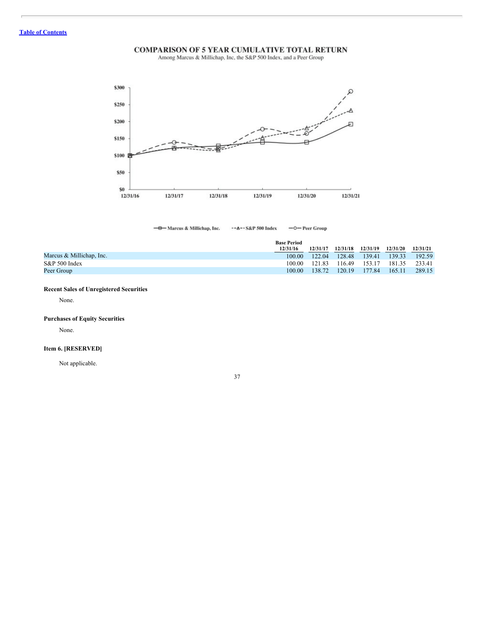# **COMPARISON OF 5 YEAR CUMULATIVE TOTAL RETURN** Among Marcus & Millichap, Inc, the S&P 500 Index, and a Peer Group



- - Marcus & Millichap, Inc. -- A-- S&P 500 Index -O-Peer Group

|                          | <b>Base Period</b> |          |          |               |          |          |
|--------------------------|--------------------|----------|----------|---------------|----------|----------|
|                          | 12/31/16           | 12/31/17 | 12/31/18 | 12/31/19      | 12/31/20 | 12/31/21 |
| Marcus & Millichap, Inc. | 100.00             | 122.04   | 128.48   | 139.41        | 139.33   | 192.59   |
| S&P 500 Index            | 100.00             | 121.83   |          | 116.49 153.17 | 181.35   | 233.41   |
| Peer Group               | 100.00             | 138.72   | 120.19   | 177.84        | 165.11   | 289.15   |

# **Recent Sales of Unregistered Securities**

None.

# **Purchases of Equity Securities**

None.

# **Item 6. [RESERVED]**

Not applicable.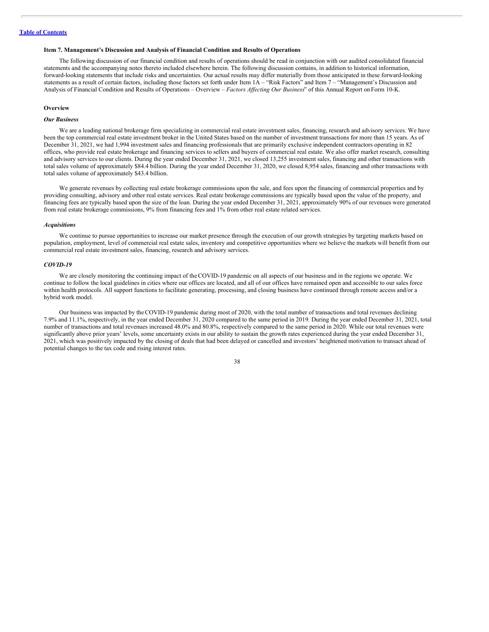#### **Item 7. Management's Discussion and Analysis of Financial Condition and Results of Operations**

The following discussion of our financial condition and results of operations should be read in conjunction with our audited consolidated financial statements and the accompanying notes thereto included elsewhere herein. The following discussion contains, in addition to historical information, forward-looking statements that include risks and uncertainties. Our actual results may differ materially from those anticipated in these forward-looking statements as a result of certain factors, including those factors set forth under Item 1A – "Risk Factors" and Item 7 – "Management's Discussion and Analysis of Financial Condition and Results of Operations – Overview – *Factors Af ecting Our Business*" of this Annual Report on Form 10-K.

#### **Overview**

#### *Our Business*

We are a leading national brokerage firm specializing in commercial real estate investment sales, financing, research and advisory services. We have been the top commercial real estate investment broker in the United States based on the number of investment transactions for more than 15 years. As of December 31, 2021, we had 1,994 investment sales and financing professionals that are primarily exclusive independent contractors operating in 82 offices, who provide real estate brokerage and financing services to sellers and buyers of commercial real estate. We also offer market research, consulting and advisory services to our clients. During the year ended December 31, 2021, we closed 13,255 investment sales, financing and other transactions with total sales volume of approximately \$84.4 billion. During the year ended December 31, 2020, we closed 8,954 sales, financing and other transactions with total sales volume of approximately \$43.4 billion.

We generate revenues by collecting real estate brokerage commissions upon the sale, and fees upon the financing of commercial properties and by providing consulting, advisory and other real estate services. Real estate brokerage commissions are typically based upon the value of the property, and financing fees are typically based upon the size of the loan. During the year ended December 31, 2021, approximately 90% of our revenues were generated from real estate brokerage commissions, 9% from financing fees and 1% from other real estate related services.

#### *Acquisitions*

We continue to pursue opportunities to increase our market presence through the execution of our growth strategies by targeting markets based on population, employment, level of commercial real estate sales, inventory and competitive opportunities where we believe the markets will benefit from our commercial real estate investment sales, financing, research and advisory services.

#### *COVID-19*

We are closely monitoring the continuing impact of the COVID-19 pandemic on all aspects of our business and in the regions we operate. We continue to follow the local guidelines in cities where our offices are located, and all of our offices have remained open and accessible to our sales force within health protocols. All support functions to facilitate generating, processing, and closing business have continued through remote access and/or a hybrid work model.

Our business was impacted by theCOVID-19 pandemic during most of 2020, with the total number of transactions and total revenues declining 7.9% and 11.1%, respectively, in the year ended December 31, 2020 compared to the same period in 2019. During the year ended December 31, 2021, total number of transactions and total revenues increased 48.0% and 80.8%, respectively compared to the same period in 2020. While our total revenues were significantly above prior years' levels, some uncertainty exists in our ability to sustain the growth rates experienced during the year ended December 31, 2021, which was positively impacted by the closing of deals that had been delayed or cancelled and investors' heightened motivation to transact ahead of potential changes to the tax code and rising interest rates.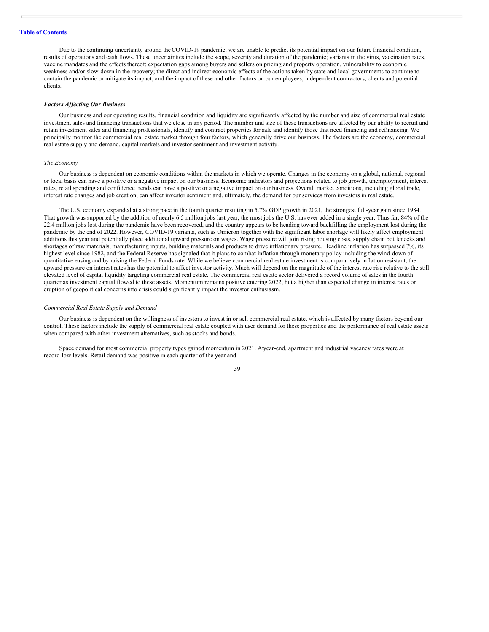#### **Table of [Contents](#page-1-0)**

Due to the continuing uncertainty around theCOVID-19 pandemic, we are unable to predict its potential impact on our future financial condition, results of operations and cash flows. These uncertainties include the scope, severity and duration of the pandemic; variants in the virus, vaccination rates, vaccine mandates and the effects thereof; expectation gaps among buyers and sellers on pricing and property operation, vulnerability to economic weakness and/or slow-down in the recovery; the direct and indirect economic effects of the actions taken by state and local governments to continue to contain the pandemic or mitigate its impact; and the impact of these and other factors on our employees, independent contractors, clients and potential clients.

#### *Factors Af ecting Our Business*

Our business and our operating results, financial condition and liquidity are significantly affected by the number and size of commercial real estate investment sales and financing transactions that we close in any period. The number and size of these transactions are affected by our ability to recruit and retain investment sales and financing professionals, identify and contract properties for sale and identify those that need financing and refinancing. We principally monitor the commercial real estate market through four factors, which generally drive our business. The factors are the economy, commercial real estate supply and demand, capital markets and investor sentiment and investment activity.

#### *The Economy*

Our business is dependent on economic conditions within the markets in which we operate. Changes in the economy on a global, national, regional or local basis can have a positive or a negative impact on our business. Economic indicators and projections related to job growth, unemployment, interest rates, retail spending and confidence trends can have a positive or a negative impact on our business. Overall market conditions, including global trade, interest rate changes and job creation, can affect investor sentiment and, ultimately, the demand for our services from investors in real estate.

The U.S. economy expanded at a strong pace in the fourth quarter resulting in 5.7% GDP growth in 2021, the strongest full-year gain since 1984. That growth was supported by the addition of nearly 6.5 million jobs last year, the most jobs the U.S. has ever added in a single year. Thus far, 84% of the 22.4 million jobs lost during the pandemic have been recovered, and the country appears to be heading toward backfilling the employment lost during the pandemic by the end of 2022. However, COVID-19 variants, such as Omicron together with the significant labor shortage will likely affect employment additions this year and potentially place additional upward pressure on wages. Wage pressure will join rising housing costs, supply chain bottlenecks and shortages of raw materials, manufacturing inputs, building materials and products to drive inflationary pressure. Headline inflation has surpassed 7%, its highest level since 1982, and the Federal Reserve has signaled that it plans to combat inflation through monetary policy including the wind-down of quantitative easing and by raising the Federal Funds rate. While we believe commercial real estate investment is comparatively inflation resistant, the upward pressure on interest rates has the potential to affect investor activity. Much will depend on the magnitude of the interest rate rise relative to the still elevated level of capital liquidity targeting commercial real estate. The commercial real estate sector delivered a record volume of sales in the fourth quarter as investment capital flowed to these assets. Momentum remains positive entering 2022, but a higher than expected change in interest rates or eruption of geopolitical concerns into crisis could significantly impact the investor enthusiasm.

#### *Commercial Real Estate Supply and Demand*

Our business is dependent on the willingness of investors to invest in or sell commercial real estate, which is affected by many factors beyond our control. These factors include the supply of commercial real estate coupled with user demand for these properties and the performance of real estate assets when compared with other investment alternatives, such as stocks and bonds.

Space demand for most commercial property types gained momentum in 2021. Atyear-end, apartment and industrial vacancy rates were at record-low levels. Retail demand was positive in each quarter of the year and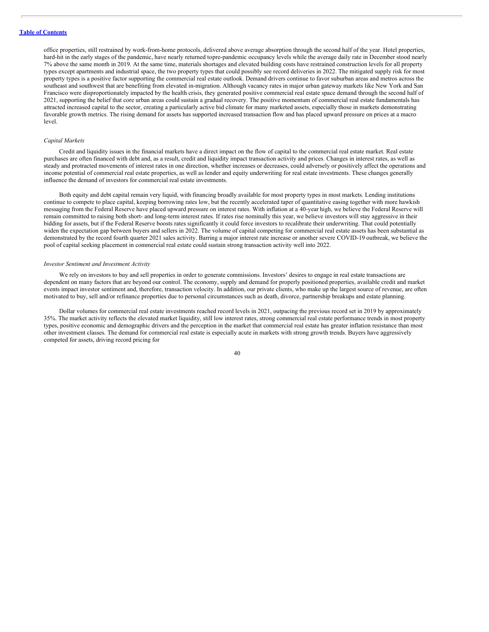office properties, still restrained by work-from-home protocols, delivered above average absorption through the second half of the year. Hotel properties, hard-hit in the early stages of the pandemic, have nearly returned topre-pandemic occupancy levels while the average daily rate in December stood nearly 7% above the same month in 2019. At the same time, materials shortages and elevated building costs have restrained construction levels for all property types except apartments and industrial space, the two property types that could possibly see record deliveries in 2022. The mitigated supply risk for most property types is a positive factor supporting the commercial real estate outlook. Demand drivers continue to favor suburban areas and metros across the southeast and southwest that are benefiting from elevated in-migration. Although vacancy rates in major urban gateway markets like New York and San Francisco were disproportionately impacted by the health crisis, they generated positive commercial real estate space demand through the second half of 2021, supporting the belief that core urban areas could sustain a gradual recovery. The positive momentum of commercial real estate fundamentals has attracted increased capital to the sector, creating a particularly active bid climate for many marketed assets, especially those in markets demonstrating favorable growth metrics. The rising demand for assets has supported increased transaction flow and has placed upward pressure on prices at a macro level.

#### *Capital Markets*

Credit and liquidity issues in the financial markets have a direct impact on the flow of capital to the commercial real estate market. Real estate purchases are often financed with debt and, as a result, credit and liquidity impact transaction activity and prices. Changes in interest rates, as well as steady and protracted movements of interest rates in one direction, whether increases or decreases, could adversely or positively affect the operations and income potential of commercial real estate properties, as well as lender and equity underwriting for real estate investments. These changes generally influence the demand of investors for commercial real estate investments.

Both equity and debt capital remain very liquid, with financing broadly available for most property types in most markets. Lending institutions continue to compete to place capital, keeping borrowing rates low, but the recently accelerated taper of quantitative easing together with more hawkish messaging from the Federal Reserve have placed upward pressure on interest rates. With inflation at a 40-year high, we believe the Federal Reserve will remain committed to raising both short- and long-term interest rates. If rates rise nominally this year, we believe investors will stay aggressive in their bidding for assets, but if the Federal Reserve boosts rates significantly it could force investors to recalibrate their underwriting. That could potentially widen the expectation gap between buyers and sellers in 2022. The volume of capital competing for commercial real estate assets has been substantial as demonstrated by the record fourth quarter 2021 sales activity. Barring a major interest rate increase or another severe COVID-19 outbreak, we believe the pool of capital seeking placement in commercial real estate could sustain strong transaction activity well into 2022.

#### *Investor Sentiment and Investment Activity*

We rely on investors to buy and sell properties in order to generate commissions. Investors' desires to engage in real estate transactions are dependent on many factors that are beyond our control. The economy, supply and demand for properly positioned properties, available credit and market events impact investor sentiment and, therefore, transaction velocity. In addition, our private clients, who make up the largest source of revenue, are often motivated to buy, sell and/or refinance properties due to personal circumstances such as death, divorce, partnership breakups and estate planning.

Dollar volumes for commercial real estate investments reached record levels in 2021, outpacing the previous record set in 2019 by approximately 35%. The market activity reflects the elevated market liquidity, still low interest rates, strong commercial real estate performance trends in most property types, positive economic and demographic drivers and the perception in the market that commercial real estate has greater inflation resistance than most other investment classes. The demand for commercial real estate is especially acute in markets with strong growth trends. Buyers have aggressively competed for assets, driving record pricing for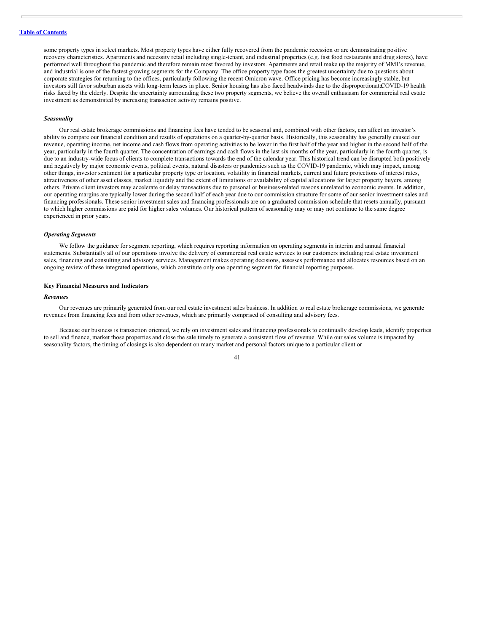some property types in select markets. Most property types have either fully recovered from the pandemic recession or are demonstrating positive recovery characteristics. Apartments and necessity retail including single-tenant, and industrial properties (e.g. fast food restaurants and drug stores), have performed well throughout the pandemic and therefore remain most favored by investors. Apartments and retail make up the majority of MMI's revenue, and industrial is one of the fastest growing segments for the Company. The office property type faces the greatest uncertainty due to questions about corporate strategies for returning to the offices, particularly following the recent Omicron wave. Office pricing has become increasingly stable, but investors still favor suburban assets with long-term leases in place. Senior housing has also faced headwinds due to the disproportionateCOVID-19 health risks faced by the elderly. Despite the uncertainty surrounding these two property segments, we believe the overall enthusiasm for commercial real estate investment as demonstrated by increasing transaction activity remains positive.

#### *Seasonality*

Our real estate brokerage commissions and financing fees have tended to be seasonal and, combined with other factors, can affect an investor's ability to compare our financial condition and results of operations on a quarter-by-quarter basis. Historically, this seasonality has generally caused our revenue, operating income, net income and cash flows from operating activities to be lower in the first half of the year and higher in the second half of the year, particularly in the fourth quarter. The concentration of earnings and cash flows in the last six months of the year, particularly in the fourth quarter, is due to an industry-wide focus of clients to complete transactions towards the end of the calendar year. This historical trend can be disrupted both positively and negatively by major economic events, political events, natural disasters or pandemics such as the COVID-19 pandemic, which may impact, among other things, investor sentiment for a particular property type or location, volatility in financial markets, current and future projections of interest rates, attractiveness of other asset classes, market liquidity and the extent of limitations or availability of capital allocations for larger property buyers, among others. Private client investors may accelerate or delay transactions due to personal or business-related reasons unrelated to economic events. In addition, our operating margins are typically lower during the second half of each year due to our commission structure for some of our senior investment sales and financing professionals. These senior investment sales and financing professionals are on a graduated commission schedule that resets annually, pursuant to which higher commissions are paid for higher sales volumes. Our historical pattern of seasonality may or may not continue to the same degree experienced in prior years.

#### *Operating Segments*

We follow the guidance for segment reporting, which requires reporting information on operating segments in interim and annual financial statements. Substantially all of our operations involve the delivery of commercial real estate services to our customers including real estate investment sales, financing and consulting and advisory services. Management makes operating decisions, assesses performance and allocates resources based on an ongoing review of these integrated operations, which constitute only one operating segment for financial reporting purposes.

#### **Key Financial Measures and Indicators**

#### *Revenues*

Our revenues are primarily generated from our real estate investment sales business. In addition to real estate brokerage commissions, we generate revenues from financing fees and from other revenues, which are primarily comprised of consulting and advisory fees.

Because our business is transaction oriented, we rely on investment sales and financing professionals to continually develop leads, identify properties to sell and finance, market those properties and close the sale timely to generate a consistent flow of revenue. While our sales volume is impacted by seasonality factors, the timing of closings is also dependent on many market and personal factors unique to a particular client or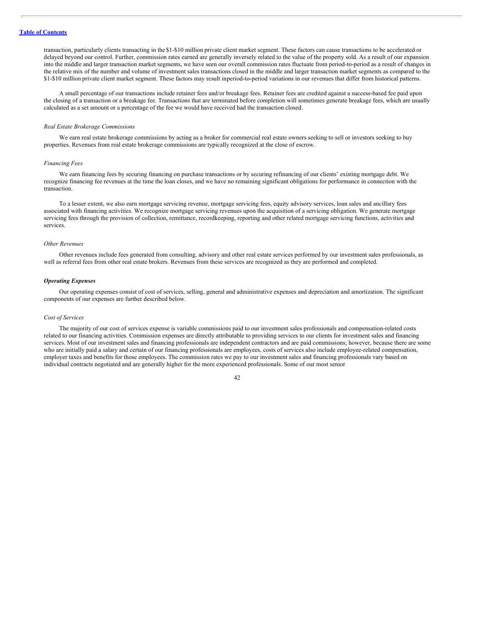transaction, particularly clients transacting in the \$1-\$10 million private client market segment. These factors can cause transactions to be accelerated or delayed beyond our control. Further, commission rates earned are generally inversely related to the value of the property sold. As a result of our expansion into the middle and larger transaction market segments, we have seen our overall commission rates fluctuate from period-to-period as a result of changes in the relative mix of the number and volume of investment sales transactions closed in the middle and larger transaction market segments as compared to the \$1-\$10 million private client market segment. These factors may result inperiod-to-period variations in our revenues that differ from historical patterns.

A small percentage of our transactions include retainer fees and/or breakage fees. Retainer fees are credited against a success-based fee paid upon the closing of a transaction or a breakage fee. Transactions that are terminated before completion will sometimes generate breakage fees, which are usually calculated as a set amount or a percentage of the fee we would have received had the transaction closed.

#### *Real Estate Brokerage Commissions*

We earn real estate brokerage commissions by acting as a broker for commercial real estate owners seeking to sell or investors seeking to buy properties. Revenues from real estate brokerage commissions are typically recognized at the close of escrow.

#### *Financing Fees*

We earn financing fees by securing financing on purchase transactions or by securing refinancing of our clients' existing mortgage debt. We recognize financing fee revenues at the time the loan closes, and we have no remaining significant obligations for performance in connection with the transaction.

To a lesser extent, we also earn mortgage servicing revenue, mortgage servicing fees, equity advisory services, loan sales and ancillary fees associated with financing activities. We recognize mortgage servicing revenues upon the acquisition of a servicing obligation. We generate mortgage servicing fees through the provision of collection, remittance, recordkeeping, reporting and other related mortgage servicing functions, activities and services.

#### *Other Revenues*

Other revenues include fees generated from consulting, advisory and other real estate services performed by our investment sales professionals, as well as referral fees from other real estate brokers. Revenues from these services are recognized as they are performed and completed.

#### *Operating Expenses*

Our operating expenses consist of cost of services, selling, general and administrative expenses and depreciation and amortization. The significant components of our expenses are further described below.

#### *Cost of Services*

The majority of our cost of services expense is variable commissions paid to our investment sales professionals and compensation-related costs related to our financing activities. Commission expenses are directly attributable to providing services to our clients for investment sales and financing services. Most of our investment sales and financing professionals are independent contractors and are paid commissions; however, because there are some who are initially paid a salary and certain of our financing professionals are employees, costs of services also include employee-related compensation, employer taxes and benefits for those employees. The commission rates we pay to our investment sales and financing professionals vary based on individual contracts negotiated and are generally higher for the more experienced professionals. Some of our most senior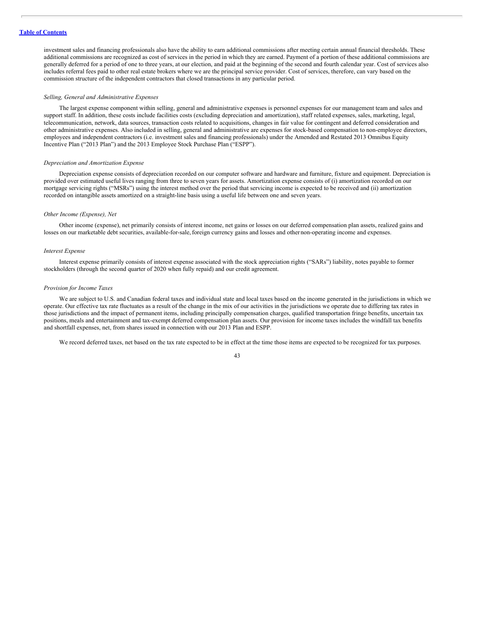investment sales and financing professionals also have the ability to earn additional commissions after meeting certain annual financial thresholds. These additional commissions are recognized as cost of services in the period in which they are earned. Payment of a portion of these additional commissions are generally deferred for a period of one to three years, at our election, and paid at the beginning of the second and fourth calendar year. Cost of services also includes referral fees paid to other real estate brokers where we are the principal service provider. Cost of services, therefore, can vary based on the commission structure of the independent contractors that closed transactions in any particular period.

#### *Selling, General and Administrative Expenses*

The largest expense component within selling, general and administrative expenses is personnel expenses for our management team and sales and support staff. In addition, these costs include facilities costs (excluding depreciation and amortization), staff related expenses, sales, marketing, legal, telecommunication, network, data sources, transaction costs related to acquisitions, changes in fair value for contingent and deferred consideration and other administrative expenses. Also included in selling, general and administrative are expenses for stock-based compensation to non-employee directors, employees and independent contractors (i.e. investment sales and financing professionals) under the Amended and Restated 2013 Omnibus Equity Incentive Plan ("2013 Plan") and the 2013 Employee Stock Purchase Plan ("ESPP").

#### *Depreciation and Amortization Expense*

Depreciation expense consists of depreciation recorded on our computer software and hardware and furniture, fixture and equipment. Depreciation is provided over estimated useful lives ranging from three to seven years for assets. Amortization expense consists of (i) amortization recorded on our mortgage servicing rights ("MSRs") using the interest method over the period that servicing income is expected to be received and (ii) amortization recorded on intangible assets amortized on a straight-line basis using a useful life between one and seven years.

#### *Other Income (Expense), Net*

Other income (expense), net primarily consists of interest income, net gains or losses on our deferred compensation plan assets, realized gains and losses on our marketable debt securities, available-for-sale, foreign currency gains and losses and other non-operating income and expenses.

#### *Interest Expense*

Interest expense primarily consists of interest expense associated with the stock appreciation rights ("SARs") liability, notes payable to former stockholders (through the second quarter of 2020 when fully repaid) and our credit agreement.

#### *Provision for Income Taxes*

We are subject to U.S. and Canadian federal taxes and individual state and local taxes based on the income generated in the jurisdictions in which we operate. Our effective tax rate fluctuates as a result of the change in the mix of our activities in the jurisdictions we operate due to differing tax rates in those jurisdictions and the impact of permanent items, including principally compensation charges, qualified transportation fringe benefits, uncertain tax positions, meals and entertainment and tax-exempt deferred compensation plan assets. Our provision for income taxes includes the windfall tax benefits and shortfall expenses, net, from shares issued in connection with our 2013 Plan and ESPP.

We record deferred taxes, net based on the tax rate expected to be in effect at the time those items are expected to be recognized for tax purposes.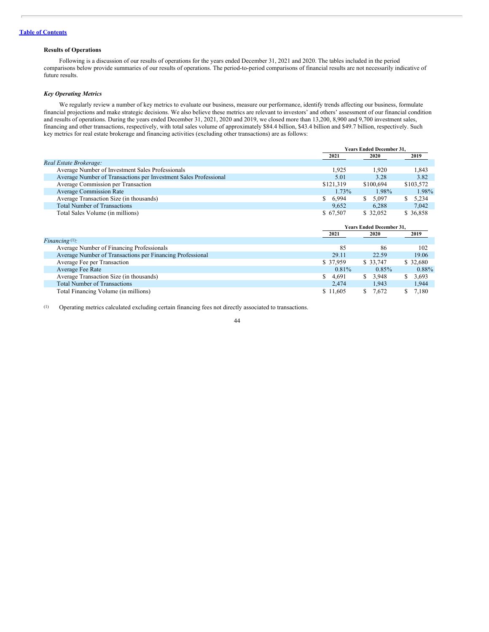#### **Results of Operations**

Following is a discussion of our results of operations for the years ended December 31, 2021 and 2020. The tables included in the period comparisons below provide summaries of our results of operations. The period-to-period comparisons of financial results are not necessarily indicative of future results.

#### *Key Operating Metrics*

We regularly review a number of key metrics to evaluate our business, measure our performance, identify trends affecting our business, formulate financial projections and make strategic decisions. We also believe these metrics are relevant to investors' and others' assessment of our financial condition and results of operations. During the years ended December 31, 2021, 2020 and 2019, we closed more than 13,200, 8,900 and 9,700 investment sales, financing and other transactions, respectively, with total sales volume of approximately \$84.4 billion, \$43.4 billion and \$49.7 billion, respectively. Such key metrics for real estate brokerage and financing activities (excluding other transactions) are as follows:

|                                                                  | <b>Years Ended December 31,</b> |                                 |             |
|------------------------------------------------------------------|---------------------------------|---------------------------------|-------------|
|                                                                  | 2021                            | 2020                            | 2019        |
| Real Estate Brokerage:                                           |                                 |                                 |             |
| Average Number of Investment Sales Professionals                 | 1,925                           | 1,920                           | 1,843       |
| Average Number of Transactions per Investment Sales Professional | 5.01                            | 3.28                            | 3.82        |
| Average Commission per Transaction                               | \$121,319                       | \$100,694                       | \$103,572   |
| <b>Average Commission Rate</b>                                   | $1.73\%$                        | 1.98%                           | 1.98%       |
| Average Transaction Size (in thousands)                          | 6,994<br>S.                     | 5,097<br>S.                     | 5,234<br>S. |
| <b>Total Number of Transactions</b>                              | 9,652                           | 6,288                           | 7,042       |
| Total Sales Volume (in millions)                                 | \$67,507                        | \$ 32,052                       | \$36,858    |
|                                                                  |                                 |                                 |             |
|                                                                  |                                 | <b>Years Ended December 31,</b> |             |
|                                                                  | 2021                            | 2020                            | 2019        |
| Financing <sup>(1)</sup> :                                       |                                 |                                 |             |
| Average Number of Financing Professionals                        | 85                              | 86                              | 102         |
| Average Number of Transactions per Financing Professional        | 29.11                           | 22.59                           | 19.06       |
| Average Fee per Transaction                                      | \$ 37,959                       | \$ 33,747                       | \$ 32,680   |
| Average Fee Rate                                                 | $0.81\%$                        | $0.85\%$                        | $0.88\%$    |
| Average Transaction Size (in thousands)                          | S.<br>4,691                     | 3,948<br>S.                     | 3,693<br>S. |
| <b>Total Number of Transactions</b>                              | 2,474                           | 1,943                           | 1,944       |
| Total Financing Volume (in millions)                             | \$11,605                        | S.<br>7,672                     | S.<br>7,180 |

(1) Operating metrics calculated excluding certain financing fees not directly associated to transactions.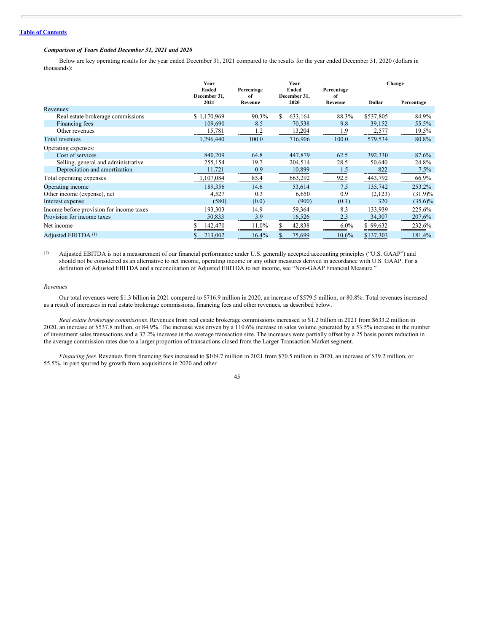# *Comparison of Years Ended December 31, 2021 and 2020*

Below are key operating results for the year ended December 31, 2021 compared to the results for the year ended December 31, 2020 (dollars in thousands):

|                                          | Year                                 |                             | Year                                 |                             |           | Change     |
|------------------------------------------|--------------------------------------|-----------------------------|--------------------------------------|-----------------------------|-----------|------------|
|                                          | <b>Ended</b><br>December 31,<br>2021 | Percentage<br>of<br>Revenue | <b>Ended</b><br>December 31,<br>2020 | Percentage<br>of<br>Revenue | Dollar    | Percentage |
| Revenues:                                |                                      |                             |                                      |                             |           |            |
| Real estate brokerage commissions        | \$1,170,969                          | 90.3%                       | 633,164<br>S.                        | 88.3%                       | \$537,805 | 84.9%      |
| Financing fees                           | 109,690                              | 8.5                         | 70,538                               | 9.8                         | 39,152    | 55.5%      |
| Other revenues                           | 15,781                               | 1.2                         | 13,204                               | 1.9                         | 2,577     | 19.5%      |
| Total revenues                           | 1,296,440                            | 100.0                       | 716,906                              | 100.0                       | 579,534   | 80.8%      |
| Operating expenses:                      |                                      |                             |                                      |                             |           |            |
| Cost of services                         | 840,209                              | 64.8                        | 447,879                              | 62.5                        | 392,330   | 87.6%      |
| Selling, general and administrative      | 255,154                              | 19.7                        | 204,514                              | 28.5                        | 50,640    | 24.8%      |
| Depreciation and amortization            | 11,721                               | 0.9                         | 10,899                               | 1.5                         | 822       | 7.5%       |
| Total operating expenses                 | ,107,084                             | 85.4                        | 663,292                              | 92.5                        | 443,792   | 66.9%      |
| Operating income                         | 189,356                              | 14.6                        | 53,614                               | 7.5                         | 135,742   | 253.2%     |
| Other income (expense), net              | 4,527                                | 0.3                         | 6,650                                | 0.9                         | (2,123)   | $(31.9)\%$ |
| Interest expense                         | (580)                                | (0.0)                       | (900)                                | (0.1)                       | 320       | $(35.6)\%$ |
| Income before provision for income taxes | 193,303                              | 14.9                        | 59,364                               | 8.3                         | 133,939   | 225.6%     |
| Provision for income taxes               | 50,833                               | 3.9                         | 16,526                               | 2.3                         | 34,307    | 207.6%     |
| Net income                               | 142,470                              | 11.0%                       | 42,838                               | $6.0\%$                     | \$99,632  | 232.6%     |
| Adjusted EBITDA (1)                      | 213,002                              | 16.4%                       | 75,699                               | 10.6%                       | \$137,303 | 181.4%     |

(1) Adjusted EBITDA is not a measurement of our financial performance under U.S. generally accepted accounting principles ("U.S. GAAP") and should not be considered as an alternative to net income, operating income or any other measures derived in accordance with U.S. GAAP. For a definition of Adjusted EBITDA and a reconciliation of Adjusted EBITDA to net income, see "Non-GAAP Financial Measure."

#### *Revenues*

Our total revenues were \$1.3 billion in 2021 compared to \$716.9 million in 2020, an increase of \$579.5 million, or 80.8%. Total revenues increased as a result of increases in real estate brokerage commissions, financing fees and other revenues, as described below.

*Real estate brokerage commissions.* Revenues from real estate brokerage commissions increased to \$1.2 billion in 2021 from \$633.2 million in 2020, an increase of \$537.8 million, or 84.9%. The increase was driven by a 110.6% increase in sales volume generated by a 53.5% increase in the number of investment sales transactions and a 37.2% increase in the average transaction size. The increases were partially offset by a 25 basis points reduction in the average commission rates due to a larger proportion of transactions closed from the Larger Transaction Market segment.

*Financing fees.* Revenues from financing fees increased to \$109.7 million in 2021 from \$70.5 million in 2020, an increase of \$39.2 million, or 55.5%, in part spurred by growth from acquisitions in 2020 and other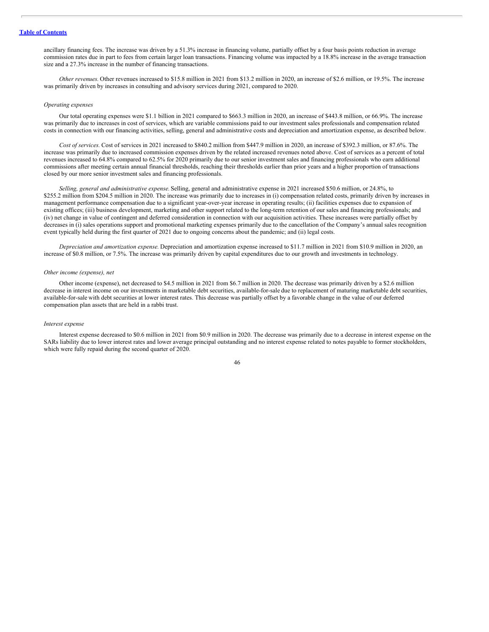#### **Table of [Contents](#page-1-0)**

ancillary financing fees. The increase was driven by a 51.3% increase in financing volume, partially offset by a four basis points reduction in average commission rates due in part to fees from certain larger loan transactions. Financing volume was impacted by a 18.8% increase in the average transaction size and a 27.3% increase in the number of financing transactions.

*Other revenues.* Other revenues increased to \$15.8 million in 2021 from \$13.2 million in 2020, an increase of \$2.6 million, or 19.5%. The increase was primarily driven by increases in consulting and advisory services during 2021, compared to 2020.

#### *Operating expenses*

Our total operating expenses were \$1.1 billion in 2021 compared to \$663.3 million in 2020, an increase of \$443.8 million, or 66.9%. The increase was primarily due to increases in cost of services, which are variable commissions paid to our investment sales professionals and compensation related costs in connection with our financing activities, selling, general and administrative costs and depreciation and amortization expense, as described below.

*Cost of services.* Cost of services in 2021 increased to \$840.2 million from \$447.9 million in 2020, an increase of \$392.3 million, or 87.6%. The increase was primarily due to increased commission expenses driven by the related increased revenues noted above. Cost of services as a percent of total revenues increased to 64.8% compared to 62.5% for 2020 primarily due to our senior investment sales and financing professionals who earn additional commissions after meeting certain annual financial thresholds, reaching their thresholds earlier than prior years and a higher proportion of transactions closed by our more senior investment sales and financing professionals.

*Selling, general and administrative expense.* Selling, general and administrative expense in 2021 increased \$50.6 million, or 24.8%, to \$255.2 million from \$204.5 million in 2020. The increase was primarily due to increases in (i) compensation related costs, primarily driven by increases in management performance compensation due to a significant year-over-year increase in operating results; (ii) facilities expenses due to expansion of existing offices; (iii) business development, marketing and other support related to the long-term retention of our sales and financing professionals; and (iv) net change in value of contingent and deferred consideration in connection with our acquisition activities. These increases were partially offset by decreases in (i) sales operations support and promotional marketing expenses primarily due to the cancellation of the Company's annual sales recognition event typically held during the first quarter of 2021 due to ongoing concerns about the pandemic; and (ii) legal costs.

*Depreciation and amortization expense.* Depreciation and amortization expense increased to \$11.7 million in 2021 from \$10.9 million in 2020, an increase of \$0.8 million, or 7.5%. The increase was primarily driven by capital expenditures due to our growth and investments in technology.

#### *Other income (expense), net*

Other income (expense), net decreased to \$4.5 million in 2021 from \$6.7 million in 2020. The decrease was primarily driven by a \$2.6 million decrease in interest income on our investments in marketable debt securities, available-for-sale due to replacement of maturing marketable debt securities, available-for-sale with debt securities at lower interest rates. This decrease was partially offset by a favorable change in the value of our deferred compensation plan assets that are held in a rabbi trust.

#### *Interest expense*

Interest expense decreased to \$0.6 million in 2021 from \$0.9 million in 2020. The decrease was primarily due to a decrease in interest expense on the SARs liability due to lower interest rates and lower average principal outstanding and no interest expense related to notes payable to former stockholders, which were fully repaid during the second quarter of 2020.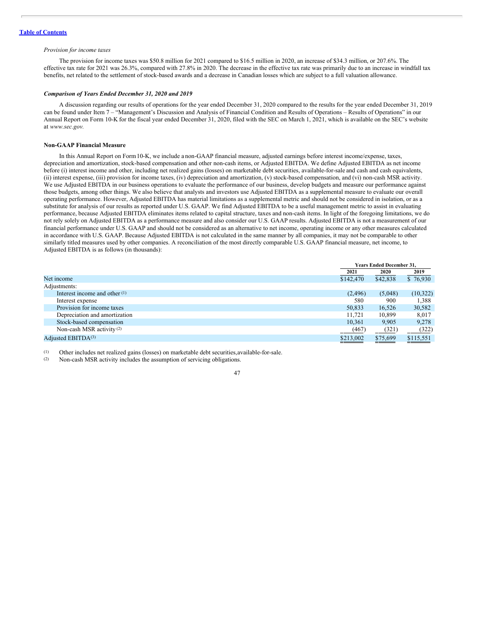#### *Provision for income taxes*

The provision for income taxes was \$50.8 million for 2021 compared to \$16.5 million in 2020, an increase of \$34.3 million, or 207.6%. The effective tax rate for 2021 was 26.3%, compared with 27.8% in 2020. The decrease in the effective tax rate was primarily due to an increase in windfall tax benefits, net related to the settlement of stock-based awards and a decrease in Canadian losses which are subject to a full valuation allowance.

#### *Comparison of Years Ended December 31, 2020 and 2019*

A discussion regarding our results of operations for the year ended December 31, 2020 compared to the results for the year ended December 31, 2019 can be found under Item 7 – "Management's Discussion and Analysis of Financial Condition and Results of Operations – Results of Operations" in our Annual Report on Form 10-K for the fiscal year ended December 31, 2020, filed with the SEC on March 1, 2021, which is available on the SEC's website at *www.sec.gov.*

#### **Non-GAAP Financial Measure**

In this Annual Report on Form10-K, we include a non-GAAP financial measure, adjusted earnings before interest income/expense, taxes, depreciation and amortization, stock-based compensation and other non-cash items, or Adjusted EBITDA. We define Adjusted EBITDA as net income before (i) interest income and other, including net realized gains (losses) on marketable debt securities, available-for-sale and cash and cash equivalents, (ii) interest expense, (iii) provision for income taxes, (iv) depreciation and amortization, (v) stock-based compensation, and (vi) non-cash MSR activity. We use Adjusted EBITDA in our business operations to evaluate the performance of our business, develop budgets and measure our performance against those budgets, among other things. We also believe that analysts and investors use Adjusted EBITDA as a supplemental measure to evaluate our overall operating performance. However, Adjusted EBITDA has material limitations as a supplemental metric and should not be considered in isolation, or as a substitute for analysis of our results as reported under U.S. GAAP. We find Adjusted EBITDA to be a useful management metric to assist in evaluating performance, because Adjusted EBITDA eliminates items related to capital structure, taxes and non-cash items. In light of the foregoing limitations, we do not rely solely on Adjusted EBITDA as a performance measure and also consider our U.S. GAAP results. Adjusted EBITDA is not a measurement of our financial performance under U.S. GAAP and should not be considered as an alternative to net income, operating income or any other measures calculated in accordance with U.S. GAAP. Because Adjusted EBITDA is not calculated in the same manner by all companies, it may not be comparable to other similarly titled measures used by other companies. A reconciliation of the most directly comparable U.S. GAAP financial measure, net income, to Adjusted EBITDA is as follows (in thousands):

|                                          |           | <b>Years Ended December 31,</b> |           |  |
|------------------------------------------|-----------|---------------------------------|-----------|--|
|                                          | 2021      | 2020                            | 2019      |  |
| Net income                               | \$142,470 | \$42,838                        | \$76,930  |  |
| Adjustments:                             |           |                                 |           |  |
| Interest income and other <sup>(1)</sup> | (2, 496)  | (5,048)                         | (10, 322) |  |
| Interest expense                         | 580       | 900                             | 1,388     |  |
| Provision for income taxes               | 50,833    | 16,526                          | 30,582    |  |
| Depreciation and amortization            | 11.721    | 10,899                          | 8,017     |  |
| Stock-based compensation                 | 10,361    | 9,905                           | 9,278     |  |
| Non-cash MSR activity <sup>(2)</sup>     | (467)     | (321)                           | (322)     |  |
| Adjusted EBITDA(3)                       | \$213,002 | \$75,699                        | \$115,551 |  |
|                                          |           |                                 |           |  |

(1) Other includes net realized gains (losses) on marketable debt securities,available-for-sale.

(2) Non-cash MSR activity includes the assumption of servicing obligations.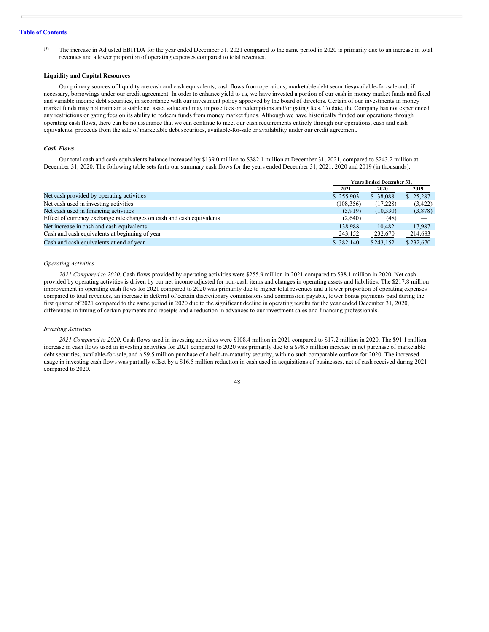(3) The increase in Adjusted EBITDA for the year ended December 31, 2021 compared to the same period in 2020 is primarily due to an increase in total revenues and a lower proportion of operating expenses compared to total revenues.

### **Liquidity and Capital Resources**

Our primary sources of liquidity are cash and cash equivalents, cash flows from operations, marketable debt securities available-for-sale and, if necessary, borrowings under our credit agreement. In order to enhance yield to us, we have invested a portion of our cash in money market funds and fixed and variable income debt securities, in accordance with our investment policy approved by the board of directors. Certain of our investments in money market funds may not maintain a stable net asset value and may impose fees on redemptions and/or gating fees. To date, the Company has not experienced any restrictions or gating fees on its ability to redeem funds from money market funds. Although we have historically funded our operations through operating cash flows, there can be no assurance that we can continue to meet our cash requirements entirely through our operations, cash and cash equivalents, proceeds from the sale of marketable debt securities, available-for-sale or availability under our credit agreement.

#### *Cash Flows*

Our total cash and cash equivalents balance increased by \$139.0 million to \$382.1 million at December 31, 2021, compared to \$243.2 million at December 31, 2020. The following table sets forth our summary cash flows for the years ended December 31, 2021, 2020 and 2019 (in thousands):

|                                                                       | <b>Years Ended December 31.</b> |           |           |
|-----------------------------------------------------------------------|---------------------------------|-----------|-----------|
|                                                                       | 2021                            | 2020      | 2019      |
| Net cash provided by operating activities                             | \$255,903                       | \$ 38,088 | \$25,287  |
| Net cash used in investing activities                                 | (108, 356)                      | (17,228)  | (3,422)   |
| Net cash used in financing activities                                 | (5,919)                         | (10, 330) | (3,878)   |
| Effect of currency exchange rate changes on cash and cash equivalents | (2,640)                         | (48)      |           |
| Net increase in cash and cash equivalents                             | 138,988                         | 10.482    | 17.987    |
| Cash and cash equivalents at beginning of year                        | 243,152                         | 232,670   | 214,683   |
| Cash and cash equivalents at end of year                              | \$382,140                       | \$243,152 | \$232,670 |

# *Operating Activities*

*2021 Compared to 2020*. Cash flows provided by operating activities were \$255.9 million in 2021 compared to \$38.1 million in 2020. Net cash provided by operating activities is driven by our net income adjusted for non-cash items and changes in operating assets and liabilities. The \$217.8 million improvement in operating cash flows for 2021 compared to 2020 was primarily due to higher total revenues and a lower proportion of operating expenses compared to total revenues, an increase in deferral of certain discretionary commissions and commission payable, lower bonus payments paid during the first quarter of 2021 compared to the same period in 2020 due to the significant decline in operating results for the year ended December 31, 2020, differences in timing of certain payments and receipts and a reduction in advances to our investment sales and financing professionals.

#### *Investing Activities*

*2021 Compared to 2020*. Cash flows used in investing activities were \$108.4 million in 2021 compared to \$17.2 million in 2020. The \$91.1 million increase in cash flows used in investing activities for 2021 compared to 2020 was primarily due to a \$98.5 million increase in net purchase of marketable debt securities, available-for-sale, and a \$9.5 million purchase of a held-to-maturity security, with no such comparable outflow for 2020. The increased usage in investing cash flows was partially offset by a \$16.5 million reduction in cash used in acquisitions of businesses, net of cash received during 2021 compared to 2020.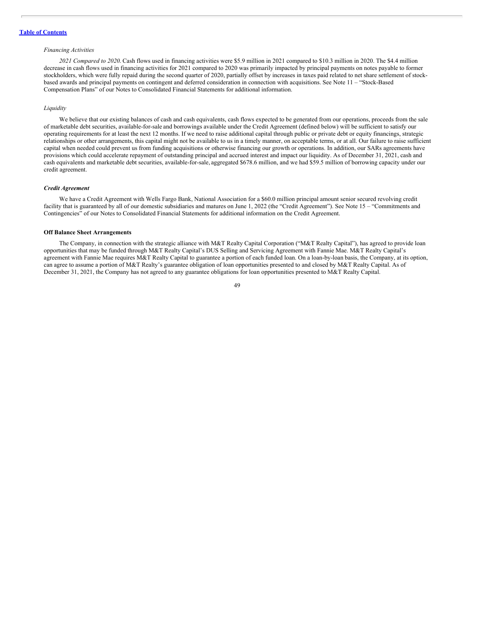#### *Financing Activities*

*2021 Compared to 2020*. Cash flows used in financing activities were \$5.9 million in 2021 compared to \$10.3 million in 2020. The \$4.4 million decrease in cash flows used in financing activities for 2021 compared to 2020 was primarily impacted by principal payments on notes payable to former stockholders, which were fully repaid during the second quarter of 2020, partially offset by increases in taxes paid related to net share settlement of stockbased awards and principal payments on contingent and deferred consideration in connection with acquisitions. See Note 11 – "Stock-Based Compensation Plans" of our Notes to Consolidated Financial Statements for additional information.

#### *Liquidity*

We believe that our existing balances of cash and cash equivalents, cash flows expected to be generated from our operations, proceeds from the sale of marketable debt securities, available-for-sale and borrowings available under the Credit Agreement (defined below) will be sufficient to satisfy our operating requirements for at least the next 12 months. If we need to raise additional capital through public or private debt or equity financings, strategic relationships or other arrangements, this capital might not be available to us in a timely manner, on acceptable terms, or at all. Our failure to raise sufficient capital when needed could prevent us from funding acquisitions or otherwise financing our growth or operations. In addition, our SARs agreements have provisions which could accelerate repayment of outstanding principal and accrued interest and impact our liquidity. As of December 31, 2021, cash and cash equivalents and marketable debt securities, available-for-sale, aggregated \$678.6 million, and we had \$59.5 million of borrowing capacity under our credit agreement.

#### *Credit Agreement*

We have a Credit Agreement with Wells Fargo Bank, National Association for a \$60.0 million principal amount senior secured revolving credit facility that is guaranteed by all of our domestic subsidiaries and matures on June 1, 2022 (the "Credit Agreement"). See Note 15 – "Commitments and Contingencies" of our Notes to Consolidated Financial Statements for additional information on the Credit Agreement.

#### **Off Balance Sheet Arrangements**

The Company, in connection with the strategic alliance with M&T Realty Capital Corporation ("M&T Realty Capital"), has agreed to provide loan opportunities that may be funded through M&T Realty Capital's DUS Selling and Servicing Agreement with Fannie Mae. M&T Realty Capital's agreement with Fannie Mae requires M&T Realty Capital to guarantee a portion of each funded loan. On a loan-by-loan basis, the Company, at its option, can agree to assume a portion of M&T Realty's guarantee obligation of loan opportunities presented to and closed by M&T Realty Capital. As of December 31, 2021, the Company has not agreed to any guarantee obligations for loan opportunities presented to M&T Realty Capital.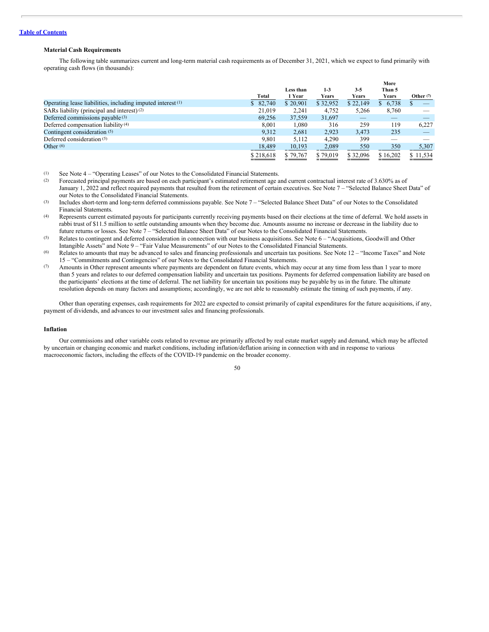#### **Material Cash Requirements**

The following table summarizes current and long-term material cash requirements as of December 31, 2021, which we expect to fund primarily with operating cash flows (in thousands):

|           | Less than | $1 - 3$  | $3-5$    | More<br>Than 5 |             |
|-----------|-----------|----------|----------|----------------|-------------|
|           |           |          |          |                | Other $(7)$ |
| \$82,740  | \$20,901  | \$32,952 | \$22,149 | \$6,738        |             |
| 21,019    | 2.241     | 4,752    | 5,266    | 8,760          |             |
| 69,256    | 37,559    | 31,697   | _        |                |             |
| 8.001     | 1,080     | 316      | 259      | 119            | 6.227       |
| 9,312     | 2,681     | 2,923    | 3,473    | 235            |             |
| 9.801     | 5.112     | 4.290    | 399      |                |             |
| 18,489    | 10,193    | 2,089    | 550      | 350            | 5,307       |
| \$218,618 | \$79,767  | \$79,019 | \$32,096 | \$16,202       | \$11,534    |
|           | Total     | 1 Year   | Years    | Years          | Years       |

(1) See Note 4 – "Operating Leases" of our Notes to the Consolidated Financial Statements.

(2) Forecasted principal payments are based on each participant's estimated retirement age and current contractual interest rate of 3.630% as of January 1, 2022 and reflect required payments that resulted from the retirement of certain executives. See Note 7 – "Selected Balance Sheet Data" of our Notes to the Consolidated Financial Statements.

- (3) Includes short-term and long-term deferred commissions payable. See Note 7 "Selected Balance Sheet Data" of our Notes to the Consolidated Financial Statements.
- (4) Represents current estimated payouts for participants currently receiving payments based on their elections at the time of deferral. We hold assets in rabbi trust of \$11.5 million to settle outstanding amounts when they become due. Amounts assume no increase or decrease in the liability due to future returns or losses. See Note 7 – "Selected Balance Sheet Data" of our Notes to the Consolidated Financial Statements.
- (5) Relates to contingent and deferred consideration in connection with our business acquisitions. See Note 6 "Acquisitions, Goodwill and Other Intangible Assets" and Note 9 – "Fair Value Measurements" of our Notes to the Consolidated Financial Statements.
- (6) Relates to amounts that may be advanced to sales and financing professionals and uncertain tax positions. See Note 12 "Income Taxes" and Note 15 – "Commitments and Contingencies" of our Notes to the Consolidated Financial Statements.
- (7) Amounts in Other represent amounts where payments are dependent on future events, which may occur at any time from less than 1 year to more than 5 years and relates to our deferred compensation liability and uncertain tax positions. Payments for deferred compensation liability are based on the participants' elections at the time of deferral. The net liability for uncertain tax positions may be payable by us in the future. The ultimate resolution depends on many factors and assumptions; accordingly, we are not able to reasonably estimate the timing of such payments, if any.

Other than operating expenses, cash requirements for 2022 are expected to consist primarily of capital expenditures for the future acquisitions, if any, payment of dividends, and advances to our investment sales and financing professionals.

#### **Inflation**

Our commissions and other variable costs related to revenue are primarily affected by real estate market supply and demand, which may be affected by uncertain or changing economic and market conditions, including inflation/deflation arising in connection with and in response to various macroeconomic factors, including the effects of the COVID-19 pandemic on the broader economy.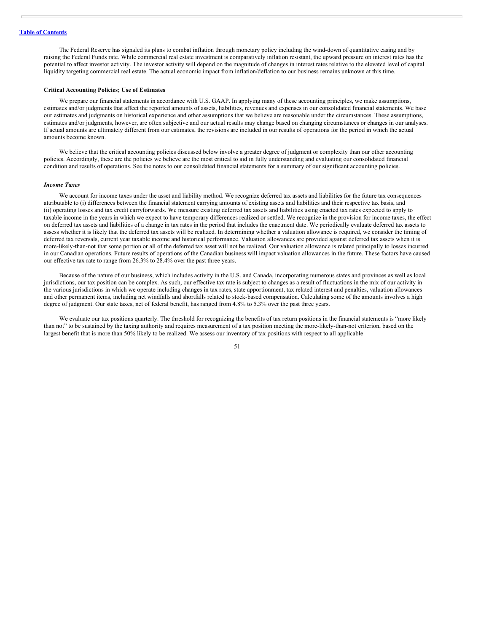The Federal Reserve has signaled its plans to combat inflation through monetary policy including the wind-down of quantitative easing and by raising the Federal Funds rate. While commercial real estate investment is comparatively inflation resistant, the upward pressure on interest rates has the potential to affect investor activity. The investor activity will depend on the magnitude of changes in interest rates relative to the elevated level of capital liquidity targeting commercial real estate. The actual economic impact from inflation/deflation to our business remains unknown at this time.

#### **Critical Accounting Policies; Use of Estimates**

We prepare our financial statements in accordance with U.S. GAAP. In applying many of these accounting principles, we make assumptions, estimates and/or judgments that affect the reported amounts of assets, liabilities, revenues and expenses in our consolidated financial statements. We base our estimates and judgments on historical experience and other assumptions that we believe are reasonable under the circumstances. These assumptions, estimates and/or judgments, however, are often subjective and our actual results may change based on changing circumstances or changes in our analyses. If actual amounts are ultimately different from our estimates, the revisions are included in our results of operations for the period in which the actual amounts become known.

We believe that the critical accounting policies discussed below involve a greater degree of judgment or complexity than our other accounting policies. Accordingly, these are the policies we believe are the most critical to aid in fully understanding and evaluating our consolidated financial condition and results of operations. See the notes to our consolidated financial statements for a summary of our significant accounting policies.

#### *Income Taxes*

We account for income taxes under the asset and liability method. We recognize deferred tax assets and liabilities for the future tax consequences attributable to (i) differences between the financial statement carrying amounts of existing assets and liabilities and their respective tax basis, and (ii) operating losses and tax credit carryforwards. We measure existing deferred tax assets and liabilities using enacted tax rates expected to apply to taxable income in the years in which we expect to have temporary differences realized or settled. We recognize in the provision for income taxes, the effect on deferred tax assets and liabilities of a change in tax rates in the period that includes the enactment date. We periodically evaluate deferred tax assets to assess whether it is likely that the deferred tax assets will be realized. In determining whether a valuation allowance is required, we consider the timing of deferred tax reversals, current year taxable income and historical performance. Valuation allowances are provided against deferred tax assets when it is more-likely-than-not that some portion or all of the deferred tax asset will not be realized. Our valuation allowance is related principally to losses incurred in our Canadian operations. Future results of operations of the Canadian business will impact valuation allowances in the future. These factors have caused our effective tax rate to range from 26.3% to 28.4% over the past three years.

Because of the nature of our business, which includes activity in the U.S. and Canada, incorporating numerous states and provinces as well as local jurisdictions, our tax position can be complex. As such, our effective tax rate is subject to changes as a result of fluctuations in the mix of our activity in the various jurisdictions in which we operate including changes in tax rates, state apportionment, tax related interest and penalties, valuation allowances and other permanent items, including net windfalls and shortfalls related to stock-based compensation. Calculating some of the amounts involves a high degree of judgment. Our state taxes, net of federal benefit, has ranged from 4.8% to 5.3% over the past three years.

We evaluate our tax positions quarterly. The threshold for recognizing the benefits of tax return positions in the financial statements is "more likely than not" to be sustained by the taxing authority and requires measurement of a tax position meeting the more-likely-than-not criterion, based on the largest benefit that is more than 50% likely to be realized. We assess our inventory of tax positions with respect to all applicable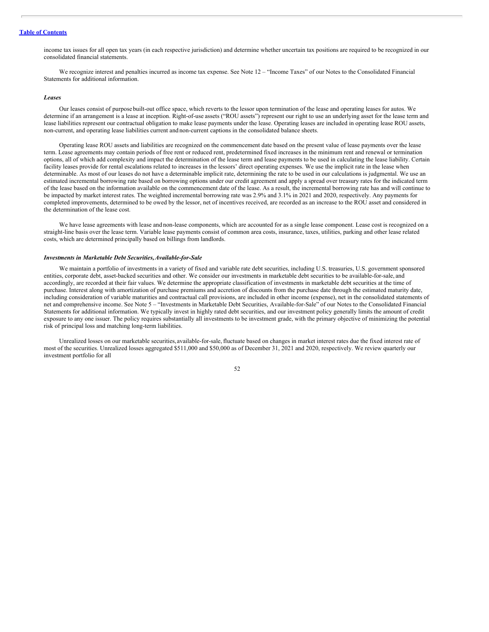#### **Table of [Contents](#page-1-0)**

income tax issues for all open tax years (in each respective jurisdiction) and determine whether uncertain tax positions are required to be recognized in our consolidated financial statements.

We recognize interest and penalties incurred as income tax expense. See Note 12 – "Income Taxes" of our Notes to the Consolidated Financial Statements for additional information.

#### *Leases*

Our leases consist of purpose built-out office space, which reverts to the lessor upon termination of the lease and operating leases for autos. We determine if an arrangement is a lease at inception. Right-of-use assets ("ROU assets") represent our right to use an underlying asset for the lease term and lease liabilities represent our contractual obligation to make lease payments under the lease. Operating leases are included in operating lease ROU assets, non-current, and operating lease liabilities current and non-current captions in the consolidated balance sheets.

Operating lease ROU assets and liabilities are recognized on the commencement date based on the present value of lease payments over the lease term. Lease agreements may contain periods of free rent or reduced rent, predetermined fixed increases in the minimum rent and renewal or termination options, all of which add complexity and impact the determination of the lease term and lease payments to be used in calculating the lease liability. Certain facility leases provide for rental escalations related to increases in the lessors' direct operating expenses. We use the implicit rate in the lease when determinable. As most of our leases do not have a determinable implicit rate, determining the rate to be used in our calculations is judgmental. We use an estimated incremental borrowing rate based on borrowing options under our credit agreement and apply a spread over treasury rates for the indicated term of the lease based on the information available on the commencement date of the lease. As a result, the incremental borrowing rate has and will continue to be impacted by market interest rates. The weighted incremental borrowing rate was 2.9% and 3.1% in 2021 and 2020, respectively. Any payments for completed improvements, determined to be owed by the lessor, net of incentives received, are recorded as an increase to the ROU asset and considered in the determination of the lease cost.

We have lease agreements with lease and non-lease components, which are accounted for as a single lease component. Lease cost is recognized on a straight-line basis over the lease term. Variable lease payments consist of common area costs, insurance, taxes, utilities, parking and other lease related costs, which are determined principally based on billings from landlords.

#### *Investments in Marketable Debt Securities,Available-for-Sale*

We maintain a portfolio of investments in a variety of fixed and variable rate debt securities, including U.S. treasuries, U.S. government sponsored entities, corporate debt, asset-backed securities and other. We consider our investments in marketable debt securities to be available-for-sale, and accordingly, are recorded at their fair values. We determine the appropriate classification of investments in marketable debt securities at the time of purchase. Interest along with amortization of purchase premiums and accretion of discounts from the purchase date through the estimated maturity date, including consideration of variable maturities and contractual call provisions, are included in other income (expense), net in the consolidated statements of net and comprehensive income. See Note 5 – "Investments in Marketable Debt Securities, Available-for-Sale" of our Notes to the Consolidated Financial Statements for additional information. We typically invest in highly rated debt securities, and our investment policy generally limits the amount of credit exposure to any one issuer. The policy requires substantially all investments to be investment grade, with the primary objective of minimizing the potential risk of principal loss and matching long-term liabilities.

Unrealized losses on our marketable securities, available-for-sale,fluctuate based on changes in market interest rates due the fixed interest rate of most of the securities. Unrealized losses aggregated \$511,000 and \$50,000 as of December 31, 2021 and 2020, respectively. We review quarterly our investment portfolio for all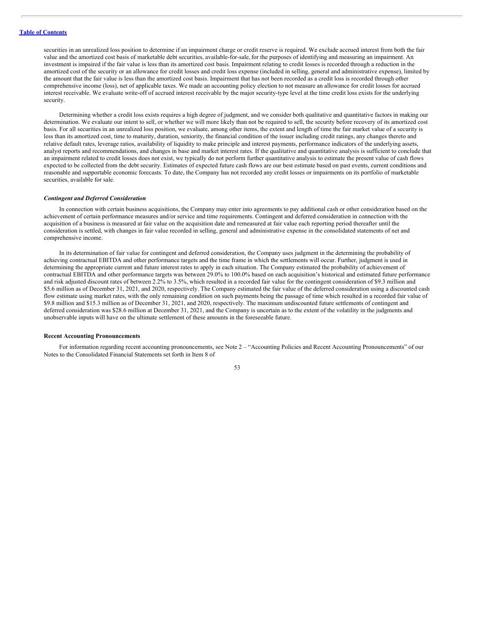securities in an unrealized loss position to determine if an impairment charge or credit reserve is required. We exclude accrued interest from both the fair value and the amortized cost basis of marketable debt securities, available-for-sale,for the purposes of identifying and measuring an impairment. An investment is impaired if the fair value is less than its amortized cost basis. Impairment relating to credit losses is recorded through a reduction in the amortized cost of the security or an allowance for credit losses and credit loss expense (included in selling, general and administrative expense), limited by the amount that the fair value is less than the amortized cost basis. Impairment that has not been recorded as a credit loss is recorded through other comprehensive income (loss), net of applicable taxes. We made an accounting policy election to not measure an allowance for credit losses for accrued interest receivable. We evaluate write-off of accrued interest receivable by the major security-type level at the time credit loss exists for the underlying security.

Determining whether a credit loss exists requires a high degree of judgment, and we consider both qualitative and quantitative factors in making our determination. We evaluate our intent to sell, or whether we will more likely than not be required to sell, the security before recovery of its amortized cost basis. For all securities in an unrealized loss position, we evaluate, among other items, the extent and length of time the fair market value of a security is less than its amortized cost, time to maturity, duration, seniority, the financial condition of the issuer including credit ratings, any changes thereto and relative default rates, leverage ratios, availability of liquidity to make principle and interest payments, performance indicators of the underlying assets, analyst reports and recommendations, and changes in base and market interest rates. If the qualitative and quantitative analysis is sufficient to conclude that an impairment related to credit losses does not exist, we typically do not perform further quantitative analysis to estimate the present value of cash flows expected to be collected from the debt security. Estimates of expected future cash flows are our best estimate based on past events, current conditions and reasonable and supportable economic forecasts. To date, the Company has not recorded any credit losses or impairments on its portfolio of marketable securities, available for sale.

### *Contingent and Deferred Consideration*

In connection with certain business acquisitions, the Company may enter into agreements to pay additional cash or other consideration based on the achievement of certain performance measures and/or service and time requirements. Contingent and deferred consideration in connection with the acquisition of a business is measured at fair value on the acquisition date and remeasured at fair value each reporting period thereafter until the consideration is settled, with changes in fair value recorded in selling, general and administrative expense in the consolidated statements of net and comprehensive income.

In its determination of fair value for contingent and deferred consideration, the Company uses judgment in the determining the probability of achieving contractual EBITDA and other performance targets and the time frame in which the settlements will occur. Further, judgment is used in determining the appropriate current and future interest rates to apply in each situation. The Company estimated the probability of achievement of contractual EBITDA and other performance targets was between 29.0% to 100.0% based on each acquisition's historical and estimated future performance and risk adjusted discount rates of between 2.2% to 3.5%, which resulted in a recorded fair value for the contingent consideration of \$9.3 million and \$5.6 million as of December 31, 2021, and 2020, respectively. The Company estimated the fair value of the deferred consideration using a discounted cash flow estimate using market rates, with the only remaining condition on such payments being the passage of time which resulted in a recorded fair value of \$9.8 million and \$15.3 million as of December 31, 2021, and 2020, respectively. The maximum undiscounted future settlements of contingent and deferred consideration was \$28.6 million at December 31, 2021, and the Company is uncertain as to the extent of the volatility in the judgments and unobservable inputs will have on the ultimate settlement of these amounts in the foreseeable future.

#### **Recent Accounting Pronouncements**

For information regarding recent accounting pronouncements, see Note 2 – "Accounting Policies and Recent Accounting Pronouncements" of our Notes to the Consolidated Financial Statements set forth in Item 8 of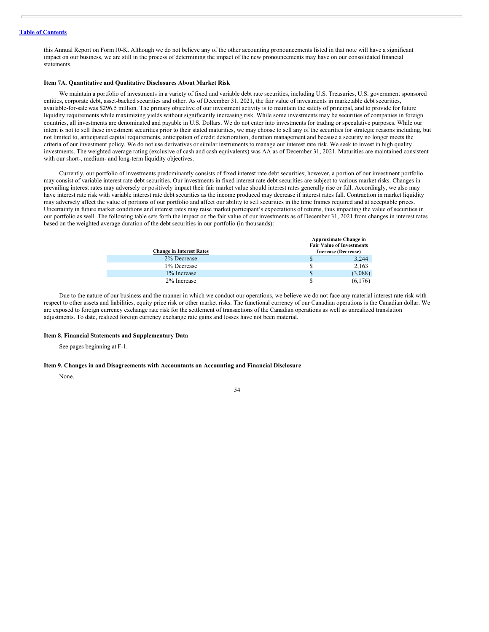this Annual Report on Form10-K. Although we do not believe any of the other accounting pronouncements listed in that note will have a significant impact on our business, we are still in the process of determining the impact of the new pronouncements may have on our consolidated financial statements.

#### **Item 7A. Quantitative and Qualitative Disclosures About Market Risk**

We maintain a portfolio of investments in a variety of fixed and variable debt rate securities, including U.S. Treasuries, U.S. government sponsored entities, corporate debt, asset-backed securities and other. As of December 31, 2021, the fair value of investments in marketable debt securities, available-for-sale was \$296.5 million. The primary objective of our investment activity is to maintain the safety of principal, and to provide for future liquidity requirements while maximizing yields without significantly increasing risk. While some investments may be securities of companies in foreign countries, all investments are denominated and payable in U.S. Dollars. We do not enter into investments for trading or speculative purposes. While our intent is not to sell these investment securities prior to their stated maturities, we may choose to sell any of the securities for strategic reasons including, but not limited to, anticipated capital requirements, anticipation of credit deterioration, duration management and because a security no longer meets the criteria of our investment policy. We do not use derivatives or similar instruments to manage our interest rate risk. We seek to invest in high quality investments. The weighted average rating (exclusive of cash and cash equivalents) was AA as of December 31, 2021. Maturities are maintained consistent with our short-, medium- and long-term liquidity objectives.

Currently, our portfolio of investments predominantly consists of fixed interest rate debt securities; however, a portion of our investment portfolio may consist of variable interest rate debt securities. Our investments in fixed interest rate debt securities are subject to various market risks. Changes in prevailing interest rates may adversely or positively impact their fair market value should interest rates generally rise or fall. Accordingly, we also may have interest rate risk with variable interest rate debt securities as the income produced may decrease if interest rates fall. Contraction in market liquidity may adversely affect the value of portions of our portfolio and affect our ability to sell securities in the time frames required and at acceptable prices. Uncertainty in future market conditions and interest rates may raise market participant's expectations of returns, thus impacting the value of securities in our portfolio as well. The following table sets forth the impact on the fair value of our investments as of December 31, 2021 from changes in interest rates based on the weighted average duration of the debt securities in our portfolio (in thousands):

| <b>Change in Interest Rates</b> |     | <b>Approximate Change in</b><br><b>Fair Value of Investments</b><br>Increase (Decrease) |  |
|---------------------------------|-----|-----------------------------------------------------------------------------------------|--|
| 2% Decrease                     | S   | 3,244                                                                                   |  |
| 1% Decrease                     |     | 2,163                                                                                   |  |
| 1% Increase                     | \$. | (3,088)                                                                                 |  |
| 2% Increase                     |     | (6,176)                                                                                 |  |

Due to the nature of our business and the manner in which we conduct our operations, we believe we do not face any material interest rate risk with respect to other assets and liabilities, equity price risk or other market risks. The functional currency of our Canadian operations is the Canadian dollar. We are exposed to foreign currency exchange rate risk for the settlement of transactions of the Canadian operations as well as unrealized translation adjustments. To date, realized foreign currency exchange rate gains and losses have not been material.

#### **Item 8. Financial Statements and Supplementary Data**

See pages beginning at F-1.

#### **Item 9. Changes in and Disagreements with Accountants on Accounting and Financial Disclosure**

None.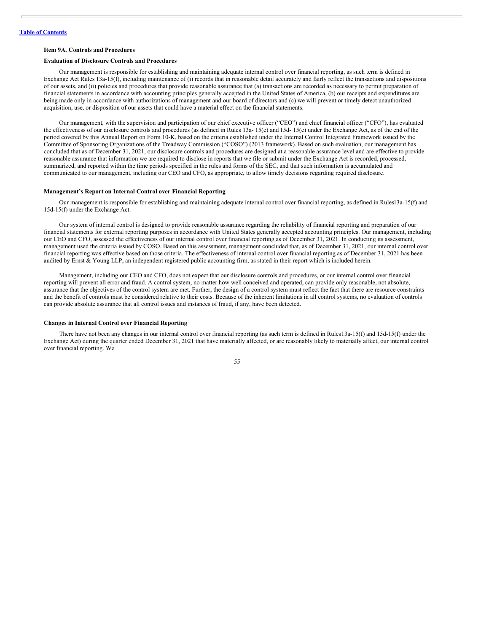#### **Item 9A. Controls and Procedures**

#### **Evaluation of Disclosure Controls and Procedures**

Our management is responsible for establishing and maintaining adequate internal control over financial reporting, as such term is defined in Exchange Act Rules 13a-15(f), including maintenance of (i) records that in reasonable detail accurately and fairly reflect the transactions and dispositions of our assets, and (ii) policies and procedures that provide reasonable assurance that (a) transactions are recorded as necessary to permit preparation of financial statements in accordance with accounting principles generally accepted in the United States of America, (b) our receipts and expenditures are being made only in accordance with authorizations of management and our board of directors and (c) we will prevent or timely detect unauthorized acquisition, use, or disposition of our assets that could have a material effect on the financial statements.

Our management, with the supervision and participation of our chief executive officer ("CEO") and chief financial officer ("CFO"), has evaluated the effectiveness of our disclosure controls and procedures (as defined in Rules 13a- 15(e) and 15d- 15(e) under the Exchange Act, as of the end of the period covered by this Annual Report on Form 10-K, based on the criteria established under the Internal Control Integrated Framework issued by the Committee of Sponsoring Organizations of the Treadway Commission ("COSO") (2013 framework). Based on such evaluation, our management has concluded that as of December 31, 2021, our disclosure controls and procedures are designed at a reasonable assurance level and are effective to provide reasonable assurance that information we are required to disclose in reports that we file or submit under the Exchange Act is recorded, processed, summarized, and reported within the time periods specified in the rules and forms of the SEC, and that such information is accumulated and communicated to our management, including our CEO and CFO, as appropriate, to allow timely decisions regarding required disclosure.

#### **Management's Report on Internal Control over Financial Reporting**

Our management is responsible for establishing and maintaining adequate internal control over financial reporting, as defined in Rules13a-15(f) and 15d-15(f) under the Exchange Act.

Our system of internal control is designed to provide reasonable assurance regarding the reliability of financial reporting and preparation of our financial statements for external reporting purposes in accordance with United States generally accepted accounting principles. Our management, including our CEO and CFO, assessed the effectiveness of our internal control over financial reporting as of December 31, 2021. In conducting its assessment, management used the criteria issued by COSO. Based on this assessment, management concluded that, as of December 31, 2021, our internal control over financial reporting was effective based on those criteria. The effectiveness of internal control over financial reporting as of December 31, 2021 has been audited by Ernst & Young LLP, an independent registered public accounting firm, as stated in their report which is included herein.

Management, including our CEO and CFO, does not expect that our disclosure controls and procedures, or our internal control over financial reporting will prevent all error and fraud. A control system, no matter how well conceived and operated, can provide only reasonable, not absolute, assurance that the objectives of the control system are met. Further, the design of a control system must reflect the fact that there are resource constraints and the benefit of controls must be considered relative to their costs. Because of the inherent limitations in all control systems, no evaluation of controls can provide absolute assurance that all control issues and instances of fraud, if any, have been detected.

#### **Changes in Internal Control over Financial Reporting**

There have not been any changes in our internal control over financial reporting (as such term is defined in Rules13a-15(f) and 15d-15(f) under the Exchange Act) during the quarter ended December 31, 2021 that have materially affected, or are reasonably likely to materially affect, our internal control over financial reporting. We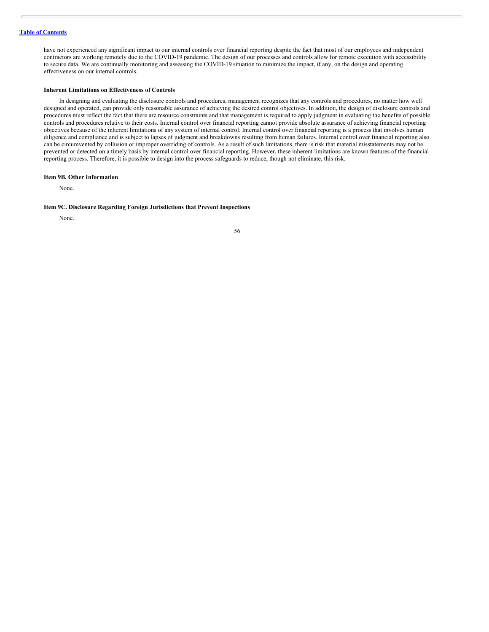#### **Table of [Contents](#page-1-0)**

have not experienced any significant impact to our internal controls over financial reporting despite the fact that most of our employees and independent contractors are working remotely due to the COVID-19 pandemic. The design of our processes and controls allow for remote execution with accessibility to secure data. We are continually monitoring and assessing the COVID-19 situation to minimize the impact, if any, on the design and operating effectiveness on our internal controls.

#### **Inherent Limitations on Effectiveness of Controls**

In designing and evaluating the disclosure controls and procedures, management recognizes that any controls and procedures, no matter how well designed and operated, can provide only reasonable assurance of achieving the desired control objectives. In addition, the design of disclosure controls and procedures must reflect the fact that there are resource constraints and that management is required to apply judgment in evaluating the benefits of possible controls and procedures relative to their costs. Internal control over financial reporting cannot provide absolute assurance of achieving financial reporting objectives because of the inherent limitations of any system of internal control. Internal control over financial reporting is a process that involves human diligence and compliance and is subject to lapses of judgment and breakdowns resulting from human failures. Internal control over financial reporting also can be circumvented by collusion or improper overriding of controls. As a result of such limitations, there is risk that material misstatements may not be prevented or detected on a timely basis by internal control over financial reporting. However, these inherent limitations are known features of the financial reporting process. Therefore, it is possible to design into the process safeguards to reduce, though not eliminate, this risk.

#### **Item 9B. Other Information**

None.

#### **Item 9C. Disclosure Regarding Foreign Jurisdictions that Prevent Inspections**

None.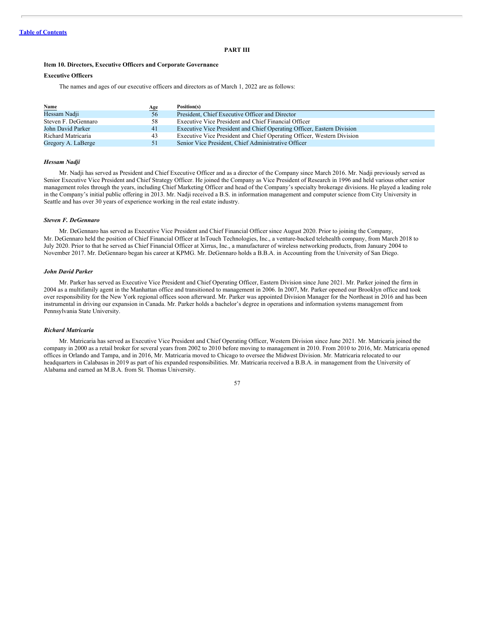## **PART III**

# **Item 10. Directors, Executive Officers and Corporate Governance**

### **Executive Officers**

The names and ages of our executive officers and directors as of March 1, 2022 are as follows:

| Name                | <u>Age</u> | Position(s)                                                            |
|---------------------|------------|------------------------------------------------------------------------|
| Hessam Nadji        | 56         | President, Chief Executive Officer and Director                        |
| Steven F. DeGennaro | 58         | Executive Vice President and Chief Financial Officer                   |
| John David Parker   | 41         | Executive Vice President and Chief Operating Officer, Eastern Division |
| Richard Matricaria  | 43         | Executive Vice President and Chief Operating Officer, Western Division |
| Gregory A. LaBerge  |            | Senior Vice President, Chief Administrative Officer                    |

#### *Hessam Nadji*

Mr. Nadji has served as President and Chief Executive Officer and as a director of the Company since March 2016. Mr. Nadji previously served as Senior Executive Vice President and Chief Strategy Officer. He joined the Company as Vice President of Research in 1996 and held various other senior management roles through the years, including Chief Marketing Officer and head of the Company's specialty brokerage divisions. He played a leading role in the Company's initial public offering in 2013. Mr. Nadji received a B.S. in information management and computer science from City University in Seattle and has over 30 years of experience working in the real estate industry.

#### *Steven F. DeGennaro*

Mr. DeGennaro has served as Executive Vice President and Chief Financial Officer since August 2020. Prior to joining the Company, Mr. DeGennaro held the position of Chief Financial Officer at InTouch Technologies, Inc., a venture-backed telehealth company, from March 2018 to July 2020. Prior to that he served as Chief Financial Officer at Xirrus, Inc., a manufacturer of wireless networking products, from January 2004 to November 2017. Mr. DeGennaro began his career at KPMG. Mr. DeGennaro holds a B.B.A. in Accounting from the University of San Diego.

#### *John David Parker*

Mr. Parker has served as Executive Vice President and Chief Operating Officer, Eastern Division since June 2021. Mr. Parker joined the firm in 2004 as a multifamily agent in the Manhattan office and transitioned to management in 2006. In 2007, Mr. Parker opened our Brooklyn office and took over responsibility for the New York regional offices soon afterward. Mr. Parker was appointed Division Manager for the Northeast in 2016 and has been instrumental in driving our expansion in Canada. Mr. Parker holds a bachelor's degree in operations and information systems management from Pennsylvania State University.

#### *Richard Matricaria*

Mr. Matricaria has served as Executive Vice President and Chief Operating Officer, Western Division since June 2021. Mr. Matricaria joined the company in 2000 as a retail broker for several years from 2002 to 2010 before moving to management in 2010. From 2010 to 2016, Mr. Matricaria opened offices in Orlando and Tampa, and in 2016, Mr. Matricaria moved to Chicago to oversee the Midwest Division. Mr. Matricaria relocated to our headquarters in Calabasas in 2019 as part of his expanded responsibilities. Mr. Matricaria received a B.B.A. in management from the University of Alabama and earned an M.B.A. from St. Thomas University.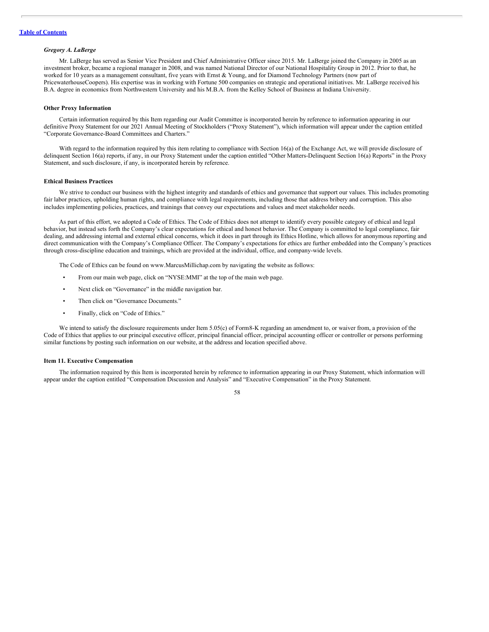#### *Gregory A. LaBerge*

Mr. LaBerge has served as Senior Vice President and Chief Administrative Officer since 2015. Mr. LaBerge joined the Company in 2005 as an investment broker, became a regional manager in 2008, and was named National Director of our National Hospitality Group in 2012. Prior to that, he worked for 10 years as a management consultant, five years with Ernst & Young, and for Diamond Technology Partners (now part of PricewaterhouseCoopers). His expertise was in working with Fortune 500 companies on strategic and operational initiatives. Mr. LaBerge received his B.A. degree in economics from Northwestern University and his M.B.A. from the Kelley School of Business at Indiana University.

#### **Other Proxy Information**

Certain information required by this Item regarding our Audit Committee is incorporated herein by reference to information appearing in our definitive Proxy Statement for our 2021 Annual Meeting of Stockholders ("Proxy Statement"), which information will appear under the caption entitled "Corporate Governance-Board Committees and Charters."

With regard to the information required by this item relating to compliance with Section 16(a) of the Exchange Act, we will provide disclosure of delinquent Section 16(a) reports, if any, in our Proxy Statement under the caption entitled "Other Matters-Delinquent Section 16(a) Reports" in the Proxy Statement, and such disclosure, if any, is incorporated herein by reference.

#### **Ethical Business Practices**

We strive to conduct our business with the highest integrity and standards of ethics and governance that support our values. This includes promoting fair labor practices, upholding human rights, and compliance with legal requirements, including those that address bribery and corruption. This also includes implementing policies, practices, and trainings that convey our expectations and values and meet stakeholder needs.

As part of this effort, we adopted a Code of Ethics. The Code of Ethics does not attempt to identify every possible category of ethical and legal behavior, but instead sets forth the Company's clear expectations for ethical and honest behavior. The Company is committed to legal compliance, fair dealing, and addressing internal and external ethical concerns, which it does in part through its Ethics Hotline, which allows for anonymous reporting and direct communication with the Company's Compliance Officer. The Company's expectations for ethics are further embedded into the Company's practices through cross-discipline education and trainings, which are provided at the individual, office, and company-wide levels.

The Code of Ethics can be found on www.MarcusMillichap.com by navigating the website as follows:

- From our main web page, click on "NYSE:MMI" at the top of the main web page.
- Next click on "Governance" in the middle navigation bar.
- Then click on "Governance Documents."
- Finally, click on "Code of Ethics."

We intend to satisfy the disclosure requirements under Item 5.05(c) of Form8-K regarding an amendment to, or waiver from, a provision of the Code of Ethics that applies to our principal executive officer, principal financial officer, principal accounting officer or controller or persons performing similar functions by posting such information on our website, at the address and location specified above.

#### **Item 11. Executive Compensation**

The information required by this Item is incorporated herein by reference to information appearing in our Proxy Statement, which information will appear under the caption entitled "Compensation Discussion and Analysis" and "Executive Compensation" in the Proxy Statement.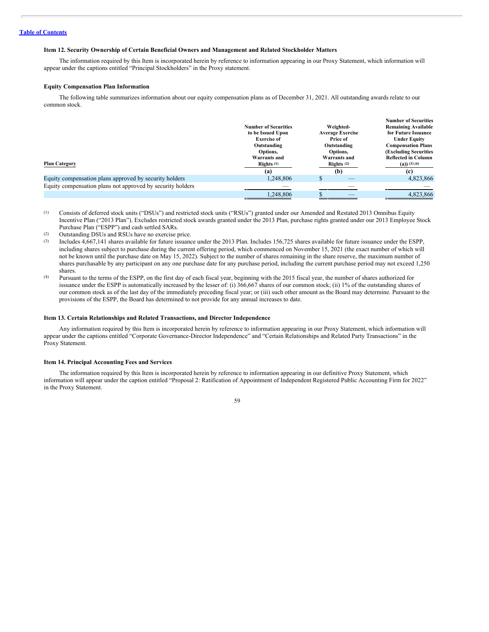#### **Item 12. Security Ownership of Certain Beneficial Owners and Management and Related Stockholder Matters**

The information required by this Item is incorporated herein by reference to information appearing in our Proxy Statement, which information will appear under the captions entitled "Principal Stockholders" in the Proxy statement.

#### **Equity Compensation Plan Information**

The following table summarizes information about our equity compensation plans as of December 31, 2021. All outstanding awards relate to our common stock.

| <b>Plan Category</b>                                       | <b>Number of Securities</b><br>to be Issued Upon<br><b>Exercise of</b><br>Outstanding<br>Options,<br>Warrants and<br>Rights $(1)$ | Weighted-<br><b>Average Exercise</b><br>Price of<br>Outstanding<br>Options,<br>Warrants and<br>Rights <sup>(2)</sup> | <b>Number of Securities</b><br><b>Remaining Available</b><br>for Future Issuance<br><b>Under Equity</b><br><b>Compensation Plans</b><br>(Excluding Securities<br><b>Reflected in Column</b><br>$(a))$ (3) (4) |
|------------------------------------------------------------|-----------------------------------------------------------------------------------------------------------------------------------|----------------------------------------------------------------------------------------------------------------------|---------------------------------------------------------------------------------------------------------------------------------------------------------------------------------------------------------------|
|                                                            | (a)                                                                                                                               | (b)                                                                                                                  | (c)                                                                                                                                                                                                           |
| Equity compensation plans approved by security holders     | 1.248.806                                                                                                                         | ۰D                                                                                                                   | 4.823.866                                                                                                                                                                                                     |
| Equity compensation plans not approved by security holders |                                                                                                                                   |                                                                                                                      |                                                                                                                                                                                                               |
|                                                            | 1.248.806                                                                                                                         |                                                                                                                      | 4.823.866                                                                                                                                                                                                     |

(1) Consists of deferred stock units ("DSUs") and restricted stock units ("RSUs") granted under our Amended and Restated 2013 Omnibus Equity Incentive Plan ("2013 Plan"). Excludes restricted stock awards granted under the 2013 Plan, purchase rights granted under our 2013 Employee Stock Purchase Plan ("ESPP") and cash settled SARs.

- (2) Outstanding DSUs and RSUs have no exercise price.
- (3) Includes 4,667,141 shares available for future issuance under the 2013 Plan. Includes 156,725 shares available for future issuance under the ESPP, including shares subject to purchase during the current offering period, which commenced on November 15, 2021 (the exact number of which will not be known until the purchase date on May 15, 2022). Subject to the number of shares remaining in the share reserve, the maximum number of shares purchasable by any participant on any one purchase date for any purchase period, including the current purchase period may not exceed 1,250 shares.
- (4) Pursuant to the terms of the ESPP, on the first day of each fiscal year, beginning with the 2015 fiscal year, the number of shares authorized for issuance under the ESPP is automatically increased by the lesser of: (i) 366,667 shares of our common stock; (ii) 1% of the outstanding shares of our common stock as of the last day of the immediately preceding fiscal year; or (iii) such other amount as the Board may determine. Pursuant to the provisions of the ESPP, the Board has determined to not provide for any annual increases to date.

#### **Item 13. Certain Relationships and Related Transactions, and Director Independence**

Any information required by this Item is incorporated herein by reference to information appearing in our Proxy Statement, which information will appear under the captions entitled "Corporate Governance-Director Independence" and "Certain Relationships and Related Party Transactions" in the Proxy Statement.

#### **Item 14. Principal Accounting Fees and Services**

The information required by this Item is incorporated herein by reference to information appearing in our definitive Proxy Statement, which information will appear under the caption entitled "Proposal 2: Ratification of Appointment of Independent Registered Public Accounting Firm for 2022" in the Proxy Statement.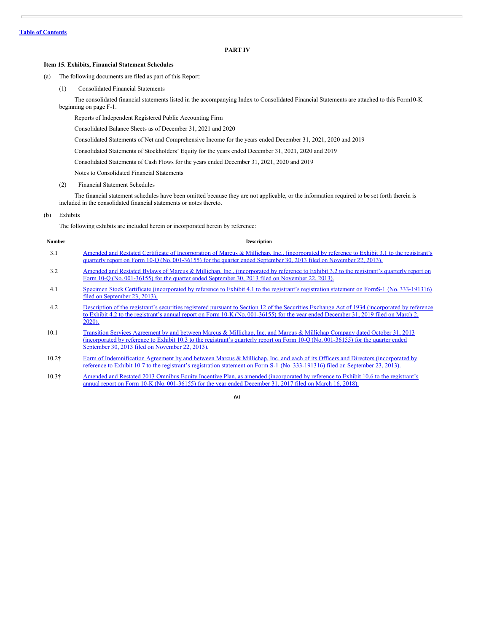#### **PART IV**

#### **Item 15. Exhibits, Financial Statement Schedules**

- (a) The following documents are filed as part of this Report:
	- (1) Consolidated Financial Statements

The consolidated financial statements listed in the accompanying Index to Consolidated Financial Statements are attached to this Form10-K beginning on page F-1.

Reports of Independent Registered Public Accounting Firm

Consolidated Balance Sheets as of December 31, 2021 and 2020

Consolidated Statements of Net and Comprehensive Income for the years ended December 31, 2021, 2020 and 2019

Consolidated Statements of Stockholders' Equity for the years ended December 31, 2021, 2020 and 2019

Consolidated Statements of Cash Flows for the years ended December 31, 2021, 2020 and 2019

Notes to Consolidated Financial Statements

(2) Financial Statement Schedules

The financial statement schedules have been omitted because they are not applicable, or the information required to be set forth therein is included in the consolidated financial statements or notes thereto.

#### (b) Exhibits

The following exhibits are included herein or incorporated herein by reference:

#### **Number Description**

- 3.1 Amended and Restated Certificate of [Incorporation](http://www.sec.gov/Archives/edgar/data/1578732/000119312513451310/d600966dex31.htm) of Marcus & Millichap, Inc., (incorporated by reference to Exhibit 3.1 to the registrant's quarterly report on Form 10-Q (No. 001-36155) for the quarter ended September 30, 2013 filed on November 22, 2013).
- 3.2 Amended and Restated Bylaws of Marcus & Millichap, Inc., [\(incorporated](http://www.sec.gov/Archives/edgar/data/1578732/000119312513451310/d600966dex32.htm) by reference to Exhibit 3.2 to the registrant's quarterly report on Form 10-Q (No. 001-36155) for the quarter ended September 30, 2013 filed on November 22, 2013).
- 4.1 Specimen Stock Certificate [\(incorporated](http://www.sec.gov/Archives/edgar/data/1578732/000119312513374727/d521344dex41.htm) by reference to Exhibit 4.1 to the registrant's registration statement on FormS-1 (No. 333-191316) filed on September 23, 2013).
- 4.2 Description of the registrant's securities registered pursuant to Section 12 of the Securities Exchange Act of 1934 [\(incorporated](http://www.sec.gov/Archives/edgar/data/1578732/000119312520058202/d825656dex42.htm) by reference to Exhibit 4.2 to the registrant's annual report on Form 10-K (No. 001-36155) for the year ended December 31, 2019 filed on March 2, 2020).
- 10.1 Transition Services Agreement by and between Marcus & Millichap, Inc. and Marcus & Millichap Company dated October 31, 2013 [\(incorporated](http://www.sec.gov/Archives/edgar/data/1578732/000119312513451310/d600966dex103.htm) by reference to Exhibit 10.3 to the registrant's quarterly report on Form 10-Q (No. 001-36155) for the quarter ended September 30, 2013 filed on November 22, 2013).
- 10.2† Form of [Indemnification](http://www.sec.gov/Archives/edgar/data/1578732/000119312513374727/d521344dex107.htm) Agreement by and between Marcus & Millichap, Inc. and each of its Officers and Directors (incorporated by reference to Exhibit 10.7 to the registrant's registration statement on Form S-1 (No. 333-191316) filed on September 23, 2013).
- 10.3† Amended and Restated 2013 Omnibus Equity Incentive Plan, as amended [\(incorporated](http://www.sec.gov/Archives/edgar/data/1578732/000119312518084734/d515665dex106.htm) by reference to Exhibit 10.6 to the registrant's annual report on Form 10-K (No. 001-36155) for the year ended December 31, 2017 filed on March 16, 2018).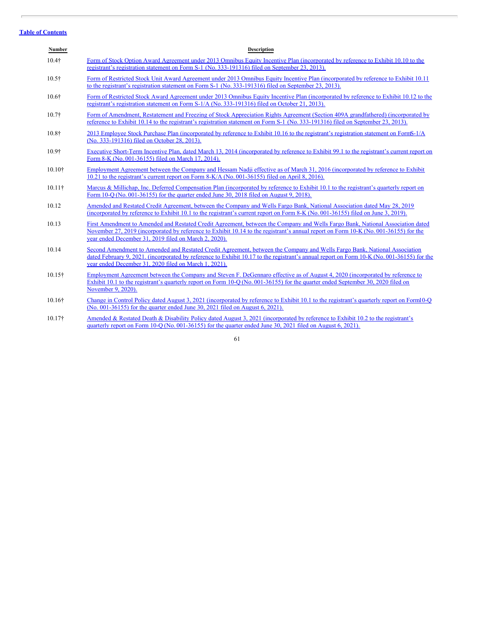# **Table of [Contents](#page-1-0)**

| Number             | <b>Description</b>                                                                                                                                                                                                                                                                                                               |
|--------------------|----------------------------------------------------------------------------------------------------------------------------------------------------------------------------------------------------------------------------------------------------------------------------------------------------------------------------------|
| $10.4\dagger$      | Form of Stock Option Award Agreement under 2013 Omnibus Equity Incentive Plan (incorporated by reference to Exhibit 10.10 to the<br>registrant's registration statement on Form S-1 (No. 333-191316) filed on September 23, 2013).                                                                                               |
| $10.5\dagger$      | Form of Restricted Stock Unit Award Agreement under 2013 Omnibus Equity Incentive Plan (incorporated by reference to Exhibit 10.11)<br>to the registrant's registration statement on Form S-1 (No. 333-191316) filed on September 23, 2013).                                                                                     |
| $10.6\dagger$      | Form of Restricted Stock Award Agreement under 2013 Omnibus Equity Incentive Plan (incorporated by reference to Exhibit 10.12 to the<br>registrant's registration statement on Form S-1/A (No. 333-191316) filed on October 21, 2013).                                                                                           |
| 10.7 <sup>†</sup>  | Form of Amendment, Restatement and Freezing of Stock Appreciation Rights Agreement (Section 409A grandfathered) (incorporated by<br>reference to Exhibit 10.14 to the registrant's registration statement on Form S-1 (No. 333-191316) filed on September 23, 2013).                                                             |
| $10.8\dagger$      | 2013 Employee Stock Purchase Plan (incorporated by reference to Exhibit 10.16 to the registrant's registration statement on FormS-1/A<br>(No. 333-191316) filed on October 28, 2013).                                                                                                                                            |
| 10.9 <sup>†</sup>  | Executive Short-Term Incentive Plan, dated March 13, 2014 (incorporated by reference to Exhibit 99.1 to the registrant's current report on<br>Form 8-K (No. 001-36155) filed on March 17, 2014).                                                                                                                                 |
| $10.10\dagger$     | Employment Agreement between the Company and Hessam Nadji effective as of March 31, 2016 (incorporated by reference to Exhibit<br>10.21 to the registrant's current report on Form 8-K/A (No. 001-36155) filed on April 8, 2016).                                                                                                |
| $10.11\dagger$     | Marcus & Millichap, Inc. Deferred Compensation Plan (incorporated by reference to Exhibit 10.1 to the registrant's quarterly report on<br>Form 10-O (No. 001-36155) for the quarter ended June 30, 2018 filed on August 9, 2018).                                                                                                |
| 10.12              | Amended and Restated Credit Agreement, between the Company and Wells Fargo Bank, National Association dated May 28, 2019<br>(incorporated by reference to Exhibit 10.1 to the registrant's current report on Form 8-K (No. 001-36155) filed on June 3, 2019).                                                                    |
| 10.13              | First Amendment to Amended and Restated Credit Agreement, between the Company and Wells Fargo Bank, National Association dated<br>November 27, 2019 (incorporated by reference to Exhibit 10.14 to the registrant's annual report on Form 10-K (No. 001-36155) for the<br>year ended December 31, 2019 filed on March 2, 2020).  |
| 10.14              | Second Amendment to Amended and Restated Credit Agreement, between the Company and Wells Fargo Bank, National Association<br>dated February 9, 2021. (incorporated by reference to Exhibit 10.17 to the registrant's annual report on Form 10-K (No. 001-36155) for the<br>year ended December 31, 2020 filed on March 1, 2021). |
| $10.15\dagger$     | Employment Agreement between the Company and Steven F. DeGennaro effective as of August 4, 2020 (incorporated by reference to<br>Exhibit 10.1 to the registrant's quarterly report on Form 10-Q (No. 001-36155) for the quarter ended September 30, 2020 filed on<br>November 9, 2020).                                          |
| $10.16\dagger$     | Change in Control Policy dated August 3, 2021 (incorporated by reference to Exhibit 10.1 to the registrant's quarterly report on Form 0-O<br>(No. 001-36155) for the quarter ended June 30, 2021 filed on August 6, 2021).                                                                                                       |
| 10.17 <sup>†</sup> | Amended & Restated Death & Disability Policy dated August 3, 2021 (incorporated by reference to Exhibit 10.2 to the registrant's                                                                                                                                                                                                 |

quarterly report on Form 10-Q (No. 001-36155) for the quarter ended June 30, 2021 filed on August 6, 2021).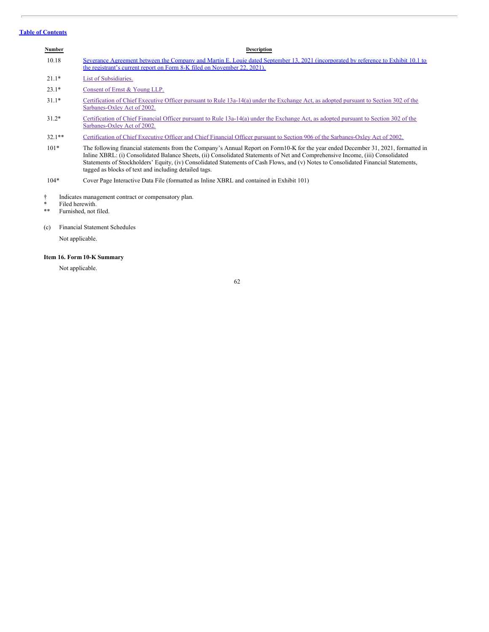# **Table of [Contents](#page-1-0)**

| Number            | <b>Description</b>                                                                                                                                                                                                                                                                                                                                                                                                                                                   |
|-------------------|----------------------------------------------------------------------------------------------------------------------------------------------------------------------------------------------------------------------------------------------------------------------------------------------------------------------------------------------------------------------------------------------------------------------------------------------------------------------|
| 10.18             | Severance Agreement between the Company and Martin E. Louie dated September 13, 2021 (incorporated by reference to Exhibit 10.1 to<br>the registrant's current report on Form 8-K filed on November 22, 2021).                                                                                                                                                                                                                                                       |
| $21.1*$           | List of Subsidiaries.                                                                                                                                                                                                                                                                                                                                                                                                                                                |
| $23.1*$           | Consent of Ernst & Young LLP.                                                                                                                                                                                                                                                                                                                                                                                                                                        |
| $31.1*$           | Certification of Chief Executive Officer pursuant to Rule 13a-14(a) under the Exchange Act, as adopted pursuant to Section 302 of the<br>Sarbanes-Oxley Act of 2002.                                                                                                                                                                                                                                                                                                 |
| $31.2*$           | Certification of Chief Financial Officer pursuant to Rule 13a-14(a) under the Exchange Act, as adopted pursuant to Section 302 of the<br>Sarbanes-Oxley Act of 2002.                                                                                                                                                                                                                                                                                                 |
| $32.1**$          | Certification of Chief Executive Officer and Chief Financial Officer pursuant to Section 906 of the Sarbanes-Oxley Act of 2002.                                                                                                                                                                                                                                                                                                                                      |
| $101*$            | The following financial statements from the Company's Annual Report on Form10-K for the year ended December 31, 2021, formatted in<br>Inline XBRL: (i) Consolidated Balance Sheets, (ii) Consolidated Statements of Net and Comprehensive Income, (iii) Consolidated<br>Statements of Stockholders' Equity, (iv) Consolidated Statements of Cash Flows, and (v) Notes to Consolidated Financial Statements,<br>tagged as blocks of text and including detailed tags. |
| $104*$            | Cover Page Interactive Data File (formatted as Inline XBRL and contained in Exhibit 101)                                                                                                                                                                                                                                                                                                                                                                             |
| Ť<br>$\ast$<br>** | Indicates management contract or compensatory plan.<br>Filed herewith.<br>Furnished, not filed.                                                                                                                                                                                                                                                                                                                                                                      |

(c) Financial Statement Schedules

Not applicable.

# **Item 16. Form 10-K Summary**

Not applicable.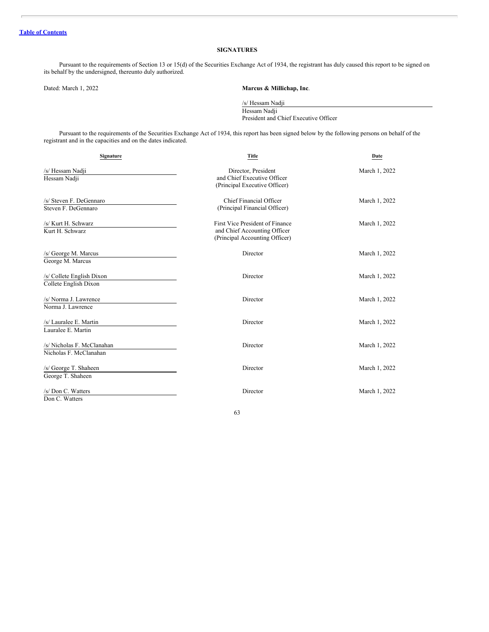#### **SIGNATURES**

Pursuant to the requirements of Section 13 or 15(d) of the Securities Exchange Act of 1934, the registrant has duly caused this report to be signed on its behalf by the undersigned, thereunto duly authorized.

# Dated: March 1, 2022 **Marcus & Millichap, Inc**.

/s/ Hessam Nadji Hessam Nadji President and Chief Executive Officer

Pursuant to the requirements of the Securities Exchange Act of 1934, this report has been signed below by the following persons on behalf of the registrant and in the capacities and on the dates indicated.

| Signature                                            | <b>Title</b>                                                                                      | Date          |
|------------------------------------------------------|---------------------------------------------------------------------------------------------------|---------------|
| /s/ Hessam Nadji<br>Hessam Nadji                     | Director, President<br>and Chief Executive Officer<br>(Principal Executive Officer)               | March 1, 2022 |
| /s/ Steven F. DeGennaro<br>Steven F. DeGennaro       | Chief Financial Officer<br>(Principal Financial Officer)                                          | March 1, 2022 |
| /s/ Kurt H. Schwarz<br>Kurt H. Schwarz               | First Vice President of Finance<br>and Chief Accounting Officer<br>(Principal Accounting Officer) | March 1, 2022 |
| /s/ George M. Marcus<br>George M. Marcus             | Director                                                                                          | March 1, 2022 |
| /s/ Collete English Dixon<br>Collete English Dixon   | Director                                                                                          | March 1, 2022 |
| /s/ Norma J. Lawrence<br>Norma J. Lawrence           | Director                                                                                          | March 1, 2022 |
| /s/ Lauralee E. Martin<br>Lauralee E. Martin         | Director                                                                                          | March 1, 2022 |
| /s/ Nicholas F. McClanahan<br>Nicholas F. McClanahan | Director                                                                                          | March 1, 2022 |
| /s/ George T. Shaheen<br>George T. Shaheen           | Director                                                                                          | March 1, 2022 |
| /s/ Don C. Watters<br>Don C. Watters                 | Director                                                                                          | March 1, 2022 |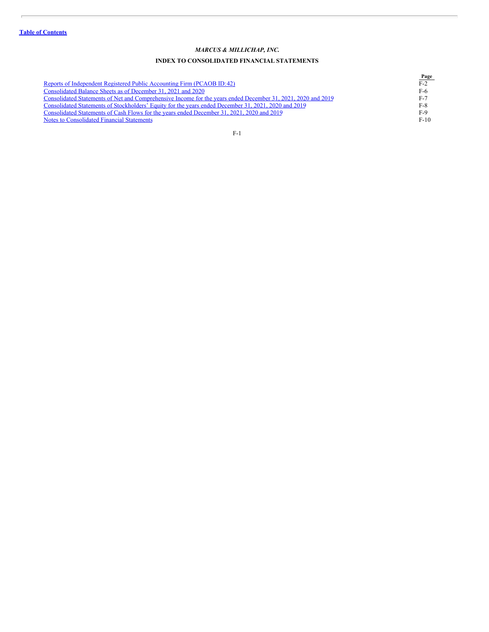# *MARCUS & MILLICHAP, INC.*

# **INDEX TO CONSOLIDATED FINANCIAL STATEMENTS**

|                                                                                                              | Page   |
|--------------------------------------------------------------------------------------------------------------|--------|
| Reports of Independent Registered Public Accounting Firm (PCAOB ID:42)                                       | $F-2$  |
| Consolidated Balance Sheets as of December 31, 2021 and 2020                                                 | $F-6$  |
| Consolidated Statements of Net and Comprehensive Income for the years ended December 31, 2021, 2020 and 2019 | $F-7$  |
| Consolidated Statements of Stockholders' Equity for the years ended December 31, 2021, 2020 and 2019         | $F-8$  |
| Consolidated Statements of Cash Flows for the years ended December 31, 2021, 2020 and 2019                   | $F-9$  |
| Notes to Consolidated Financial Statements                                                                   | $F-10$ |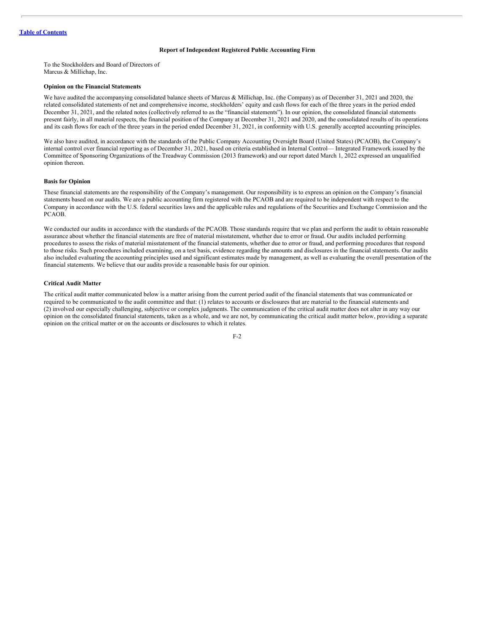#### **Report of Independent Registered Public Accounting Firm**

<span id="page-64-0"></span>To the Stockholders and Board of Directors of Marcus & Millichap, Inc.

#### **Opinion on the Financial Statements**

We have audited the accompanying consolidated balance sheets of Marcus & Millichap, Inc. (the Company) as of December 31, 2021 and 2020, the related consolidated statements of net and comprehensive income, stockholders' equity and cash flows for each of the three years in the period ended December 31, 2021, and the related notes (collectively referred to as the "financial statements"). In our opinion, the consolidated financial statements present fairly, in all material respects, the financial position of the Company at December 31, 2021 and 2020, and the consolidated results of its operations and its cash flows for each of the three years in the period ended December 31, 2021, in conformity with U.S. generally accepted accounting principles.

We also have audited, in accordance with the standards of the Public Company Accounting Oversight Board (United States) (PCAOB), the Company's internal control over financial reporting as of December 31, 2021, based on criteria established in Internal Control— Integrated Framework issued by the Committee of Sponsoring Organizations of the Treadway Commission (2013 framework) and our report dated March 1, 2022 expressed an unqualified opinion thereon.

#### **Basis for Opinion**

These financial statements are the responsibility of the Company's management. Our responsibility is to express an opinion on the Company's financial statements based on our audits. We are a public accounting firm registered with the PCAOB and are required to be independent with respect to the Company in accordance with the U.S. federal securities laws and the applicable rules and regulations of the Securities and Exchange Commission and the PCAOB.

We conducted our audits in accordance with the standards of the PCAOB. Those standards require that we plan and perform the audit to obtain reasonable assurance about whether the financial statements are free of material misstatement, whether due to error or fraud. Our audits included performing procedures to assess the risks of material misstatement of the financial statements, whether due to error or fraud, and performing procedures that respond to those risks. Such procedures included examining, on a test basis, evidence regarding the amounts and disclosures in the financial statements. Our audits also included evaluating the accounting principles used and significant estimates made by management, as well as evaluating the overall presentation of the financial statements. We believe that our audits provide a reasonable basis for our opinion.

#### **Critical Audit Matter**

The critical audit matter communicated below is a matter arising from the current period audit of the financial statements that was communicated or required to be communicated to the audit committee and that: (1) relates to accounts or disclosures that are material to the financial statements and (2) involved our especially challenging, subjective or complex judgments. The communication of the critical audit matter does not alter in any way our opinion on the consolidated financial statements, taken as a whole, and we are not, by communicating the critical audit matter below, providing a separate opinion on the critical matter or on the accounts or disclosures to which it relates.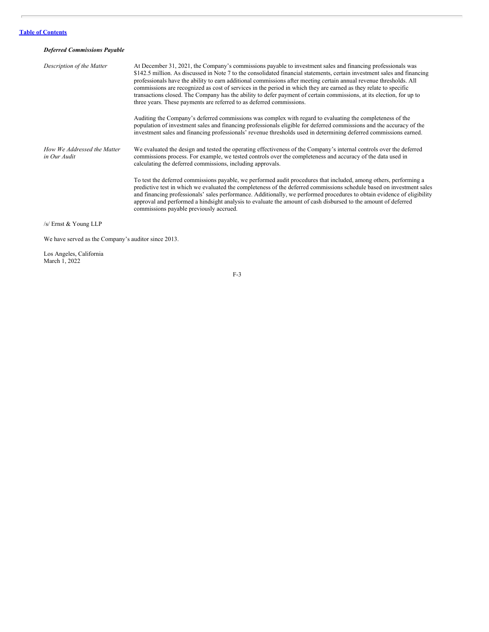# *Deferred Commissions Payable Description of the Matter* At December 31, 2021, the Company's commissions payable to investment sales and financing professionals was \$142.5 million. As discussed in Note 7 to the consolidated financial statements, certain investment sales and financing professionals have the ability to earn additional commissions after meeting certain annual revenue thresholds. All commissions are recognized as cost of services in the period in which they are earned as they relate to specific transactions closed. The Company has the ability to defer payment of certain commissions, at its election, for up to three years. These payments are referred to as deferred commissions. Auditing the Company's deferred commissions was complex with regard to evaluating the completeness of the population of investment sales and financing professionals eligible for deferred commissions and the accuracy of the investment sales and financing professionals' revenue thresholds used in determining deferred commissions earned. *How We Addressed the Matter in Our Audit* We evaluated the design and tested the operating effectiveness of the Company's internal controls over the deferred commissions process. For example, we tested controls over the completeness and accuracy of the data used in calculating the deferred commissions, including approvals. To test the deferred commissions payable, we performed audit procedures that included, among others, performing a predictive test in which we evaluated the completeness of the deferred commissions schedule based on investment sales and financing professionals' sales performance. Additionally, we performed procedures to obtain evidence of eligibility approval and performed a hindsight analysis to evaluate the amount of cash disbursed to the amount of deferred commissions payable previously accrued. /s/ Ernst & Young LLP

We have served as the Company's auditor since 2013.

Los Angeles, California March 1, 2022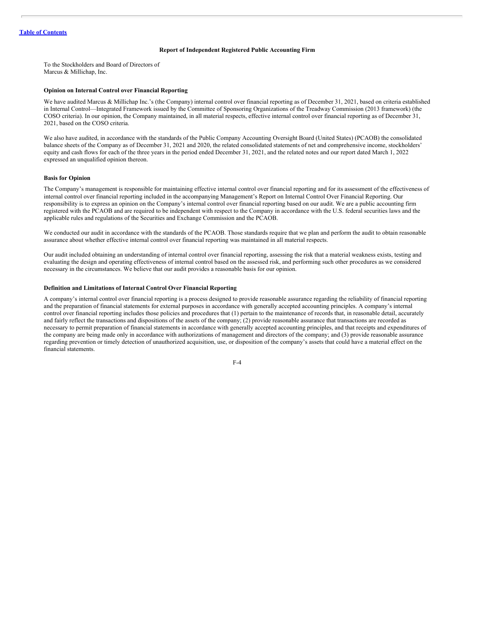#### **Report of Independent Registered Public Accounting Firm**

To the Stockholders and Board of Directors of Marcus & Millichap, Inc.

### **Opinion on Internal Control over Financial Reporting**

We have audited Marcus & Millichap Inc.'s (the Company) internal control over financial reporting as of December 31, 2021, based on criteria established in Internal Control—Integrated Framework issued by the Committee of Sponsoring Organizations of the Treadway Commission (2013 framework) (the COSO criteria). In our opinion, the Company maintained, in all material respects, effective internal control over financial reporting as of December 31, 2021, based on the COSO criteria.

We also have audited, in accordance with the standards of the Public Company Accounting Oversight Board (United States) (PCAOB) the consolidated balance sheets of the Company as of December 31, 2021 and 2020, the related consolidated statements of net and comprehensive income, stockholders' equity and cash flows for each of the three years in the period ended December 31, 2021, and the related notes and our report dated March 1, 2022 expressed an unqualified opinion thereon.

#### **Basis for Opinion**

The Company's management is responsible for maintaining effective internal control over financial reporting and for its assessment of the effectiveness of internal control over financial reporting included in the accompanying Management's Report on Internal Control Over Financial Reporting. Our responsibility is to express an opinion on the Company's internal control over financial reporting based on our audit. We are a public accounting firm registered with the PCAOB and are required to be independent with respect to the Company in accordance with the U.S. federal securities laws and the applicable rules and regulations of the Securities and Exchange Commission and the PCAOB.

We conducted our audit in accordance with the standards of the PCAOB. Those standards require that we plan and perform the audit to obtain reasonable assurance about whether effective internal control over financial reporting was maintained in all material respects.

Our audit included obtaining an understanding of internal control over financial reporting, assessing the risk that a material weakness exists, testing and evaluating the design and operating effectiveness of internal control based on the assessed risk, and performing such other procedures as we considered necessary in the circumstances. We believe that our audit provides a reasonable basis for our opinion.

#### **Definition and Limitations of Internal Control Over Financial Reporting**

A company's internal control over financial reporting is a process designed to provide reasonable assurance regarding the reliability of financial reporting and the preparation of financial statements for external purposes in accordance with generally accepted accounting principles. A company's internal control over financial reporting includes those policies and procedures that (1) pertain to the maintenance of records that, in reasonable detail, accurately and fairly reflect the transactions and dispositions of the assets of the company; (2) provide reasonable assurance that transactions are recorded as necessary to permit preparation of financial statements in accordance with generally accepted accounting principles, and that receipts and expenditures of the company are being made only in accordance with authorizations of management and directors of the company; and (3) provide reasonable assurance regarding prevention or timely detection of unauthorized acquisition, use, or disposition of the company's assets that could have a material effect on the financial statements.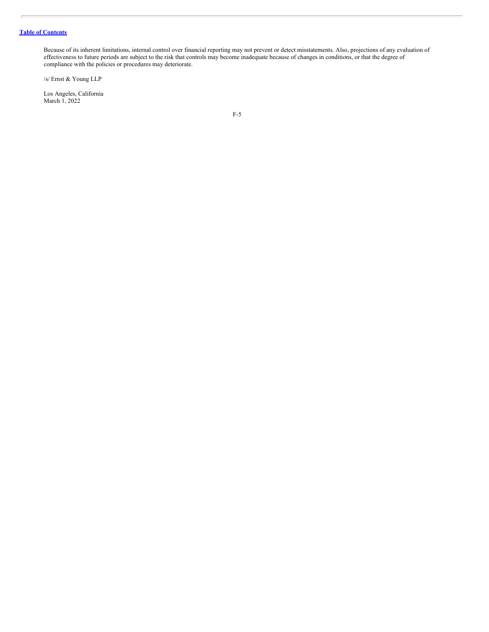# **Table of [Contents](#page-1-0)**

Because of its inherent limitations, internal control over financial reporting may not prevent or detect misstatements. Also, projections of any evaluation of effectiveness to future periods are subject to the risk that controls may become inadequate because of changes in conditions, or that the degree of compliance with the policies or procedures may deteriorate.

/s/ Ernst & Young LLP

Los Angeles, California March 1, 2022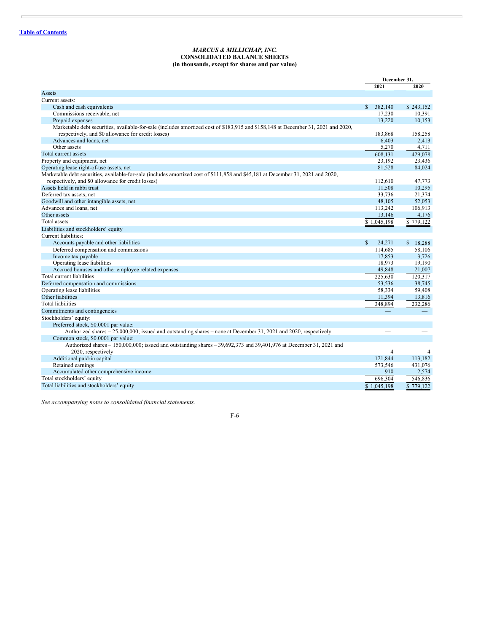#### *MARCUS & MILLICHAP, INC.* **CONSOLIDATED BALANCE SHEETS (in thousands, except for shares and par value)**

<span id="page-68-0"></span>

| 2021<br>2020<br>Assets<br>Current assets:<br>Cash and cash equivalents<br>382,140<br>\$243,152<br><sup>\$</sup><br>Commissions receivable, net<br>17,230<br>10,391<br>Prepaid expenses<br>13,220<br>10,153<br>Marketable debt securities, available-for-sale (includes amortized cost of \$183,915 and \$158,148 at December 31, 2021 and 2020,<br>respectively, and \$0 allowance for credit losses)<br>158,258<br>183,868<br>Advances and loans, net<br>6,403<br>2,413<br>Other assets<br>5,270<br>4,711<br>Total current assets<br>608.131<br>429,078<br>23,192<br>23,436<br>81,528<br>84,024<br>respectively, and \$0 allowance for credit losses)<br>47,773<br>112,610<br>Assets held in rabbi trust<br>11,508<br>10,295<br>Deferred tax assets, net<br>33,736<br>21,374<br>48,105<br>52,053<br>Advances and loans, net<br>113,242<br>106.913<br>13,146<br>4,176<br>Other assets<br>Total assets<br>$\overline{1,045,198}$<br>$\overline{$}779.122$<br>Current liabilities:<br>Accounts payable and other liabilities<br>$\mathbb{S}$<br>24.271<br>\$18,288<br>Deferred compensation and commissions<br>114,685<br>58,106<br>Income tax payable<br>17,853<br>3,726<br>18,973<br>Operating lease liabilities<br>19,190<br>Accrued bonuses and other employee related expenses<br>49,848<br>21,007<br>Total current liabilities<br>225.630<br>120.317<br>53.536<br>38,745<br>58,334<br>59,408<br>11,394<br>13,816<br><b>Total liabilities</b><br>348,894<br>232,286<br>Stockholders' equity:<br>Preferred stock, \$0.0001 par value:<br>Authorized shares – 25,000,000; issued and outstanding shares – none at December 31, 2021 and 2020, respectively<br>Common stock, \$0.0001 par value:<br>Authorized shares – 150,000,000; issued and outstanding shares – 39,692,373 and 39,401,976 at December 31, 2021 and<br>2020, respectively<br>4<br>4<br>121,844<br>Additional paid-in capital<br>113,182 |                                                                                                                                  | December 31, |         |         |
|-------------------------------------------------------------------------------------------------------------------------------------------------------------------------------------------------------------------------------------------------------------------------------------------------------------------------------------------------------------------------------------------------------------------------------------------------------------------------------------------------------------------------------------------------------------------------------------------------------------------------------------------------------------------------------------------------------------------------------------------------------------------------------------------------------------------------------------------------------------------------------------------------------------------------------------------------------------------------------------------------------------------------------------------------------------------------------------------------------------------------------------------------------------------------------------------------------------------------------------------------------------------------------------------------------------------------------------------------------------------------------------------------------------------------------------------------------------------------------------------------------------------------------------------------------------------------------------------------------------------------------------------------------------------------------------------------------------------------------------------------------------------------------------------------------------------------------------------------------------------------------------------------------------|----------------------------------------------------------------------------------------------------------------------------------|--------------|---------|---------|
|                                                                                                                                                                                                                                                                                                                                                                                                                                                                                                                                                                                                                                                                                                                                                                                                                                                                                                                                                                                                                                                                                                                                                                                                                                                                                                                                                                                                                                                                                                                                                                                                                                                                                                                                                                                                                                                                                                             |                                                                                                                                  |              |         |         |
|                                                                                                                                                                                                                                                                                                                                                                                                                                                                                                                                                                                                                                                                                                                                                                                                                                                                                                                                                                                                                                                                                                                                                                                                                                                                                                                                                                                                                                                                                                                                                                                                                                                                                                                                                                                                                                                                                                             |                                                                                                                                  |              |         |         |
|                                                                                                                                                                                                                                                                                                                                                                                                                                                                                                                                                                                                                                                                                                                                                                                                                                                                                                                                                                                                                                                                                                                                                                                                                                                                                                                                                                                                                                                                                                                                                                                                                                                                                                                                                                                                                                                                                                             |                                                                                                                                  |              |         |         |
|                                                                                                                                                                                                                                                                                                                                                                                                                                                                                                                                                                                                                                                                                                                                                                                                                                                                                                                                                                                                                                                                                                                                                                                                                                                                                                                                                                                                                                                                                                                                                                                                                                                                                                                                                                                                                                                                                                             |                                                                                                                                  |              |         |         |
|                                                                                                                                                                                                                                                                                                                                                                                                                                                                                                                                                                                                                                                                                                                                                                                                                                                                                                                                                                                                                                                                                                                                                                                                                                                                                                                                                                                                                                                                                                                                                                                                                                                                                                                                                                                                                                                                                                             |                                                                                                                                  |              |         |         |
|                                                                                                                                                                                                                                                                                                                                                                                                                                                                                                                                                                                                                                                                                                                                                                                                                                                                                                                                                                                                                                                                                                                                                                                                                                                                                                                                                                                                                                                                                                                                                                                                                                                                                                                                                                                                                                                                                                             |                                                                                                                                  |              |         |         |
|                                                                                                                                                                                                                                                                                                                                                                                                                                                                                                                                                                                                                                                                                                                                                                                                                                                                                                                                                                                                                                                                                                                                                                                                                                                                                                                                                                                                                                                                                                                                                                                                                                                                                                                                                                                                                                                                                                             |                                                                                                                                  |              |         |         |
|                                                                                                                                                                                                                                                                                                                                                                                                                                                                                                                                                                                                                                                                                                                                                                                                                                                                                                                                                                                                                                                                                                                                                                                                                                                                                                                                                                                                                                                                                                                                                                                                                                                                                                                                                                                                                                                                                                             |                                                                                                                                  |              |         |         |
|                                                                                                                                                                                                                                                                                                                                                                                                                                                                                                                                                                                                                                                                                                                                                                                                                                                                                                                                                                                                                                                                                                                                                                                                                                                                                                                                                                                                                                                                                                                                                                                                                                                                                                                                                                                                                                                                                                             |                                                                                                                                  |              |         |         |
|                                                                                                                                                                                                                                                                                                                                                                                                                                                                                                                                                                                                                                                                                                                                                                                                                                                                                                                                                                                                                                                                                                                                                                                                                                                                                                                                                                                                                                                                                                                                                                                                                                                                                                                                                                                                                                                                                                             |                                                                                                                                  |              |         |         |
|                                                                                                                                                                                                                                                                                                                                                                                                                                                                                                                                                                                                                                                                                                                                                                                                                                                                                                                                                                                                                                                                                                                                                                                                                                                                                                                                                                                                                                                                                                                                                                                                                                                                                                                                                                                                                                                                                                             |                                                                                                                                  |              |         |         |
|                                                                                                                                                                                                                                                                                                                                                                                                                                                                                                                                                                                                                                                                                                                                                                                                                                                                                                                                                                                                                                                                                                                                                                                                                                                                                                                                                                                                                                                                                                                                                                                                                                                                                                                                                                                                                                                                                                             | Property and equipment, net                                                                                                      |              |         |         |
|                                                                                                                                                                                                                                                                                                                                                                                                                                                                                                                                                                                                                                                                                                                                                                                                                                                                                                                                                                                                                                                                                                                                                                                                                                                                                                                                                                                                                                                                                                                                                                                                                                                                                                                                                                                                                                                                                                             | Operating lease right-of-use assets, net                                                                                         |              |         |         |
|                                                                                                                                                                                                                                                                                                                                                                                                                                                                                                                                                                                                                                                                                                                                                                                                                                                                                                                                                                                                                                                                                                                                                                                                                                                                                                                                                                                                                                                                                                                                                                                                                                                                                                                                                                                                                                                                                                             | Marketable debt securities, available-for-sale (includes amortized cost of \$111,858 and \$45,181 at December 31, 2021 and 2020, |              |         |         |
|                                                                                                                                                                                                                                                                                                                                                                                                                                                                                                                                                                                                                                                                                                                                                                                                                                                                                                                                                                                                                                                                                                                                                                                                                                                                                                                                                                                                                                                                                                                                                                                                                                                                                                                                                                                                                                                                                                             |                                                                                                                                  |              |         |         |
|                                                                                                                                                                                                                                                                                                                                                                                                                                                                                                                                                                                                                                                                                                                                                                                                                                                                                                                                                                                                                                                                                                                                                                                                                                                                                                                                                                                                                                                                                                                                                                                                                                                                                                                                                                                                                                                                                                             |                                                                                                                                  |              |         |         |
|                                                                                                                                                                                                                                                                                                                                                                                                                                                                                                                                                                                                                                                                                                                                                                                                                                                                                                                                                                                                                                                                                                                                                                                                                                                                                                                                                                                                                                                                                                                                                                                                                                                                                                                                                                                                                                                                                                             |                                                                                                                                  |              |         |         |
|                                                                                                                                                                                                                                                                                                                                                                                                                                                                                                                                                                                                                                                                                                                                                                                                                                                                                                                                                                                                                                                                                                                                                                                                                                                                                                                                                                                                                                                                                                                                                                                                                                                                                                                                                                                                                                                                                                             | Goodwill and other intangible assets, net                                                                                        |              |         |         |
|                                                                                                                                                                                                                                                                                                                                                                                                                                                                                                                                                                                                                                                                                                                                                                                                                                                                                                                                                                                                                                                                                                                                                                                                                                                                                                                                                                                                                                                                                                                                                                                                                                                                                                                                                                                                                                                                                                             |                                                                                                                                  |              |         |         |
|                                                                                                                                                                                                                                                                                                                                                                                                                                                                                                                                                                                                                                                                                                                                                                                                                                                                                                                                                                                                                                                                                                                                                                                                                                                                                                                                                                                                                                                                                                                                                                                                                                                                                                                                                                                                                                                                                                             |                                                                                                                                  |              |         |         |
|                                                                                                                                                                                                                                                                                                                                                                                                                                                                                                                                                                                                                                                                                                                                                                                                                                                                                                                                                                                                                                                                                                                                                                                                                                                                                                                                                                                                                                                                                                                                                                                                                                                                                                                                                                                                                                                                                                             |                                                                                                                                  |              |         |         |
|                                                                                                                                                                                                                                                                                                                                                                                                                                                                                                                                                                                                                                                                                                                                                                                                                                                                                                                                                                                                                                                                                                                                                                                                                                                                                                                                                                                                                                                                                                                                                                                                                                                                                                                                                                                                                                                                                                             | Liabilities and stockholders' equity                                                                                             |              |         |         |
|                                                                                                                                                                                                                                                                                                                                                                                                                                                                                                                                                                                                                                                                                                                                                                                                                                                                                                                                                                                                                                                                                                                                                                                                                                                                                                                                                                                                                                                                                                                                                                                                                                                                                                                                                                                                                                                                                                             |                                                                                                                                  |              |         |         |
|                                                                                                                                                                                                                                                                                                                                                                                                                                                                                                                                                                                                                                                                                                                                                                                                                                                                                                                                                                                                                                                                                                                                                                                                                                                                                                                                                                                                                                                                                                                                                                                                                                                                                                                                                                                                                                                                                                             |                                                                                                                                  |              |         |         |
|                                                                                                                                                                                                                                                                                                                                                                                                                                                                                                                                                                                                                                                                                                                                                                                                                                                                                                                                                                                                                                                                                                                                                                                                                                                                                                                                                                                                                                                                                                                                                                                                                                                                                                                                                                                                                                                                                                             |                                                                                                                                  |              |         |         |
|                                                                                                                                                                                                                                                                                                                                                                                                                                                                                                                                                                                                                                                                                                                                                                                                                                                                                                                                                                                                                                                                                                                                                                                                                                                                                                                                                                                                                                                                                                                                                                                                                                                                                                                                                                                                                                                                                                             |                                                                                                                                  |              |         |         |
|                                                                                                                                                                                                                                                                                                                                                                                                                                                                                                                                                                                                                                                                                                                                                                                                                                                                                                                                                                                                                                                                                                                                                                                                                                                                                                                                                                                                                                                                                                                                                                                                                                                                                                                                                                                                                                                                                                             |                                                                                                                                  |              |         |         |
|                                                                                                                                                                                                                                                                                                                                                                                                                                                                                                                                                                                                                                                                                                                                                                                                                                                                                                                                                                                                                                                                                                                                                                                                                                                                                                                                                                                                                                                                                                                                                                                                                                                                                                                                                                                                                                                                                                             |                                                                                                                                  |              |         |         |
|                                                                                                                                                                                                                                                                                                                                                                                                                                                                                                                                                                                                                                                                                                                                                                                                                                                                                                                                                                                                                                                                                                                                                                                                                                                                                                                                                                                                                                                                                                                                                                                                                                                                                                                                                                                                                                                                                                             |                                                                                                                                  |              |         |         |
|                                                                                                                                                                                                                                                                                                                                                                                                                                                                                                                                                                                                                                                                                                                                                                                                                                                                                                                                                                                                                                                                                                                                                                                                                                                                                                                                                                                                                                                                                                                                                                                                                                                                                                                                                                                                                                                                                                             | Deferred compensation and commissions                                                                                            |              |         |         |
|                                                                                                                                                                                                                                                                                                                                                                                                                                                                                                                                                                                                                                                                                                                                                                                                                                                                                                                                                                                                                                                                                                                                                                                                                                                                                                                                                                                                                                                                                                                                                                                                                                                                                                                                                                                                                                                                                                             | Operating lease liabilities                                                                                                      |              |         |         |
|                                                                                                                                                                                                                                                                                                                                                                                                                                                                                                                                                                                                                                                                                                                                                                                                                                                                                                                                                                                                                                                                                                                                                                                                                                                                                                                                                                                                                                                                                                                                                                                                                                                                                                                                                                                                                                                                                                             | Other liabilities                                                                                                                |              |         |         |
|                                                                                                                                                                                                                                                                                                                                                                                                                                                                                                                                                                                                                                                                                                                                                                                                                                                                                                                                                                                                                                                                                                                                                                                                                                                                                                                                                                                                                                                                                                                                                                                                                                                                                                                                                                                                                                                                                                             |                                                                                                                                  |              |         |         |
|                                                                                                                                                                                                                                                                                                                                                                                                                                                                                                                                                                                                                                                                                                                                                                                                                                                                                                                                                                                                                                                                                                                                                                                                                                                                                                                                                                                                                                                                                                                                                                                                                                                                                                                                                                                                                                                                                                             | Commitments and contingencies                                                                                                    |              |         |         |
|                                                                                                                                                                                                                                                                                                                                                                                                                                                                                                                                                                                                                                                                                                                                                                                                                                                                                                                                                                                                                                                                                                                                                                                                                                                                                                                                                                                                                                                                                                                                                                                                                                                                                                                                                                                                                                                                                                             |                                                                                                                                  |              |         |         |
|                                                                                                                                                                                                                                                                                                                                                                                                                                                                                                                                                                                                                                                                                                                                                                                                                                                                                                                                                                                                                                                                                                                                                                                                                                                                                                                                                                                                                                                                                                                                                                                                                                                                                                                                                                                                                                                                                                             |                                                                                                                                  |              |         |         |
|                                                                                                                                                                                                                                                                                                                                                                                                                                                                                                                                                                                                                                                                                                                                                                                                                                                                                                                                                                                                                                                                                                                                                                                                                                                                                                                                                                                                                                                                                                                                                                                                                                                                                                                                                                                                                                                                                                             |                                                                                                                                  |              |         |         |
|                                                                                                                                                                                                                                                                                                                                                                                                                                                                                                                                                                                                                                                                                                                                                                                                                                                                                                                                                                                                                                                                                                                                                                                                                                                                                                                                                                                                                                                                                                                                                                                                                                                                                                                                                                                                                                                                                                             |                                                                                                                                  |              |         |         |
|                                                                                                                                                                                                                                                                                                                                                                                                                                                                                                                                                                                                                                                                                                                                                                                                                                                                                                                                                                                                                                                                                                                                                                                                                                                                                                                                                                                                                                                                                                                                                                                                                                                                                                                                                                                                                                                                                                             |                                                                                                                                  |              |         |         |
|                                                                                                                                                                                                                                                                                                                                                                                                                                                                                                                                                                                                                                                                                                                                                                                                                                                                                                                                                                                                                                                                                                                                                                                                                                                                                                                                                                                                                                                                                                                                                                                                                                                                                                                                                                                                                                                                                                             |                                                                                                                                  |              |         |         |
|                                                                                                                                                                                                                                                                                                                                                                                                                                                                                                                                                                                                                                                                                                                                                                                                                                                                                                                                                                                                                                                                                                                                                                                                                                                                                                                                                                                                                                                                                                                                                                                                                                                                                                                                                                                                                                                                                                             |                                                                                                                                  |              |         |         |
|                                                                                                                                                                                                                                                                                                                                                                                                                                                                                                                                                                                                                                                                                                                                                                                                                                                                                                                                                                                                                                                                                                                                                                                                                                                                                                                                                                                                                                                                                                                                                                                                                                                                                                                                                                                                                                                                                                             | Retained earnings                                                                                                                |              | 573,546 | 431,076 |
| Accumulated other comprehensive income<br>910<br>2,574                                                                                                                                                                                                                                                                                                                                                                                                                                                                                                                                                                                                                                                                                                                                                                                                                                                                                                                                                                                                                                                                                                                                                                                                                                                                                                                                                                                                                                                                                                                                                                                                                                                                                                                                                                                                                                                      |                                                                                                                                  |              |         |         |
| 696,304<br>546,836                                                                                                                                                                                                                                                                                                                                                                                                                                                                                                                                                                                                                                                                                                                                                                                                                                                                                                                                                                                                                                                                                                                                                                                                                                                                                                                                                                                                                                                                                                                                                                                                                                                                                                                                                                                                                                                                                          | Total stockholders' equity                                                                                                       |              |         |         |
| Total liabilities and stockholders' equity<br>\$1.045.198<br>\$779,122                                                                                                                                                                                                                                                                                                                                                                                                                                                                                                                                                                                                                                                                                                                                                                                                                                                                                                                                                                                                                                                                                                                                                                                                                                                                                                                                                                                                                                                                                                                                                                                                                                                                                                                                                                                                                                      |                                                                                                                                  |              |         |         |

*See accompanying notes to consolidated financial statements.*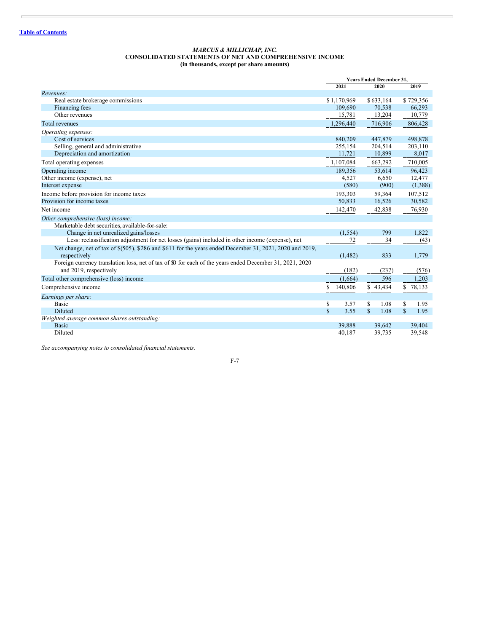#### *MARCUS & MILLICHAP, INC.* **CONSOLIDATED STATEMENTS OF NET AND COMPREHENSIVE INCOME (in thousands, except per share amounts)**

<span id="page-69-0"></span>

|                                                                                                                          | <b>Years Ended December 31,</b> |                       |                      |  |  |
|--------------------------------------------------------------------------------------------------------------------------|---------------------------------|-----------------------|----------------------|--|--|
|                                                                                                                          | 2021                            | 2020                  | 2019                 |  |  |
| Revenues:                                                                                                                |                                 |                       |                      |  |  |
| Real estate brokerage commissions                                                                                        | \$1,170,969                     | \$633,164             | \$729,356            |  |  |
| Financing fees                                                                                                           | 109,690                         | 70,538                | 66,293               |  |  |
| Other revenues                                                                                                           | 15,781                          | 13,204                | 10,779               |  |  |
| Total revenues                                                                                                           | 1,296,440                       | 716,906               | 806,428              |  |  |
| Operating expenses:                                                                                                      |                                 |                       |                      |  |  |
| Cost of services                                                                                                         | 840,209                         | 447,879               | 498,878              |  |  |
| Selling, general and administrative                                                                                      | 255,154                         | 204,514               | 203,110              |  |  |
| Depreciation and amortization                                                                                            | 11,721                          | 10,899                | 8,017                |  |  |
| Total operating expenses                                                                                                 | 1,107,084                       | 663,292               | 710,005              |  |  |
| Operating income                                                                                                         | 189,356                         | 53,614                | 96,423               |  |  |
| Other income (expense), net                                                                                              | 4,527                           | 6,650                 | 12,477               |  |  |
| Interest expense                                                                                                         | (580)                           | (900)                 | (1,388)              |  |  |
| Income before provision for income taxes                                                                                 | 193,303                         | 59,364                | 107,512              |  |  |
| Provision for income taxes                                                                                               | 50,833                          | 16,526                | 30,582               |  |  |
| Net income                                                                                                               | 142,470                         | 42,838                | 76,930               |  |  |
| Other comprehensive (loss) income:                                                                                       |                                 |                       |                      |  |  |
| Marketable debt securities, available-for-sale:                                                                          |                                 |                       |                      |  |  |
| Change in net unrealized gains/losses                                                                                    | (1, 554)                        | 799                   | 1,822                |  |  |
| Less: reclassification adjustment for net losses (gains) included in other income (expense), net                         | 72                              | 34                    | (43)                 |  |  |
| Net change, net of tax of \$(505), \$286 and \$611 for the years ended December 31, 2021, 2020 and 2019,                 |                                 |                       |                      |  |  |
| respectively<br>Foreign currency translation loss, net of tax of \$0 for each of the years ended December 31, 2021, 2020 | (1,482)                         | 833                   | 1,779                |  |  |
| and 2019, respectively                                                                                                   | (182)                           | (237)                 | (576)                |  |  |
| Total other comprehensive (loss) income                                                                                  | (1,664)                         | 596                   | 1,203                |  |  |
| Comprehensive income                                                                                                     | \$<br>140,806                   | 43,434                | \$<br>78,133         |  |  |
| Earnings per share:                                                                                                      |                                 |                       |                      |  |  |
| <b>Basic</b>                                                                                                             | \$<br>3.57                      | \$<br>1.08            | 1.95<br>\$           |  |  |
| <b>Diluted</b>                                                                                                           | $\mathbf{s}$<br>3.55            | 1.08<br>$\mathbf{\$}$ | $\mathbf{s}$<br>1.95 |  |  |
| Weighted average common shares outstanding:                                                                              |                                 |                       |                      |  |  |
| <b>Basic</b>                                                                                                             | 39,888                          | 39,642                | 39,404               |  |  |
| Diluted                                                                                                                  | 40,187                          | 39,735                | 39,548               |  |  |

*See accompanying notes to consolidated financial statements.*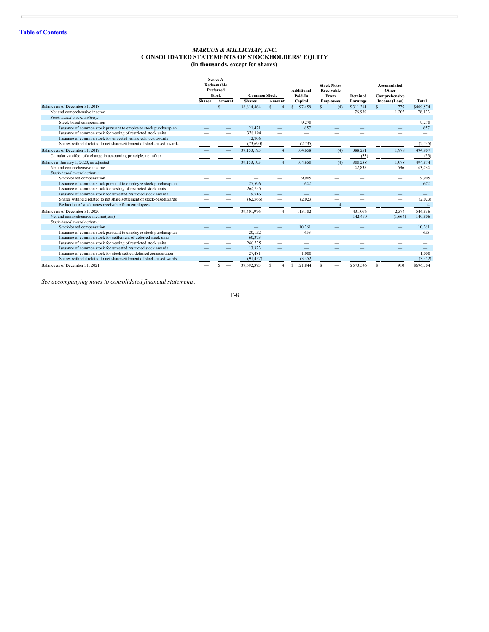#### *MARCUS & MILLICHAP, INC.* **CONSOLIDATED STATEMENTS OF STOCKHOLDERS' EQUITY (in thousands, except for shares)**

<span id="page-70-0"></span>

|                                                                       | <b>Series A</b><br>Redeemable<br>Preferred<br><b>Stock</b><br><b>Common Stock</b> |        |               | <b>Additional</b><br>Paid-In | <b>Stock Notes</b><br>Receivable<br>From | <b>Retained</b>                 | Accumulated<br>Other<br>Comprehensive |                                 |           |
|-----------------------------------------------------------------------|-----------------------------------------------------------------------------------|--------|---------------|------------------------------|------------------------------------------|---------------------------------|---------------------------------------|---------------------------------|-----------|
|                                                                       | <b>Shares</b>                                                                     | Amount | <b>Shares</b> | Amount                       | Capital                                  | <b>Employees</b>                | <b>Earnings</b>                       | Income (Loss)                   | Total     |
| Balance as of December 31, 2018                                       |                                                                                   | S.     | 38.814.464    | $\mathbf{s}$<br>$\Delta$     | 97,458<br>s.                             | $\mathcal{S}$<br>(4)            | \$311.341                             | 775<br>$\mathbf{s}$             | \$409,574 |
| Net and comprehensive income                                          |                                                                                   |        |               |                              |                                          | $\overline{\phantom{0}}$        | 76,930                                | 1,203                           | 78,133    |
| Stock-based award activity:                                           |                                                                                   |        |               |                              |                                          |                                 |                                       |                                 |           |
| Stock-based compensation                                              |                                                                                   |        |               |                              | 9.278                                    |                                 |                                       |                                 | 9.278     |
| Issuance of common stock pursuant to employee stock purchaseplan      |                                                                                   |        | 21.421        |                              | 657                                      |                                 |                                       |                                 | 657       |
| Issuance of common stock for vesting of restricted stock units        |                                                                                   |        | 378,194       |                              | $\overline{\phantom{m}}$                 |                                 |                                       |                                 |           |
| Issuance of common stock for unvested restricted stock awards         |                                                                                   |        | 12,806        |                              |                                          |                                 |                                       |                                 |           |
| Shares withheld related to net share settlement of stock-based awards |                                                                                   |        | (73,690)      |                              | (2,735)                                  |                                 |                                       |                                 | (2,735)   |
| Balance as of December 31, 2019                                       |                                                                                   |        | 39,153,195    | $\overline{4}$               | 104,658                                  | (4)                             | 388,271                               | 1,978                           | 494,907   |
| Cumulative effect of a change in accounting principle, net of tax     |                                                                                   |        |               |                              | $\overline{\phantom{a}}$                 | $\hspace{0.1mm}-\hspace{0.1mm}$ | (33)                                  | $\hspace{0.1mm}-\hspace{0.1mm}$ | (33)      |
| Balance at January 1, 2020, as adjusted                               |                                                                                   |        | 39,153,195    | $\overline{A}$               | 104,658                                  | (4)                             | 388,238                               | 1.978                           | 494,874   |
| Net and comprehensive income                                          |                                                                                   |        |               |                              |                                          | -                               | 42,838                                | 596                             | 43,434    |
| Stock-based award activity:                                           |                                                                                   |        |               |                              |                                          |                                 |                                       |                                 |           |
| Stock-based compensation                                              |                                                                                   |        |               |                              | 9,905                                    |                                 |                                       |                                 | 9,905     |
| Issuance of common stock pursuant to employee stock purchaseplan      |                                                                                   |        | 27,596        |                              | 642                                      |                                 |                                       |                                 | 642       |
| Issuance of common stock for vesting of restricted stock units        |                                                                                   |        | 264.235       |                              |                                          |                                 |                                       |                                 |           |
| Issuance of common stock for unvested restricted stock awards         |                                                                                   |        | 19.516        |                              |                                          |                                 |                                       |                                 |           |
| Shares withheld related to net share settlement of stock-basedwards   |                                                                                   |        | (62, 566)     | $\overline{\phantom{0}}$     | (2,023)                                  | $\overline{\phantom{a}}$        |                                       | $\overline{\phantom{0}}$        | (2,023)   |
| Reduction of stock notes receivable from employees                    |                                                                                   |        |               |                              |                                          | $\overline{4}$                  |                                       | $\overline{\phantom{m}}$        |           |
| Balance as of December 31, 2020                                       |                                                                                   |        | 39,401,976    | $\overline{4}$               | 113,182                                  | $\overline{\phantom{m}}$        | 431,076                               | 2,574                           | 546,836   |
| Net and comprehensive income(loss)                                    |                                                                                   |        |               |                              |                                          |                                 | 142,470                               | (1,664)                         | 140,806   |
| Stock-based award activity:                                           |                                                                                   |        |               |                              |                                          |                                 |                                       |                                 |           |
| Stock-based compensation                                              |                                                                                   |        |               |                              | 10,361                                   |                                 |                                       |                                 | 10,361    |
| Issuance of common stock pursuant to employee stock purchaseplan      |                                                                                   |        | 20.152        | -                            | 653                                      |                                 |                                       |                                 | 653       |
| Issuance of common stock for settlement of deferred stock units       |                                                                                   |        | 60.373        |                              |                                          |                                 |                                       |                                 |           |
| Issuance of common stock for vesting of restricted stock units        |                                                                                   |        | 260,525       |                              |                                          |                                 |                                       |                                 |           |
| Issuance of common stock for unvested restricted stock awards         |                                                                                   |        | 13.323        |                              |                                          |                                 |                                       |                                 |           |
| Issuance of common stock for stock settled deferred consideration     |                                                                                   |        | 27,481        | $\overline{\phantom{0}}$     | 1.000                                    |                                 |                                       | -                               | 1.000     |
| Shares withheld related to net share settlement of stock-basedwards   |                                                                                   |        | (91, 457)     |                              | (3,352)                                  |                                 |                                       |                                 | (3,352)   |
| Balance as of December 31, 2021                                       |                                                                                   |        | 39,692,373    |                              | 121,844                                  |                                 | \$573,546                             | 910                             | \$696,304 |

*See accompanying notes to consolidated financial statements.*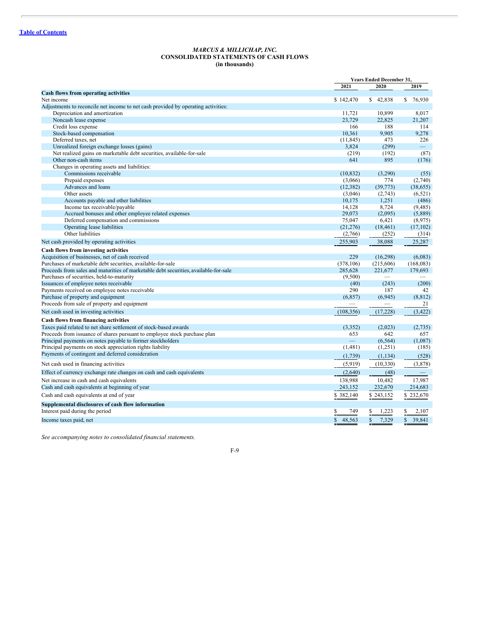#### *MARCUS & MILLICHAP, INC.* **CONSOLIDATED STATEMENTS OF CASH FLOWS (in thousands)**

<span id="page-71-0"></span>

|                                                                                      |                       | <b>Years Ended December 31.</b> |              |  |
|--------------------------------------------------------------------------------------|-----------------------|---------------------------------|--------------|--|
|                                                                                      | 2021                  | 2020                            | 2019         |  |
| Cash flows from operating activities                                                 |                       |                                 |              |  |
| Net income                                                                           | \$142,470             | \$42,838                        | \$<br>76,930 |  |
| Adjustments to reconcile net income to net cash provided by operating activities:    |                       |                                 |              |  |
| Depreciation and amortization                                                        | 11,721                | 10,899                          | 8.017        |  |
| Noncash lease expense                                                                | 23,729                | 22,825                          | 21,207       |  |
| Credit loss expense                                                                  | 166                   | 188                             | 114          |  |
| Stock-based compensation                                                             | 10,361                | 9,905                           | 9,278        |  |
| Deferred taxes, net                                                                  | (11, 845)             | 473                             | 226          |  |
| Unrealized foreign exchange losses (gains)                                           | 3,824                 | (299)                           | -            |  |
| Net realized gains on marketable debt securities, available-for-sale                 | (219)                 | (192)                           | (87)         |  |
| Other non-cash items                                                                 | 641                   | 895                             | (176)        |  |
| Changes in operating assets and liabilities:                                         |                       |                                 |              |  |
| Commissions receivable                                                               | (10, 832)             | (3,290)                         | (55)         |  |
| Prepaid expenses                                                                     | (3,066)               | 774                             | (2,740)      |  |
| Advances and loans                                                                   | (12, 382)             | (39,773)                        | (38, 655)    |  |
| Other assets                                                                         | (3,046)               | (2,743)                         | (6,521)      |  |
| Accounts payable and other liabilities                                               | 10,175                | 1,251                           | (486)        |  |
| Income tax receivable/payable                                                        | 14,128                | 8,724                           | (9, 485)     |  |
| Accrued bonuses and other employee related expenses                                  | 29,073                | (2,095)                         | (5,889)      |  |
| Deferred compensation and commissions                                                | 75,047                | 6,421                           | (8,975)      |  |
| Operating lease liabilities                                                          | (21, 276)             | (18, 461)                       | (17, 102)    |  |
| Other liabilities                                                                    | (2,766)               | (252)                           | (314)        |  |
| Net cash provided by operating activities                                            | 255,903               | 38,088                          | 25,287       |  |
| Cash flows from investing activities                                                 |                       |                                 |              |  |
| Acquisition of businesses, net of cash received                                      | 229                   | (16, 298)                       | (6,083)      |  |
| Purchases of marketable debt securities, available-for-sale                          | (378, 106)            | (215,606)                       | (168,083)    |  |
| Proceeds from sales and maturities of marketable debt securities, available-for-sale | 285,628               | 221,677                         | 179,693      |  |
| Purchases of securities, held-to-maturity                                            | (9,500)               |                                 |              |  |
| Issuances of employee notes receivable                                               | (40)                  | (243)                           | (200)        |  |
| Payments received on employee notes receivable                                       | 290                   | 187                             | 42           |  |
| Purchase of property and equipment                                                   | (6, 857)              | (6, 945)                        | (8, 812)     |  |
| Proceeds from sale of property and equipment                                         |                       | $\overline{\phantom{0}}$        | 21           |  |
| Net cash used in investing activities                                                | (108, 356)            | (17,228)                        | (3, 422)     |  |
| Cash flows from financing activities                                                 |                       |                                 |              |  |
| Taxes paid related to net share settlement of stock-based awards                     | (3,352)               | (2,023)                         | (2,735)      |  |
| Proceeds from issuance of shares pursuant to employee stock purchase plan            | 653                   | 642                             | 657          |  |
| Principal payments on notes payable to former stockholders                           |                       | (6, 564)                        | (1,087)      |  |
| Principal payments on stock appreciation rights liability                            | (1,481)               | (1,251)                         | (185)        |  |
|                                                                                      |                       |                                 |              |  |
| Payments of contingent and deferred consideration                                    | (1,739)               | (1, 134)                        | (528)        |  |
| Net cash used in financing activities                                                | (5,919)               | (10, 330)                       | (3,878)      |  |
| Effect of currency exchange rate changes on cash and cash equivalents                | (2,640)               | (48)                            |              |  |
| Net increase in cash and cash equivalents                                            | 138,988               | 10,482                          | 17,987       |  |
| Cash and cash equivalents at beginning of year                                       | 243,152               | 232,670                         | 214,683      |  |
| Cash and cash equivalents at end of year                                             | \$382,140             | \$243,152                       | \$232,670    |  |
| Supplemental disclosures of cash flow information                                    |                       |                                 |              |  |
| Interest paid during the period                                                      | 749                   | 1,223                           | 2,107        |  |
| Income taxes paid, net                                                               | 48,563<br>$\mathbf S$ | 7,329<br>$\mathbb{S}$           | 39.841<br>S  |  |
|                                                                                      |                       |                                 |              |  |

*See accompanying notes to consolidated financial statements.*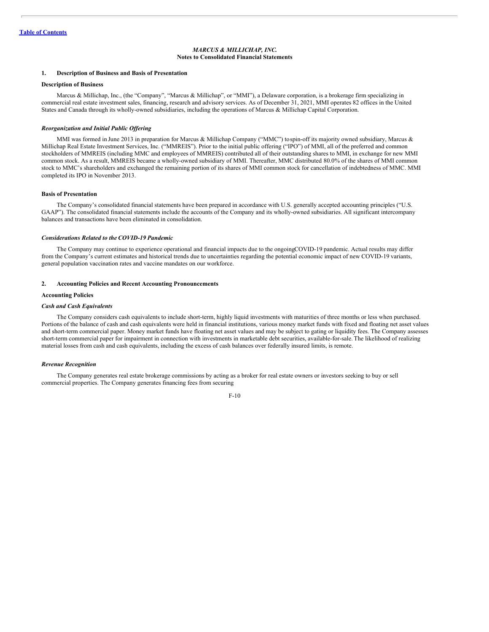### **1. Description of Business and Basis of Presentation**

### **Description of Business**

Marcus & Millichap, Inc., (the "Company", "Marcus & Millichap", or "MMI"), a Delaware corporation, is a brokerage firm specializing in commercial real estate investment sales, financing, research and advisory services. As of December 31, 2021, MMI operates 82 offices in the United States and Canada through its wholly-owned subsidiaries, including the operations of Marcus & Millichap Capital Corporation.

#### *Reorganization and Initial Public Of ering*

MMI was formed in June 2013 in preparation for Marcus & Millichap Company ("MMC") tospin-off its majority owned subsidiary, Marcus & Millichap Real Estate Investment Services, Inc. ("MMREIS"). Prior to the initial public offering ("IPO") of MMI, all of the preferred and common stockholders of MMREIS (including MMC and employees of MMREIS) contributed all of their outstanding shares to MMI, in exchange for new MMI common stock. As a result, MMREIS became a wholly-owned subsidiary of MMI. Thereafter, MMC distributed 80.0% of the shares of MMI common stock to MMC's shareholders and exchanged the remaining portion of its shares of MMI common stock for cancellation of indebtedness of MMC. MMI completed its IPO in November 2013.

### **Basis of Presentation**

The Company's consolidated financial statements have been prepared in accordance with U.S. generally accepted accounting principles ("U.S. GAAP"). The consolidated financial statements include the accounts of the Company and its wholly-owned subsidiaries. All significant intercompany balances and transactions have been eliminated in consolidation.

### *Considerations Related to the COVID-19 Pandemic*

The Company may continue to experience operational and financial impacts due to the ongoingCOVID-19 pandemic. Actual results may differ from the Company's current estimates and historical trends due to uncertainties regarding the potential economic impact of new COVID-19 variants, general population vaccination rates and vaccine mandates on our workforce.

### **2. Accounting Policies and Recent Accounting Pronouncements**

## **Accounting Policies**

#### *Cash and Cash Equivalents*

The Company considers cash equivalents to include short-term, highly liquid investments with maturities of three months or less when purchased. Portions of the balance of cash and cash equivalents were held in financial institutions, various money market funds with fixed and floating net asset values and short-term commercial paper. Money market funds have floating net asset values and may be subject to gating or liquidity fees. The Company assesses short-term commercial paper for impairment in connection with investments in marketable debt securities, available-for-sale. The likelihood of realizing material losses from cash and cash equivalents, including the excess of cash balances over federally insured limits, is remote.

#### *Revenue Recognition*

The Company generates real estate brokerage commissions by acting as a broker for real estate owners or investors seeking to buy or sell commercial properties. The Company generates financing fees from securing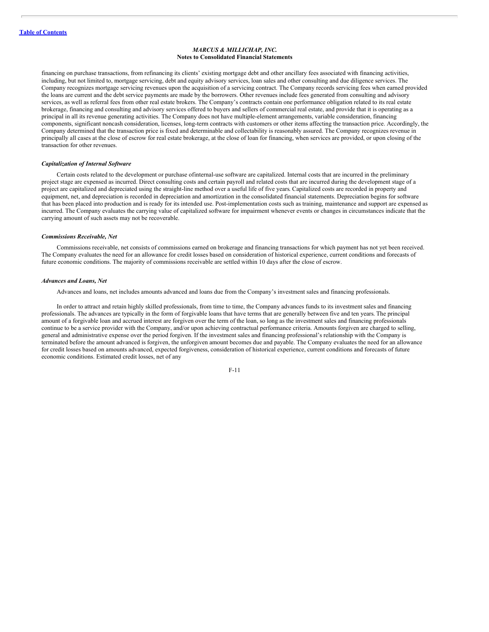financing on purchase transactions, from refinancing its clients' existing mortgage debt and other ancillary fees associated with financing activities, including, but not limited to, mortgage servicing, debt and equity advisory services, loan sales and other consulting and due diligence services. The Company recognizes mortgage servicing revenues upon the acquisition of a servicing contract. The Company records servicing fees when earned provided the loans are current and the debt service payments are made by the borrowers. Other revenues include fees generated from consulting and advisory services, as well as referral fees from other real estate brokers. The Company's contracts contain one performance obligation related to its real estate brokerage, financing and consulting and advisory services offered to buyers and sellers of commercial real estate, and provide that it is operating as a principal in all its revenue generating activities. The Company does not have multiple-element arrangements, variable consideration, financing components, significant noncash consideration, licenses, long-term contracts with customers or other items affecting the transaction price. Accordingly, the Company determined that the transaction price is fixed and determinable and collectability is reasonably assured. The Company recognizes revenue in principally all cases at the close of escrow for real estate brokerage, at the close of loan for financing, when services are provided, or upon closing of the transaction for other revenues.

#### *Capitalization of Internal Software*

Certain costs related to the development or purchase ofinternal-use software are capitalized. Internal costs that are incurred in the preliminary project stage are expensed as incurred. Direct consulting costs and certain payroll and related costs that are incurred during the development stage of a project are capitalized and depreciated using the straight-line method over a useful life of five years. Capitalized costs are recorded in property and equipment, net, and depreciation is recorded in depreciation and amortization in the consolidated financial statements. Depreciation begins for software that has been placed into production and is ready for its intended use. Post-implementation costs such as training, maintenance and support are expensed as incurred. The Company evaluates the carrying value of capitalized software for impairment whenever events or changes in circumstances indicate that the carrying amount of such assets may not be recoverable.

### *Commissions Receivable, Net*

Commissions receivable, net consists of commissions earned on brokerage and financing transactions for which payment has not yet been received. The Company evaluates the need for an allowance for credit losses based on consideration of historical experience, current conditions and forecasts of future economic conditions. The majority of commissions receivable are settled within 10 days after the close of escrow.

### *Advances and Loans, Net*

Advances and loans, net includes amounts advanced and loans due from the Company's investment sales and financing professionals.

In order to attract and retain highly skilled professionals, from time to time, the Company advances funds to its investment sales and financing professionals. The advances are typically in the form of forgivable loans that have terms that are generally between five and ten years. The principal amount of a forgivable loan and accrued interest are forgiven over the term of the loan, so long as the investment sales and financing professionals continue to be a service provider with the Company, and/or upon achieving contractual performance criteria. Amounts forgiven are charged to selling, general and administrative expense over the period forgiven. If the investment sales and financing professional's relationship with the Company is terminated before the amount advanced is forgiven, the unforgiven amount becomes due and payable. The Company evaluates the need for an allowance for credit losses based on amounts advanced, expected forgiveness, consideration of historical experience, current conditions and forecasts of future economic conditions. Estimated credit losses, net of any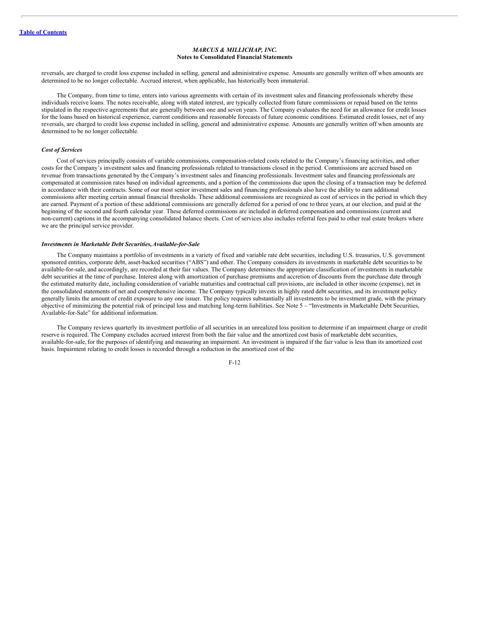reversals, are charged to credit loss expense included in selling, general and administrative expense. Amounts are generally written off when amounts are determined to be no longer collectable. Accrued interest, when applicable, has historically been immaterial.

The Company, from time to time, enters into various agreements with certain of its investment sales and financing professionals whereby these individuals receive loans. The notes receivable, along with stated interest, are typically collected from future commissions or repaid based on the terms stipulated in the respective agreements that are generally between one and seven years. The Company evaluates the need for an allowance for credit losses for the loans based on historical experience, current conditions and reasonable forecasts of future economic conditions. Estimated credit losses, net of any reversals, are charged to credit loss expense included in selling, general and administrative expense. Amounts are generally written off when amounts are determined to be no longer collectable.

## *Cost of Services*

Cost of services principally consists of variable commissions, compensation-related costs related to the Company's financing activities, and other costs for the Company's investment sales and financing professionals related to transactions closed in the period. Commissions are accrued based on revenue from transactions generated by the Company's investment sales and financing professionals. Investment sales and financing professionals are compensated at commission rates based on individual agreements, and a portion of the commissions due upon the closing of a transaction may be deferred in accordance with their contracts. Some of our most senior investment sales and financing professionals also have the ability to earn additional commissions after meeting certain annual financial thresholds. These additional commissions are recognized as cost of services in the period in which they are earned. Payment of a portion of these additional commissions are generally deferred for a period of one to three years, at our election, and paid at the beginning of the second and fourth calendar year. These deferred commissions are included in deferred compensation and commissions (current and non-current) captions in the accompanying consolidated balance sheets. Cost of services also includes referral fees paid to other real estate brokers where we are the principal service provider.

## *Investments in Marketable Debt Securities,Available-for-Sale*

The Company maintains a portfolio of investments in a variety of fixed and variable rate debt securities, including U.S. treasuries, U.S. government sponsored entities, corporate debt, asset-backed securities ("ABS") and other. The Company considers its investments in marketable debt securities to be available-for-sale, and accordingly, are recorded at their fair values. The Company determines the appropriate classification of investments in marketable debt securities at the time of purchase. Interest along with amortization of purchase premiums and accretion of discounts from the purchase date through the estimated maturity date, including consideration of variable maturities and contractual call provisions, are included in other income (expense), net in the consolidated statements of net and comprehensive income. The Company typically invests in highly rated debt securities, and its investment policy generally limits the amount of credit exposure to any one issuer. The policy requires substantially all investments to be investment grade, with the primary objective of minimizing the potential risk of principal loss and matching long-term liabilities. See Note 5 – "Investments in Marketable Debt Securities, Available-for-Sale" for additional information.

The Company reviews quarterly its investment portfolio of all securities in an unrealized loss position to determine if an impairment charge or credit reserve is required. The Company excludes accrued interest from both the fair value and the amortized cost basis of marketable debt securities, available-for-sale,for the purposes of identifying and measuring an impairment. An investment is impaired if the fair value is less than its amortized cost basis. Impairment relating to credit losses is recorded through a reduction in the amortized cost of the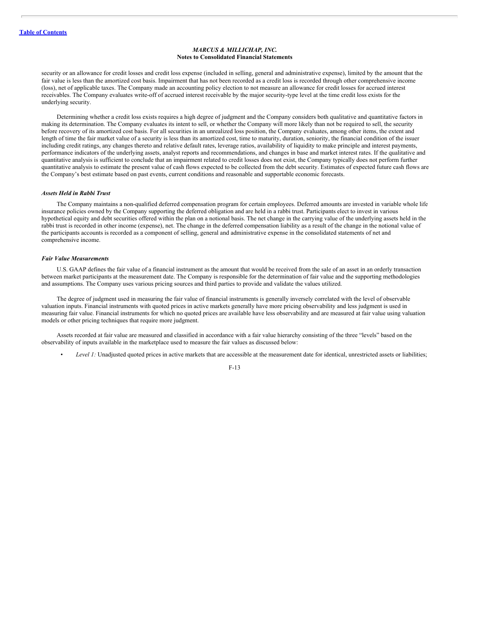security or an allowance for credit losses and credit loss expense (included in selling, general and administrative expense), limited by the amount that the fair value is less than the amortized cost basis. Impairment that has not been recorded as a credit loss is recorded through other comprehensive income (loss), net of applicable taxes. The Company made an accounting policy election to not measure an allowance for credit losses for accrued interest receivables. The Company evaluates write-off of accrued interest receivable by the major security-type level at the time credit loss exists for the underlying security.

Determining whether a credit loss exists requires a high degree of judgment and the Company considers both qualitative and quantitative factors in making its determination. The Company evaluates its intent to sell, or whether the Company will more likely than not be required to sell, the security before recovery of its amortized cost basis. For all securities in an unrealized loss position, the Company evaluates, among other items, the extent and length of time the fair market value of a security is less than its amortized cost, time to maturity, duration, seniority, the financial condition of the issuer including credit ratings, any changes thereto and relative default rates, leverage ratios, availability of liquidity to make principle and interest payments, performance indicators of the underlying assets, analyst reports and recommendations, and changes in base and market interest rates. If the qualitative and quantitative analysis is sufficient to conclude that an impairment related to credit losses does not exist, the Company typically does not perform further quantitative analysis to estimate the present value of cash flows expected to be collected from the debt security. Estimates of expected future cash flows are the Company's best estimate based on past events, current conditions and reasonable and supportable economic forecasts.

### *Assets Held in Rabbi Trust*

The Company maintains a non-qualified deferred compensation program for certain employees. Deferred amounts are invested in variable whole life insurance policies owned by the Company supporting the deferred obligation and are held in a rabbi trust. Participants elect to invest in various hypothetical equity and debt securities offered within the plan on a notional basis. The net change in the carrying value of the underlying assets held in the rabbi trust is recorded in other income (expense), net. The change in the deferred compensation liability as a result of the change in the notional value of the participants accounts is recorded as a component of selling, general and administrative expense in the consolidated statements of net and comprehensive income.

### *Fair Value Measurements*

U.S. GAAP defines the fair value of a financial instrument as the amount that would be received from the sale of an asset in an orderly transaction between market participants at the measurement date. The Company is responsible for the determination of fair value and the supporting methodologies and assumptions. The Company uses various pricing sources and third parties to provide and validate the values utilized.

The degree of judgment used in measuring the fair value of financial instruments is generally inversely correlated with the level of observable valuation inputs. Financial instruments with quoted prices in active markets generally have more pricing observability and less judgment is used in measuring fair value. Financial instruments for which no quoted prices are available have less observability and are measured at fair value using valuation models or other pricing techniques that require more judgment.

Assets recorded at fair value are measured and classified in accordance with a fair value hierarchy consisting of the three "levels" based on the observability of inputs available in the marketplace used to measure the fair values as discussed below:

• *Level 1:* Unadjusted quoted prices in active markets that are accessible at the measurement date for identical, unrestricted assets or liabilities;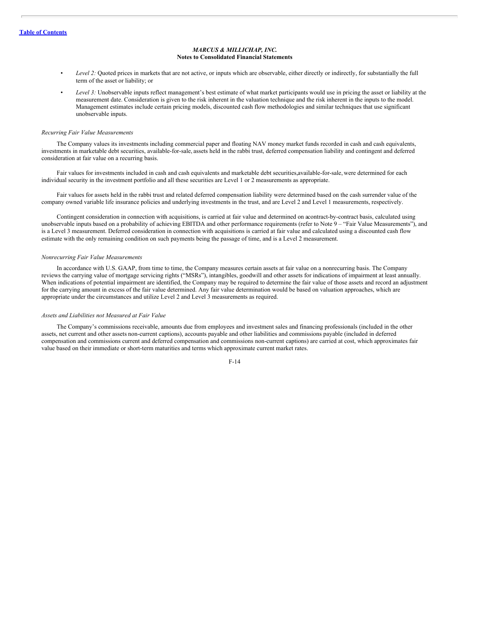- *Level 2:* Quoted prices in markets that are not active, or inputs which are observable, either directly or indirectly, for substantially the full term of the asset or liability; or
- Level 3: Unobservable inputs reflect management's best estimate of what market participants would use in pricing the asset or liability at the measurement date. Consideration is given to the risk inherent in the valuation technique and the risk inherent in the inputs to the model. Management estimates include certain pricing models, discounted cash flow methodologies and similar techniques that use significant unobservable inputs.

### *Recurring Fair Value Measurements*

The Company values its investments including commercial paper and floating NAV money market funds recorded in cash and cash equivalents, investments in marketable debt securities, available-for-sale, assets held in the rabbi trust, deferred compensation liability and contingent and deferred consideration at fair value on a recurring basis.

Fair values for investments included in cash and cash equivalents and marketable debt securities,available-for-sale, were determined for each individual security in the investment portfolio and all these securities are Level 1 or 2 measurements as appropriate.

Fair values for assets held in the rabbi trust and related deferred compensation liability were determined based on the cash surrender value of the company owned variable life insurance policies and underlying investments in the trust, and are Level 2 and Level 1 measurements, respectively.

Contingent consideration in connection with acquisitions, is carried at fair value and determined on acontract-by-contract basis, calculated using unobservable inputs based on a probability of achieving EBITDA and other performance requirements (refer to Note 9 – "Fair Value Measurements"), and is a Level 3 measurement. Deferred consideration in connection with acquisitions is carried at fair value and calculated using a discounted cash flow estimate with the only remaining condition on such payments being the passage of time, and is a Level 2 measurement.

#### *Nonrecurring Fair Value Measurements*

In accordance with U.S. GAAP, from time to time, the Company measures certain assets at fair value on a nonrecurring basis. The Company reviews the carrying value of mortgage servicing rights ("MSRs"), intangibles, goodwill and other assets for indications of impairment at least annually. When indications of potential impairment are identified, the Company may be required to determine the fair value of those assets and record an adjustment for the carrying amount in excess of the fair value determined. Any fair value determination would be based on valuation approaches, which are appropriate under the circumstances and utilize Level 2 and Level 3 measurements as required.

## *Assets and Liabilities not Measured at Fair Value*

The Company's commissions receivable, amounts due from employees and investment sales and financing professionals (included in the other assets, net current and other assets non-current captions), accounts payable and other liabilities and commissions payable (included in deferred compensation and commissions current and deferred compensation and commissions non-current captions) are carried at cost, which approximates fair value based on their immediate or short-term maturities and terms which approximate current market rates.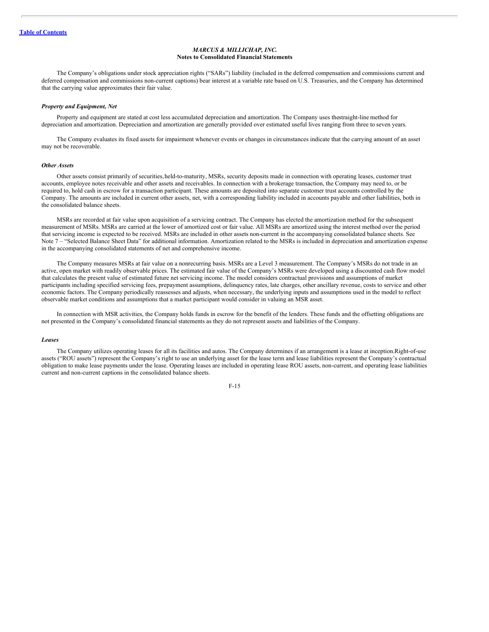The Company's obligations under stock appreciation rights ("SARs") liability (included in the deferred compensation and commissions current and deferred compensation and commissions non-current captions) bear interest at a variable rate based on U.S. Treasuries, and the Company has determined that the carrying value approximates their fair value.

#### *Property and Equipment, Net*

Property and equipment are stated at cost less accumulated depreciation and amortization. The Company uses thestraight-line method for depreciation and amortization. Depreciation and amortization are generally provided over estimated useful lives ranging from three to seven years.

The Company evaluates its fixed assets for impairment whenever events or changes in circumstances indicate that the carrying amount of an asset may not be recoverable.

### *Other Assets*

Other assets consist primarily of securities,held-to-maturity, MSRs, security deposits made in connection with operating leases, customer trust accounts, employee notes receivable and other assets and receivables. In connection with a brokerage transaction, the Company may need to, or be required to, hold cash in escrow for a transaction participant. These amounts are deposited into separate customer trust accounts controlled by the Company. The amounts are included in current other assets, net, with a corresponding liability included in accounts payable and other liabilities, both in the consolidated balance sheets.

MSRs are recorded at fair value upon acquisition of a servicing contract. The Company has elected the amortization method for the subsequent measurement of MSRs. MSRs are carried at the lower of amortized cost or fair value. All MSRs are amortized using the interest method over the period that servicing income is expected to be received. MSRs are included in other assets non-current in the accompanying consolidated balance sheets. See Note 7 – "Selected Balance Sheet Data" for additional information. Amortization related to the MSRs is included in depreciation and amortization expense in the accompanying consolidated statements of net and comprehensive income.

The Company measures MSRs at fair value on a nonrecurring basis. MSRs are a Level 3 measurement. The Company's MSRs do not trade in an active, open market with readily observable prices. The estimated fair value of the Company's MSRs were developed using a discounted cash flow model that calculates the present value of estimated future net servicing income. The model considers contractual provisions and assumptions of market participants including specified servicing fees, prepayment assumptions, delinquency rates, late charges, other ancillary revenue, costs to service and other economic factors. The Company periodically reassesses and adjusts, when necessary, the underlying inputs and assumptions used in the model to reflect observable market conditions and assumptions that a market participant would consider in valuing an MSR asset.

In connection with MSR activities, the Company holds funds in escrow for the benefit of the lenders. These funds and the offsetting obligations are not presented in the Company's consolidated financial statements as they do not represent assets and liabilities of the Company.

#### *Leases*

The Company utilizes operating leases for all its facilities and autos. The Company determines if an arrangement is a lease at inception.Right-of-use assets ("ROU assets") represent the Company's right to use an underlying asset for the lease term and lease liabilities represent the Company's contractual obligation to make lease payments under the lease. Operating leases are included in operating lease ROU assets, non-current, and operating lease liabilities current and non-current captions in the consolidated balance sheets.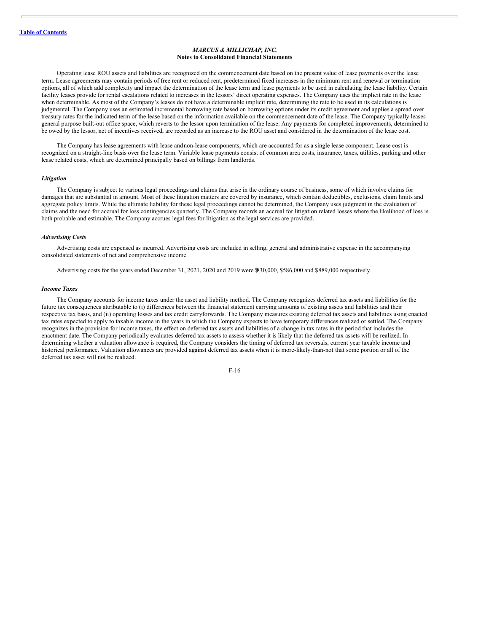Operating lease ROU assets and liabilities are recognized on the commencement date based on the present value of lease payments over the lease term. Lease agreements may contain periods of free rent or reduced rent, predetermined fixed increases in the minimum rent and renewal or termination options, all of which add complexity and impact the determination of the lease term and lease payments to be used in calculating the lease liability. Certain facility leases provide for rental escalations related to increases in the lessors' direct operating expenses. The Company uses the implicit rate in the lease when determinable. As most of the Company's leases do not have a determinable implicit rate, determining the rate to be used in its calculations is judgmental. The Company uses an estimated incremental borrowing rate based on borrowing options under its credit agreement and applies a spread over treasury rates for the indicated term of the lease based on the information available on the commencement date of the lease. The Company typically leases general purpose built-out office space, which reverts to the lessor upon termination of the lease. Any payments for completed improvements, determined to be owed by the lessor, net of incentives received, are recorded as an increase to the ROU asset and considered in the determination of the lease cost.

The Company has lease agreements with lease andnon-lease components, which are accounted for as a single lease component. Lease cost is recognized on a straight-line basis over the lease term. Variable lease payments consist of common area costs, insurance, taxes, utilities, parking and other lease related costs, which are determined principally based on billings from landlords.

## *Litigation*

The Company is subject to various legal proceedings and claims that arise in the ordinary course of business, some of which involve claims for damages that are substantial in amount. Most of these litigation matters are covered by insurance, which contain deductibles, exclusions, claim limits and aggregate policy limits. While the ultimate liability for these legal proceedings cannot be determined, the Company uses judgment in the evaluation of claims and the need for accrual for loss contingencies quarterly. The Company records an accrual for litigation related losses where the likelihood of loss is both probable and estimable. The Company accrues legal fees for litigation as the legal services are provided.

#### *Advertising Costs*

Advertising costs are expensed as incurred. Advertising costs are included in selling, general and administrative expense in the accompanying consolidated statements of net and comprehensive income.

Advertising costs for the years ended December 31, 2021, 2020 and 2019 were \$830,000, \$586,000 and \$889,000 respectively.

## *Income Taxes*

The Company accounts for income taxes under the asset and liability method. The Company recognizes deferred tax assets and liabilities for the future tax consequences attributable to (i) differences between the financial statement carrying amounts of existing assets and liabilities and their respective tax basis, and (ii) operating losses and tax credit carryforwards. The Company measures existing deferred tax assets and liabilities using enacted tax rates expected to apply to taxable income in the years in which the Company expects to have temporary differences realized or settled. The Company recognizes in the provision for income taxes, the effect on deferred tax assets and liabilities of a change in tax rates in the period that includes the enactment date. The Company periodically evaluates deferred tax assets to assess whether it is likely that the deferred tax assets will be realized. In determining whether a valuation allowance is required, the Company considers the timing of deferred tax reversals, current year taxable income and historical performance. Valuation allowances are provided against deferred tax assets when it is more-likely-than-not that some portion or all of the deferred tax asset will not be realized.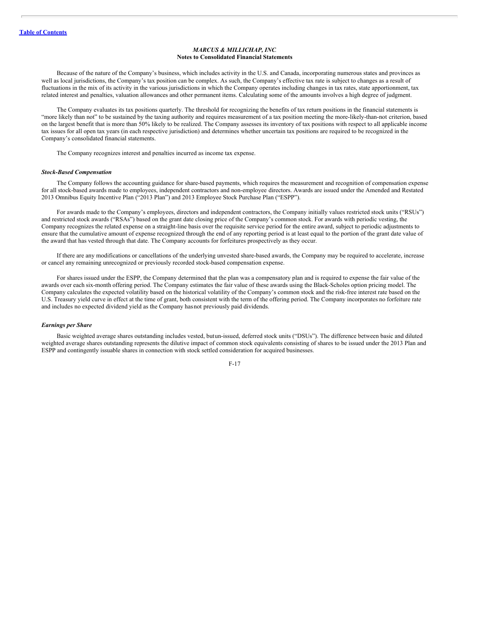Because of the nature of the Company's business, which includes activity in the U.S. and Canada, incorporating numerous states and provinces as well as local jurisdictions, the Company's tax position can be complex. As such, the Company's effective tax rate is subject to changes as a result of fluctuations in the mix of its activity in the various jurisdictions in which the Company operates including changes in tax rates, state apportionment, tax related interest and penalties, valuation allowances and other permanent items. Calculating some of the amounts involves a high degree of judgment.

The Company evaluates its tax positions quarterly. The threshold for recognizing the benefits of tax return positions in the financial statements is "more likely than not" to be sustained by the taxing authority and requires measurement of a tax position meeting the more-likely-than-not criterion, based on the largest benefit that is more than 50% likely to be realized. The Company assesses its inventory of tax positions with respect to all applicable income tax issues for all open tax years (in each respective jurisdiction) and determines whether uncertain tax positions are required to be recognized in the Company's consolidated financial statements.

The Company recognizes interest and penalties incurred as income tax expense.

#### *Stock-Based Compensation*

The Company follows the accounting guidance for share-based payments, which requires the measurement and recognition of compensation expense for all stock-based awards made to employees, independent contractors and non-employee directors. Awards are issued under the Amended and Restated 2013 Omnibus Equity Incentive Plan ("2013 Plan") and 2013 Employee Stock Purchase Plan ("ESPP").

For awards made to the Company's employees, directors and independent contractors, the Company initially values restricted stock units ("RSUs") and restricted stock awards ("RSAs") based on the grant date closing price of the Company's common stock. For awards with periodic vesting, the Company recognizes the related expense on a straight-line basis over the requisite service period for the entire award, subject to periodic adjustments to ensure that the cumulative amount of expense recognized through the end of any reporting period is at least equal to the portion of the grant date value of the award that has vested through that date. The Company accounts for forfeitures prospectively as they occur.

If there are any modifications or cancellations of the underlying unvested share-based awards, the Company may be required to accelerate, increase or cancel any remaining unrecognized or previously recorded stock-based compensation expense.

For shares issued under the ESPP, the Company determined that the plan was a compensatory plan and is required to expense the fair value of the awards over each six-month offering period. The Company estimates the fair value of these awards using the Black-Scholes option pricing model. The Company calculates the expected volatility based on the historical volatility of the Company's common stock and the risk-free interest rate based on the U.S. Treasury yield curve in effect at the time of grant, both consistent with the term of the offering period. The Company incorporates no forfeiture rate and includes no expected dividend yield as the Company hasnot previously paid dividends.

## *Earnings per Share*

Basic weighted average shares outstanding includes vested, butun-issued, deferred stock units ("DSUs"). The difference between basic and diluted weighted average shares outstanding represents the dilutive impact of common stock equivalents consisting of shares to be issued under the 2013 Plan and ESPP and contingently issuable shares in connection with stock settled consideration for acquired businesses.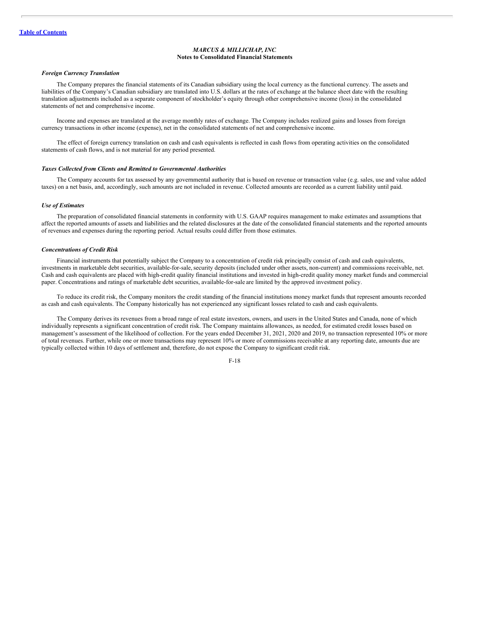# *Foreign Currency Translation*

The Company prepares the financial statements of its Canadian subsidiary using the local currency as the functional currency. The assets and liabilities of the Company's Canadian subsidiary are translated into U.S. dollars at the rates of exchange at the balance sheet date with the resulting translation adjustments included as a separate component of stockholder's equity through other comprehensive income (loss) in the consolidated statements of net and comprehensive income.

Income and expenses are translated at the average monthly rates of exchange. The Company includes realized gains and losses from foreign currency transactions in other income (expense), net in the consolidated statements of net and comprehensive income.

The effect of foreign currency translation on cash and cash equivalents is reflected in cash flows from operating activities on the consolidated statements of cash flows, and is not material for any period presented.

#### *Taxes Collected from Clients and Remitted to Governmental Authorities*

The Company accounts for tax assessed by any governmental authority that is based on revenue or transaction value (e.g. sales, use and value added taxes) on a net basis, and, accordingly, such amounts are not included in revenue. Collected amounts are recorded as a current liability until paid.

#### *Use of Estimates*

The preparation of consolidated financial statements in conformity with U.S. GAAP requires management to make estimates and assumptions that affect the reported amounts of assets and liabilities and the related disclosures at the date of the consolidated financial statements and the reported amounts of revenues and expenses during the reporting period. Actual results could differ from those estimates.

### *Concentrations of Credit Risk*

Financial instruments that potentially subject the Company to a concentration of credit risk principally consist of cash and cash equivalents, investments in marketable debt securities, available-for-sale,security deposits (included under other assets, non-current) and commissions receivable, net. Cash and cash equivalents are placed with high-credit quality financial institutions and invested in high-credit quality money market funds and commercial paper. Concentrations and ratings of marketable debt securities, available-for-sale are limited by the approved investment policy.

To reduce its credit risk, the Company monitors the credit standing of the financial institutions money market funds that represent amounts recorded as cash and cash equivalents. The Company historically has not experienced any significant losses related to cash and cash equivalents.

The Company derives its revenues from a broad range of real estate investors, owners, and users in the United States and Canada, none of which individually represents a significant concentration of credit risk. The Company maintains allowances, as needed, for estimated credit losses based on management's assessment of the likelihood of collection. For the years ended December 31, 2021, 2020 and 2019, no transaction represented 10% or more of total revenues. Further, while one or more transactions may represent 10% or more of commissions receivable at any reporting date, amounts due are typically collected within 10 days of settlement and, therefore, do not expose the Company to significant credit risk.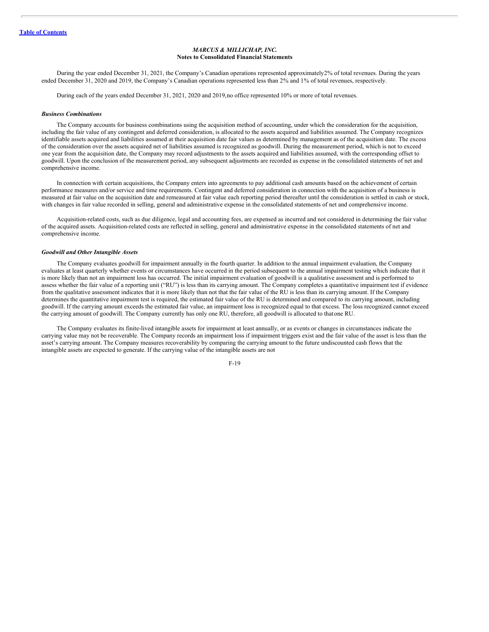During the year ended December 31, 2021, the Company's Canadian operations represented approximately2% of total revenues. During the years ended December 31, 2020 and 2019, the Company's Canadian operations represented less than 2% and 1% of total revenues, respectively.

During each of the years ended December 31, 2021, 2020 and 2019,no office represented 10% or more of total revenues.

#### *Business Combinations*

The Company accounts for business combinations using the acquisition method of accounting, under which the consideration for the acquisition, including the fair value of any contingent and deferred consideration, is allocated to the assets acquired and liabilities assumed. The Company recognizes identifiable assets acquired and liabilities assumed at their acquisition date fair values as determined by management as of the acquisition date. The excess of the consideration over the assets acquired net of liabilities assumed is recognized as goodwill. During the measurement period, which is not to exceed one year from the acquisition date, the Company may record adjustments to the assets acquired and liabilities assumed, with the corresponding offset to goodwill. Upon the conclusion of the measurement period, any subsequent adjustments are recorded as expense in the consolidated statements of net and comprehensive income.

In connection with certain acquisitions, the Company enters into agreements to pay additional cash amounts based on the achievement of certain performance measures and/or service and time requirements. Contingent and deferred consideration in connection with the acquisition of a business is measured at fair value on the acquisition date and remeasured at fair value each reporting period thereafter until the consideration is settled in cash or stock, with changes in fair value recorded in selling, general and administrative expense in the consolidated statements of net and comprehensive income.

Acquisition-related costs, such as due diligence, legal and accounting fees, are expensed as incurred and not considered in determining the fair value of the acquired assets. Acquisition-related costs are reflected in selling, general and administrative expense in the consolidated statements of net and comprehensive income.

#### *Goodwill and Other Intangible Assets*

The Company evaluates goodwill for impairment annually in the fourth quarter. In addition to the annual impairment evaluation, the Company evaluates at least quarterly whether events or circumstances have occurred in the period subsequent to the annual impairment testing which indicate that it is more likely than not an impairment loss has occurred. The initial impairment evaluation of goodwill is a qualitative assessment and is performed to assess whether the fair value of a reporting unit ("RU") is less than its carrying amount. The Company completes a quantitative impairment test if evidence from the qualitative assessment indicates that it is more likely than not that the fair value of the RU is less than its carrying amount. If the Company determines the quantitative impairment test is required, the estimated fair value of the RU is determined and compared to its carrying amount, including goodwill. If the carrying amount exceeds the estimated fair value, an impairment loss is recognized equal to that excess. The loss recognized cannot exceed the carrying amount of goodwill. The Company currently has only one RU, therefore, all goodwill is allocated to thatone RU.

The Company evaluates its finite-lived intangible assets for impairment at least annually, or as events or changes in circumstances indicate the carrying value may not be recoverable. The Company records an impairment loss if impairment triggers exist and the fair value of the asset is less than the asset's carrying amount. The Company measures recoverability by comparing the carrying amount to the future undiscounted cash flows that the intangible assets are expected to generate. If the carrying value of the intangible assets are not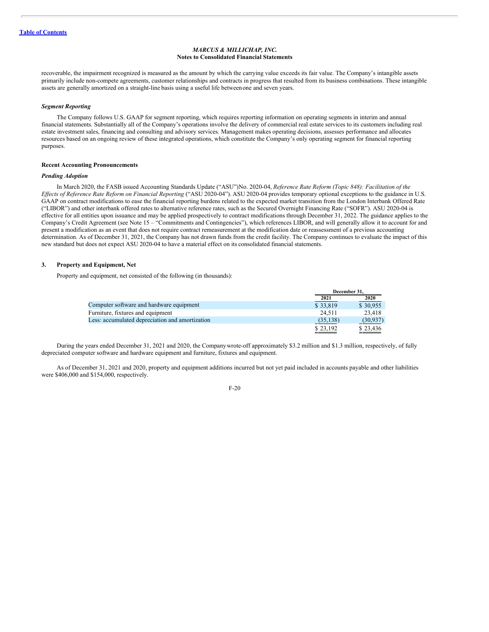recoverable, the impairment recognized is measured as the amount by which the carrying value exceeds its fair value. The Company's intangible assets primarily include non-compete agreements, customer relationships and contracts in progress that resulted from its business combinations. These intangible assets are generally amortized on a straight-line basis using a useful life betweenone and seven years.

### *Segment Reporting*

The Company follows U.S. GAAP for segment reporting, which requires reporting information on operating segments in interim and annual financial statements. Substantially all of the Company's operations involve the delivery of commercial real estate services to its customers including real estate investment sales, financing and consulting and advisory services. Management makes operating decisions, assesses performance and allocates resources based on an ongoing review of these integrated operations, which constitute the Company's only operating segment for financial reporting purposes.

### **Recent Accounting Pronouncements**

### *Pending Adoption*

In March 2020, the FASB issued Accounting Standards Update ("ASU")No. 2020-04, *Reference Rate Reform (Topic 848): Facilitation of the Ef ects of Reference Rate Reform on Financial Reporting* ("ASU 2020-04"). ASU 2020-04 provides temporary optional exceptions to the guidance in U.S. GAAP on contract modifications to ease the financial reporting burdens related to the expected market transition from the London Interbank Offered Rate ("LIBOR") and other interbank offered rates to alternative reference rates, such as the Secured Overnight Financing Rate ("SOFR"). ASU 2020-04 is effective for all entities upon issuance and may be applied prospectively to contract modifications through December 31, 2022. The guidance applies to the Company's Credit Agreement (see Note 15 – "Commitments and Contingencies"), which references LIBOR, and will generally allow it to account for and present a modification as an event that does not require contract remeasurement at the modification date or reassessment of a previous accounting determination. As of December 31, 2021, the Company has not drawn funds from the credit facility. The Company continues to evaluate the impact of this new standard but does not expect ASU 2020-04 to have a material effect on its consolidated financial statements.

### **3. Property and Equipment, Net**

Property and equipment, net consisted of the following (in thousands):

|                                                 | December 31. |           |
|-------------------------------------------------|--------------|-----------|
|                                                 | 2021         | 2020      |
| Computer software and hardware equipment        | \$33.819     | \$30,955  |
| Furniture, fixtures and equipment               | 24.511       | 23.418    |
| Less: accumulated depreciation and amortization | (35, 138)    | (30, 937) |
|                                                 | \$23.192     | \$23.436  |

During the years ended December 31, 2021 and 2020, the Companywrote-off approximately \$3.2 million and \$1.3 million, respectively, of fully depreciated computer software and hardware equipment and furniture, fixtures and equipment.

As of December 31, 2021 and 2020, property and equipment additions incurred but not yet paid included in accounts payable and other liabilities were \$406,000 and \$154,000, respectively.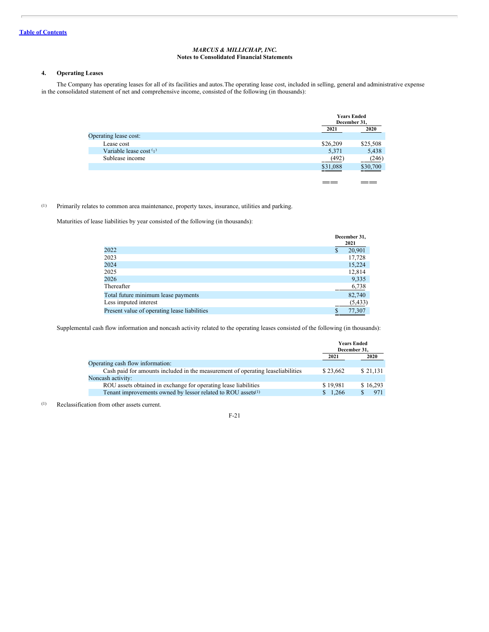# **4. Operating Leases**

The Company has operating leases for all of its facilities and autos.The operating lease cost, included in selling, general and administrative expense in the consolidated statement of net and comprehensive income, consisted of the following (in thousands):

|                           | <b>Years Ended</b> |          |
|---------------------------|--------------------|----------|
|                           | December 31,       |          |
|                           | 2021               | 2020     |
| Operating lease cost:     |                    |          |
| Lease cost                | \$26,209           | \$25,508 |
| Variable lease cost $(1)$ | 5,371              | 5,438    |
| Sublease income           | (492)              | (246)    |
|                           | \$31,088           | \$30,700 |
|                           |                    |          |
|                           |                    |          |

# (1) Primarily relates to common area maintenance, property taxes, insurance, utilities and parking.

Maturities of lease liabilities by year consisted of the following (in thousands):

|                                              | December 31,<br>2021 |
|----------------------------------------------|----------------------|
| 2022                                         | 20,901               |
| 2023                                         | 17,728               |
| 2024                                         | 15,224               |
| 2025                                         | 12,814               |
| 2026                                         | 9,335                |
| Thereafter                                   | 6,738                |
| Total future minimum lease payments          | 82,740               |
| Less imputed interest                        | (5, 433)             |
| Present value of operating lease liabilities | 77,307               |

Supplemental cash flow information and noncash activity related to the operating leases consisted of the following (in thousands):

|                                                                                 |          | <b>Years Ended</b><br>December 31. |
|---------------------------------------------------------------------------------|----------|------------------------------------|
|                                                                                 | 2021     | 2020                               |
| Operating cash flow information:                                                |          |                                    |
| Cash paid for amounts included in the measurement of operating leaseliabilities | \$23.662 | \$21.131                           |
| Noncash activity:                                                               |          |                                    |
| ROU assets obtained in exchange for operating lease liabilities                 | \$19,981 | \$16,293                           |
| Tenant improvements owned by lessor related to ROU assets <sup>(1)</sup>        | \$1,266  | 971                                |
|                                                                                 |          |                                    |

(1) Reclassification from other assets current.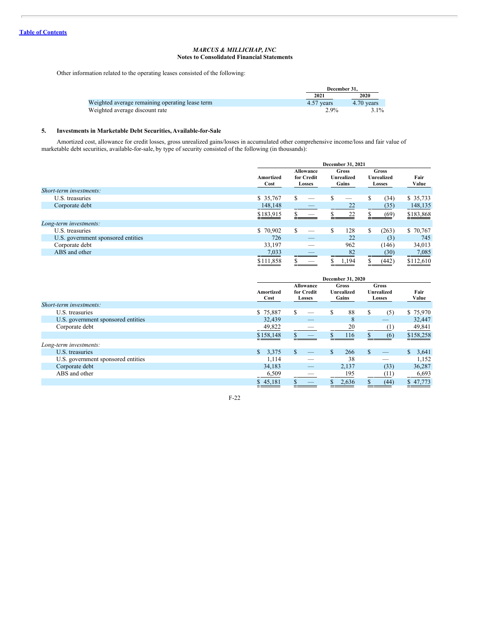Other information related to the operating leases consisted of the following:

|                                                 | December 31. |              |
|-------------------------------------------------|--------------|--------------|
|                                                 | 2021         | 2020         |
| Weighted average remaining operating lease term | 4.57 years   | $4.70$ vears |
| Weighted average discount rate                  | $2.9\%$      | $3.1\%$      |

# **5. Investments in Marketable Debt Securities, Available-for-Sale**

Amortized cost, allowance for credit losses, gross unrealized gains/losses in accumulated other comprehensive income/loss and fair value of marketable debt securities, available-for-sale, by type of security consisted of the following (in thousands):

|                                    |                   | <b>December 31, 2021</b>          |                                     |                                      |               |  |  |  |  |
|------------------------------------|-------------------|-----------------------------------|-------------------------------------|--------------------------------------|---------------|--|--|--|--|
| Short-term investments:            | Amortized<br>Cost | Allowance<br>for Credit<br>Losses | Gross<br><b>Unrealized</b><br>Gains | Gross<br><b>Unrealized</b><br>Losses | Fair<br>Value |  |  |  |  |
|                                    |                   |                                   |                                     |                                      |               |  |  |  |  |
| U.S. treasuries                    | \$35,767          | S<br>--                           | ፍ                                   | (34)<br>S                            | \$ 35,733     |  |  |  |  |
| Corporate debt                     | 148,148           |                                   | 22                                  | (35)                                 | 148,135       |  |  |  |  |
|                                    | \$183,915         | __                                | 22                                  | (69)                                 | \$183,868     |  |  |  |  |
| Long-term investments:             |                   |                                   |                                     |                                      |               |  |  |  |  |
| U.S. treasuries                    | \$70,902          | \$.<br>_                          | \$<br>128                           | S<br>(263)                           | \$70,767      |  |  |  |  |
| U.S. government sponsored entities | 726               | _                                 | 22                                  | (3)                                  | 745           |  |  |  |  |
| Corporate debt                     | 33,197            | _                                 | 962                                 | (146)                                | 34,013        |  |  |  |  |
| ABS and other                      | 7,033             |                                   | 82                                  | (30)                                 | 7,085         |  |  |  |  |
|                                    | \$111,858         |                                   | 1,194                               | (442)                                | \$112,610     |  |  |  |  |

|                                    | December 31, 2020 |                                                 |            |                              |             |  |  |                                      |               |
|------------------------------------|-------------------|-------------------------------------------------|------------|------------------------------|-------------|--|--|--------------------------------------|---------------|
|                                    | Amortized<br>Cost | <b>Allowance</b><br>for Credit<br><b>Losses</b> |            | Gross<br>Unrealized<br>Gains |             |  |  | Gross<br>Unrealized<br><b>Losses</b> | Fair<br>Value |
| Short-term investments:            |                   |                                                 |            |                              |             |  |  |                                      |               |
| U.S. treasuries                    | \$75,887          | \$.                                             | S<br>88    | S<br>(5)                     | \$75,970    |  |  |                                      |               |
| U.S. government sponsored entities | 32,439            | $\overline{\phantom{a}}$                        | 8          | _                            | 32,447      |  |  |                                      |               |
| Corporate debt                     | 49,822            |                                                 | 20         | (1)                          | 49,841      |  |  |                                      |               |
|                                    | \$158,148         | $\overline{\phantom{a}}$                        | 116        | (6)                          | \$158,258   |  |  |                                      |               |
| Long-term investments:             |                   |                                                 |            |                              |             |  |  |                                      |               |
| U.S. treasuries                    | \$<br>3.375       | <sup>\$</sup>                                   | \$<br>266  | $\mathbf{s}$                 | 3,641<br>\$ |  |  |                                      |               |
| U.S. government sponsored entities | 1.114             | _                                               | 38         | _                            | 1,152       |  |  |                                      |               |
| Corporate debt                     | 34,183            | $\qquad \qquad$                                 | 2,137      | (33)                         | 36,287      |  |  |                                      |               |
| ABS and other                      | 6,509             |                                                 | 195        | (11)                         | 6,693       |  |  |                                      |               |
|                                    | \$45,181          |                                                 | 2,636<br>S | (44)                         | \$47,773    |  |  |                                      |               |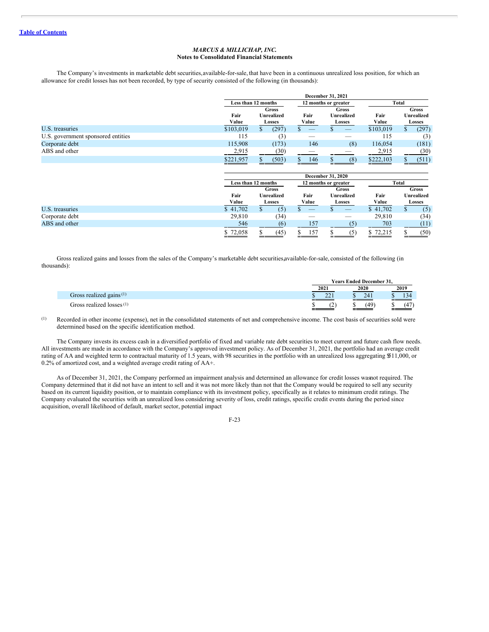The Company's investments in marketable debt securities,available-for-sale, that have been in a continuous unrealized loss position, for which an allowance for credit losses has not been recorded, by type of security consisted of the following (in thousands):

|                                    |                     | December 31, 2021                    |       |  |                      |  |                                      |               |  |                                      |
|------------------------------------|---------------------|--------------------------------------|-------|--|----------------------|--|--------------------------------------|---------------|--|--------------------------------------|
|                                    | Less than 12 months |                                      |       |  | 12 months or greater |  |                                      | Total         |  |                                      |
|                                    | Fair<br>Value       | Gross<br>Unrealized<br><b>Losses</b> |       |  | Fair<br>Value        |  | Gross<br>Unrealized<br><b>Losses</b> | Fair<br>Value |  | Gross<br><b>Unrealized</b><br>Losses |
| U.S. treasuries                    | \$103,019           |                                      | (297) |  | _                    |  | $\overline{\phantom{a}}$             | \$103,019     |  | (297)                                |
| U.S. government sponsored entities | 115                 |                                      | (3)   |  |                      |  |                                      | 115           |  | (3)                                  |
| Corporate debt                     | 115.908             |                                      | (173) |  | 146                  |  | (8)                                  | 116,054       |  | (181)                                |
| ABS and other                      | 2,915               |                                      | (30)  |  | __                   |  |                                      | 2,915         |  | (30)                                 |
|                                    | \$221,957           |                                      | (503) |  | 146                  |  | (8)                                  | \$222,103     |  | (511)                                |

|                 |               |                                      |                  |               | <b>December 31, 2020</b> |                                             |                          |               |                                      |      |
|-----------------|---------------|--------------------------------------|------------------|---------------|--------------------------|---------------------------------------------|--------------------------|---------------|--------------------------------------|------|
|                 |               | Less than 12 months                  |                  |               | 12 months or greater     |                                             |                          | Total         |                                      |      |
|                 | Fair<br>Value | Gross<br><b>Unrealized</b><br>Losses |                  | Fair<br>Value |                          | Gross<br><b>Unrealized</b><br><b>Losses</b> |                          | Fair<br>Value | Gross<br><b>Unrealized</b><br>Losses |      |
| U.S. treasuries | \$41,702      | ٠D                                   | $\mathfrak{z}_1$ |               |                          |                                             | $\overline{\phantom{a}}$ | \$41,702      |                                      | (5)  |
| Corporate debt  | 29,810        |                                      | (34)             |               |                          |                                             | $\overline{\phantom{a}}$ | 29.810        |                                      | (34) |
| ABS and other   | 546           |                                      | (6)              |               | 157                      |                                             |                          | 703           |                                      | (11) |
|                 | \$72,058      |                                      | (45)             |               | 157                      |                                             |                          | 72,215        |                                      | (50) |

Gross realized gains and losses from the sales of the Company's marketable debt securities,available-for-sale, consisted of the following (in thousands):

|                             |             | <b>Years Ended December 31.</b> |                                         |  |  |  |  |
|-----------------------------|-------------|---------------------------------|-----------------------------------------|--|--|--|--|
|                             | 2021        | 2020                            | 2019                                    |  |  |  |  |
| Gross realized gains $(1)$  | 221<br>$-1$ | 241                             | 134                                     |  |  |  |  |
| Gross realized losses $(1)$ | ι∠          | (49                             | (47)<br>the contract of the contract of |  |  |  |  |

(1) Recorded in other income (expense), net in the consolidated statements of net and comprehensive income. The cost basis of securities sold were determined based on the specific identification method.

The Company invests its excess cash in a diversified portfolio of fixed and variable rate debt securities to meet current and future cash flow needs. All investments are made in accordance with the Company's approved investment policy. As of December 31, 2021, the portfolio had an average credit rating of AA and weighted term to contractual maturity of 1.5 years, with 98 securities in the portfolio with an unrealized loss aggregating \$11,000, or 0.2% of amortized cost, and a weighted average credit rating of AA+.

As of December 31, 2021, the Company performed an impairment analysis and determined an allowance for credit losses wasnot required. The Company determined that it did not have an intent to sell and it was not more likely than not that the Company would be required to sell any security based on its current liquidity position, or to maintain compliance with its investment policy, specifically as it relates to minimum credit ratings. The Company evaluated the securities with an unrealized loss considering severity of loss, credit ratings, specific credit events during the period since acquisition, overall likelihood of default, market sector, potential impact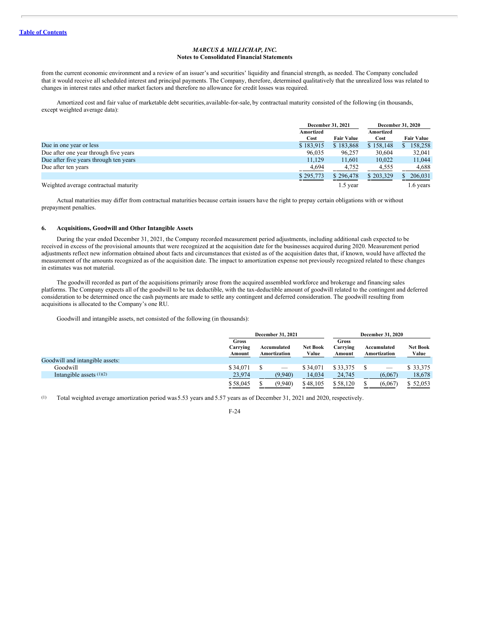from the current economic environment and a review of an issuer's and securities' liquidity and financial strength, as needed. The Company concluded that it would receive all scheduled interest and principal payments. The Company, therefore, determined qualitatively that the unrealized loss was related to changes in interest rates and other market factors and therefore no allowance for credit losses was required.

Amortized cost and fair value of marketable debt securities,available-for-sale, by contractual maturity consisted of the following (in thousands, except weighted average data):

|                                        |           | December 31, 2021 |           | December 31, 2020 |
|----------------------------------------|-----------|-------------------|-----------|-------------------|
|                                        | Amortized |                   | Amortized |                   |
|                                        | Cost      | <b>Fair Value</b> | Cost      | <b>Fair Value</b> |
| Due in one year or less                | \$183,915 | \$183,868         | \$158,148 | 158,258           |
| Due after one year through five years  | 96,035    | 96,257            | 30,604    | 32,041            |
| Due after five years through ten years | 11.129    | 11,601            | 10,022    | 11,044            |
| Due after ten years                    | 4,694     | 4,752             | 4,555     | 4,688             |
|                                        | \$295,773 | \$296,478         | \$203,329 | 206,031           |
| Weighted average contractual maturity  |           | 1.5 year          |           | 1.6 years         |

Actual maturities may differ from contractual maturities because certain issuers have the right to prepay certain obligations with or without prepayment penalties.

# **6. Acquisitions, Goodwill and Other Intangible Assets**

During the year ended December 31, 2021, the Company recorded measurement period adjustments, including additional cash expected to be received in excess of the provisional amounts that were recognized at the acquisition date for the businesses acquired during 2020. Measurement period adjustments reflect new information obtained about facts and circumstances that existed as of the acquisition dates that, if known, would have affected the measurement of the amounts recognized as of the acquisition date. The impact to amortization expense not previously recognized related to these changes in estimates was not material.

The goodwill recorded as part of the acquisitions primarily arose from the acquired assembled workforce and brokerage and financing sales platforms. The Company expects all of the goodwill to be tax deductible, with the tax-deductible amount of goodwill related to the contingent and deferred consideration to be determined once the cash payments are made to settle any contingent and deferred consideration. The goodwill resulting from acquisitions is allocated to the Company's one RU.

Goodwill and intangible assets, net consisted of the following (in thousands):

|                                 |                             | <b>December 31, 2021</b>    |         |          |          | <b>December 31, 2020</b> |         |          |  |  |  |  |  |  |  |  |  |  |  |  |  |                          |                             |                             |  |                          |
|---------------------------------|-----------------------------|-----------------------------|---------|----------|----------|--------------------------|---------|----------|--|--|--|--|--|--|--|--|--|--|--|--|--|--------------------------|-----------------------------|-----------------------------|--|--------------------------|
|                                 | Gross<br>Carrying<br>Amount | Accumulated<br>Amortization |         |          |          |                          |         |          |  |  |  |  |  |  |  |  |  |  |  |  |  | <b>Net Book</b><br>Value | Gross<br>Carrying<br>Amount | Accumulated<br>Amortization |  | <b>Net Book</b><br>Value |
| Goodwill and intangible assets: |                             |                             |         |          |          |                          |         |          |  |  |  |  |  |  |  |  |  |  |  |  |  |                          |                             |                             |  |                          |
| Goodwill                        | \$34,071                    |                             | –       | \$34,071 | \$33,375 |                          | –       | \$33,375 |  |  |  |  |  |  |  |  |  |  |  |  |  |                          |                             |                             |  |                          |
| Intangible assets $(1)(2)$      | 23,974                      |                             | (9,940) | 14,034   | 24,745   |                          | (6,067) | 18,678   |  |  |  |  |  |  |  |  |  |  |  |  |  |                          |                             |                             |  |                          |
|                                 | \$58,045                    |                             | (9,940) | \$48,105 | \$58,120 |                          | (6,067) | \$52,053 |  |  |  |  |  |  |  |  |  |  |  |  |  |                          |                             |                             |  |                          |

(1) Total weighted average amortization period was5.53 years and 5.57 years as of December 31, 2021 and 2020, respectively.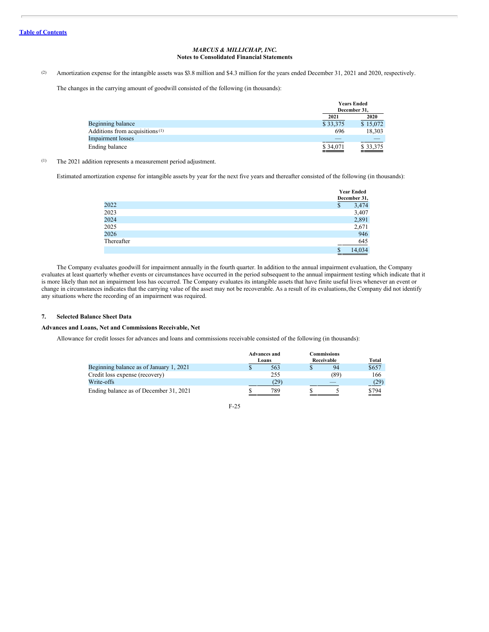(2) Amortization expense for the intangible assets was \$3.8 million and \$4.3 million for the years ended December 31, 2021 and 2020, respectively.

The changes in the carrying amount of goodwill consisted of the following (in thousands):

|                                   |                    | <b>Years Ended</b> |
|-----------------------------------|--------------------|--------------------|
|                                   |                    | December 31,       |
|                                   | 2021               | 2020               |
| Beginning balance                 | \$33,375           | \$15,072           |
| Additions from acquisitions $(1)$ | 696                | 18,303             |
| <b>Impairment</b> losses          |                    |                    |
| Ending balance                    | \$34,071<br>______ | \$33,375<br>______ |

### (1) The 2021 addition represents a measurement period adjustment.

Estimated amortization expense for intangible assets by year for the next five years and thereafter consisted of the following (in thousands):

|            | <b>Year Ended</b> |
|------------|-------------------|
|            | December 31,      |
| 2022       | 3,474<br>S        |
| 2023       | 3,407             |
| 2024       | 2,891             |
| 2025       | 2,671             |
| 2026       | 946               |
| Thereafter | 645               |
|            | 14,034<br>S       |

The Company evaluates goodwill for impairment annually in the fourth quarter. In addition to the annual impairment evaluation, the Company evaluates at least quarterly whether events or circumstances have occurred in the period subsequent to the annual impairment testing which indicate that it is more likely than not an impairment loss has occurred. The Company evaluates its intangible assets that have finite useful lives whenever an event or change in circumstances indicates that the carrying value of the asset may not be recoverable. As a result of its evaluations,the Company did not identify any situations where the recording of an impairment was required.

## **7. Selected Balance Sheet Data**

# **Advances and Loans, Net and Commissions Receivable, Net**

Allowance for credit losses for advances and loans and commissions receivable consisted of the following (in thousands):

|                                         | <b>Advances and</b><br>Loans |   | Commissions<br>Receivable | Total |
|-----------------------------------------|------------------------------|---|---------------------------|-------|
| Beginning balance as of January 1, 2021 | 563                          | S | 94                        | \$657 |
| Credit loss expense (recovery)          | 255                          |   | (89)                      | 166   |
| Write-offs                              | (29                          |   |                           | (29)  |
| Ending balance as of December 31, 2021  | 789                          |   |                           | \$794 |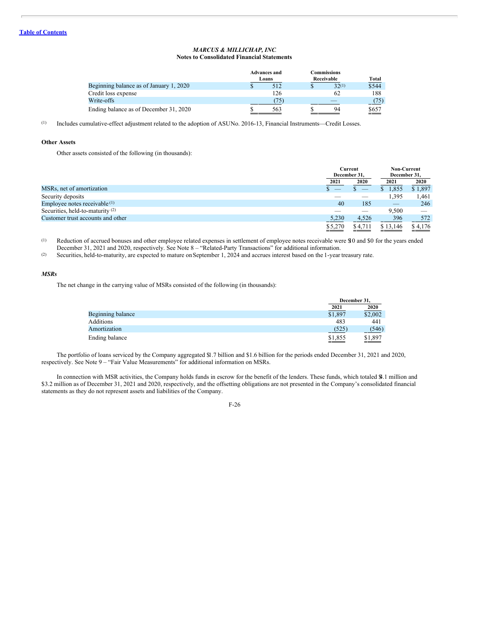|                                         | <b>Advances and</b><br>Loans |   | Commissions<br>Receivable | Total |
|-----------------------------------------|------------------------------|---|---------------------------|-------|
| Beginning balance as of January 1, 2020 | 512                          | ъ | $32^{(1)}$                | \$544 |
| Credit loss expense                     | 126                          |   | 62                        | 188   |
| Write-offs                              | 75)                          |   |                           |       |
| Ending balance as of December 31, 2020  | 563                          |   | 94                        | \$657 |

(1) Includes cumulative-effect adjustment related to the adoption of ASUNo. 2016-13, Financial Instruments—Credit Losses.

### **Other Assets**

Other assets consisted of the following (in thousands):

|                                             |         | Current      |                          | <b>Non-Current</b> |
|---------------------------------------------|---------|--------------|--------------------------|--------------------|
|                                             |         | December 31. |                          | December 31.       |
|                                             | 2021    | 2020         | 2021                     | 2020               |
| MSRs, net of amortization                   | $s =$   |              | 1,855                    | \$1,897            |
| Security deposits                           | _       |              | 1,395                    | 1,461              |
| Employee notes receivable <sup>(1)</sup>    | 40      | 185          | $\qquad \qquad - \qquad$ | 246                |
| Securities, held-to-maturity <sup>(2)</sup> |         |              | 9.500                    | -                  |
| Customer trust accounts and other           | 5,230   | 4,526        | 396                      | 572                |
|                                             | \$5,270 | \$4,711      | \$13,146                 | \$4,176            |

(1) Reduction of accrued bonuses and other employee related expenses in settlement of employee notes receivable were \$10 and \$0 for the years ended December 31, 2021 and 2020, respectively. See Note 8 – "Related-Party Transactions" for additional information.

(2) Securities, held-to-maturity, are expected to mature onSeptember 1, 2024 and accrues interest based on the 1-year treasury rate.

### *MSRs*

The net change in the carrying value of MSRs consisted of the following (in thousands):

|                   | December 31. |             |
|-------------------|--------------|-------------|
|                   | 2021         | <b>2020</b> |
| Beginning balance | \$1,897      | \$2,002     |
| Additions         | 483          | 441         |
| Amortization      | (525)        | (546)       |
| Ending balance    | \$1,855      | \$1,897     |

The portfolio of loans serviced by the Company aggregated \$1.7 billion and \$1.6 billion for the periods ended December 31, 2021 and 2020, respectively. See Note 9 – "Fair Value Measurements" for additional information on MSRs.

In connection with MSR activities, the Company holds funds in escrow for the benefit of the lenders. These funds, which totaled \$4.1 million and \$3.2 million as of December 31, 2021 and 2020, respectively, and the offsetting obligations are not presented in the Company's consolidated financial statements as they do not represent assets and liabilities of the Company.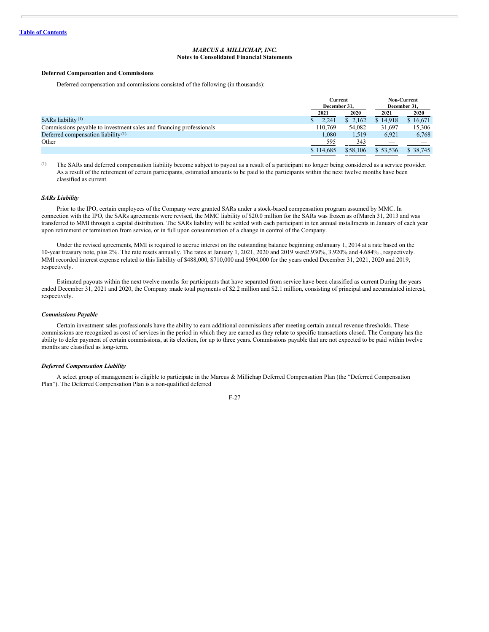# **Deferred Compensation and Commissions**

Deferred compensation and commissions consisted of the following (in thousands):

|                                                                     |           | Current<br>December 31. |          | <b>Non-Current</b><br>December 31. |  |  |
|---------------------------------------------------------------------|-----------|-------------------------|----------|------------------------------------|--|--|
|                                                                     | 2021      | 2020                    | 2021     | 2020                               |  |  |
| SARs liability <sup>(1)</sup>                                       | 2.241     | \$2,162                 | \$14,918 | \$16,671                           |  |  |
| Commissions payable to investment sales and financing professionals | 110.769   | 54.082                  | 31,697   | 15,306                             |  |  |
| Deferred compensation liability $(1)$                               | 1,080     | 1,519                   | 6,921    | 6,768                              |  |  |
| Other                                                               | 595       | 343                     | __       |                                    |  |  |
|                                                                     | \$114,685 | \$58,106                | \$53,536 | \$38,745                           |  |  |

(1) The SARs and deferred compensation liability become subject to payout as a result of a participant no longer being considered as a service provider. As a result of the retirement of certain participants, estimated amounts to be paid to the participants within the next twelve months have been classified as current.

### *SARs Liability*

Prior to the IPO, certain employees of the Company were granted SARs under a stock-based compensation program assumed by MMC. In connection with the IPO, the SARs agreements were revised, the MMC liability of \$20.0 million for the SARs was frozen as ofMarch 31, 2013 and was transferred to MMI through a capital distribution. The SARs liability will be settled with each participant in ten annual installments in January of each year upon retirement or termination from service, or in full upon consummation of a change in control of the Company.

Under the revised agreements, MMI is required to accrue interest on the outstanding balance beginning onJanuary 1, 2014 at a rate based on the 10-year treasury note, plus 2%. The rate resets annually. The rates at January 1, 2021, 2020 and 2019 were2.930%, 3.920% and 4.684% , respectively. MMI recorded interest expense related to this liability of \$488,000, \$710,000 and \$904,000 for the years ended December 31, 2021, 2020 and 2019, respectively.

Estimated payouts within the next twelve months for participants that have separated from service have been classified as current During the years ended December 31, 2021 and 2020, the Company made total payments of \$2.2 million and \$2.1 million, consisting of principal and accumulated interest, respectively.

### *Commissions Payable*

Certain investment sales professionals have the ability to earn additional commissions after meeting certain annual revenue thresholds. These commissions are recognized as cost of services in the period in which they are earned as they relate to specific transactions closed. The Company has the ability to defer payment of certain commissions, at its election, for up to three years. Commissions payable that are not expected to be paid within twelve months are classified as long-term.

#### *Deferred Compensation Liability*

A select group of management is eligible to participate in the Marcus & Millichap Deferred Compensation Plan (the "Deferred Compensation Plan"). The Deferred Compensation Plan is a non-qualified deferred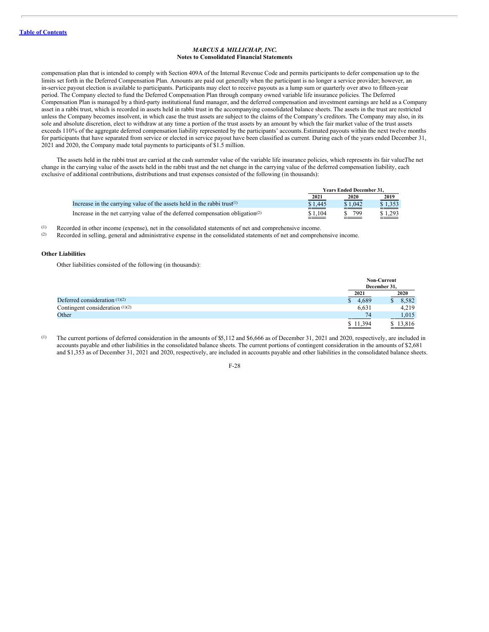compensation plan that is intended to comply with Section 409A of the Internal Revenue Code and permits participants to defer compensation up to the limits set forth in the Deferred Compensation Plan. Amounts are paid out generally when the participant is no longer a service provider; however, an in-service payout election is available to participants. Participants may elect to receive payouts as a lump sum or quarterly over atwo to fifteen-year period. The Company elected to fund the Deferred Compensation Plan through company owned variable life insurance policies. The Deferred Compensation Plan is managed by a third-party institutional fund manager, and the deferred compensation and investment earnings are held as a Company asset in a rabbi trust, which is recorded in assets held in rabbi trust in the accompanying consolidated balance sheets. The assets in the trust are restricted unless the Company becomes insolvent, in which case the trust assets are subject to the claims of the Company's creditors. The Company may also, in its sole and absolute discretion, elect to withdraw at any time a portion of the trust assets by an amount by which the fair market value of the trust assets exceeds 110% of the aggregate deferred compensation liability represented by the participants' accounts.Estimated payouts within the next twelve months for participants that have separated from service or elected in service payout have been classified as current. During each of the years ended December 31, 2021 and 2020, the Company made total payments to participants of \$1.5 million.

The assets held in the rabbi trust are carried at the cash surrender value of the variable life insurance policies, which represents its fair valueThe net change in the carrying value of the assets held in the rabbi trust and the net change in the carrying value of the deferred compensation liability, each exclusive of additional contributions, distributions and trust expenses consisted of the following (in thousands):

|                                                                                           |         | <b>Years Ended December 31.</b> |         |
|-------------------------------------------------------------------------------------------|---------|---------------------------------|---------|
|                                                                                           | 2021    | <b>2020</b>                     | 2019    |
| Increase in the carrying value of the assets held in the rabbi trust $(1)$                | \$1,445 | \$1,042                         | \$1,353 |
| Increase in the net carrying value of the deferred compensation obligation <sup>(2)</sup> | \$1.104 | \$ 799                          | \$1.293 |

(1) Recorded in other income (expense), net in the consolidated statements of net and comprehensive income.

(2) Recorded in selling, general and administrative expense in the consolidated statements of net and comprehensive income.

### **Other Liabilities**

Other liabilities consisted of the following (in thousands):

|                                 |                        | <b>Non-Current</b><br>December 31. |
|---------------------------------|------------------------|------------------------------------|
|                                 | 2021                   | 2020                               |
| Deferred consideration (1)(2)   | 4,689<br>$\mathcal{P}$ | 8,582                              |
| Contingent consideration (1)(2) | 6.631                  | 4.219                              |
| Other                           | 74                     | 1,015                              |
|                                 | \$11,394               | 13,816                             |

(1) The current portions of deferred consideration in the amounts of \$5,112 and \$6,666 as of December 31, 2021 and 2020, respectively, are included in accounts payable and other liabilities in the consolidated balance sheets. The current portions of contingent consideration in the amounts of \$2,681 and \$1,353 as of December 31, 2021 and 2020, respectively, are included in accounts payable and other liabilities in the consolidated balance sheets.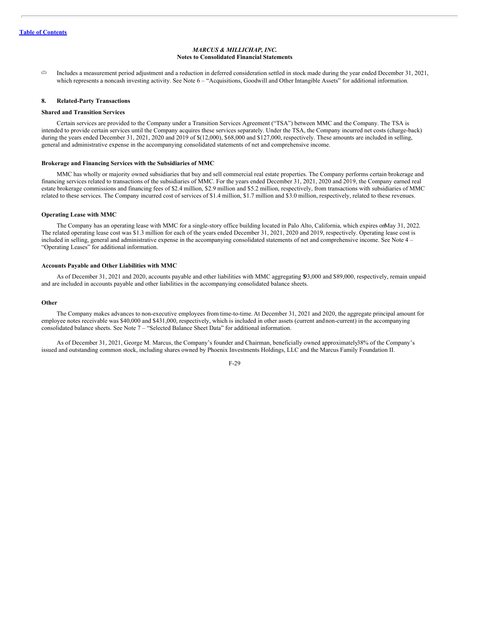(2) Includes a measurement period adjustment and a reduction in deferred consideration settled in stock made during the year ended December 31, 2021, which represents a noncash investing activity. See Note 6 – "Acquisitions, Goodwill and Other Intangible Assets" for additional information.

### **8. Related-Party Transactions**

#### **Shared and Transition Services**

Certain services are provided to the Company under a Transition Services Agreement ("TSA") between MMC and the Company. The TSA is intended to provide certain services until the Company acquires these services separately. Under the TSA, the Company incurred net costs (charge-back) during the years ended December 31, 2021, 2020 and 2019 of  $\frac{1}{1,000}$ ,  $\frac{1}{1,000}$ ,  $\frac{1}{1,000}$ , respectively. These amounts are included in selling, general and administrative expense in the accompanying consolidated statements of net and comprehensive income.

#### **Brokerage and Financing Services with the Subsidiaries of MMC**

MMC has wholly or majority owned subsidiaries that buy and sell commercial real estate properties. The Company performs certain brokerage and financing services related to transactions of the subsidiaries of MMC. For the years ended December 31, 2021, 2020 and 2019, the Company earned real estate brokerage commissions and financing fees of \$2.4 million, \$2.9 million and \$5.2 million, respectively, from transactions with subsidiaries of MMC related to these services. The Company incurred cost of services of \$1.4 million, \$1.7 million and \$3.0 million, respectively, related to these revenues.

### **Operating Lease with MMC**

The Company has an operating lease with MMC for a single-story office building located in Palo Alto, California, which expires onMay 31, 2022. The related operating lease cost was \$1.3 million for each of the years ended December 31, 2021, 2020 and 2019, respectively. Operating lease cost is included in selling, general and administrative expense in the accompanying consolidated statements of net and comprehensive income. See Note 4 – "Operating Leases" for additional information.

## **Accounts Payable and Other Liabilities with MMC**

As of December 31, 2021 and 2020, accounts payable and other liabilities with MMC aggregating \$93,000 and \$89,000, respectively, remain unpaid and are included in accounts payable and other liabilities in the accompanying consolidated balance sheets.

#### **Other**

The Company makes advances to non-executive employees from time-to-time. At December 31, 2021 and 2020, the aggregate principal amount for employee notes receivable was \$40,000 and \$431,000, respectively, which is included in other assets (current andnon-current) in the accompanying consolidated balance sheets. See Note 7 – "Selected Balance Sheet Data" for additional information.

As of December 31, 2021, George M. Marcus, the Company's founder and Chairman, beneficially owned approximately38% of the Company's issued and outstanding common stock, including shares owned by Phoenix Investments Holdings, LLC and the Marcus Family Foundation II.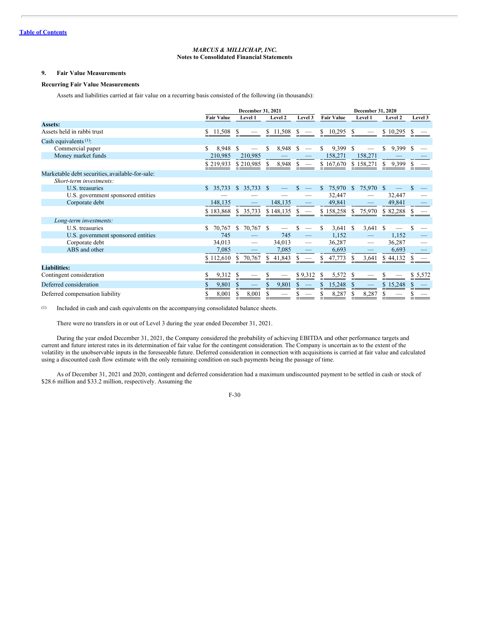# **9. Fair Value Measurements**

## **Recurring Fair Value Measurements**

Assets and liabilities carried at fair value on a recurring basis consisted of the following (in thousands):

|                                                 |                         | December 31, 2021 |                       |                                                  |                   | December 31, 2020 |             |          |
|-------------------------------------------------|-------------------------|-------------------|-----------------------|--------------------------------------------------|-------------------|-------------------|-------------|----------|
|                                                 | <b>Fair Value</b>       | Level 1           | Level 2               | Level 3                                          | <b>Fair Value</b> | Level 1           | Level 2     | Level 3  |
| Assets:                                         |                         |                   |                       |                                                  |                   |                   |             |          |
| Assets held in rabbi trust                      | 11,508                  | S                 | \$11,508              | -S                                               | \$10,295          | S.                | \$10,295    |          |
| Cash equivalents (1):                           |                         |                   |                       |                                                  |                   |                   |             |          |
| Commercial paper                                | S.<br>8,948             | -S                | \$<br>8,948 \$        | $\hspace{0.1mm}-\hspace{0.1mm}$                  | $9,399$ \$<br>S.  |                   | 9,399<br>S. | S        |
| Money market funds                              | 210,985                 | 210,985           |                       |                                                  | 158,271           | 158,271           |             |          |
|                                                 | \$219,933               | \$210,985         | 8,948<br>$\mathbb{S}$ | <sup>\$</sup><br>$\hspace{0.1mm}-\hspace{0.1mm}$ | \$167,670         | \$158,271         | \$9,399     |          |
| Marketable debt securities, available-for-sale: |                         |                   |                       |                                                  |                   |                   |             |          |
| Short-term investments:                         |                         |                   |                       |                                                  |                   |                   |             |          |
| U.S. treasuries                                 | <sup>\$</sup><br>35,733 | \$35,733          | <sup>\$</sup>         | \$                                               | 75,970 \$<br>\$.  | 75,970            | -S          |          |
| U.S. government sponsored entities              |                         |                   |                       |                                                  | 32,447            |                   | 32,447      |          |
| Corporate debt                                  | 148,135                 |                   | 148,135               |                                                  | 49,841            |                   | 49,841      |          |
|                                                 | \$183,868               | \$35,733          | \$148,135             | S                                                | \$158,258         | 75,970<br>\$      | \$ 82,288   |          |
| Long-term investments:                          |                         |                   |                       |                                                  |                   |                   |             |          |
| U.S. treasuries                                 | S<br>70,767             | 70,767<br>S       | £.                    |                                                  | $3,641$ \$<br>S   | 3,641             | -S          |          |
| U.S. government sponsored entities              | 745                     |                   | 745                   |                                                  | 1,152             |                   | 1,152       |          |
| Corporate debt                                  | 34,013                  |                   | 34,013                |                                                  | 36,287            |                   | 36,287      |          |
| ABS and other                                   | 7,085                   |                   | 7,085                 |                                                  | 6,693             |                   | 6,693       |          |
|                                                 | \$112,610               | \$ 70,767         | \$41,843              |                                                  | 47,773<br>S.      | 3,641<br>\$       | \$44,132    |          |
| <b>Liabilities:</b>                             |                         |                   |                       |                                                  |                   |                   |             |          |
| Contingent consideration                        | 9,312                   | S                 |                       | \$9,312                                          | 5,572<br>\$       | -S                |             | \$ 5,572 |
| Deferred consideration                          | 9,801<br>P.             |                   | 9,801                 |                                                  | 15,248<br>S       | S                 | \$15,248    |          |
| Deferred compensation liability                 | 8,001                   | S<br>8,001        |                       |                                                  | 8,287<br>S        | S<br>8,287        | S           |          |

(1) Included in cash and cash equivalents on the accompanying consolidated balance sheets.

There were no transfers in or out of Level 3 during the year ended December 31, 2021.

During the year ended December 31, 2021, the Company considered the probability of achieving EBITDA and other performance targets and current and future interest rates in its determination of fair value for the contingent consideration. The Company is uncertain as to the extent of the volatility in the unobservable inputs in the foreseeable future. Deferred consideration in connection with acquisitions is carried at fair value and calculated using a discounted cash flow estimate with the only remaining condition on such payments being the passage of time.

As of December 31, 2021 and 2020, contingent and deferred consideration had a maximum undiscounted payment to be settled in cash or stock of \$28.6 million and \$33.2 million, respectively. Assuming the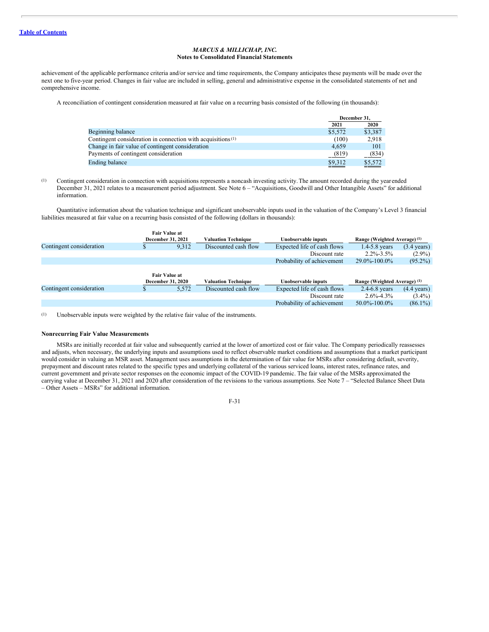achievement of the applicable performance criteria and/or service and time requirements, the Company anticipates these payments will be made over the next one to five-year period. Changes in fair value are included in selling, general and administrative expense in the consolidated statements of net and comprehensive income.

A reconciliation of contingent consideration measured at fair value on a recurring basis consisted of the following (in thousands):

|                                                                         |         | December 31. |
|-------------------------------------------------------------------------|---------|--------------|
|                                                                         | 2021    | 2020         |
| Beginning balance                                                       | \$5,572 | \$3,387      |
| Contingent consideration in connection with acquisitions <sup>(1)</sup> | (100)   | 2.918        |
| Change in fair value of contingent consideration                        | 4.659   | 101          |
| Payments of contingent consideration                                    | (819)   | (834)        |
| <b>Ending balance</b>                                                   | \$9,312 | \$5,572      |

(1) Contingent consideration in connection with acquisitions represents a noncash investing activity.The amount recorded during the yearended December 31, 2021 relates to a measurement period adjustment. See Note 6 – "Acquisitions, Goodwill and Other Intangible Assets" for additional information.

Quantitative information about the valuation technique and significant unobservable inputs used in the valuation of the Company's Level 3 financial liabilities measured at fair value on a recurring basis consisted of the following (dollars in thousands):

|                          | <b>Fair Value at</b><br>December 31, 2021 | <b>Valuation Technique</b> | Unobservable inputs         | Range (Weighted Average) (1) |                       |
|--------------------------|-------------------------------------------|----------------------------|-----------------------------|------------------------------|-----------------------|
| Contingent consideration | 9,312                                     | Discounted cash flow       | Expected life of cash flows | 1.4-5.8 years                | $(3.4 \text{ years})$ |
|                          |                                           |                            | Discount rate               | $2.2\% - 3.5\%$              | $(2.9\%)$             |
|                          |                                           |                            | Probability of achievement  | $29.0\% - 100.0\%$           | $(95.2\%)$            |
|                          | <b>Fair Value at</b><br>December 31, 2020 | <b>Valuation Technique</b> | Unobservable inputs         | Range (Weighted Average) (1) |                       |
| Contingent consideration | 5,572                                     | Discounted cash flow       | Expected life of cash flows | $2.4 - 6.8$ years            | $(4.4 \text{ years})$ |
|                          |                                           |                            | Discount rate               | $2.6\% - 4.3\%$              | $(3.4\%)$             |
|                          |                                           |                            | Probability of achievement  | $50.0\% - 100.0\%$           | $(86.1\%)$            |

(1) Unobservable inputs were weighted by the relative fair value of the instruments.

### **Nonrecurring Fair Value Measurements**

MSRs are initially recorded at fair value and subsequently carried at the lower of amortized cost or fair value. The Company periodically reassesses and adjusts, when necessary, the underlying inputs and assumptions used to reflect observable market conditions and assumptions that a market participant would consider in valuing an MSR asset. Management uses assumptions in the determination of fair value for MSRs after considering default, severity, prepayment and discount rates related to the specific types and underlying collateral of the various serviced loans, interest rates, refinance rates, and current government and private sector responses on the economic impact of the COVID-19 pandemic. The fair value of the MSRs approximated the carrying value at December 31, 2021 and 2020 after consideration of the revisions to the various assumptions. See Note 7 – "Selected Balance Sheet Data – Other Assets – MSRs" for additional information.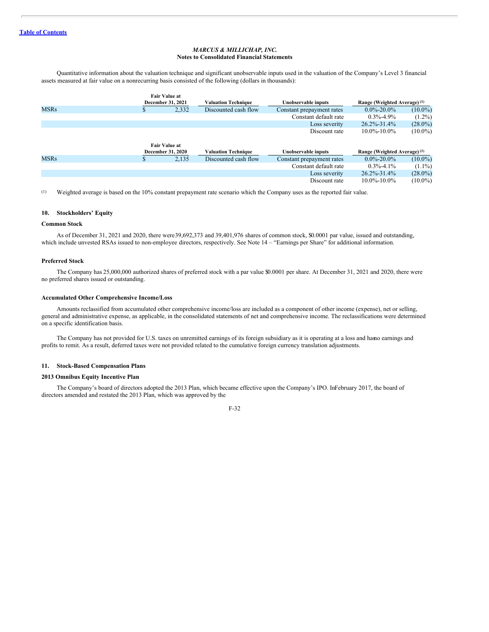Quantitative information about the valuation technique and significant unobservable inputs used in the valuation of the Company's Level 3 financial assets measured at fair value on a nonrecurring basis consisted of the following (dollars in thousands):

|             |    | <b>Fair Value at</b>     |                            |                           |                              |            |
|-------------|----|--------------------------|----------------------------|---------------------------|------------------------------|------------|
|             |    | <b>December 31, 2021</b> | <b>Valuation Technique</b> | Unobservable inputs       | Range (Weighted Average) (1) |            |
| <b>MSRs</b> | S. | 2,332                    | Discounted cash flow       | Constant prepayment rates | $0.0\% - 20.0\%$             | $(10.0\%)$ |
|             |    |                          |                            | Constant default rate     | $0.3\% - 4.9\%$              | $(1.2\%)$  |
|             |    |                          |                            | Loss severity             | $26.2\% - 31.4\%$            | $(28.0\%)$ |
|             |    |                          |                            | Discount rate             | $10.0\% - 10.0\%$            | $(10.0\%)$ |
|             |    |                          |                            |                           |                              |            |
|             |    | <b>Fair Value at</b>     |                            |                           |                              |            |
|             |    | <b>December 31, 2020</b> | <b>Valuation Technique</b> | Unobservable inputs       | Range (Weighted Average) (1) |            |
| <b>MSRs</b> |    | 2,135                    | Discounted cash flow       | Constant prepayment rates | $0.0\% - 20.0\%$             | $(10.0\%)$ |
|             |    |                          |                            | Constant default rate     | $0.3\% - 4.1\%$              | $(1.1\%)$  |
|             |    |                          |                            | Loss severity             | $26.2\% - 31.4\%$            | $(28.0\%)$ |

(1) Weighted average is based on the 10% constant prepayment rate scenario which the Company uses as the reported fair value.

### **10. Stockholders' Equity**

#### **Common Stock**

As of December 31, 2021 and 2020, there were39,692,373 and 39,401,976 shares of common stock, \$0.0001 par value, issued and outstanding, which include unvested RSAs issued to non-employee directors, respectively. See Note 14 – "Earnings per Share" for additional information.

## **Preferred Stock**

The Company has 25,000,000 authorized shares of preferred stock with a par value \$0.0001 per share. At December 31, 2021 and 2020, there were no preferred shares issued or outstanding.

## **Accumulated Other Comprehensive Income/Loss**

Amounts reclassified from accumulated other comprehensive income/loss are included as a component of other income (expense), net or selling, general and administrative expense, as applicable, in the consolidated statements of net and comprehensive income. The reclassifications were determined on a specific identification basis.

The Company has not provided for U.S. taxes on unremitted earnings of its foreign subsidiary as it is operating at a loss and hasno earnings and profits to remit. As a result, deferred taxes were not provided related to the cumulative foreign currency translation adjustments.

#### **11. Stock-Based Compensation Plans**

## **2013 Omnibus Equity Incentive Plan**

The Company's board of directors adopted the 2013 Plan, which became effective upon the Company's IPO. InFebruary 2017, the board of directors amended and restated the 2013 Plan, which was approved by the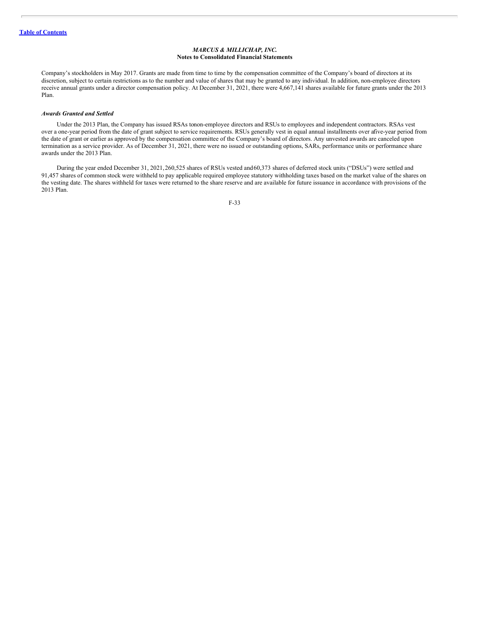Company's stockholders in May 2017. Grants are made from time to time by the compensation committee of the Company's board of directors at its discretion, subject to certain restrictions as to the number and value of shares that may be granted to any individual. In addition, non-employee directors receive annual grants under a director compensation policy. At December 31, 2021, there were 4,667,141 shares available for future grants under the 2013 Plan.

### *Awards Granted and Settled*

Under the 2013 Plan, the Company has issued RSAs tonon-employee directors and RSUs to employees and independent contractors. RSAs vest over a one-year period from the date of grant subject to service requirements. RSUs generally vest in equal annual installments over afive-year period from the date of grant or earlier as approved by the compensation committee of the Company's board of directors. Any unvested awards are canceled upon termination as a service provider. As of December 31, 2021, there were no issued or outstanding options, SARs, performance units or performance share awards under the 2013 Plan.

During the year ended December 31, 2021,260,525 shares of RSUs vested and60,373 shares of deferred stock units ("DSUs") were settled and 91,457 shares of common stock were withheld to pay applicable required employee statutory withholding taxes based on the market value of the shares on the vesting date. The shares withheld for taxes were returned to the share reserve and are available for future issuance in accordance with provisions of the 2013 Plan.

$$
F-33
$$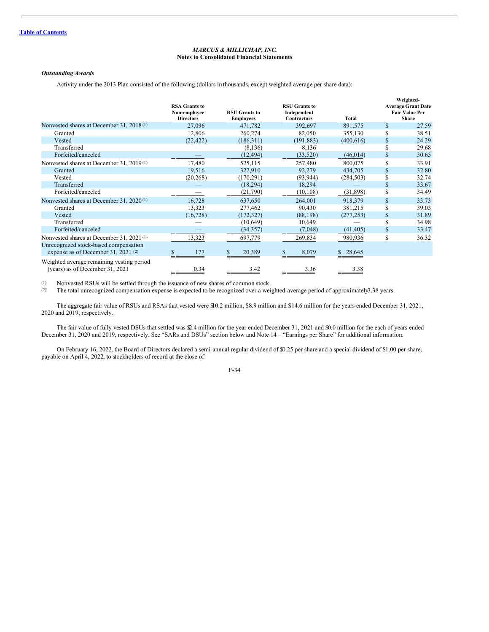# *Outstanding Awards*

Activity under the 2013 Plan consisted of the following (dollars in thousands, except weighted average per share data):

|                                                                                         | <b>RSA Grants to</b><br>Non-employee<br><b>Directors</b> | <b>RSU</b> Grants to<br><b>Employees</b> | <b>RSU</b> Grants to<br>Independent<br><b>Contractors</b> | Total      |    | Weighted-<br><b>Average Grant Date</b><br><b>Fair Value Per</b><br>Share |
|-----------------------------------------------------------------------------------------|----------------------------------------------------------|------------------------------------------|-----------------------------------------------------------|------------|----|--------------------------------------------------------------------------|
| Nonvested shares at December 31, 2018 <sup>(1)</sup>                                    | 27,096                                                   | 471,782                                  | 392,697                                                   | 891,575    | \$ | 27.59                                                                    |
| Granted                                                                                 | 12,806                                                   | 260,274                                  | 82,050                                                    | 355,130    | \$ | 38.51                                                                    |
| Vested                                                                                  | (22, 422)                                                | (186,311)                                | (191, 883)                                                | (400, 616) | \$ | 24.29                                                                    |
| Transferred                                                                             |                                                          | (8,136)                                  | 8,136                                                     |            | S  | 29.68                                                                    |
| Forfeited/canceled                                                                      |                                                          | (12, 494)                                | (33,520)                                                  | (46, 014)  | \$ | 30.65                                                                    |
| Nonvested shares at December 31, 2019 <sup>(1)</sup>                                    | 17,480                                                   | 525,115                                  | 257,480                                                   | 800,075    | S  | 33.91                                                                    |
| Granted                                                                                 | 19,516                                                   | 322,910                                  | 92,279                                                    | 434,705    | \$ | 32.80                                                                    |
| Vested                                                                                  | (20, 268)                                                | (170, 291)                               | (93, 944)                                                 | (284, 503) | \$ | 32.74                                                                    |
| Transferred                                                                             |                                                          | (18, 294)                                | 18,294                                                    |            | \$ | 33.67                                                                    |
| Forfeited/canceled                                                                      |                                                          | (21,790)                                 | (10, 108)                                                 | (31,898)   | \$ | 34.49                                                                    |
| Nonvested shares at December 31, 2020 <sup>(1)</sup>                                    | 16,728                                                   | 637,650                                  | 264,001                                                   | 918,379    | \$ | 33.73                                                                    |
| Granted                                                                                 | 13,323                                                   | 277,462                                  | 90,430                                                    | 381,215    | S  | 39.03                                                                    |
| Vested                                                                                  | (16, 728)                                                | (172, 327)                               | (88, 198)                                                 | (277, 253) | \$ | 31.89                                                                    |
| Transferred                                                                             |                                                          | (10,649)                                 | 10,649                                                    |            | \$ | 34.98                                                                    |
| Forfeited/canceled                                                                      |                                                          | (34, 357)                                | (7,048)                                                   | (41, 405)  | \$ | 33.47                                                                    |
| Nonvested shares at December 31, 2021 <sup>(1)</sup>                                    | 13,323                                                   | 697,779                                  | 269,834                                                   | 980,936    | \$ | 36.32                                                                    |
| Unrecognized stock-based compensation<br>expense as of December 31, 2021 <sup>(2)</sup> | 177                                                      | 20,389                                   | 8,079<br>\$.                                              | \$28,645   |    |                                                                          |
| Weighted average remaining vesting period<br>(years) as of December 31, 2021            | 0.34                                                     | 3.42                                     | 3.36                                                      | 3.38       |    |                                                                          |

(1) Nonvested RSUs will be settled through the issuance of new shares of common stock.<br>
(2) The total unrecognized compensation expense is expected to be recognized over a wei

The total unrecognized compensation expense is expected to be recognized over a weighted-average period of approximately3.38 years.

The aggregate fair value of RSUs and RSAs that vested were \$10.2 million, \$8.9 million and \$14.6 million for the years ended December 31, 2021, 2020 and 2019, respectively.

The fair value of fully vested DSUs that settled was \$2.4 million for the year ended December 31, 2021 and \$0.0 million for the each of years ended December 31, 2020 and 2019, respectively. See "SARs and DSUs" section below and Note 14 – "Earnings per Share" for additional information.

On February 16, 2022, the Board of Directors declared a semi-annual regular dividend of \$0.25 per share and a special dividend of \$1.00 per share, payable on April 4, 2022, to stockholders of record at the close of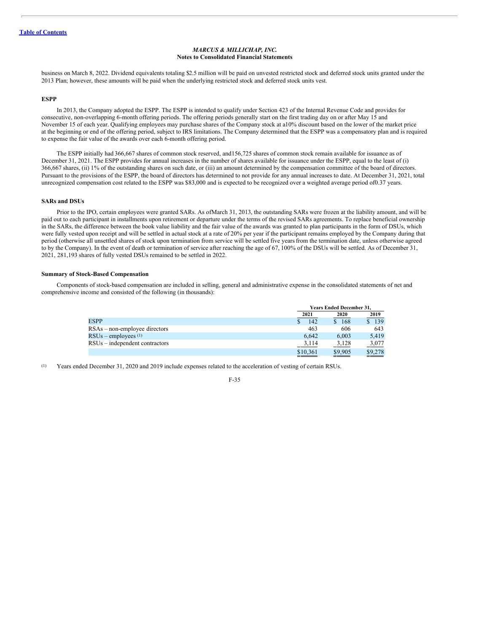business on March 8, 2022. Dividend equivalents totaling \$2.5 million will be paid on unvested restricted stock and deferred stock units granted under the 2013 Plan; however, these amounts will be paid when the underlying restricted stock and deferred stock units vest.

### **ESPP**

In 2013, the Company adopted the ESPP. The ESPP is intended to qualify under Section 423 of the Internal Revenue Code and provides for consecutive, non-overlapping 6-month offering periods. The offering periods generally start on the first trading day on or after May 15 and November 15 of each year. Qualifying employees may purchase shares of the Company stock at a10% discount based on the lower of the market price at the beginning or end of the offering period, subject to IRS limitations. The Company determined that the ESPP was a compensatory plan and is required to expense the fair value of the awards over each 6-month offering period.

The ESPP initially had 366,667 shares of common stock reserved, and156,725 shares of common stock remain available for issuance as of December 31, 2021. The ESPP provides for annual increases in the number of shares available for issuance under the ESPP, equal to the least of (i) 366,667 shares, (ii) 1% of the outstanding shares on such date, or (iii) an amount determined by the compensation committee of the board of directors. Pursuant to the provisions of the ESPP, the board of directors has determined to not provide for any annual increases to date. At December 31, 2021, total unrecognized compensation cost related to the ESPP was \$83,000 and is expected to be recognized over a weighted average period of0.37 years.

### **SARs and DSUs**

Prior to the IPO, certain employees were granted SARs. As ofMarch 31, 2013, the outstanding SARs were frozen at the liability amount, and will be paid out to each participant in installments upon retirement or departure under the terms of the revised SARs agreements. To replace beneficial ownership in the SARs, the difference between the book value liability and the fair value of the awards was granted to plan participants in the form of DSUs, which were fully vested upon receipt and will be settled in actual stock at a rate of 20% per year if the participant remains employed by the Company during that period (otherwise all unsettled shares of stock upon termination from service will be settled five yearsfrom the termination date, unless otherwise agreed to by the Company). In the event of death or termination of service after reaching the age of 67, 100% of the DSUs will be settled. As of December 31, 2021, 281,193 shares of fully vested DSUs remained to be settled in 2022.

#### **Summary of Stock-Based Compensation**

Components of stock-based compensation are included in selling, general and administrative expense in the consolidated statements of net and comprehensive income and consisted of the following (in thousands):

|                                    |          | <b>Years Ended December 31.</b> |              |  |  |
|------------------------------------|----------|---------------------------------|--------------|--|--|
|                                    | 2021     | 2020                            | 2019         |  |  |
| ESPP                               | 142      | 168<br>\$                       | \$139        |  |  |
| $RSAs - non-employee \, directory$ | 463      | 606                             | 643          |  |  |
| $RSUs$ – employees $(1)$           | 6.642    | 6.003                           | 5,419        |  |  |
| $RSUs$ – independent contractors   | 3,114    | 3,128                           | <u>3,077</u> |  |  |
|                                    | \$10.361 | \$9,905                         | \$9,278      |  |  |

(1) Years ended December 31, 2020 and 2019 include expenses related to the acceleration of vesting of certain RSUs.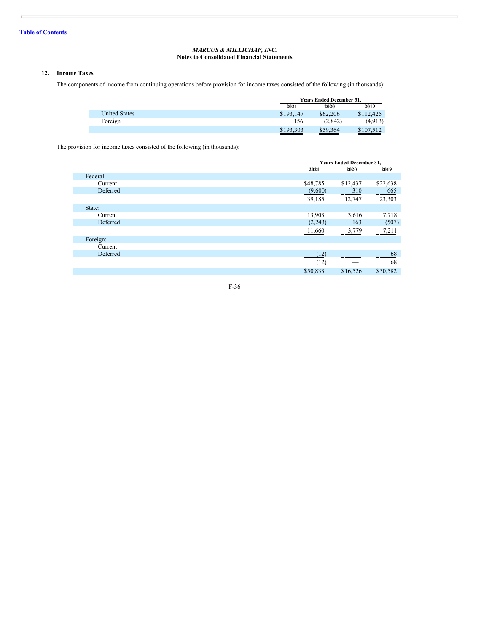# **12. Income Taxes**

The components of income from continuing operations before provision for income taxes consisted of the following (in thousands):

|                      |           | <b>Years Ended December 31.</b> |           |  |  |
|----------------------|-----------|---------------------------------|-----------|--|--|
|                      | 2021      | 2020                            | 2019      |  |  |
| <b>United States</b> | \$193,147 | \$62,206                        | \$112,425 |  |  |
| Foreign              | 156       | (2.842)                         | (4.913)   |  |  |
|                      | \$193,303 | \$59,364                        | \$107.512 |  |  |

The provision for income taxes consisted of the following (in thousands):

|          | <b>Years Ended December 31,</b> |          |          |  |
|----------|---------------------------------|----------|----------|--|
|          | 2021                            | 2020     | 2019     |  |
| Federal: |                                 |          |          |  |
| Current  | \$48,785                        | \$12,437 | \$22,638 |  |
| Deferred | (9,600)                         | 310      | 665      |  |
|          | 39,185                          | 12,747   | 23,303   |  |
| State:   |                                 |          |          |  |
| Current  | 13,903                          | 3,616    | 7,718    |  |
| Deferred | (2,243)                         | 163      | (507)    |  |
|          | 11,660                          | 3,779    | 7,211    |  |
| Foreign: |                                 |          |          |  |
| Current  |                                 |          |          |  |
| Deferred | (12)                            |          | 68       |  |
|          | (12)                            |          | 68       |  |
|          | \$50,833                        | \$16,526 | \$30,582 |  |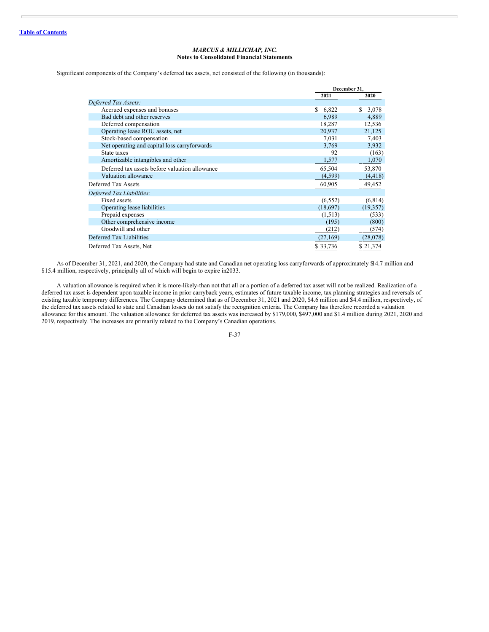Significant components of the Company's deferred tax assets, net consisted of the following (in thousands):

|                                                |             | December 31, |
|------------------------------------------------|-------------|--------------|
|                                                | 2021        | 2020         |
| Deferred Tax Assets:                           |             |              |
| Accrued expenses and bonuses                   | S.<br>6,822 | 3,078<br>S.  |
| Bad debt and other reserves                    | 6,989       | 4,889        |
| Deferred compensation                          | 18,287      | 12,536       |
| Operating lease ROU assets, net                | 20,937      | 21,125       |
| Stock-based compensation                       | 7,031       | 7,403        |
| Net operating and capital loss carryforwards   | 3,769       | 3,932        |
| State taxes                                    | 92          | (163)        |
| Amortizable intangibles and other              | 1,577       | 1,070        |
| Deferred tax assets before valuation allowance | 65,504      | 53,870       |
| Valuation allowance                            | (4, 599)    | (4, 418)     |
| Deferred Tax Assets                            | 60,905      | 49,452       |
| Deferred Tax Liabilities:                      |             |              |
| <b>Fixed assets</b>                            | (6, 552)    | (6, 814)     |
| Operating lease liabilities                    | (18,697)    | (19, 357)    |
| Prepaid expenses                               | (1,513)     | (533)        |
| Other comprehensive income                     | (195)       | (800)        |
| Goodwill and other                             | (212)       | (574)        |
| Deferred Tax Liabilities                       | (27, 169)   | (28,078)     |
| Deferred Tax Assets, Net                       | \$33,736    | \$21,374     |

As of December 31, 2021, and 2020, the Company had state and Canadian net operating loss carryforwards of approximately \$14.7 million and \$15.4 million, respectively, principally all of which will begin to expire in2033.

A valuation allowance is required when it is more-likely-than not that all or a portion of a deferred tax asset will not be realized. Realization of a deferred tax asset is dependent upon taxable income in prior carryback years, estimates of future taxable income, tax planning strategies and reversals of existing taxable temporary differences. The Company determined that as of December 31, 2021 and 2020, \$4.6 million and \$4.4 million, respectively, of the deferred tax assets related to state and Canadian losses do not satisfy the recognition criteria. The Company has therefore recorded a valuation allowance for this amount. The valuation allowance for deferred tax assets was increased by \$179,000, \$497,000 and \$1.4 million during 2021, 2020 and 2019, respectively. The increases are primarily related to the Company's Canadian operations.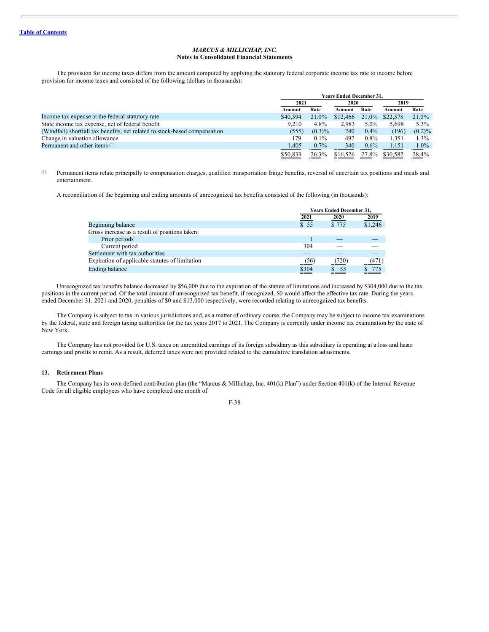The provision for income taxes differs from the amount computed by applying the statutory federal corporate income tax rate to income before provision for income taxes and consisted of the following (dollars in thousands):

| <b>Years Ended December 31.</b> |           |          |         |          |           |
|---------------------------------|-----------|----------|---------|----------|-----------|
| 2021                            |           | 2020     |         | 2019     |           |
| Amount                          | Rate      | Amount   | Rate    | Amount   | Rate      |
| \$40,594                        | 21.0%     | \$12,466 | 21.0%   | \$22,578 | 21.0%     |
| 9.210                           | 4.8%      | 2.983    | $5.0\%$ | 5.698    | $5.3\%$   |
| (555)                           | $(0.3)\%$ | 240      | $0.4\%$ | (196)    | $(0.2)\%$ |
| 179                             | $0.1\%$   | 497      | $0.8\%$ | 1.351    | 1.3%      |
| 1,405                           | 0.7%      | 340      | 0.6%    | 1,151    | $1.0\%$   |
| \$50,833                        | 26.3%     | \$16,526 | 27.8%   | \$30,582 | 28.4%     |
|                                 |           |          |         |          |           |

(1) Permanent items relate principally to compensation charges, qualified transportation fringe benefits, reversal of uncertain tax positions and meals and entertainment.

A reconciliation of the beginning and ending amounts of unrecognized tax benefits consisted of the following (in thousands):

|                                                 | <b>Years Ended December 31.</b> |       |         |  |
|-------------------------------------------------|---------------------------------|-------|---------|--|
|                                                 | 2021                            | 2020  | 2019    |  |
| Beginning balance                               | \$55                            | \$775 | \$1,246 |  |
| Gross increase as a result of positions taken:  |                                 |       |         |  |
| Prior periods                                   |                                 |       |         |  |
| Current period                                  | 304                             |       |         |  |
| Settlement with tax authorities                 |                                 |       |         |  |
| Expiration of applicable statutes of limitation | (56)                            | (720) | (471)   |  |
| <b>Ending balance</b>                           | \$304                           | \$ 55 | 775     |  |

Unrecognized tax benefits balance decreased by \$56,000 due to the expiration of the statute of limitations and increased by \$304,000 due to the tax positions in the current period. Of the total amount of unrecognized tax benefit, if recognized, \$0 would affect the effective tax rate. During the years ended December 31, 2021 and 2020, penalties of \$0 and \$13,000 respectively, were recorded relating to unrecognized tax benefits.

The Company is subject to tax in various jurisdictions and, as a matter of ordinary course, the Company may be subject to income tax examinations by the federal, state and foreign taxing authorities for the tax years 2017 to 2021. The Company is currently under income tax examination by the state of New York.

The Company has not provided for U.S. taxes on unremitted earnings of its foreign subsidiary as this subsidiary is operating at a loss and hasno earnings and profits to remit. As a result, deferred taxes were not provided related to the cumulative translation adjustments.

### **13. Retirement Plans**

The Company has its own defined contribution plan (the "Marcus & Millichap, Inc. 401(k) Plan") under Section 401(k) of the Internal Revenue Code for all eligible employees who have completed one month of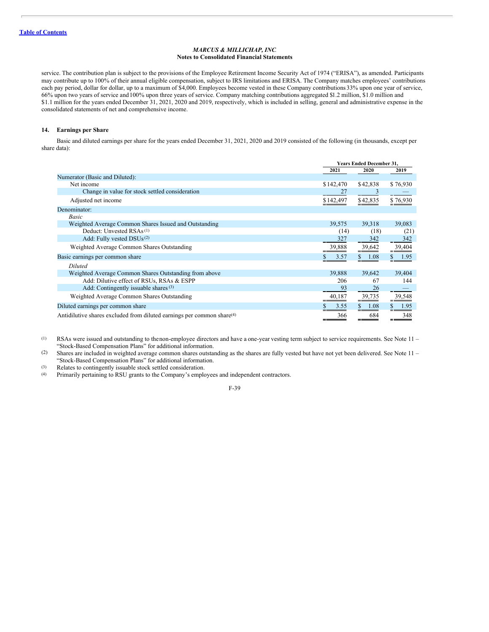service. The contribution plan is subject to the provisions of the Employee Retirement Income Security Act of 1974 ("ERISA"), as amended. Participants may contribute up to 100% of their annual eligible compensation, subject to IRS limitations and ERISA. The Company matches employees' contributions each pay period, dollar for dollar, up to a maximum of \$4,000. Employees become vested in these Company contributions 33% upon one year of service, 66% upon two years of service and100% upon three years of service. Company matching contributions aggregated \$1.2 million, \$1.0 million and \$1.1 million for the years ended December 31, 2021, 2020 and 2019, respectively, which is included in selling, general and administrative expense in the consolidated statements of net and comprehensive income.

### **14. Earnings per Share**

Basic and diluted earnings per share for the years ended December 31, 2021, 2020 and 2019 consisted of the following (in thousands, except per share data):

|                                                                                    |           | <b>Years Ended December 31,</b> |          |  |
|------------------------------------------------------------------------------------|-----------|---------------------------------|----------|--|
|                                                                                    | 2021      | 2020                            | 2019     |  |
| Numerator (Basic and Diluted):                                                     |           |                                 |          |  |
| Net income                                                                         | \$142,470 | \$42,838                        | \$76,930 |  |
| Change in value for stock settled consideration                                    | 27        | 3                               |          |  |
| Adjusted net income                                                                | \$142,497 | \$42,835                        | \$76,930 |  |
| Denominator:                                                                       |           |                                 |          |  |
| Basic                                                                              |           |                                 |          |  |
| Weighted Average Common Shares Issued and Outstanding                              | 39,575    | 39,318                          | 39,083   |  |
| Deduct: Unvested RSAs <sup>(1)</sup>                                               | (14)      | (18)                            | (21)     |  |
| Add: Fully vested $DSUs^{(2)}$                                                     | 327       | 342                             | 342      |  |
| Weighted Average Common Shares Outstanding                                         | 39,888    | 39,642                          | 39,404   |  |
| Basic earnings per common share                                                    | 3.57      | 1.08                            | 1.95     |  |
| Diluted                                                                            |           |                                 |          |  |
| Weighted Average Common Shares Outstanding from above                              | 39.888    | 39,642                          | 39,404   |  |
| Add: Dilutive effect of RSUs, RSAs & ESPP                                          | 206       | 67                              | 144      |  |
| Add: Contingently issuable shares (3)                                              | 93        | 26                              |          |  |
| Weighted Average Common Shares Outstanding                                         | 40,187    | 39,735                          | 39,548   |  |
| Diluted earnings per common share                                                  | 3.55      | 1.08                            | 1.95     |  |
| Antidilutive shares excluded from diluted earnings per common share <sup>(4)</sup> | 366       | 684                             | 348      |  |

(1) RSAs were issued and outstanding to thenon-employee directors and have a one-year vesting term subject to service requirements. See Note 11 – "Stock-Based Compensation Plans" for additional information.

(2) Shares are included in weighted average common shares outstanding as the shares are fully vested but have not yet been delivered. See Note 11 – "Stock-Based Compensation Plans" for additional information.

(3) Relates to contingently issuable stock settled consideration.<br>
(4) Primarily pertaining to RSU grants to the Company's employees

Primarily pertaining to RSU grants to the Company's employees and independent contractors.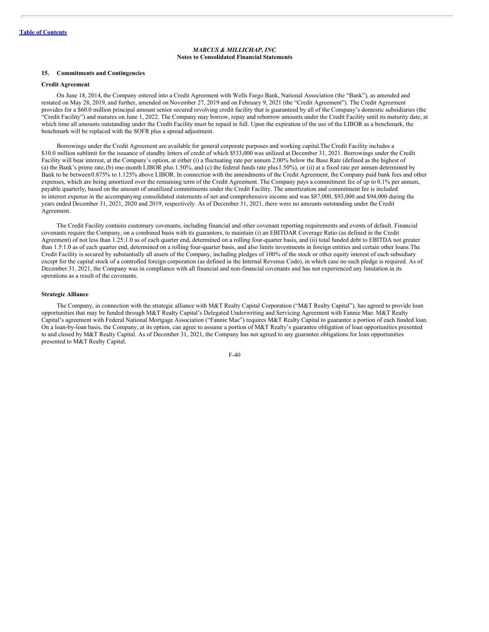## **15. Commitments and Contingencies**

#### **Credit Agreement**

On June 18, 2014, the Company entered into a Credit Agreement with Wells Fargo Bank, National Association (the "Bank"), as amended and restated on May 28, 2019, and further, amended on November 27, 2019 and on February 9, 2021 (the "Credit Agreement"). The Credit Agreement provides for a \$60.0 million principal amount senior secured revolving credit facility that is guaranteed by all of the Company's domestic subsidiaries (the "Credit Facility") and matures on June 1, 2022. The Company may borrow, repay and reborrow amounts under the Credit Facility until its maturity date, at which time all amounts outstanding under the Credit Facility must be repaid in full. Upon the expiration of the use of the LIBOR as a benchmark, the benchmark will be replaced with the SOFR plus a spread adjustment.

Borrowings under the Credit Agreement are available for general corporate purposes and working capital.The Credit Facility includes a \$10.0 million sublimit for the issuance of standby letters of credit of which \$533,000 was utilized at December 31, 2021. Borrowings under the Credit Facility will bear interest, at the Company's option, at either (i) a fluctuating rate per annum 2.00% below the Base Rate (defined as the highest of (a) the Bank's prime rate,(b) one-month LIBOR plus 1.50%, and (c) the federal funds rate plus1.50%), or (ii) at a fixed rate per annum determined by Bank to be between0.875% to 1.125% above LIBOR. In connection with the amendments of the Credit Agreement, the Company paid bank fees and other expenses, which are being amortized over the remaining term of the Credit Agreement. The Company pays a commitment fee of up to 0.1% per annum, payable quarterly, based on the amount of unutilized commitments under the Credit Facility. The amortization and commitment fee is included in interest expense in the accompanying consolidated statements of net and comprehensive income and was \$87,000, \$93,000 and \$94,000 during the years ended December 31, 2021, 2020 and 2019, respectively. As of December 31, 2021, there were no amounts outstanding under the Credit Agreement.

The Credit Facility contains customary covenants, including financial and other covenant reporting requirements and events of default. Financial covenants require the Company, on a combined basis with its guarantors, to maintain (i) an EBITDAR Coverage Ratio (as defined in the Credit Agreement) of not less than 1.25:1.0 as of each quarter end, determined on a rolling four-quarter basis, and (ii) total funded debt to EBITDA not greater than 1.5:1.0 as of each quarter end, determined on a rolling four-quarter basis, and also limits investments in foreign entities and certain other loans.The Credit Facility is secured by substantially all assets of the Company, including pledges of 100% of the stock or other equity interest of each subsidiary except for the capital stock of a controlled foreign corporation (as defined in the Internal Revenue Code), in which case no such pledge is required. As of December 31, 2021, the Company was in compliance with all financial and non-financial covenants and has not experienced any limitation in its operations as a result of the covenants.

### **Strategic Alliance**

The Company, in connection with the strategic alliance with M&T Realty Capital Corporation ("M&T Realty Capital"), has agreed to provide loan opportunities that may be funded through M&T Realty Capital's Delegated Underwriting and Servicing Agreement with Fannie Mae. M&T Realty Capital's agreement with Federal National Mortgage Association ("Fannie Mae") requires M&T Realty Capital to guarantee a portion of each funded loan. On a loan-by-loan basis, the Company, at its option, can agree to assume a portion of M&T Realty's guarantee obligation of loan opportunities presented to and closed by M&T Realty Capital. As of December 31, 2021, the Company has not agreed to any guarantee obligations for loan opportunities presented to M&T Realty Capital.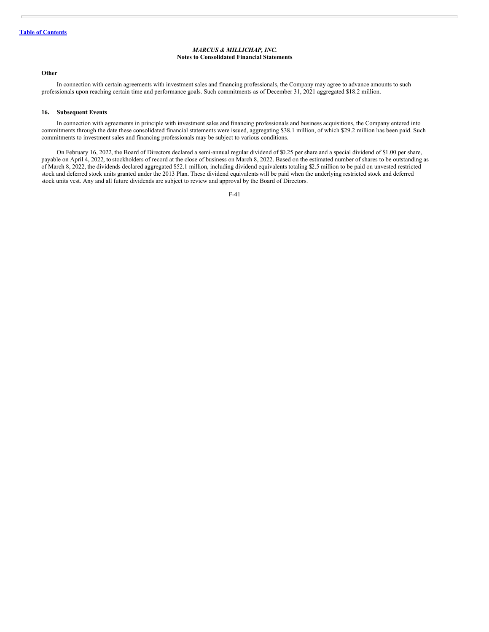### **Other**

In connection with certain agreements with investment sales and financing professionals, the Company may agree to advance amounts to such professionals upon reaching certain time and performance goals. Such commitments as of December 31, 2021 aggregated \$18.2 million.

### **16. Subsequent Events**

In connection with agreements in principle with investment sales and financing professionals and business acquisitions, the Company entered into commitments through the date these consolidated financial statements were issued, aggregating \$38.1 million, of which \$29.2 million has been paid. Such commitments to investment sales and financing professionals may be subject to various conditions.

On February 16, 2022, the Board of Directors declared a semi-annual regular dividend of \$0.25 per share and a special dividend of \$1.00 per share, payable on April 4, 2022, to stockholders of record at the close of business on March 8, 2022. Based on the estimated number of shares to be outstanding as of March 8, 2022, the dividends declared aggregated \$52.1 million, including dividend equivalents totaling \$2.5 million to be paid on unvested restricted stock and deferred stock units granted under the 2013 Plan. These dividend equivalents will be paid when the underlying restricted stock and deferred stock units vest. Any and all future dividends are subject to review and approval by the Board of Directors.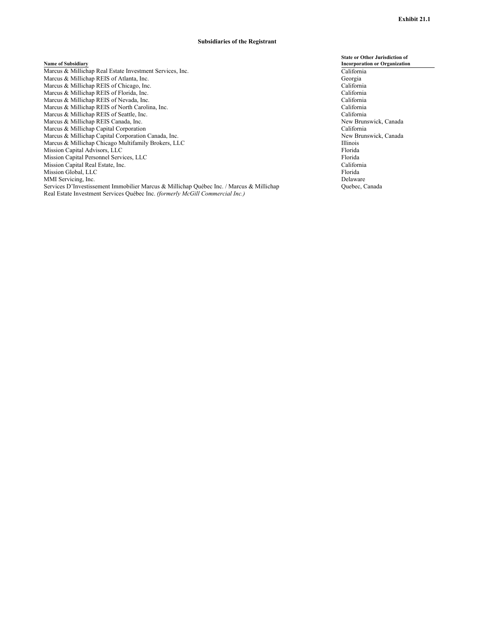# **Subsidiaries of the Registrant**

**Name of Subsidiary** Marcus & Millichap Real Estate Investment Services, Inc. California California Marcus & Millichap REIS of Atlanta, Inc. Caesar Context Context Context Context Context Context Context Context Context Context Context Context Marcus & Millichap REIS of Atlanta, Inc. Marcus & Millichap REIS of Chicago, Inc.<br>
Marcus & Millichap REIS of Florida, Inc. California California Marcus & Millichap REIS of Florida, Inc.<br>
Marcus & Millichap REIS of Nevada, Inc. California California California Marcus & Millichap REIS of Nevada, Inc. Marcus & Millichap REIS of North Carolina, Inc.<br>
Marcus & Millichap REIS of Seattle, Inc. California Marcus & Millichap REIS of Seattle, Inc. Marcus & Millichap REIS Canada, Inc.<br>
Marcus & Millichap Capital Corporation<br>
California California Marcus & Millichap Capital Corporation Marcus & Millichap Capital Corporation Canada, Inc. New Brunswick, Canada Marcus & Millichap Chicago Multifamily Brokers, LLC<br>
Mission Capital Advisors, LLC<br>
Florida Mission Capital Advisors, LLC Mission Capital Personnel Services, LLC<br>
Mission Capital Real Estate. Inc. California Mission Capital Real Estate, Inc. Mission Global, LLC<br>MMI Servicing, Inc. Delaware MMI Servicing, Inc. Services D'Investissement Immobilier Marcus & Millichap Québec Inc. / Marcus & Millichap Real Estate Investment Services Québec Inc. *(formerly McGill Commercial Inc.)*

#### **State or Other Jurisdiction of Incorporation or Organization**

Quebec, Canada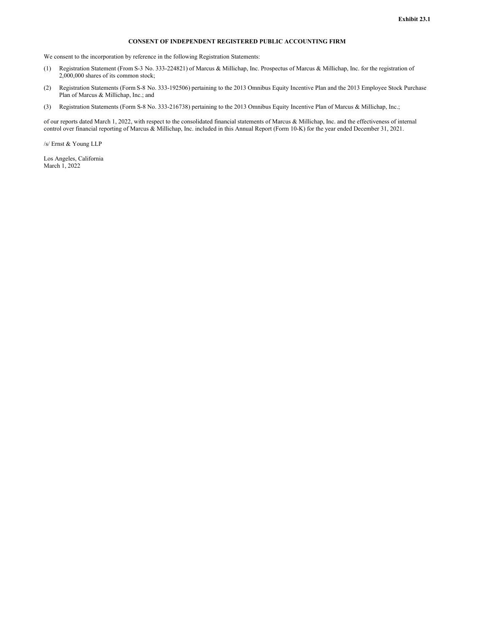# **CONSENT OF INDEPENDENT REGISTERED PUBLIC ACCOUNTING FIRM**

We consent to the incorporation by reference in the following Registration Statements:

- (1) Registration Statement (From S-3 No. 333-224821) of Marcus & Millichap, Inc. Prospectus of Marcus & Millichap, Inc. for the registration of 2,000,000 shares of its common stock;
- (2) Registration Statements (Form S-8 No. 333-192506) pertaining to the 2013 Omnibus Equity Incentive Plan and the 2013 Employee Stock Purchase Plan of Marcus & Millichap, Inc.; and
- (3) Registration Statements (Form S-8 No. 333-216738) pertaining to the 2013 Omnibus Equity Incentive Plan of Marcus & Millichap, Inc.;

of our reports dated March 1, 2022, with respect to the consolidated financial statements of Marcus & Millichap, Inc. and the effectiveness of internal control over financial reporting of Marcus & Millichap, Inc. included in this Annual Report (Form 10-K) for the year ended December 31, 2021.

/s/ Ernst & Young LLP

Los Angeles, California March 1, 2022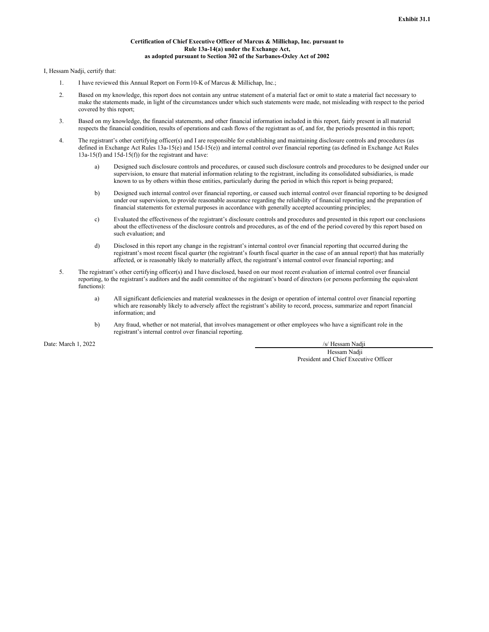### **Certification of Chief Executive Officer of Marcus & Millichap, Inc. pursuant to Rule 13a-14(a) under the Exchange Act, as adopted pursuant to Section 302 of the Sarbanes-Oxley Act of 2002**

I, Hessam Nadji, certify that:

- 1. I have reviewed this Annual Report on Form10-K of Marcus & Millichap, Inc.;
- 2. Based on my knowledge, this report does not contain any untrue statement of a material fact or omit to state a material fact necessary to make the statements made, in light of the circumstances under which such statements were made, not misleading with respect to the period covered by this report;
- 3. Based on my knowledge, the financial statements, and other financial information included in this report, fairly present in all material respects the financial condition, results of operations and cash flows of the registrant as of, and for, the periods presented in this report;
- 4. The registrant's other certifying officer(s) and I are responsible for establishing and maintaining disclosure controls and procedures (as defined in Exchange Act Rules 13a-15(e) and 15d-15(e)) and internal control over financial reporting (as defined in Exchange Act Rules 13a-15(f) and 15d-15(f)) for the registrant and have:
	- a) Designed such disclosure controls and procedures, or caused such disclosure controls and procedures to be designed under our supervision, to ensure that material information relating to the registrant, including its consolidated subsidiaries, is made known to us by others within those entities, particularly during the period in which this report is being prepared;
	- b) Designed such internal control over financial reporting, or caused such internal control over financial reporting to be designed under our supervision, to provide reasonable assurance regarding the reliability of financial reporting and the preparation of financial statements for external purposes in accordance with generally accepted accounting principles;
	- c) Evaluated the effectiveness of the registrant's disclosure controls and procedures and presented in this report our conclusions about the effectiveness of the disclosure controls and procedures, as of the end of the period covered by this report based on such evaluation; and
	- d) Disclosed in this report any change in the registrant's internal control over financial reporting that occurred during the registrant's most recent fiscal quarter (the registrant's fourth fiscal quarter in the case of an annual report) that has materially affected, or is reasonably likely to materially affect, the registrant's internal control over financial reporting; and
- 5. The registrant's other certifying officer(s) and I have disclosed, based on our most recent evaluation of internal control over financial reporting, to the registrant's auditors and the audit committee of the registrant's board of directors (or persons performing the equivalent functions):
	- a) All significant deficiencies and material weaknesses in the design or operation of internal control over financial reporting which are reasonably likely to adversely affect the registrant's ability to record, process, summarize and report financial information; and
	- b) Any fraud, whether or not material, that involves management or other employees who have a significant role in the registrant's internal control over financial reporting.

Date: March 1, 2022 /s/ Hessam Nadji

Hessam Nadji President and Chief Executive Officer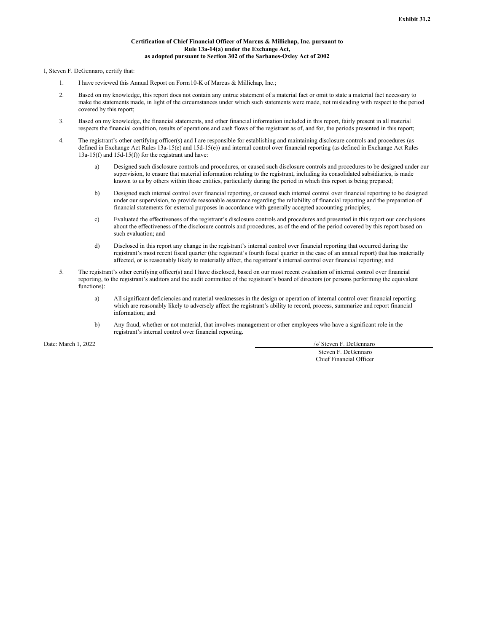### **Certification of Chief Financial Officer of Marcus & Millichap, Inc. pursuant to Rule 13a-14(a) under the Exchange Act, as adopted pursuant to Section 302 of the Sarbanes-Oxley Act of 2002**

I, Steven F. DeGennaro, certify that:

- 1. I have reviewed this Annual Report on Form10-K of Marcus & Millichap, Inc.;
- 2. Based on my knowledge, this report does not contain any untrue statement of a material fact or omit to state a material fact necessary to make the statements made, in light of the circumstances under which such statements were made, not misleading with respect to the period covered by this report;
- 3. Based on my knowledge, the financial statements, and other financial information included in this report, fairly present in all material respects the financial condition, results of operations and cash flows of the registrant as of, and for, the periods presented in this report;
- 4. The registrant's other certifying officer(s) and I are responsible for establishing and maintaining disclosure controls and procedures (as defined in Exchange Act Rules 13a-15(e) and 15d-15(e)) and internal control over financial reporting (as defined in Exchange Act Rules 13a-15(f) and 15d-15(f)) for the registrant and have:
	- a) Designed such disclosure controls and procedures, or caused such disclosure controls and procedures to be designed under our supervision, to ensure that material information relating to the registrant, including its consolidated subsidiaries, is made known to us by others within those entities, particularly during the period in which this report is being prepared;
	- b) Designed such internal control over financial reporting, or caused such internal control over financial reporting to be designed under our supervision, to provide reasonable assurance regarding the reliability of financial reporting and the preparation of financial statements for external purposes in accordance with generally accepted accounting principles;
	- c) Evaluated the effectiveness of the registrant's disclosure controls and procedures and presented in this report our conclusions about the effectiveness of the disclosure controls and procedures, as of the end of the period covered by this report based on such evaluation; and
	- d) Disclosed in this report any change in the registrant's internal control over financial reporting that occurred during the registrant's most recent fiscal quarter (the registrant's fourth fiscal quarter in the case of an annual report) that has materially affected, or is reasonably likely to materially affect, the registrant's internal control over financial reporting; and
- 5. The registrant's other certifying officer(s) and I have disclosed, based on our most recent evaluation of internal control over financial reporting, to the registrant's auditors and the audit committee of the registrant's board of directors (or persons performing the equivalent functions):
	- a) All significant deficiencies and material weaknesses in the design or operation of internal control over financial reporting which are reasonably likely to adversely affect the registrant's ability to record, process, summarize and report financial information; and
	- b) Any fraud, whether or not material, that involves management or other employees who have a significant role in the registrant's internal control over financial reporting.

Date: March 1, 2022 /s/ Steven F. DeGennaro

Steven F. DeGennaro Chief Financial Officer